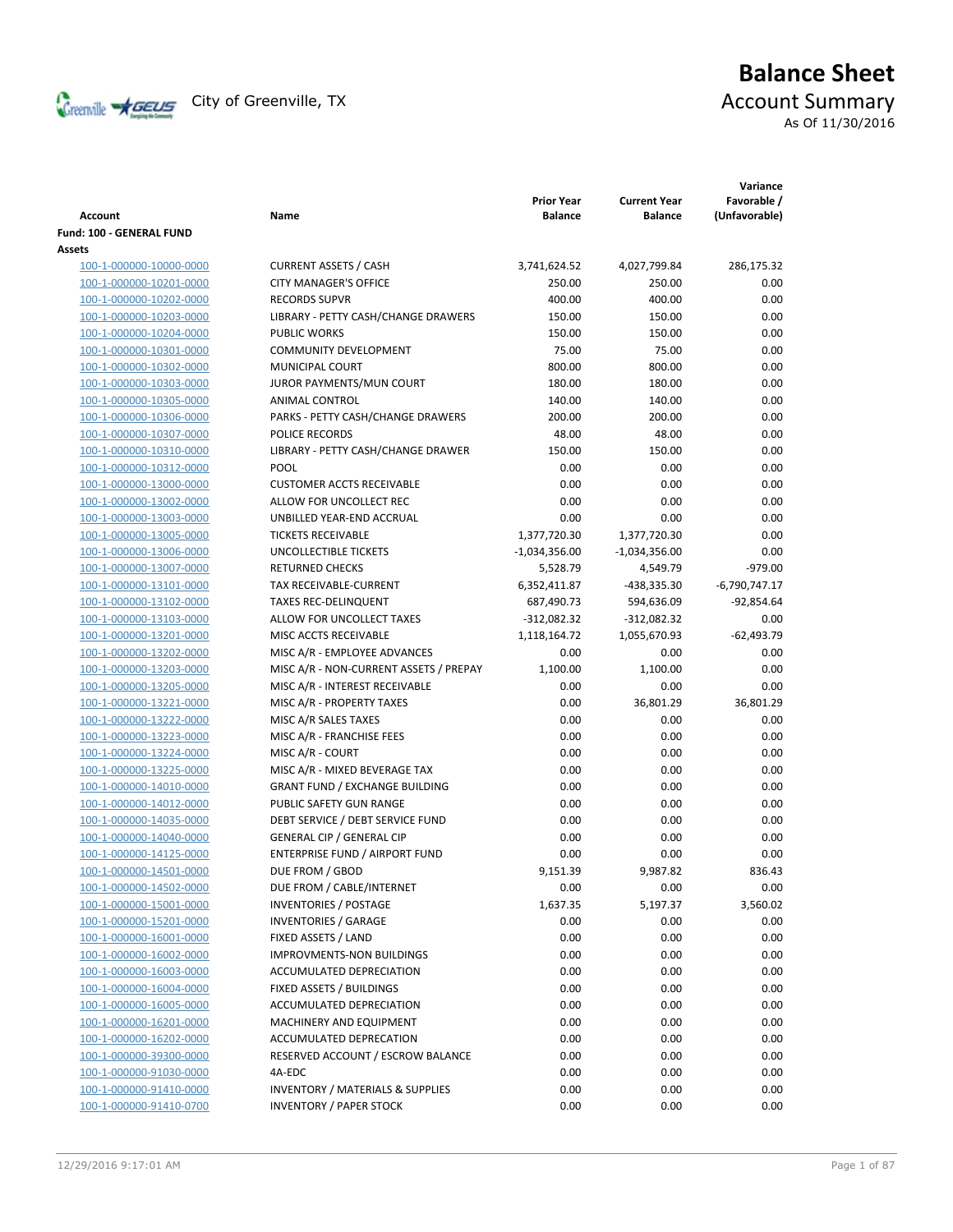

# **Balance Sheet** Creenville  $\star$  GEUS</del> City of Greenville, TX **Account Summary** As Of 11/30/2016

| <b>Account</b>                 | Name                                        | <b>Prior Year</b><br><b>Balance</b> | <b>Current Year</b><br><b>Balance</b> | Variance<br>Favorable /<br>(Unfavorable) |
|--------------------------------|---------------------------------------------|-------------------------------------|---------------------------------------|------------------------------------------|
| Fund: 100 - GENERAL FUND       |                                             |                                     |                                       |                                          |
| Assets                         |                                             |                                     |                                       |                                          |
| 100-1-000000-10000-0000        | <b>CURRENT ASSETS / CASH</b>                | 3,741,624.52                        | 4,027,799.84                          | 286,175.32                               |
| 100-1-000000-10201-0000        | <b>CITY MANAGER'S OFFICE</b>                | 250.00                              | 250.00                                | 0.00                                     |
| 100-1-000000-10202-0000        | <b>RECORDS SUPVR</b>                        | 400.00                              | 400.00                                | 0.00                                     |
| 100-1-000000-10203-0000        | LIBRARY - PETTY CASH/CHANGE DRAWERS         | 150.00                              | 150.00                                | 0.00                                     |
| 100-1-000000-10204-0000        | <b>PUBLIC WORKS</b>                         | 150.00                              | 150.00                                | 0.00                                     |
| 100-1-000000-10301-0000        | <b>COMMUNITY DEVELOPMENT</b>                | 75.00                               | 75.00                                 | 0.00                                     |
| 100-1-000000-10302-0000        | <b>MUNICIPAL COURT</b>                      | 800.00                              | 800.00                                | 0.00                                     |
| 100-1-000000-10303-0000        | JUROR PAYMENTS/MUN COURT                    | 180.00                              | 180.00                                | 0.00                                     |
| 100-1-000000-10305-0000        | ANIMAL CONTROL                              | 140.00                              | 140.00                                | 0.00                                     |
| 100-1-000000-10306-0000        | PARKS - PETTY CASH/CHANGE DRAWERS           | 200.00                              | 200.00                                | 0.00                                     |
| 100-1-000000-10307-0000        | POLICE RECORDS                              | 48.00                               | 48.00                                 | 0.00                                     |
| 100-1-000000-10310-0000        | LIBRARY - PETTY CASH/CHANGE DRAWER          | 150.00                              | 150.00                                | 0.00                                     |
| 100-1-000000-10312-0000        | POOL                                        | 0.00                                | 0.00                                  | 0.00                                     |
| 100-1-000000-13000-0000        | <b>CUSTOMER ACCTS RECEIVABLE</b>            | 0.00                                | 0.00                                  | 0.00                                     |
| 100-1-000000-13002-0000        | ALLOW FOR UNCOLLECT REC                     | 0.00                                | 0.00                                  | 0.00                                     |
| 100-1-000000-13003-0000        | UNBILLED YEAR-END ACCRUAL                   | 0.00                                | 0.00                                  | 0.00                                     |
| 100-1-000000-13005-0000        | <b>TICKETS RECEIVABLE</b>                   | 1,377,720.30                        | 1,377,720.30                          | 0.00                                     |
| 100-1-000000-13006-0000        | UNCOLLECTIBLE TICKETS                       | $-1,034,356.00$                     | $-1,034,356.00$                       | 0.00                                     |
| 100-1-000000-13007-0000        | <b>RETURNED CHECKS</b>                      | 5,528.79                            | 4,549.79                              | $-979.00$                                |
| 100-1-000000-13101-0000        | TAX RECEIVABLE-CURRENT                      | 6,352,411.87                        | -438,335.30                           | $-6,790,747.17$                          |
| 100-1-000000-13102-0000        | <b>TAXES REC-DELINQUENT</b>                 | 687,490.73                          | 594,636.09                            | $-92,854.64$                             |
| 100-1-000000-13103-0000        | ALLOW FOR UNCOLLECT TAXES                   | $-312,082.32$                       | $-312,082.32$                         | 0.00                                     |
| 100-1-000000-13201-0000        | MISC ACCTS RECEIVABLE                       | 1,118,164.72                        | 1,055,670.93                          | $-62,493.79$                             |
| 100-1-000000-13202-0000        | MISC A/R - EMPLOYEE ADVANCES                | 0.00                                | 0.00                                  | 0.00                                     |
| 100-1-000000-13203-0000        | MISC A/R - NON-CURRENT ASSETS / PREPAY      | 1,100.00                            | 1,100.00                              | 0.00                                     |
| 100-1-000000-13205-0000        | MISC A/R - INTEREST RECEIVABLE              | 0.00                                | 0.00                                  | 0.00                                     |
| 100-1-000000-13221-0000        | MISC A/R - PROPERTY TAXES                   | 0.00                                | 36,801.29                             | 36,801.29                                |
| 100-1-000000-13222-0000        | MISC A/R SALES TAXES                        | 0.00                                | 0.00                                  | 0.00                                     |
| 100-1-000000-13223-0000        | MISC A/R - FRANCHISE FEES                   | 0.00                                | 0.00                                  | 0.00                                     |
| 100-1-000000-13224-0000        | MISC A/R - COURT                            | 0.00                                | 0.00                                  | 0.00                                     |
| 100-1-000000-13225-0000        | MISC A/R - MIXED BEVERAGE TAX               | 0.00                                | 0.00                                  | 0.00                                     |
| 100-1-000000-14010-0000        | <b>GRANT FUND / EXCHANGE BUILDING</b>       | 0.00                                | 0.00                                  | 0.00                                     |
| 100-1-000000-14012-0000        | PUBLIC SAFETY GUN RANGE                     | 0.00                                | 0.00                                  | 0.00                                     |
| 100-1-000000-14035-0000        | DEBT SERVICE / DEBT SERVICE FUND            | 0.00                                | 0.00                                  | 0.00                                     |
| 100-1-000000-14040-0000        | <b>GENERAL CIP / GENERAL CIP</b>            | 0.00                                | 0.00                                  | 0.00                                     |
| 100-1-000000-14125-0000        | <b>ENTERPRISE FUND / AIRPORT FUND</b>       | 0.00                                | 0.00                                  | 0.00                                     |
| <u>100-1-000000-14501-0000</u> | DUE FROM / GBOD                             | 9,151.39                            | 9,987.82                              | 836.43                                   |
| 100-1-000000-14502-0000        | DUE FROM / CABLE/INTERNET                   | 0.00                                | 0.00                                  | 0.00                                     |
| 100-1-000000-15001-0000        | <b>INVENTORIES / POSTAGE</b>                | 1,637.35                            | 5,197.37                              | 3,560.02                                 |
| 100-1-000000-15201-0000        | <b>INVENTORIES / GARAGE</b>                 | 0.00                                | 0.00                                  | 0.00                                     |
| 100-1-000000-16001-0000        | FIXED ASSETS / LAND                         | 0.00                                | 0.00                                  | 0.00                                     |
| 100-1-000000-16002-0000        | IMPROVMENTS-NON BUILDINGS                   | 0.00                                | 0.00                                  | 0.00                                     |
| 100-1-000000-16003-0000        | ACCUMULATED DEPRECIATION                    | 0.00                                | 0.00                                  | 0.00                                     |
| 100-1-000000-16004-0000        | FIXED ASSETS / BUILDINGS                    | 0.00                                | 0.00                                  | 0.00                                     |
| 100-1-000000-16005-0000        | ACCUMULATED DEPRECIATION                    | 0.00                                | 0.00                                  | 0.00                                     |
| 100-1-000000-16201-0000        | MACHINERY AND EQUIPMENT                     | 0.00                                | 0.00                                  | 0.00                                     |
| 100-1-000000-16202-0000        | ACCUMULATED DEPRECATION                     | 0.00                                | 0.00                                  | 0.00                                     |
| 100-1-000000-39300-0000        | RESERVED ACCOUNT / ESCROW BALANCE           | 0.00                                | 0.00                                  | 0.00                                     |
| 100-1-000000-91030-0000        | 4A-EDC                                      | 0.00                                | 0.00                                  | 0.00                                     |
| 100-1-000000-91410-0000        | <b>INVENTORY / MATERIALS &amp; SUPPLIES</b> | 0.00                                | 0.00                                  | 0.00                                     |
| 100-1-000000-91410-0700        | <b>INVENTORY / PAPER STOCK</b>              | 0.00                                | 0.00                                  | 0.00                                     |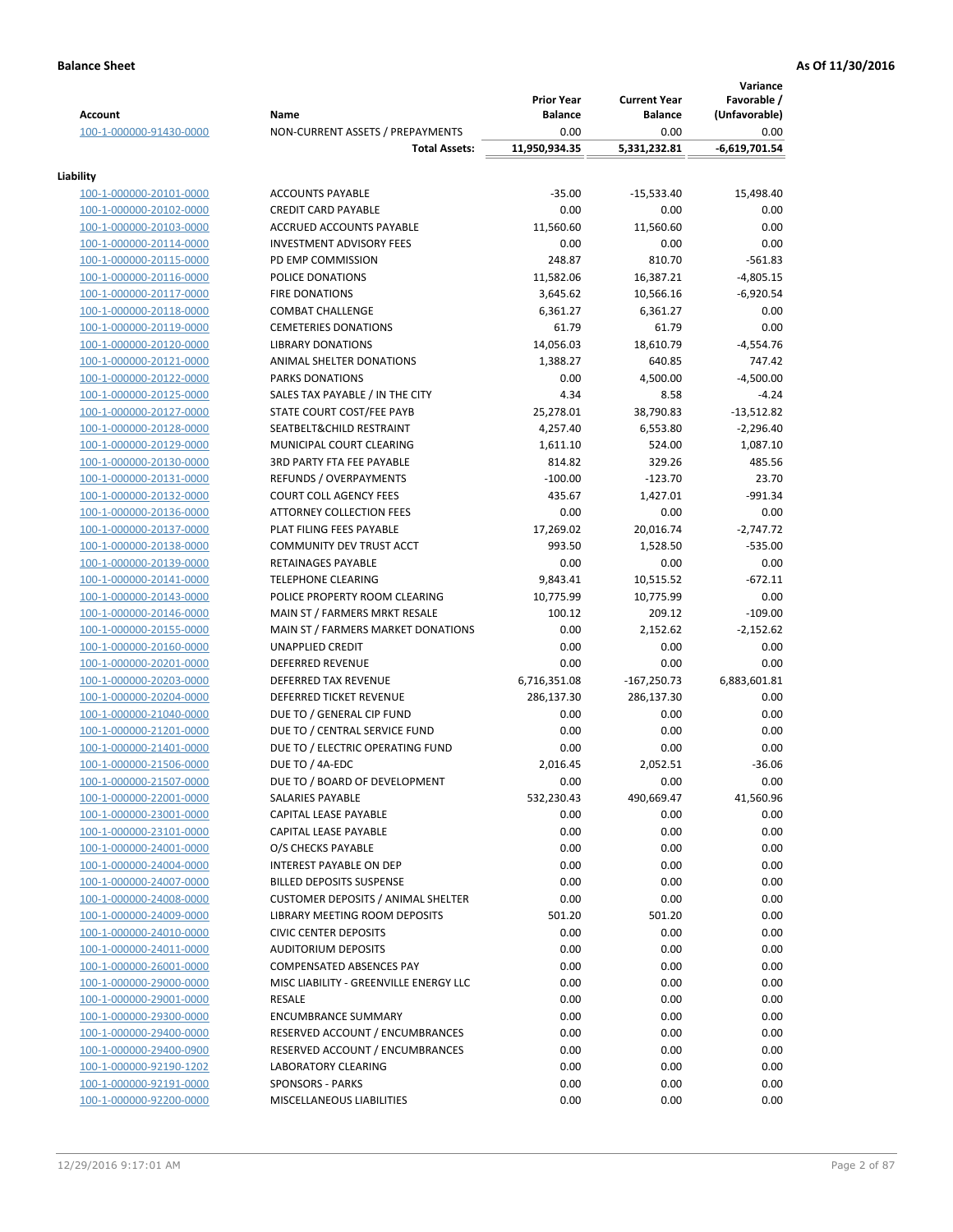| <b>Account</b>                                     | Name                                                                | <b>Prior Year</b><br><b>Balance</b> | <b>Current Year</b><br><b>Balance</b> | Variance<br>Favorable /<br>(Unfavorable) |
|----------------------------------------------------|---------------------------------------------------------------------|-------------------------------------|---------------------------------------|------------------------------------------|
| 100-1-000000-91430-0000                            | NON-CURRENT ASSETS / PREPAYMENTS                                    | 0.00                                | 0.00                                  | 0.00                                     |
|                                                    | <b>Total Assets:</b>                                                | 11,950,934.35                       | 5,331,232.81                          | $-6,619,701.54$                          |
| Liability                                          |                                                                     |                                     |                                       |                                          |
| 100-1-000000-20101-0000                            | <b>ACCOUNTS PAYABLE</b>                                             | $-35.00$                            | $-15,533.40$                          | 15,498.40                                |
| 100-1-000000-20102-0000                            | <b>CREDIT CARD PAYABLE</b>                                          | 0.00                                | 0.00                                  | 0.00                                     |
| 100-1-000000-20103-0000                            | ACCRUED ACCOUNTS PAYABLE                                            | 11,560.60                           | 11,560.60                             | 0.00                                     |
| 100-1-000000-20114-0000                            | <b>INVESTMENT ADVISORY FEES</b>                                     | 0.00                                | 0.00                                  | 0.00                                     |
| 100-1-000000-20115-0000                            | PD EMP COMMISSION                                                   | 248.87                              | 810.70                                | $-561.83$                                |
| 100-1-000000-20116-0000                            | POLICE DONATIONS                                                    | 11,582.06                           | 16,387.21                             | $-4,805.15$                              |
| 100-1-000000-20117-0000                            | <b>FIRE DONATIONS</b>                                               | 3,645.62                            | 10,566.16                             | $-6,920.54$                              |
| 100-1-000000-20118-0000                            | <b>COMBAT CHALLENGE</b>                                             | 6,361.27                            | 6,361.27                              | 0.00                                     |
| 100-1-000000-20119-0000                            | <b>CEMETERIES DONATIONS</b>                                         | 61.79                               | 61.79                                 | 0.00                                     |
| 100-1-000000-20120-0000                            | <b>LIBRARY DONATIONS</b>                                            | 14,056.03                           | 18,610.79                             | $-4,554.76$                              |
| 100-1-000000-20121-0000                            | ANIMAL SHELTER DONATIONS                                            | 1,388.27                            | 640.85                                | 747.42                                   |
| 100-1-000000-20122-0000                            | <b>PARKS DONATIONS</b>                                              | 0.00                                | 4,500.00                              | $-4,500.00$                              |
| 100-1-000000-20125-0000                            | SALES TAX PAYABLE / IN THE CITY                                     | 4.34                                | 8.58                                  | $-4.24$                                  |
| 100-1-000000-20127-0000                            | STATE COURT COST/FEE PAYB                                           | 25,278.01                           | 38,790.83                             | $-13,512.82$                             |
| 100-1-000000-20128-0000                            | SEATBELT&CHILD RESTRAINT                                            | 4,257.40                            | 6,553.80                              | $-2,296.40$                              |
| 100-1-000000-20129-0000                            | MUNICIPAL COURT CLEARING                                            | 1,611.10                            | 524.00                                | 1,087.10                                 |
| 100-1-000000-20130-0000                            | <b>3RD PARTY FTA FEE PAYABLE</b>                                    | 814.82                              | 329.26                                | 485.56                                   |
| 100-1-000000-20131-0000                            | REFUNDS / OVERPAYMENTS                                              | $-100.00$                           | $-123.70$                             | 23.70                                    |
| 100-1-000000-20132-0000                            | <b>COURT COLL AGENCY FEES</b>                                       | 435.67                              | 1,427.01                              | $-991.34$                                |
| 100-1-000000-20136-0000                            | <b>ATTORNEY COLLECTION FEES</b>                                     | 0.00                                | 0.00                                  | 0.00                                     |
| 100-1-000000-20137-0000                            | PLAT FILING FEES PAYABLE                                            | 17,269.02                           | 20,016.74                             | $-2,747.72$                              |
| 100-1-000000-20138-0000                            | COMMUNITY DEV TRUST ACCT                                            | 993.50                              | 1,528.50                              | $-535.00$                                |
| 100-1-000000-20139-0000                            | RETAINAGES PAYABLE                                                  | 0.00                                | 0.00                                  | 0.00                                     |
| 100-1-000000-20141-0000                            | <b>TELEPHONE CLEARING</b>                                           | 9,843.41                            | 10,515.52                             | $-672.11$                                |
| 100-1-000000-20143-0000                            | POLICE PROPERTY ROOM CLEARING                                       | 10,775.99                           | 10,775.99<br>209.12                   | 0.00                                     |
| 100-1-000000-20146-0000<br>100-1-000000-20155-0000 | MAIN ST / FARMERS MRKT RESALE<br>MAIN ST / FARMERS MARKET DONATIONS | 100.12<br>0.00                      | 2,152.62                              | $-109.00$<br>$-2,152.62$                 |
| 100-1-000000-20160-0000                            | <b>UNAPPLIED CREDIT</b>                                             | 0.00                                | 0.00                                  | 0.00                                     |
| 100-1-000000-20201-0000                            | <b>DEFERRED REVENUE</b>                                             | 0.00                                | 0.00                                  | 0.00                                     |
| 100-1-000000-20203-0000                            | DEFERRED TAX REVENUE                                                | 6,716,351.08                        | $-167,250.73$                         | 6,883,601.81                             |
| 100-1-000000-20204-0000                            | DEFERRED TICKET REVENUE                                             | 286,137.30                          | 286,137.30                            | 0.00                                     |
| 100-1-000000-21040-0000                            | DUE TO / GENERAL CIP FUND                                           | 0.00                                | 0.00                                  | 0.00                                     |
| 100-1-000000-21201-0000                            | DUE TO / CENTRAL SERVICE FUND                                       | 0.00                                | 0.00                                  | 0.00                                     |
| 100-1-000000-21401-0000                            | DUE TO / ELECTRIC OPERATING FUND                                    | 0.00                                | 0.00                                  | 0.00                                     |
| 100-1-000000-21506-0000                            | DUE TO / 4A-EDC                                                     | 2,016.45                            | 2,052.51                              | $-36.06$                                 |
| 100-1-000000-21507-0000                            | DUE TO / BOARD OF DEVELOPMENT                                       | 0.00                                | 0.00                                  | 0.00                                     |
| 100-1-000000-22001-0000                            | SALARIES PAYABLE                                                    | 532,230.43                          | 490,669.47                            | 41,560.96                                |
| 100-1-000000-23001-0000                            | CAPITAL LEASE PAYABLE                                               | 0.00                                | 0.00                                  | 0.00                                     |
| 100-1-000000-23101-0000                            | CAPITAL LEASE PAYABLE                                               | 0.00                                | 0.00                                  | 0.00                                     |
| 100-1-000000-24001-0000                            | O/S CHECKS PAYABLE                                                  | 0.00                                | 0.00                                  | 0.00                                     |
| 100-1-000000-24004-0000                            | <b>INTEREST PAYABLE ON DEP</b>                                      | 0.00                                | 0.00                                  | 0.00                                     |
| 100-1-000000-24007-0000                            | <b>BILLED DEPOSITS SUSPENSE</b>                                     | 0.00                                | 0.00                                  | 0.00                                     |
| 100-1-000000-24008-0000                            | <b>CUSTOMER DEPOSITS / ANIMAL SHELTER</b>                           | 0.00                                | 0.00                                  | 0.00                                     |
| 100-1-000000-24009-0000                            | LIBRARY MEETING ROOM DEPOSITS                                       | 501.20                              | 501.20                                | 0.00                                     |
| 100-1-000000-24010-0000                            | <b>CIVIC CENTER DEPOSITS</b>                                        | 0.00                                | 0.00                                  | 0.00                                     |
| 100-1-000000-24011-0000                            | <b>AUDITORIUM DEPOSITS</b>                                          | 0.00                                | 0.00                                  | 0.00                                     |
| 100-1-000000-26001-0000                            | <b>COMPENSATED ABSENCES PAY</b>                                     | 0.00                                | 0.00                                  | 0.00                                     |
| 100-1-000000-29000-0000                            | MISC LIABILITY - GREENVILLE ENERGY LLC                              | 0.00                                | 0.00                                  | 0.00                                     |
| 100-1-000000-29001-0000                            | RESALE                                                              | 0.00<br>0.00                        | 0.00<br>0.00                          | 0.00<br>0.00                             |
| 100-1-000000-29300-0000<br>100-1-000000-29400-0000 | <b>ENCUMBRANCE SUMMARY</b><br>RESERVED ACCOUNT / ENCUMBRANCES       | 0.00                                | 0.00                                  | 0.00                                     |
| 100-1-000000-29400-0900                            | RESERVED ACCOUNT / ENCUMBRANCES                                     | 0.00                                | 0.00                                  | 0.00                                     |
| 100-1-000000-92190-1202                            | <b>LABORATORY CLEARING</b>                                          | 0.00                                | 0.00                                  | 0.00                                     |
| 100-1-000000-92191-0000                            | <b>SPONSORS - PARKS</b>                                             | 0.00                                | 0.00                                  | 0.00                                     |
| 100-1-000000-92200-0000                            | MISCELLANEOUS LIABILITIES                                           | 0.00                                | 0.00                                  | 0.00                                     |
|                                                    |                                                                     |                                     |                                       |                                          |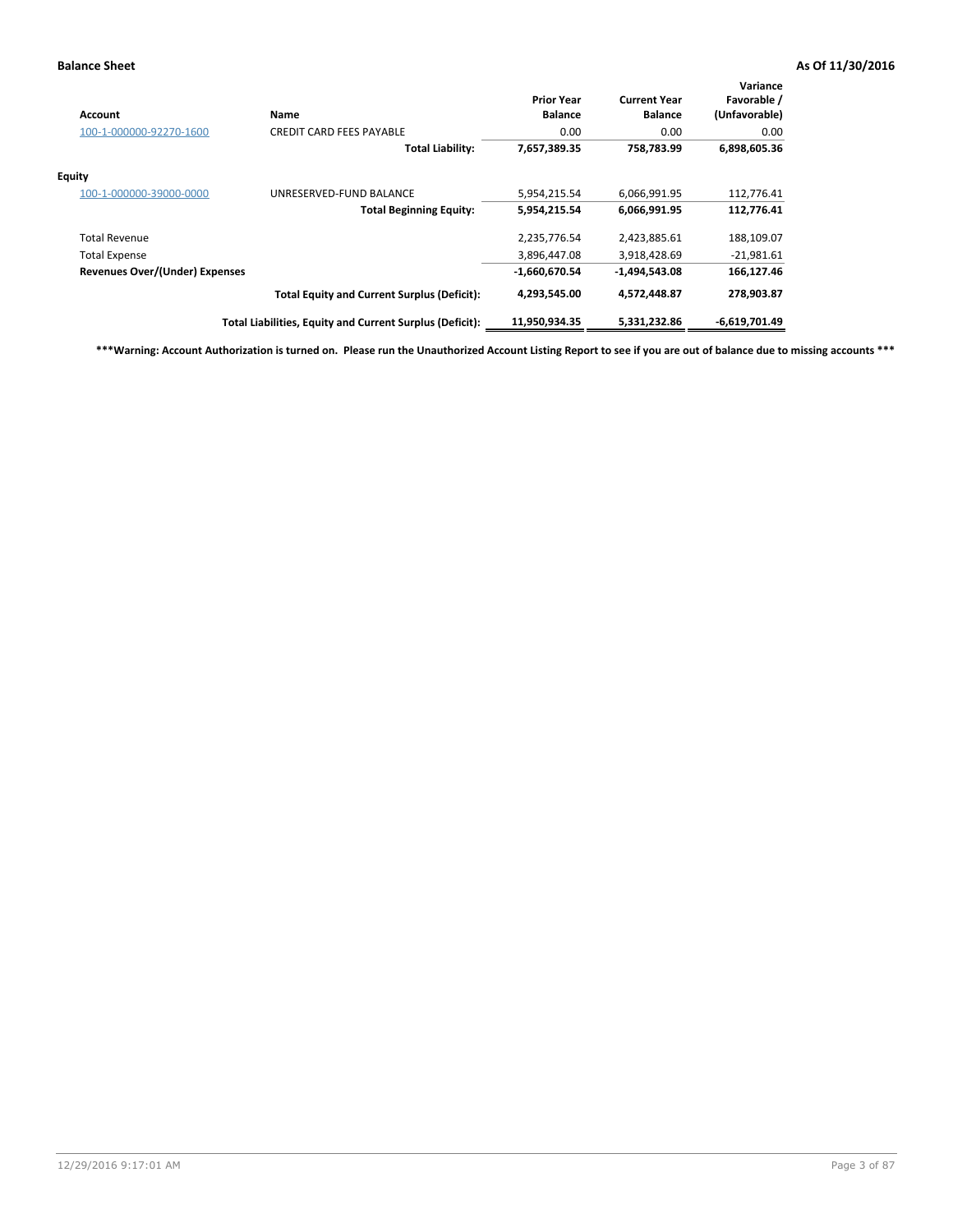| Account                               | Name                                                     | <b>Prior Year</b><br><b>Balance</b> | <b>Current Year</b><br><b>Balance</b> | Variance<br>Favorable /<br>(Unfavorable) |
|---------------------------------------|----------------------------------------------------------|-------------------------------------|---------------------------------------|------------------------------------------|
| 100-1-000000-92270-1600               | <b>CREDIT CARD FEES PAYABLE</b>                          | 0.00                                | 0.00                                  | 0.00                                     |
|                                       | <b>Total Liability:</b>                                  | 7,657,389.35                        | 758,783.99                            | 6,898,605.36                             |
| Equity                                |                                                          |                                     |                                       |                                          |
| 100-1-000000-39000-0000               | UNRESERVED-FUND BALANCE                                  | 5,954,215.54                        | 6,066,991.95                          | 112,776.41                               |
|                                       | <b>Total Beginning Equity:</b>                           | 5,954,215.54                        | 6,066,991.95                          | 112,776.41                               |
| <b>Total Revenue</b>                  |                                                          | 2,235,776.54                        | 2,423,885.61                          | 188,109.07                               |
| <b>Total Expense</b>                  |                                                          | 3,896,447.08                        | 3,918,428.69                          | $-21,981.61$                             |
| <b>Revenues Over/(Under) Expenses</b> |                                                          | $-1,660,670.54$                     | -1,494,543.08                         | 166,127.46                               |
|                                       | <b>Total Equity and Current Surplus (Deficit):</b>       | 4,293,545.00                        | 4,572,448.87                          | 278,903.87                               |
|                                       | Total Liabilities, Equity and Current Surplus (Deficit): | 11,950,934.35                       | 5,331,232.86                          | $-6,619,701.49$                          |

**\*\*\*Warning: Account Authorization is turned on. Please run the Unauthorized Account Listing Report to see if you are out of balance due to missing accounts \*\*\***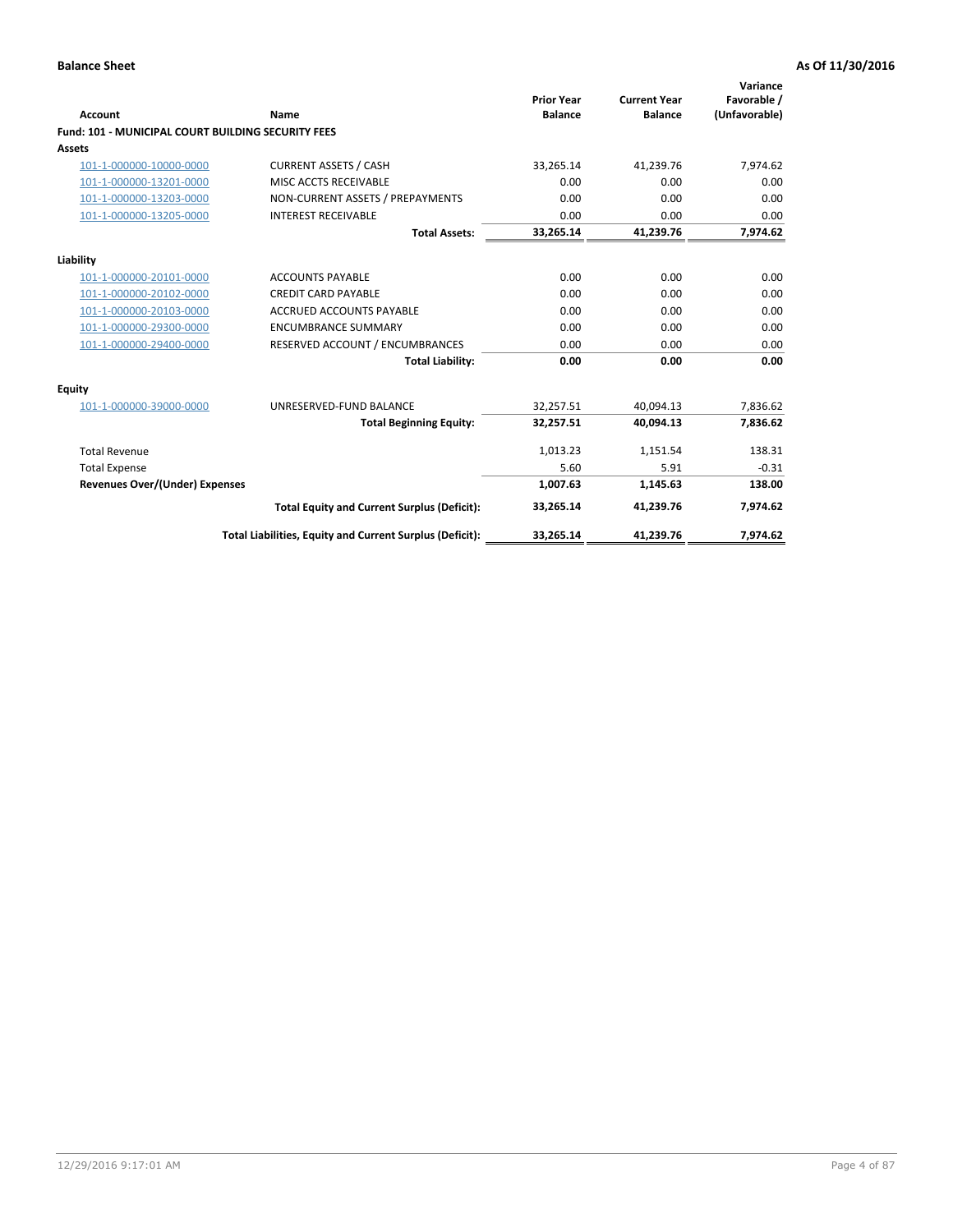| <b>Account</b>                                            | Name                                                     | <b>Prior Year</b><br><b>Balance</b> | <b>Current Year</b><br><b>Balance</b> | Variance<br>Favorable /<br>(Unfavorable) |
|-----------------------------------------------------------|----------------------------------------------------------|-------------------------------------|---------------------------------------|------------------------------------------|
| <b>Fund: 101 - MUNICIPAL COURT BUILDING SECURITY FEES</b> |                                                          |                                     |                                       |                                          |
| <b>Assets</b>                                             |                                                          |                                     |                                       |                                          |
| 101-1-000000-10000-0000                                   | <b>CURRENT ASSETS / CASH</b>                             | 33,265.14                           | 41,239.76                             | 7,974.62                                 |
| 101-1-000000-13201-0000                                   | MISC ACCTS RECEIVABLE                                    | 0.00                                | 0.00                                  | 0.00                                     |
| 101-1-000000-13203-0000                                   | NON-CURRENT ASSETS / PREPAYMENTS                         | 0.00                                | 0.00                                  | 0.00                                     |
| 101-1-000000-13205-0000                                   | <b>INTEREST RECEIVABLE</b>                               | 0.00                                | 0.00                                  | 0.00                                     |
|                                                           | <b>Total Assets:</b>                                     | 33,265.14                           | 41,239.76                             | 7,974.62                                 |
| Liability                                                 |                                                          |                                     |                                       |                                          |
| 101-1-000000-20101-0000                                   | <b>ACCOUNTS PAYABLE</b>                                  | 0.00                                | 0.00                                  | 0.00                                     |
| 101-1-000000-20102-0000                                   | <b>CREDIT CARD PAYABLE</b>                               | 0.00                                | 0.00                                  | 0.00                                     |
| 101-1-000000-20103-0000                                   | <b>ACCRUED ACCOUNTS PAYABLE</b>                          | 0.00                                | 0.00                                  | 0.00                                     |
| 101-1-000000-29300-0000                                   | <b>ENCUMBRANCE SUMMARY</b>                               | 0.00                                | 0.00                                  | 0.00                                     |
| 101-1-000000-29400-0000                                   | RESERVED ACCOUNT / ENCUMBRANCES                          | 0.00                                | 0.00                                  | 0.00                                     |
|                                                           | <b>Total Liability:</b>                                  | 0.00                                | 0.00                                  | 0.00                                     |
| <b>Equity</b>                                             |                                                          |                                     |                                       |                                          |
| 101-1-000000-39000-0000                                   | UNRESERVED-FUND BALANCE                                  | 32,257.51                           | 40,094.13                             | 7,836.62                                 |
|                                                           | <b>Total Beginning Equity:</b>                           | 32,257.51                           | 40.094.13                             | 7,836.62                                 |
| <b>Total Revenue</b>                                      |                                                          | 1,013.23                            | 1,151.54                              | 138.31                                   |
| <b>Total Expense</b>                                      |                                                          | 5.60                                | 5.91                                  | $-0.31$                                  |
| <b>Revenues Over/(Under) Expenses</b>                     |                                                          | 1,007.63                            | 1,145.63                              | 138.00                                   |
|                                                           | <b>Total Equity and Current Surplus (Deficit):</b>       | 33,265.14                           | 41,239.76                             | 7,974.62                                 |
|                                                           | Total Liabilities, Equity and Current Surplus (Deficit): | 33,265.14                           | 41,239.76                             | 7,974.62                                 |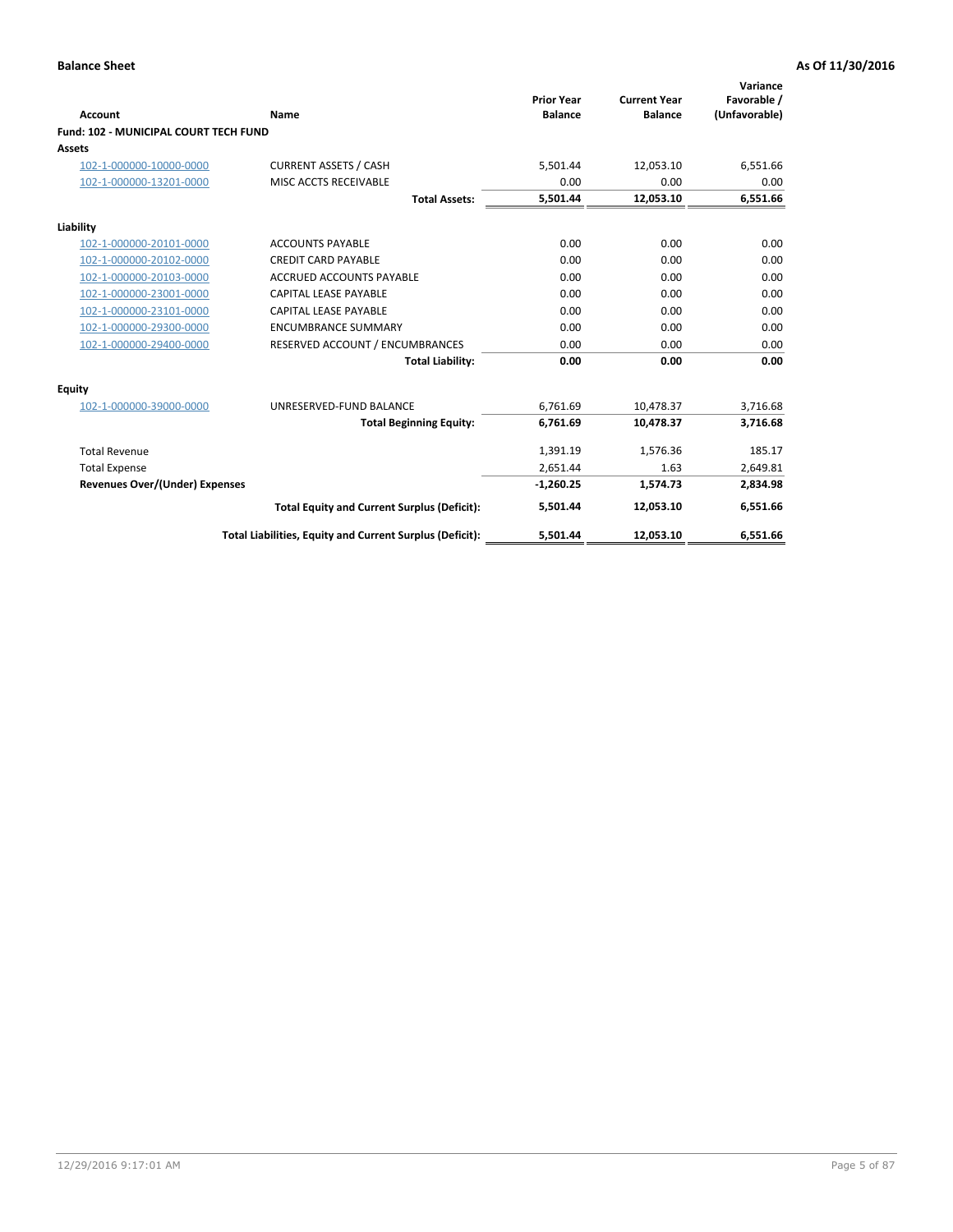|                                       |                                                          |                                     |                                       | Variance                     |
|---------------------------------------|----------------------------------------------------------|-------------------------------------|---------------------------------------|------------------------------|
| <b>Account</b>                        | Name                                                     | <b>Prior Year</b><br><b>Balance</b> | <b>Current Year</b><br><b>Balance</b> | Favorable /<br>(Unfavorable) |
| Fund: 102 - MUNICIPAL COURT TECH FUND |                                                          |                                     |                                       |                              |
| <b>Assets</b>                         |                                                          |                                     |                                       |                              |
| 102-1-000000-10000-0000               | <b>CURRENT ASSETS / CASH</b>                             | 5,501.44                            | 12,053.10                             | 6,551.66                     |
| 102-1-000000-13201-0000               | MISC ACCTS RECEIVABLE                                    | 0.00                                | 0.00                                  | 0.00                         |
|                                       | <b>Total Assets:</b>                                     | 5,501.44                            | 12,053.10                             | 6,551.66                     |
| Liability                             |                                                          |                                     |                                       |                              |
| 102-1-000000-20101-0000               | <b>ACCOUNTS PAYABLE</b>                                  | 0.00                                | 0.00                                  | 0.00                         |
| 102-1-000000-20102-0000               | <b>CREDIT CARD PAYABLE</b>                               | 0.00                                | 0.00                                  | 0.00                         |
| 102-1-000000-20103-0000               | <b>ACCRUED ACCOUNTS PAYABLE</b>                          | 0.00                                | 0.00                                  | 0.00                         |
| 102-1-000000-23001-0000               | CAPITAL LEASE PAYABLE                                    | 0.00                                | 0.00                                  | 0.00                         |
| 102-1-000000-23101-0000               | <b>CAPITAL LEASE PAYABLE</b>                             | 0.00                                | 0.00                                  | 0.00                         |
| 102-1-000000-29300-0000               | <b>ENCUMBRANCE SUMMARY</b>                               | 0.00                                | 0.00                                  | 0.00                         |
| 102-1-000000-29400-0000               | RESERVED ACCOUNT / ENCUMBRANCES                          | 0.00                                | 0.00                                  | 0.00                         |
|                                       | <b>Total Liability:</b>                                  | 0.00                                | 0.00                                  | 0.00                         |
| <b>Equity</b>                         |                                                          |                                     |                                       |                              |
| 102-1-000000-39000-0000               | UNRESERVED-FUND BALANCE                                  | 6.761.69                            | 10,478.37                             | 3,716.68                     |
|                                       | <b>Total Beginning Equity:</b>                           | 6,761.69                            | 10,478.37                             | 3,716.68                     |
| <b>Total Revenue</b>                  |                                                          | 1,391.19                            | 1,576.36                              | 185.17                       |
| <b>Total Expense</b>                  |                                                          | 2,651.44                            | 1.63                                  | 2,649.81                     |
| <b>Revenues Over/(Under) Expenses</b> |                                                          | $-1,260.25$                         | 1,574.73                              | 2,834.98                     |
|                                       | <b>Total Equity and Current Surplus (Deficit):</b>       | 5,501.44                            | 12,053.10                             | 6,551.66                     |
|                                       | Total Liabilities, Equity and Current Surplus (Deficit): | 5,501.44                            | 12,053.10                             | 6,551.66                     |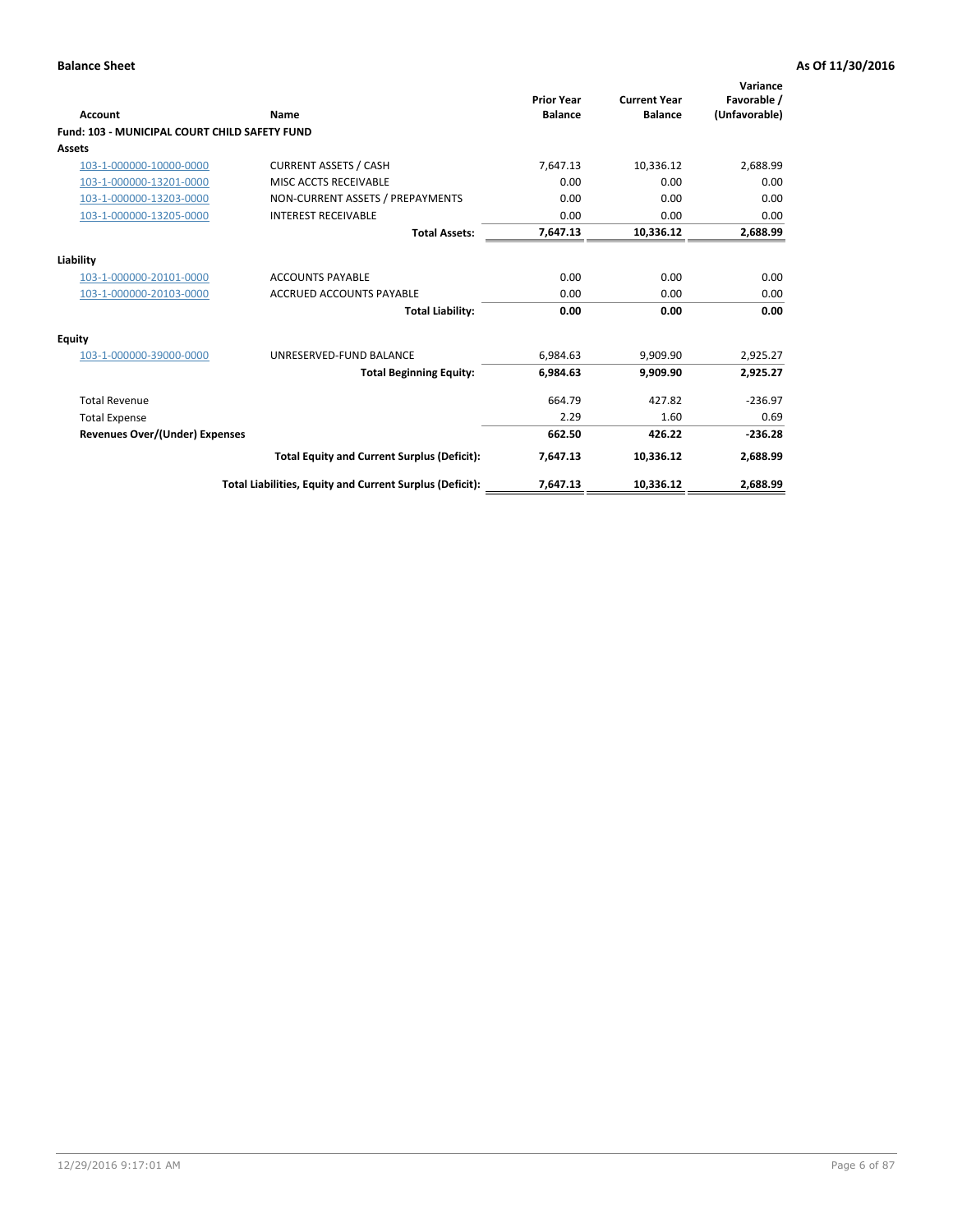| <b>Account</b>                                       | Name                                                     | <b>Prior Year</b><br><b>Balance</b> | <b>Current Year</b><br><b>Balance</b> | Variance<br>Favorable /<br>(Unfavorable) |
|------------------------------------------------------|----------------------------------------------------------|-------------------------------------|---------------------------------------|------------------------------------------|
| <b>Fund: 103 - MUNICIPAL COURT CHILD SAFETY FUND</b> |                                                          |                                     |                                       |                                          |
| <b>Assets</b>                                        |                                                          |                                     |                                       |                                          |
| 103-1-000000-10000-0000                              | <b>CURRENT ASSETS / CASH</b>                             | 7,647.13                            | 10,336.12                             | 2,688.99                                 |
| 103-1-000000-13201-0000                              | MISC ACCTS RECEIVABLE                                    | 0.00                                | 0.00                                  | 0.00                                     |
| 103-1-000000-13203-0000                              | NON-CURRENT ASSETS / PREPAYMENTS                         | 0.00                                | 0.00                                  | 0.00                                     |
| 103-1-000000-13205-0000                              | <b>INTEREST RECEIVABLE</b>                               | 0.00                                | 0.00                                  | 0.00                                     |
|                                                      | <b>Total Assets:</b>                                     | 7,647.13                            | 10,336.12                             | 2,688.99                                 |
| Liability                                            |                                                          |                                     |                                       |                                          |
| 103-1-000000-20101-0000                              | <b>ACCOUNTS PAYABLE</b>                                  | 0.00                                | 0.00                                  | 0.00                                     |
| 103-1-000000-20103-0000                              | <b>ACCRUED ACCOUNTS PAYABLE</b>                          | 0.00                                | 0.00                                  | 0.00                                     |
|                                                      | <b>Total Liability:</b>                                  | 0.00                                | 0.00                                  | 0.00                                     |
| Equity                                               |                                                          |                                     |                                       |                                          |
| 103-1-000000-39000-0000                              | UNRESERVED-FUND BALANCE                                  | 6,984.63                            | 9,909.90                              | 2,925.27                                 |
|                                                      | <b>Total Beginning Equity:</b>                           | 6,984.63                            | 9,909.90                              | 2,925.27                                 |
| <b>Total Revenue</b>                                 |                                                          | 664.79                              | 427.82                                | $-236.97$                                |
| <b>Total Expense</b>                                 |                                                          | 2.29                                | 1.60                                  | 0.69                                     |
| Revenues Over/(Under) Expenses                       |                                                          | 662.50                              | 426.22                                | $-236.28$                                |
|                                                      | <b>Total Equity and Current Surplus (Deficit):</b>       | 7,647.13                            | 10,336.12                             | 2,688.99                                 |
|                                                      | Total Liabilities, Equity and Current Surplus (Deficit): | 7,647.13                            | 10,336.12                             | 2.688.99                                 |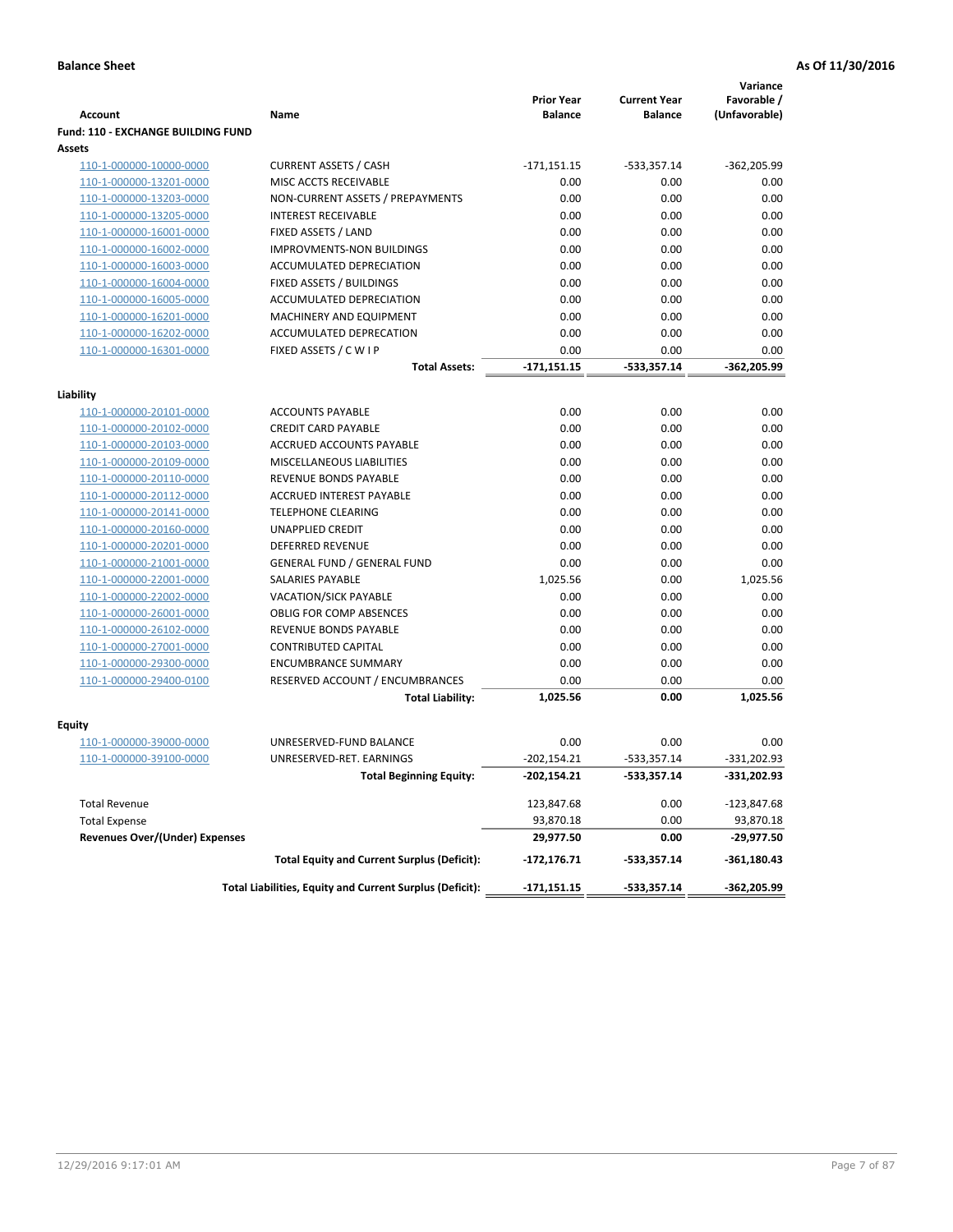|                                           |                                                          | <b>Prior Year</b> | <b>Current Year</b> | Variance<br>Favorable / |
|-------------------------------------------|----------------------------------------------------------|-------------------|---------------------|-------------------------|
| <b>Account</b>                            | Name                                                     | <b>Balance</b>    | <b>Balance</b>      | (Unfavorable)           |
| <b>Fund: 110 - EXCHANGE BUILDING FUND</b> |                                                          |                   |                     |                         |
| Assets                                    |                                                          |                   |                     |                         |
| 110-1-000000-10000-0000                   | <b>CURRENT ASSETS / CASH</b>                             | $-171,151.15$     | $-533,357.14$       | $-362,205.99$           |
| 110-1-000000-13201-0000                   | MISC ACCTS RECEIVABLE                                    | 0.00              | 0.00                | 0.00                    |
| 110-1-000000-13203-0000                   | NON-CURRENT ASSETS / PREPAYMENTS                         | 0.00              | 0.00                | 0.00                    |
| 110-1-000000-13205-0000                   | <b>INTEREST RECEIVABLE</b>                               | 0.00              | 0.00                | 0.00                    |
| 110-1-000000-16001-0000                   | FIXED ASSETS / LAND                                      | 0.00              | 0.00                | 0.00                    |
| 110-1-000000-16002-0000                   | IMPROVMENTS-NON BUILDINGS                                | 0.00              | 0.00                | 0.00                    |
| 110-1-000000-16003-0000                   | ACCUMULATED DEPRECIATION                                 | 0.00              | 0.00                | 0.00                    |
| 110-1-000000-16004-0000                   | FIXED ASSETS / BUILDINGS                                 | 0.00              | 0.00                | 0.00                    |
| 110-1-000000-16005-0000                   | ACCUMULATED DEPRECIATION                                 | 0.00              | 0.00                | 0.00                    |
| 110-1-000000-16201-0000                   | MACHINERY AND EQUIPMENT                                  | 0.00              | 0.00                | 0.00                    |
| 110-1-000000-16202-0000                   | ACCUMULATED DEPRECATION                                  | 0.00              | 0.00                | 0.00                    |
| 110-1-000000-16301-0000                   | FIXED ASSETS / C W I P                                   | 0.00              | 0.00                | 0.00                    |
|                                           | <b>Total Assets:</b>                                     | $-171,151.15$     | $-533,357.14$       | -362,205.99             |
|                                           |                                                          |                   |                     |                         |
| Liability                                 |                                                          |                   |                     |                         |
| 110-1-000000-20101-0000                   | <b>ACCOUNTS PAYABLE</b>                                  | 0.00              | 0.00                | 0.00                    |
| 110-1-000000-20102-0000                   | <b>CREDIT CARD PAYABLE</b>                               | 0.00              | 0.00                | 0.00                    |
| 110-1-000000-20103-0000                   | <b>ACCRUED ACCOUNTS PAYABLE</b>                          | 0.00              | 0.00                | 0.00                    |
| 110-1-000000-20109-0000                   | MISCELLANEOUS LIABILITIES                                | 0.00              | 0.00                | 0.00                    |
| 110-1-000000-20110-0000                   | REVENUE BONDS PAYABLE                                    | 0.00              | 0.00                | 0.00                    |
| 110-1-000000-20112-0000                   | <b>ACCRUED INTEREST PAYABLE</b>                          | 0.00              | 0.00                | 0.00                    |
| 110-1-000000-20141-0000                   | <b>TELEPHONE CLEARING</b>                                | 0.00              | 0.00                | 0.00                    |
| 110-1-000000-20160-0000                   | <b>UNAPPLIED CREDIT</b>                                  | 0.00              | 0.00                | 0.00                    |
| 110-1-000000-20201-0000                   | <b>DEFERRED REVENUE</b>                                  | 0.00              | 0.00                | 0.00                    |
| 110-1-000000-21001-0000                   | <b>GENERAL FUND / GENERAL FUND</b>                       | 0.00              | 0.00                | 0.00                    |
| 110-1-000000-22001-0000                   | SALARIES PAYABLE                                         | 1,025.56          | 0.00                | 1,025.56                |
| 110-1-000000-22002-0000                   | <b>VACATION/SICK PAYABLE</b>                             | 0.00              | 0.00                | 0.00                    |
| 110-1-000000-26001-0000                   | <b>OBLIG FOR COMP ABSENCES</b>                           | 0.00              | 0.00                | 0.00                    |
| 110-1-000000-26102-0000                   | REVENUE BONDS PAYABLE                                    | 0.00              | 0.00                | 0.00                    |
| 110-1-000000-27001-0000                   | <b>CONTRIBUTED CAPITAL</b>                               | 0.00              | 0.00                | 0.00                    |
| 110-1-000000-29300-0000                   | <b>ENCUMBRANCE SUMMARY</b>                               | 0.00              | 0.00                | 0.00                    |
| 110-1-000000-29400-0100                   | RESERVED ACCOUNT / ENCUMBRANCES                          | 0.00              | 0.00                | 0.00                    |
|                                           | <b>Total Liability:</b>                                  | 1,025.56          | 0.00                | 1,025.56                |
|                                           |                                                          |                   |                     |                         |
| Fquity                                    |                                                          |                   |                     |                         |
| 110-1-000000-39000-0000                   | UNRESERVED-FUND BALANCE                                  | 0.00              | 0.00                | 0.00                    |
| 110-1-000000-39100-0000                   | UNRESERVED-RET. EARNINGS                                 | $-202, 154.21$    | $-533,357.14$       | $-331,202.93$           |
|                                           | Total Beginning Equity:                                  | -202,154.21       | -533,357.14         | -331,202.93             |
| <b>Total Revenue</b>                      |                                                          | 123,847.68        | 0.00                | $-123,847.68$           |
| <b>Total Expense</b>                      |                                                          | 93,870.18         | 0.00                | 93,870.18               |
| <b>Revenues Over/(Under) Expenses</b>     |                                                          | 29,977.50         | 0.00                | -29,977.50              |
|                                           | <b>Total Equity and Current Surplus (Deficit):</b>       | $-172, 176.71$    | -533,357.14         | $-361,180.43$           |
|                                           | Total Liabilities, Equity and Current Surplus (Deficit): | $-171,151.15$     | $-533,357.14$       | -362,205.99             |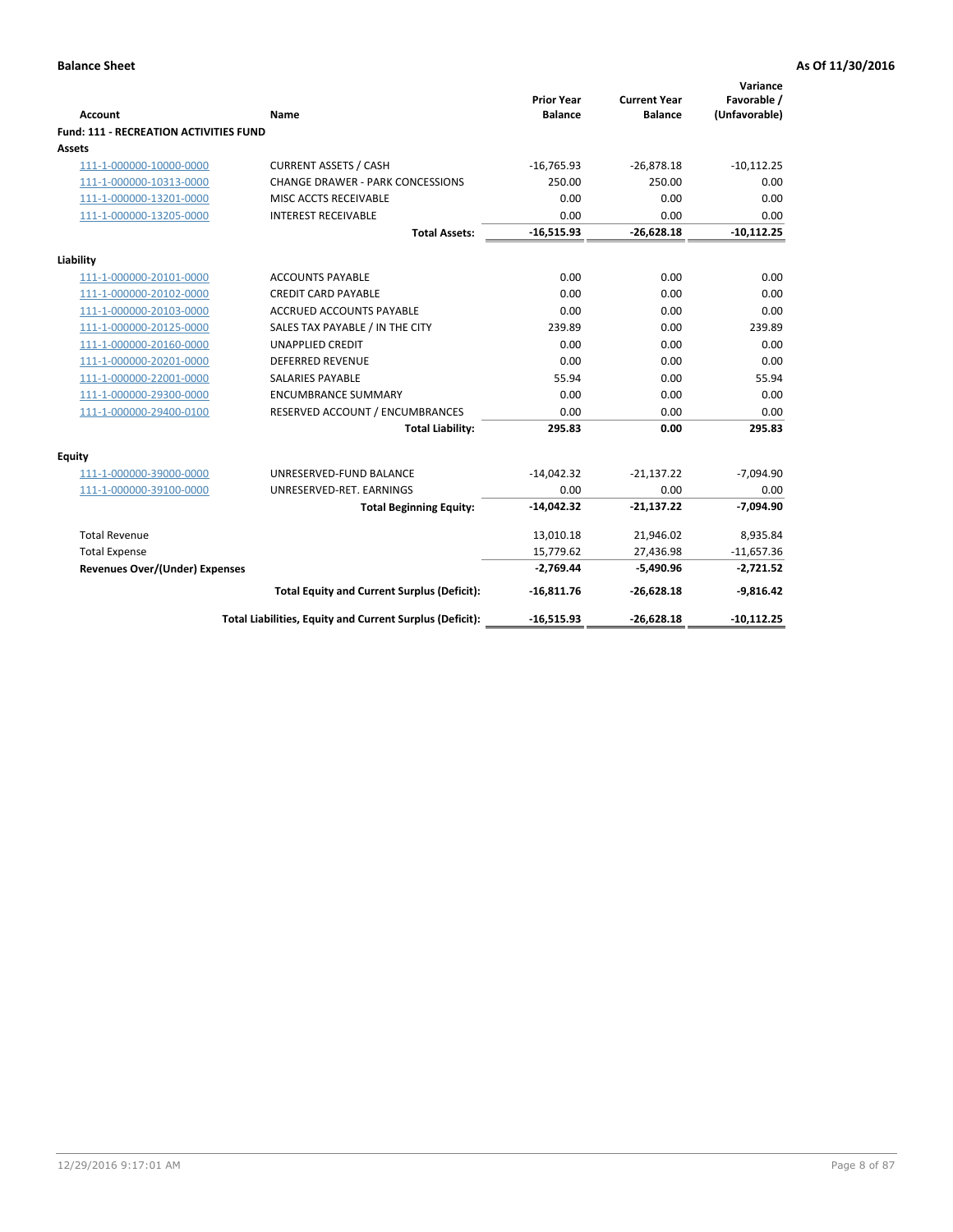| <b>Account</b>                         | Name                                                     | <b>Prior Year</b><br><b>Balance</b> | <b>Current Year</b><br><b>Balance</b> | Variance<br>Favorable /<br>(Unfavorable) |
|----------------------------------------|----------------------------------------------------------|-------------------------------------|---------------------------------------|------------------------------------------|
| Fund: 111 - RECREATION ACTIVITIES FUND |                                                          |                                     |                                       |                                          |
| Assets                                 |                                                          |                                     |                                       |                                          |
| 111-1-000000-10000-0000                | <b>CURRENT ASSETS / CASH</b>                             | $-16,765.93$                        | $-26,878.18$                          | $-10,112.25$                             |
| 111-1-000000-10313-0000                | <b>CHANGE DRAWER - PARK CONCESSIONS</b>                  | 250.00                              | 250.00                                | 0.00                                     |
| 111-1-000000-13201-0000                | MISC ACCTS RECEIVABLE                                    | 0.00                                | 0.00                                  | 0.00                                     |
| 111-1-000000-13205-0000                | <b>INTEREST RECEIVABLE</b>                               | 0.00                                | 0.00                                  | 0.00                                     |
|                                        | <b>Total Assets:</b>                                     | $-16,515.93$                        | $-26,628.18$                          | $-10,112.25$                             |
| Liability                              |                                                          |                                     |                                       |                                          |
| 111-1-000000-20101-0000                | <b>ACCOUNTS PAYABLE</b>                                  | 0.00                                | 0.00                                  | 0.00                                     |
| 111-1-000000-20102-0000                | <b>CREDIT CARD PAYABLE</b>                               | 0.00                                | 0.00                                  | 0.00                                     |
| 111-1-000000-20103-0000                | <b>ACCRUED ACCOUNTS PAYABLE</b>                          | 0.00                                | 0.00                                  | 0.00                                     |
| 111-1-000000-20125-0000                | SALES TAX PAYABLE / IN THE CITY                          | 239.89                              | 0.00                                  | 239.89                                   |
| 111-1-000000-20160-0000                | <b>UNAPPLIED CREDIT</b>                                  | 0.00                                | 0.00                                  | 0.00                                     |
| 111-1-000000-20201-0000                | <b>DEFERRED REVENUE</b>                                  | 0.00                                | 0.00                                  | 0.00                                     |
| 111-1-000000-22001-0000                | <b>SALARIES PAYABLE</b>                                  | 55.94                               | 0.00                                  | 55.94                                    |
| 111-1-000000-29300-0000                | <b>ENCUMBRANCE SUMMARY</b>                               | 0.00                                | 0.00                                  | 0.00                                     |
| 111-1-000000-29400-0100                | RESERVED ACCOUNT / ENCUMBRANCES                          | 0.00                                | 0.00                                  | 0.00                                     |
|                                        | <b>Total Liability:</b>                                  | 295.83                              | 0.00                                  | 295.83                                   |
| Equity                                 |                                                          |                                     |                                       |                                          |
| 111-1-000000-39000-0000                | UNRESERVED-FUND BALANCE                                  | $-14,042.32$                        | $-21,137.22$                          | $-7,094.90$                              |
| 111-1-000000-39100-0000                | UNRESERVED-RET. EARNINGS                                 | 0.00                                | 0.00                                  | 0.00                                     |
|                                        | <b>Total Beginning Equity:</b>                           | $-14,042.32$                        | $-21,137.22$                          | $-7,094.90$                              |
| <b>Total Revenue</b>                   |                                                          | 13,010.18                           | 21,946.02                             | 8,935.84                                 |
| <b>Total Expense</b>                   |                                                          | 15,779.62                           | 27,436.98                             | $-11,657.36$                             |
| <b>Revenues Over/(Under) Expenses</b>  |                                                          | $-2,769.44$                         | $-5,490.96$                           | $-2,721.52$                              |
|                                        | <b>Total Equity and Current Surplus (Deficit):</b>       | $-16,811.76$                        | $-26,628.18$                          | $-9,816.42$                              |
|                                        | Total Liabilities, Equity and Current Surplus (Deficit): | $-16,515.93$                        | $-26,628.18$                          | $-10,112.25$                             |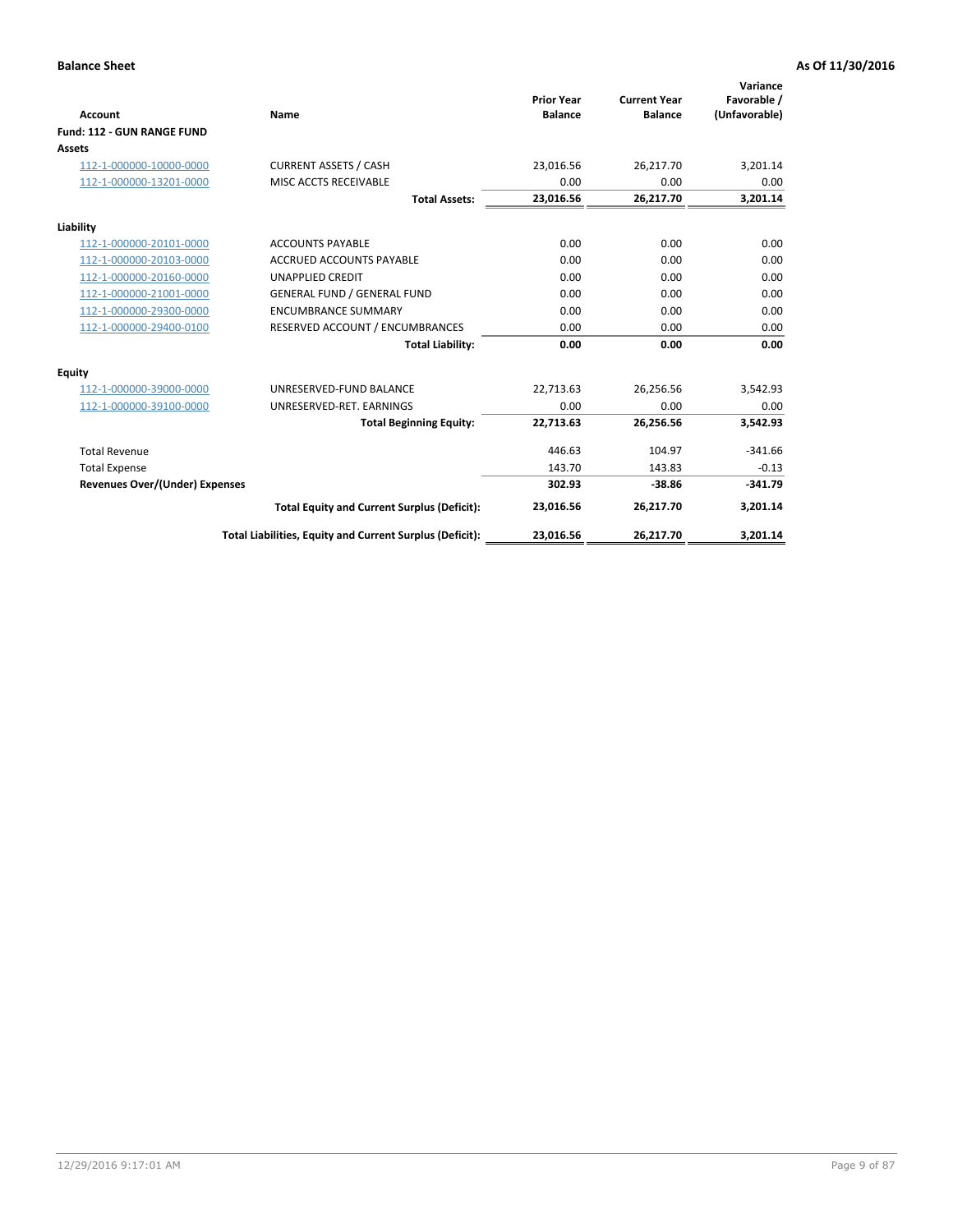|                                       |                                                          |                                     |                                       | Variance                     |
|---------------------------------------|----------------------------------------------------------|-------------------------------------|---------------------------------------|------------------------------|
| <b>Account</b>                        | Name                                                     | <b>Prior Year</b><br><b>Balance</b> | <b>Current Year</b><br><b>Balance</b> | Favorable /<br>(Unfavorable) |
| Fund: 112 - GUN RANGE FUND            |                                                          |                                     |                                       |                              |
| <b>Assets</b>                         |                                                          |                                     |                                       |                              |
| 112-1-000000-10000-0000               | <b>CURRENT ASSETS / CASH</b>                             | 23,016.56                           | 26,217.70                             | 3,201.14                     |
| 112-1-000000-13201-0000               | MISC ACCTS RECEIVABLE                                    | 0.00                                | 0.00                                  | 0.00                         |
|                                       | <b>Total Assets:</b>                                     | 23,016.56                           | 26,217.70                             | 3,201.14                     |
| Liability                             |                                                          |                                     |                                       |                              |
| 112-1-000000-20101-0000               | <b>ACCOUNTS PAYABLE</b>                                  | 0.00                                | 0.00                                  | 0.00                         |
| 112-1-000000-20103-0000               | <b>ACCRUED ACCOUNTS PAYABLE</b>                          | 0.00                                | 0.00                                  | 0.00                         |
| 112-1-000000-20160-0000               | <b>UNAPPLIED CREDIT</b>                                  | 0.00                                | 0.00                                  | 0.00                         |
| 112-1-000000-21001-0000               | <b>GENERAL FUND / GENERAL FUND</b>                       | 0.00                                | 0.00                                  | 0.00                         |
| 112-1-000000-29300-0000               | <b>ENCUMBRANCE SUMMARY</b>                               | 0.00                                | 0.00                                  | 0.00                         |
| 112-1-000000-29400-0100               | RESERVED ACCOUNT / ENCUMBRANCES                          | 0.00                                | 0.00                                  | 0.00                         |
|                                       | <b>Total Liability:</b>                                  | 0.00                                | 0.00                                  | 0.00                         |
| <b>Equity</b>                         |                                                          |                                     |                                       |                              |
| 112-1-000000-39000-0000               | UNRESERVED-FUND BALANCE                                  | 22,713.63                           | 26,256.56                             | 3,542.93                     |
| 112-1-000000-39100-0000               | UNRESERVED-RET. EARNINGS                                 | 0.00                                | 0.00                                  | 0.00                         |
|                                       | <b>Total Beginning Equity:</b>                           | 22,713.63                           | 26,256.56                             | 3,542.93                     |
| <b>Total Revenue</b>                  |                                                          | 446.63                              | 104.97                                | $-341.66$                    |
| <b>Total Expense</b>                  |                                                          | 143.70                              | 143.83                                | $-0.13$                      |
| <b>Revenues Over/(Under) Expenses</b> |                                                          | 302.93                              | $-38.86$                              | $-341.79$                    |
|                                       | <b>Total Equity and Current Surplus (Deficit):</b>       | 23,016.56                           | 26,217.70                             | 3,201.14                     |
|                                       | Total Liabilities, Equity and Current Surplus (Deficit): | 23,016.56                           | 26,217.70                             | 3,201.14                     |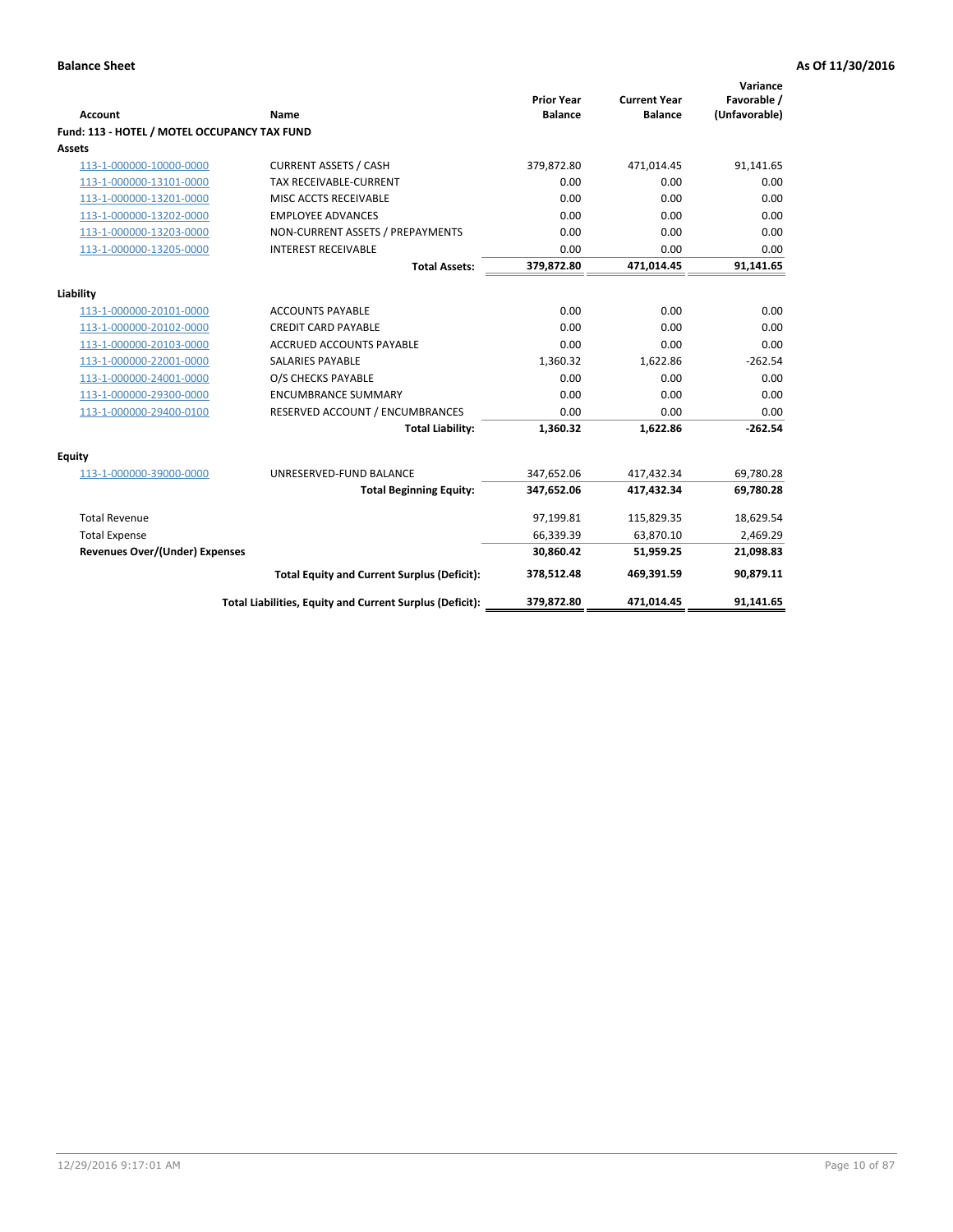| <b>Account</b>                               | <b>Name</b>                                              | <b>Prior Year</b><br><b>Balance</b> | <b>Current Year</b><br><b>Balance</b> | Variance<br>Favorable /<br>(Unfavorable) |
|----------------------------------------------|----------------------------------------------------------|-------------------------------------|---------------------------------------|------------------------------------------|
| Fund: 113 - HOTEL / MOTEL OCCUPANCY TAX FUND |                                                          |                                     |                                       |                                          |
| Assets                                       |                                                          |                                     |                                       |                                          |
| 113-1-000000-10000-0000                      | <b>CURRENT ASSETS / CASH</b>                             | 379,872.80                          | 471,014.45                            | 91,141.65                                |
| 113-1-000000-13101-0000                      | TAX RECEIVABLE-CURRENT                                   | 0.00                                | 0.00                                  | 0.00                                     |
| 113-1-000000-13201-0000                      | MISC ACCTS RECEIVABLE                                    | 0.00                                | 0.00                                  | 0.00                                     |
| 113-1-000000-13202-0000                      | <b>EMPLOYEE ADVANCES</b>                                 | 0.00                                | 0.00                                  | 0.00                                     |
| 113-1-000000-13203-0000                      | NON-CURRENT ASSETS / PREPAYMENTS                         | 0.00                                | 0.00                                  | 0.00                                     |
| 113-1-000000-13205-0000                      | <b>INTEREST RECEIVABLE</b>                               | 0.00                                | 0.00                                  | 0.00                                     |
|                                              | <b>Total Assets:</b>                                     | 379,872.80                          | 471,014.45                            | 91,141.65                                |
|                                              |                                                          |                                     |                                       |                                          |
| Liability                                    |                                                          |                                     |                                       |                                          |
| 113-1-000000-20101-0000                      | <b>ACCOUNTS PAYABLE</b>                                  | 0.00                                | 0.00                                  | 0.00                                     |
| 113-1-000000-20102-0000                      | <b>CREDIT CARD PAYABLE</b>                               | 0.00<br>0.00                        | 0.00<br>0.00                          | 0.00                                     |
| 113-1-000000-20103-0000                      | <b>ACCRUED ACCOUNTS PAYABLE</b>                          |                                     |                                       | 0.00                                     |
| 113-1-000000-22001-0000                      | <b>SALARIES PAYABLE</b>                                  | 1,360.32                            | 1,622.86                              | $-262.54$                                |
| 113-1-000000-24001-0000                      | O/S CHECKS PAYABLE                                       | 0.00                                | 0.00                                  | 0.00                                     |
| 113-1-000000-29300-0000                      | <b>ENCUMBRANCE SUMMARY</b>                               | 0.00                                | 0.00                                  | 0.00                                     |
| 113-1-000000-29400-0100                      | RESERVED ACCOUNT / ENCUMBRANCES                          | 0.00                                | 0.00                                  | 0.00                                     |
|                                              | <b>Total Liability:</b>                                  | 1,360.32                            | 1,622.86                              | $-262.54$                                |
| Equity                                       |                                                          |                                     |                                       |                                          |
| 113-1-000000-39000-0000                      | UNRESERVED-FUND BALANCE                                  | 347,652.06                          | 417,432.34                            | 69,780.28                                |
|                                              | <b>Total Beginning Equity:</b>                           | 347,652.06                          | 417,432.34                            | 69,780.28                                |
| <b>Total Revenue</b>                         |                                                          | 97,199.81                           | 115,829.35                            | 18,629.54                                |
| <b>Total Expense</b>                         |                                                          | 66,339.39                           | 63,870.10                             | 2,469.29                                 |
| <b>Revenues Over/(Under) Expenses</b>        |                                                          | 30.860.42                           | 51,959.25                             | 21,098.83                                |
|                                              | <b>Total Equity and Current Surplus (Deficit):</b>       | 378,512.48                          | 469,391.59                            | 90,879.11                                |
|                                              | Total Liabilities, Equity and Current Surplus (Deficit): | 379,872.80                          | 471,014.45                            | 91,141.65                                |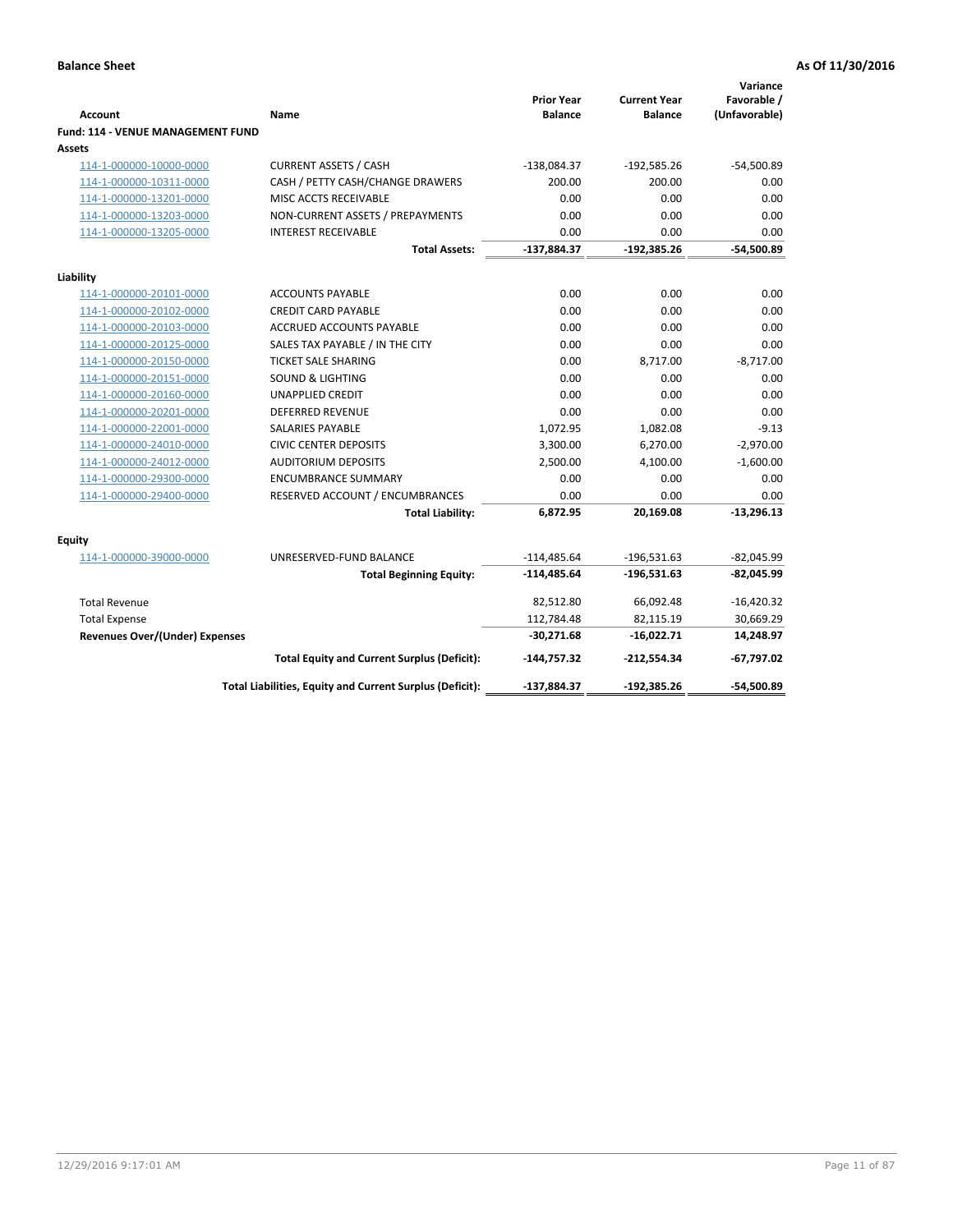| <b>Account</b>                                     | Name                                                     | <b>Prior Year</b><br><b>Balance</b> | <b>Current Year</b><br><b>Balance</b> | Variance<br>Favorable /<br>(Unfavorable) |
|----------------------------------------------------|----------------------------------------------------------|-------------------------------------|---------------------------------------|------------------------------------------|
| <b>Fund: 114 - VENUE MANAGEMENT FUND</b><br>Assets |                                                          |                                     |                                       |                                          |
| 114-1-000000-10000-0000                            | <b>CURRENT ASSETS / CASH</b>                             | $-138,084.37$                       | $-192,585.26$                         | $-54,500.89$                             |
| 114-1-000000-10311-0000                            | CASH / PETTY CASH/CHANGE DRAWERS                         | 200.00                              | 200.00                                | 0.00                                     |
| 114-1-000000-13201-0000                            | MISC ACCTS RECEIVABLE                                    | 0.00                                | 0.00                                  | 0.00                                     |
| 114-1-000000-13203-0000                            | NON-CURRENT ASSETS / PREPAYMENTS                         | 0.00                                | 0.00                                  | 0.00                                     |
| 114-1-000000-13205-0000                            | <b>INTEREST RECEIVABLE</b>                               | 0.00                                | 0.00                                  | 0.00                                     |
|                                                    | <b>Total Assets:</b>                                     | $-137,884.37$                       | $-192,385.26$                         | $-54,500.89$                             |
|                                                    |                                                          |                                     |                                       |                                          |
| Liability                                          |                                                          |                                     |                                       |                                          |
| 114-1-000000-20101-0000                            | <b>ACCOUNTS PAYABLE</b>                                  | 0.00                                | 0.00                                  | 0.00                                     |
| 114-1-000000-20102-0000                            | <b>CREDIT CARD PAYABLE</b>                               | 0.00                                | 0.00                                  | 0.00                                     |
| 114-1-000000-20103-0000                            | ACCRUED ACCOUNTS PAYABLE                                 | 0.00                                | 0.00                                  | 0.00                                     |
| 114-1-000000-20125-0000                            | SALES TAX PAYABLE / IN THE CITY                          | 0.00                                | 0.00                                  | 0.00                                     |
| 114-1-000000-20150-0000                            | <b>TICKET SALE SHARING</b>                               | 0.00                                | 8,717.00                              | $-8,717.00$                              |
| 114-1-000000-20151-0000                            | <b>SOUND &amp; LIGHTING</b>                              | 0.00                                | 0.00                                  | 0.00                                     |
| 114-1-000000-20160-0000                            | <b>UNAPPLIED CREDIT</b>                                  | 0.00                                | 0.00                                  | 0.00                                     |
| 114-1-000000-20201-0000                            | <b>DEFERRED REVENUE</b>                                  | 0.00                                | 0.00                                  | 0.00                                     |
| 114-1-000000-22001-0000                            | <b>SALARIES PAYABLE</b>                                  | 1,072.95                            | 1,082.08                              | $-9.13$                                  |
| 114-1-000000-24010-0000                            | <b>CIVIC CENTER DEPOSITS</b>                             | 3,300.00                            | 6,270.00                              | $-2,970.00$                              |
| 114-1-000000-24012-0000                            | <b>AUDITORIUM DEPOSITS</b>                               | 2,500.00                            | 4,100.00                              | $-1,600.00$                              |
| 114-1-000000-29300-0000                            | <b>ENCUMBRANCE SUMMARY</b>                               | 0.00                                | 0.00                                  | 0.00                                     |
| 114-1-000000-29400-0000                            | RESERVED ACCOUNT / ENCUMBRANCES                          | 0.00                                | 0.00                                  | 0.00                                     |
|                                                    | <b>Total Liability:</b>                                  | 6,872.95                            | 20,169.08                             | $-13,296.13$                             |
| Equity                                             |                                                          |                                     |                                       |                                          |
| 114-1-000000-39000-0000                            | UNRESERVED-FUND BALANCE                                  | $-114,485.64$                       | $-196,531.63$                         | $-82,045.99$                             |
|                                                    | <b>Total Beginning Equity:</b>                           | $-114,485.64$                       | $-196,531.63$                         | $-82,045.99$                             |
| <b>Total Revenue</b>                               |                                                          | 82,512.80                           | 66,092.48                             | $-16,420.32$                             |
| <b>Total Expense</b>                               |                                                          | 112,784.48                          | 82,115.19                             | 30,669.29                                |
| <b>Revenues Over/(Under) Expenses</b>              |                                                          | $-30,271.68$                        | $-16,022.71$                          | 14,248.97                                |
|                                                    | <b>Total Equity and Current Surplus (Deficit):</b>       | $-144,757.32$                       | $-212,554.34$                         | $-67,797.02$                             |
|                                                    | Total Liabilities, Equity and Current Surplus (Deficit): | $-137,884.37$                       | $-192,385.26$                         | -54.500.89                               |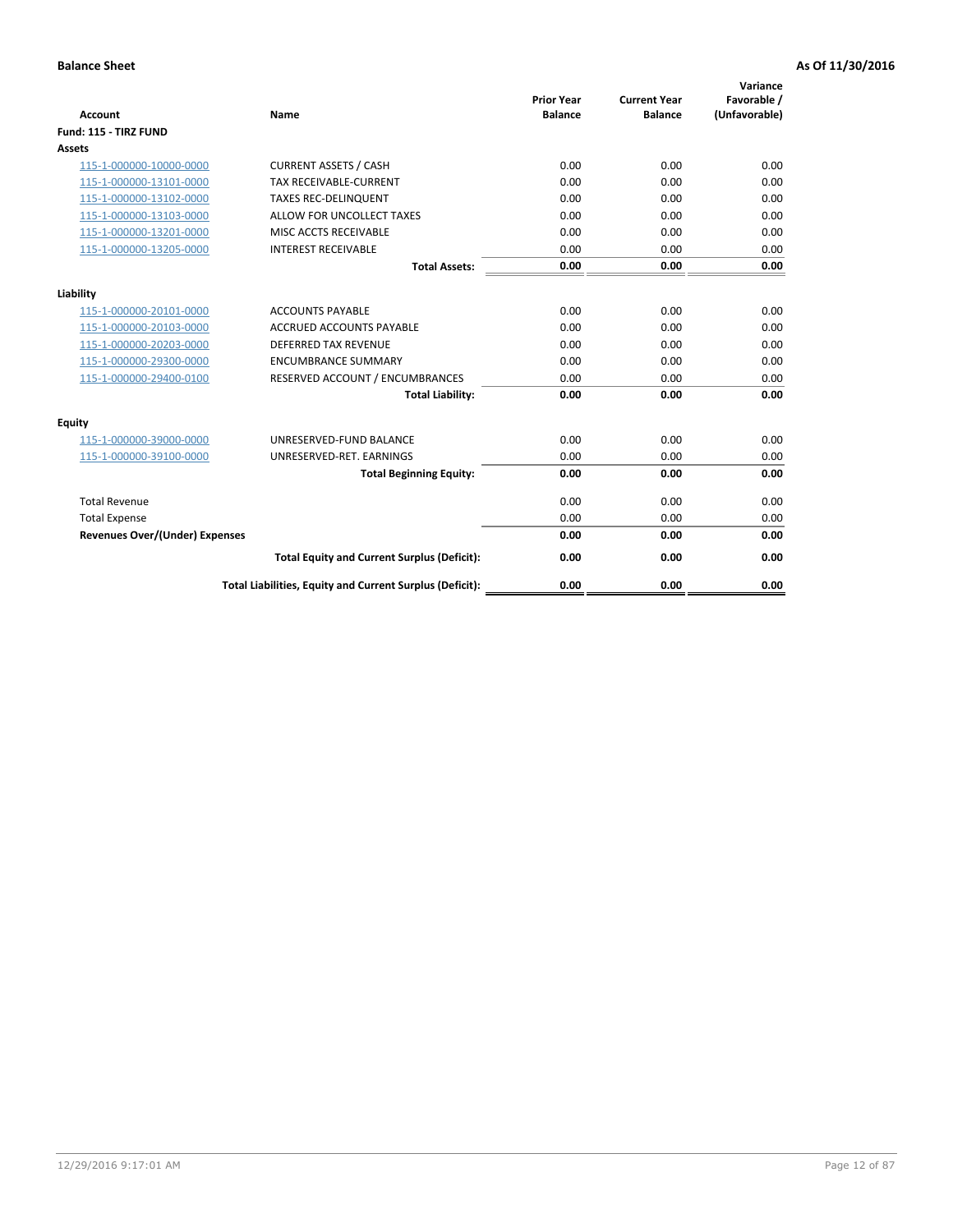| <b>Account</b>                        | <b>Name</b>                                              | <b>Prior Year</b><br><b>Balance</b> | <b>Current Year</b><br><b>Balance</b> | Variance<br>Favorable /<br>(Unfavorable) |
|---------------------------------------|----------------------------------------------------------|-------------------------------------|---------------------------------------|------------------------------------------|
| Fund: 115 - TIRZ FUND                 |                                                          |                                     |                                       |                                          |
| <b>Assets</b>                         |                                                          |                                     |                                       |                                          |
| 115-1-000000-10000-0000               | <b>CURRENT ASSETS / CASH</b>                             | 0.00                                | 0.00                                  | 0.00                                     |
| 115-1-000000-13101-0000               | <b>TAX RECEIVABLE-CURRENT</b>                            | 0.00                                | 0.00                                  | 0.00                                     |
| 115-1-000000-13102-0000               | <b>TAXES REC-DELINQUENT</b>                              | 0.00                                | 0.00                                  | 0.00                                     |
| 115-1-000000-13103-0000               | ALLOW FOR UNCOLLECT TAXES                                | 0.00                                | 0.00                                  | 0.00                                     |
| 115-1-000000-13201-0000               | MISC ACCTS RECEIVABLE                                    | 0.00                                | 0.00                                  | 0.00                                     |
| 115-1-000000-13205-0000               | <b>INTEREST RECEIVABLE</b>                               | 0.00                                | 0.00                                  | 0.00                                     |
|                                       | <b>Total Assets:</b>                                     | 0.00                                | 0.00                                  | 0.00                                     |
| Liability                             |                                                          |                                     |                                       |                                          |
| 115-1-000000-20101-0000               | <b>ACCOUNTS PAYABLE</b>                                  | 0.00                                | 0.00                                  | 0.00                                     |
| 115-1-000000-20103-0000               | <b>ACCRUED ACCOUNTS PAYABLE</b>                          | 0.00                                | 0.00                                  | 0.00                                     |
| 115-1-000000-20203-0000               | <b>DEFERRED TAX REVENUE</b>                              | 0.00                                | 0.00                                  | 0.00                                     |
| 115-1-000000-29300-0000               | <b>ENCUMBRANCE SUMMARY</b>                               | 0.00                                | 0.00                                  | 0.00                                     |
| 115-1-000000-29400-0100               | RESERVED ACCOUNT / ENCUMBRANCES                          | 0.00                                | 0.00                                  | 0.00                                     |
|                                       | <b>Total Liability:</b>                                  | 0.00                                | 0.00                                  | 0.00                                     |
| Equity                                |                                                          |                                     |                                       |                                          |
| 115-1-000000-39000-0000               | UNRESERVED-FUND BALANCE                                  | 0.00                                | 0.00                                  | 0.00                                     |
| 115-1-000000-39100-0000               | UNRESERVED-RET. EARNINGS                                 | 0.00                                | 0.00                                  | 0.00                                     |
|                                       | <b>Total Beginning Equity:</b>                           | 0.00                                | 0.00                                  | 0.00                                     |
| <b>Total Revenue</b>                  |                                                          | 0.00                                | 0.00                                  | 0.00                                     |
| <b>Total Expense</b>                  |                                                          | 0.00                                | 0.00                                  | 0.00                                     |
| <b>Revenues Over/(Under) Expenses</b> |                                                          | 0.00                                | 0.00                                  | 0.00                                     |
|                                       | <b>Total Equity and Current Surplus (Deficit):</b>       | 0.00                                | 0.00                                  | 0.00                                     |
|                                       | Total Liabilities, Equity and Current Surplus (Deficit): | 0.00                                | 0.00                                  | 0.00                                     |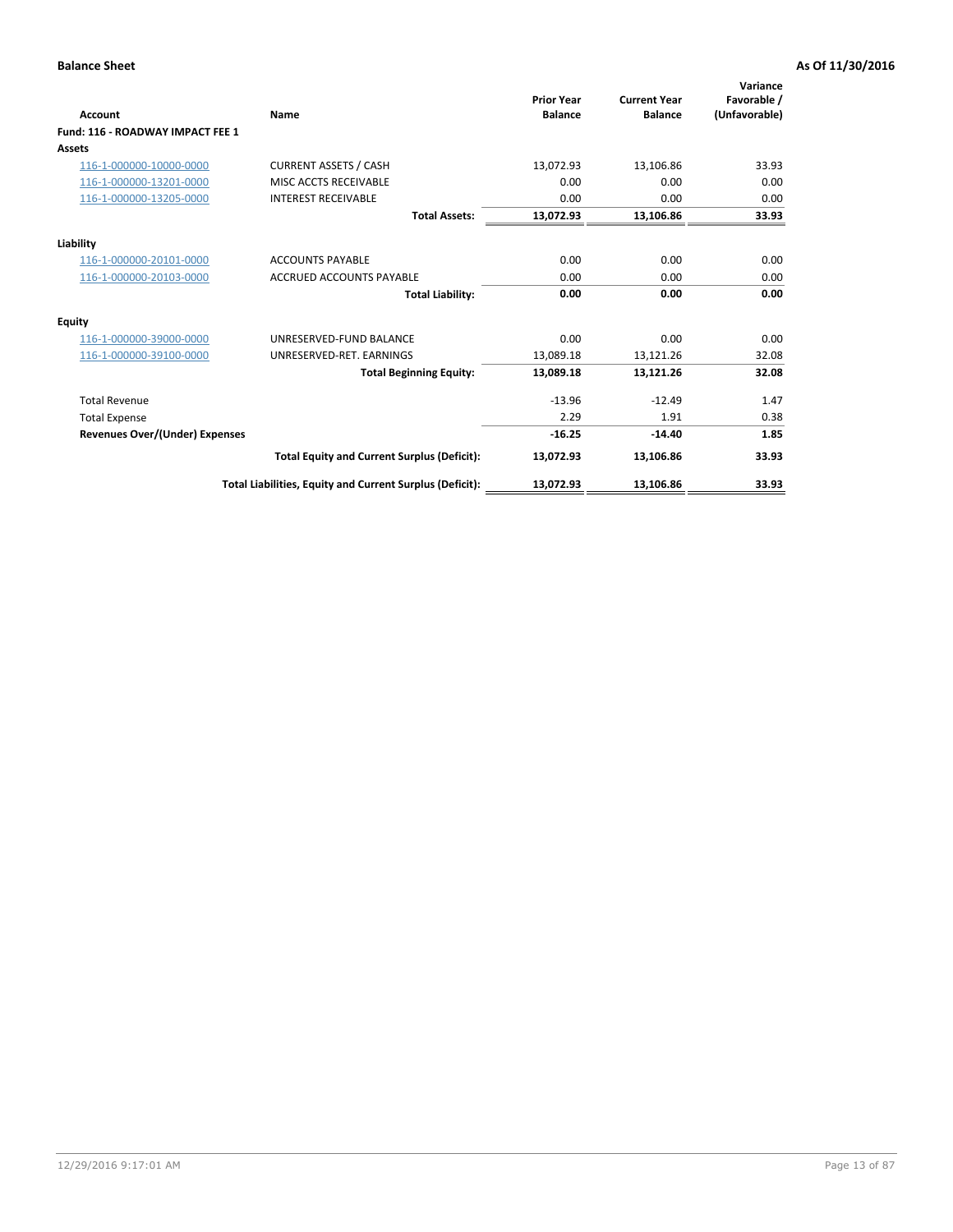| <b>Account</b>                   | Name                                                     | <b>Prior Year</b><br><b>Balance</b> | <b>Current Year</b><br><b>Balance</b> | Variance<br>Favorable /<br>(Unfavorable) |
|----------------------------------|----------------------------------------------------------|-------------------------------------|---------------------------------------|------------------------------------------|
| Fund: 116 - ROADWAY IMPACT FEE 1 |                                                          |                                     |                                       |                                          |
| <b>Assets</b>                    |                                                          |                                     |                                       |                                          |
| 116-1-000000-10000-0000          | <b>CURRENT ASSETS / CASH</b>                             | 13,072.93                           | 13,106.86                             | 33.93                                    |
| 116-1-000000-13201-0000          | MISC ACCTS RECEIVABLE                                    | 0.00                                | 0.00                                  | 0.00                                     |
| 116-1-000000-13205-0000          | <b>INTEREST RECEIVABLE</b>                               | 0.00                                | 0.00                                  | 0.00                                     |
|                                  | <b>Total Assets:</b>                                     | 13,072.93                           | 13,106.86                             | 33.93                                    |
| Liability                        |                                                          |                                     |                                       |                                          |
| 116-1-000000-20101-0000          | <b>ACCOUNTS PAYABLE</b>                                  | 0.00                                | 0.00                                  | 0.00                                     |
| 116-1-000000-20103-0000          | <b>ACCRUED ACCOUNTS PAYABLE</b>                          | 0.00                                | 0.00                                  | 0.00                                     |
|                                  | <b>Total Liability:</b>                                  | 0.00                                | 0.00                                  | 0.00                                     |
| <b>Equity</b>                    |                                                          |                                     |                                       |                                          |
| 116-1-000000-39000-0000          | UNRESERVED-FUND BALANCE                                  | 0.00                                | 0.00                                  | 0.00                                     |
| 116-1-000000-39100-0000          | UNRESERVED-RET. EARNINGS                                 | 13,089.18                           | 13,121.26                             | 32.08                                    |
|                                  | <b>Total Beginning Equity:</b>                           | 13,089.18                           | 13,121.26                             | 32.08                                    |
| <b>Total Revenue</b>             |                                                          | $-13.96$                            | $-12.49$                              | 1.47                                     |
| <b>Total Expense</b>             |                                                          | 2.29                                | 1.91                                  | 0.38                                     |
| Revenues Over/(Under) Expenses   |                                                          | $-16.25$                            | $-14.40$                              | 1.85                                     |
|                                  | <b>Total Equity and Current Surplus (Deficit):</b>       | 13,072.93                           | 13,106.86                             | 33.93                                    |
|                                  | Total Liabilities, Equity and Current Surplus (Deficit): | 13,072.93                           | 13,106.86                             | 33.93                                    |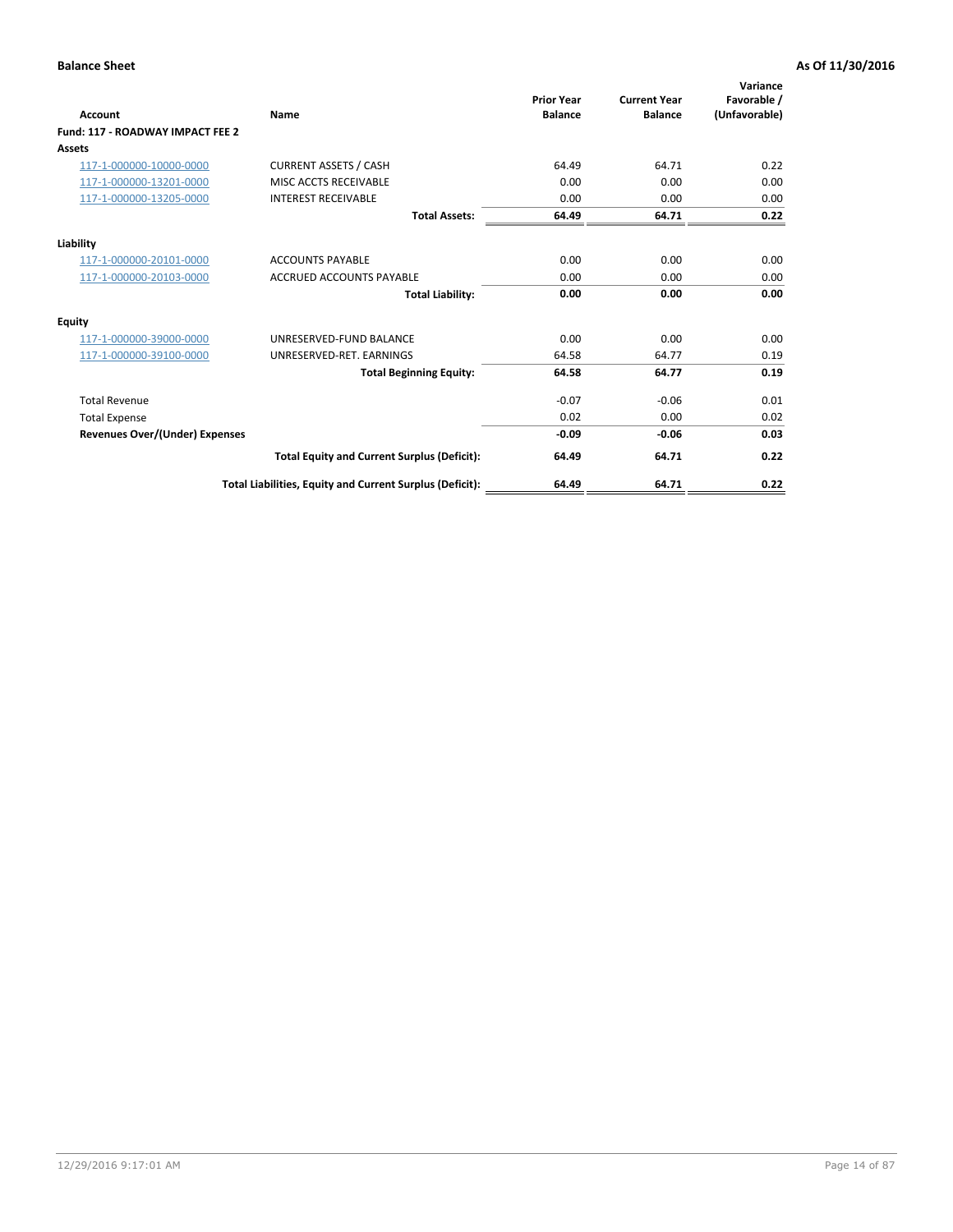| <b>Account</b>                        | Name                                                     | <b>Prior Year</b><br><b>Balance</b> | <b>Current Year</b><br><b>Balance</b> | Variance<br>Favorable /<br>(Unfavorable) |
|---------------------------------------|----------------------------------------------------------|-------------------------------------|---------------------------------------|------------------------------------------|
| Fund: 117 - ROADWAY IMPACT FEE 2      |                                                          |                                     |                                       |                                          |
| <b>Assets</b>                         |                                                          |                                     |                                       |                                          |
| 117-1-000000-10000-0000               | <b>CURRENT ASSETS / CASH</b>                             | 64.49                               | 64.71                                 | 0.22                                     |
| 117-1-000000-13201-0000               | MISC ACCTS RECEIVABLE                                    | 0.00                                | 0.00                                  | 0.00                                     |
| 117-1-000000-13205-0000               | <b>INTEREST RECEIVABLE</b>                               | 0.00                                | 0.00                                  | 0.00                                     |
|                                       | <b>Total Assets:</b>                                     | 64.49                               | 64.71                                 | 0.22                                     |
| Liability                             |                                                          |                                     |                                       |                                          |
| 117-1-000000-20101-0000               | <b>ACCOUNTS PAYABLE</b>                                  | 0.00                                | 0.00                                  | 0.00                                     |
| 117-1-000000-20103-0000               | <b>ACCRUED ACCOUNTS PAYABLE</b>                          | 0.00                                | 0.00                                  | 0.00                                     |
|                                       | <b>Total Liability:</b>                                  | 0.00                                | 0.00                                  | 0.00                                     |
| <b>Equity</b>                         |                                                          |                                     |                                       |                                          |
| 117-1-000000-39000-0000               | UNRESERVED-FUND BALANCE                                  | 0.00                                | 0.00                                  | 0.00                                     |
| 117-1-000000-39100-0000               | UNRESERVED-RET. EARNINGS                                 | 64.58                               | 64.77                                 | 0.19                                     |
|                                       | <b>Total Beginning Equity:</b>                           | 64.58                               | 64.77                                 | 0.19                                     |
| <b>Total Revenue</b>                  |                                                          | $-0.07$                             | $-0.06$                               | 0.01                                     |
| <b>Total Expense</b>                  |                                                          | 0.02                                | 0.00                                  | 0.02                                     |
| <b>Revenues Over/(Under) Expenses</b> |                                                          | $-0.09$                             | $-0.06$                               | 0.03                                     |
|                                       | <b>Total Equity and Current Surplus (Deficit):</b>       | 64.49                               | 64.71                                 | 0.22                                     |
|                                       | Total Liabilities, Equity and Current Surplus (Deficit): | 64.49                               | 64.71                                 | 0.22                                     |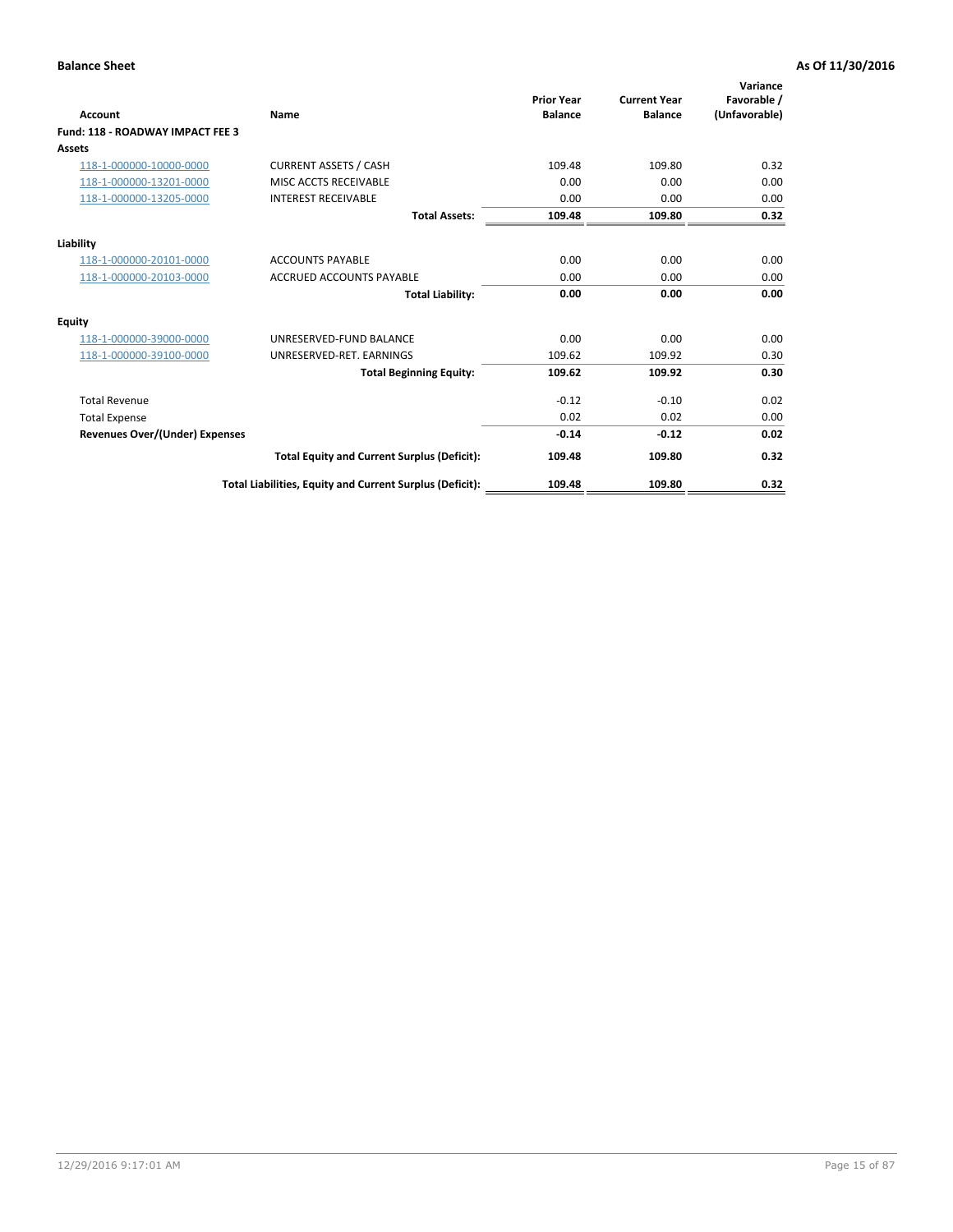| <b>Account</b>                        | Name                                                     | <b>Prior Year</b><br><b>Balance</b> | <b>Current Year</b><br><b>Balance</b> | Variance<br>Favorable /<br>(Unfavorable) |
|---------------------------------------|----------------------------------------------------------|-------------------------------------|---------------------------------------|------------------------------------------|
| Fund: 118 - ROADWAY IMPACT FEE 3      |                                                          |                                     |                                       |                                          |
| <b>Assets</b>                         |                                                          |                                     |                                       |                                          |
| 118-1-000000-10000-0000               | <b>CURRENT ASSETS / CASH</b>                             | 109.48                              | 109.80                                | 0.32                                     |
| 118-1-000000-13201-0000               | MISC ACCTS RECEIVABLE                                    | 0.00                                | 0.00                                  | 0.00                                     |
| 118-1-000000-13205-0000               | <b>INTEREST RECEIVABLE</b>                               | 0.00                                | 0.00                                  | 0.00                                     |
|                                       | <b>Total Assets:</b>                                     | 109.48                              | 109.80                                | 0.32                                     |
| Liability                             |                                                          |                                     |                                       |                                          |
| 118-1-000000-20101-0000               | <b>ACCOUNTS PAYABLE</b>                                  | 0.00                                | 0.00                                  | 0.00                                     |
| 118-1-000000-20103-0000               | <b>ACCRUED ACCOUNTS PAYABLE</b>                          | 0.00                                | 0.00                                  | 0.00                                     |
|                                       | <b>Total Liability:</b>                                  | 0.00                                | 0.00                                  | 0.00                                     |
| Equity                                |                                                          |                                     |                                       |                                          |
| 118-1-000000-39000-0000               | UNRESERVED-FUND BALANCE                                  | 0.00                                | 0.00                                  | 0.00                                     |
| 118-1-000000-39100-0000               | UNRESERVED-RET. EARNINGS                                 | 109.62                              | 109.92                                | 0.30                                     |
|                                       | <b>Total Beginning Equity:</b>                           | 109.62                              | 109.92                                | 0.30                                     |
| <b>Total Revenue</b>                  |                                                          | $-0.12$                             | $-0.10$                               | 0.02                                     |
| <b>Total Expense</b>                  |                                                          | 0.02                                | 0.02                                  | 0.00                                     |
| <b>Revenues Over/(Under) Expenses</b> |                                                          | $-0.14$                             | $-0.12$                               | 0.02                                     |
|                                       | <b>Total Equity and Current Surplus (Deficit):</b>       | 109.48                              | 109.80                                | 0.32                                     |
|                                       | Total Liabilities, Equity and Current Surplus (Deficit): | 109.48                              | 109.80                                | 0.32                                     |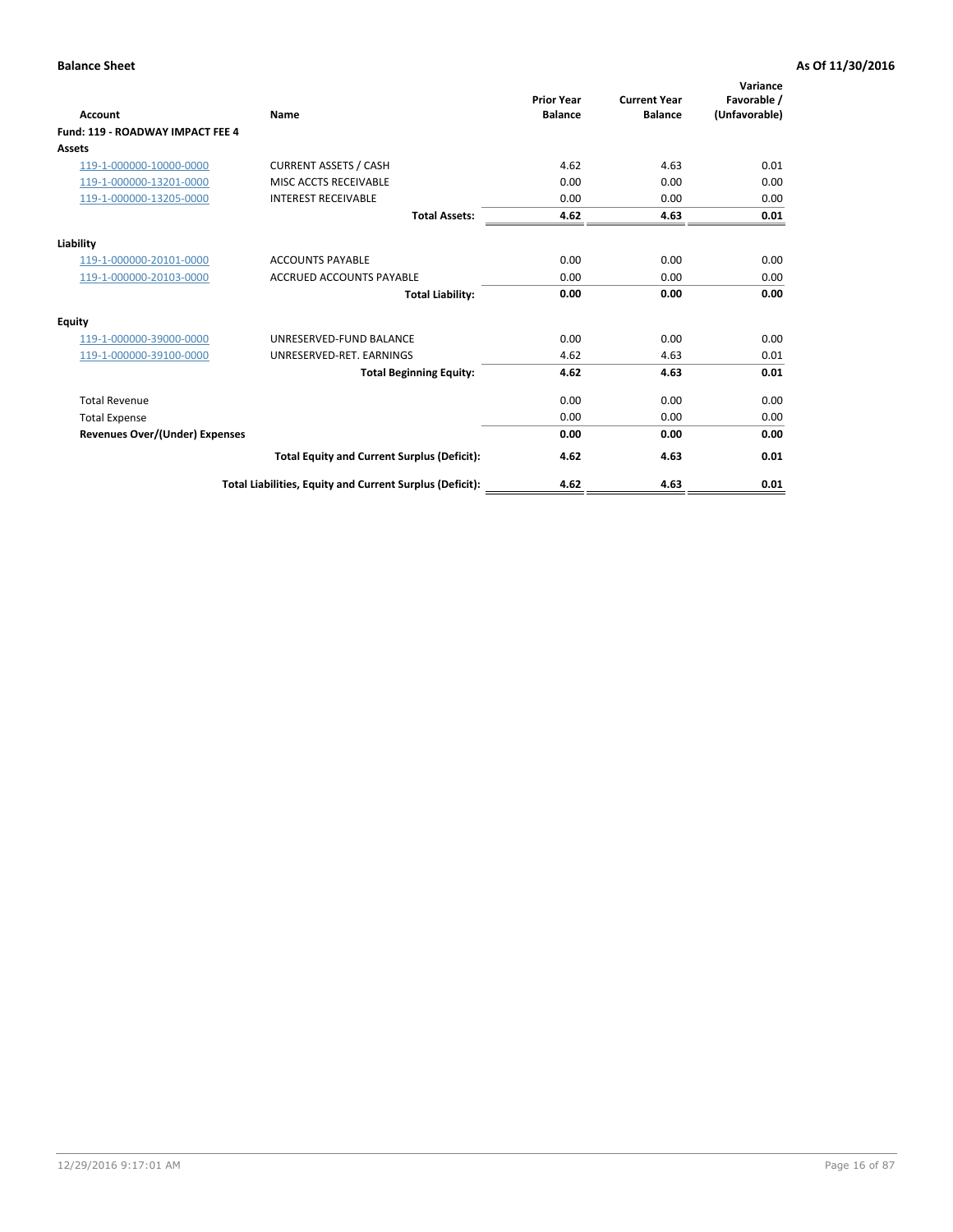| <b>Account</b>                        | Name                                                     | <b>Prior Year</b><br><b>Balance</b> | <b>Current Year</b><br><b>Balance</b> | Variance<br>Favorable /<br>(Unfavorable) |
|---------------------------------------|----------------------------------------------------------|-------------------------------------|---------------------------------------|------------------------------------------|
| Fund: 119 - ROADWAY IMPACT FEE 4      |                                                          |                                     |                                       |                                          |
| Assets                                |                                                          |                                     |                                       |                                          |
| 119-1-000000-10000-0000               | <b>CURRENT ASSETS / CASH</b>                             | 4.62                                | 4.63                                  | 0.01                                     |
| 119-1-000000-13201-0000               | MISC ACCTS RECEIVABLE                                    | 0.00                                | 0.00                                  | 0.00                                     |
| 119-1-000000-13205-0000               | <b>INTEREST RECEIVABLE</b>                               | 0.00                                | 0.00                                  | 0.00                                     |
|                                       | <b>Total Assets:</b>                                     | 4.62                                | 4.63                                  | 0.01                                     |
| Liability                             |                                                          |                                     |                                       |                                          |
| 119-1-000000-20101-0000               | <b>ACCOUNTS PAYABLE</b>                                  | 0.00                                | 0.00                                  | 0.00                                     |
| 119-1-000000-20103-0000               | <b>ACCRUED ACCOUNTS PAYABLE</b>                          | 0.00                                | 0.00                                  | 0.00                                     |
|                                       | <b>Total Liability:</b>                                  | 0.00                                | 0.00                                  | 0.00                                     |
| Equity                                |                                                          |                                     |                                       |                                          |
| 119-1-000000-39000-0000               | UNRESERVED-FUND BALANCE                                  | 0.00                                | 0.00                                  | 0.00                                     |
| 119-1-000000-39100-0000               | UNRESERVED-RET, EARNINGS                                 | 4.62                                | 4.63                                  | 0.01                                     |
|                                       | <b>Total Beginning Equity:</b>                           | 4.62                                | 4.63                                  | 0.01                                     |
| <b>Total Revenue</b>                  |                                                          | 0.00                                | 0.00                                  | 0.00                                     |
| <b>Total Expense</b>                  |                                                          | 0.00                                | 0.00                                  | 0.00                                     |
| <b>Revenues Over/(Under) Expenses</b> |                                                          | 0.00                                | 0.00                                  | 0.00                                     |
|                                       | <b>Total Equity and Current Surplus (Deficit):</b>       | 4.62                                | 4.63                                  | 0.01                                     |
|                                       | Total Liabilities, Equity and Current Surplus (Deficit): | 4.62                                | 4.63                                  | 0.01                                     |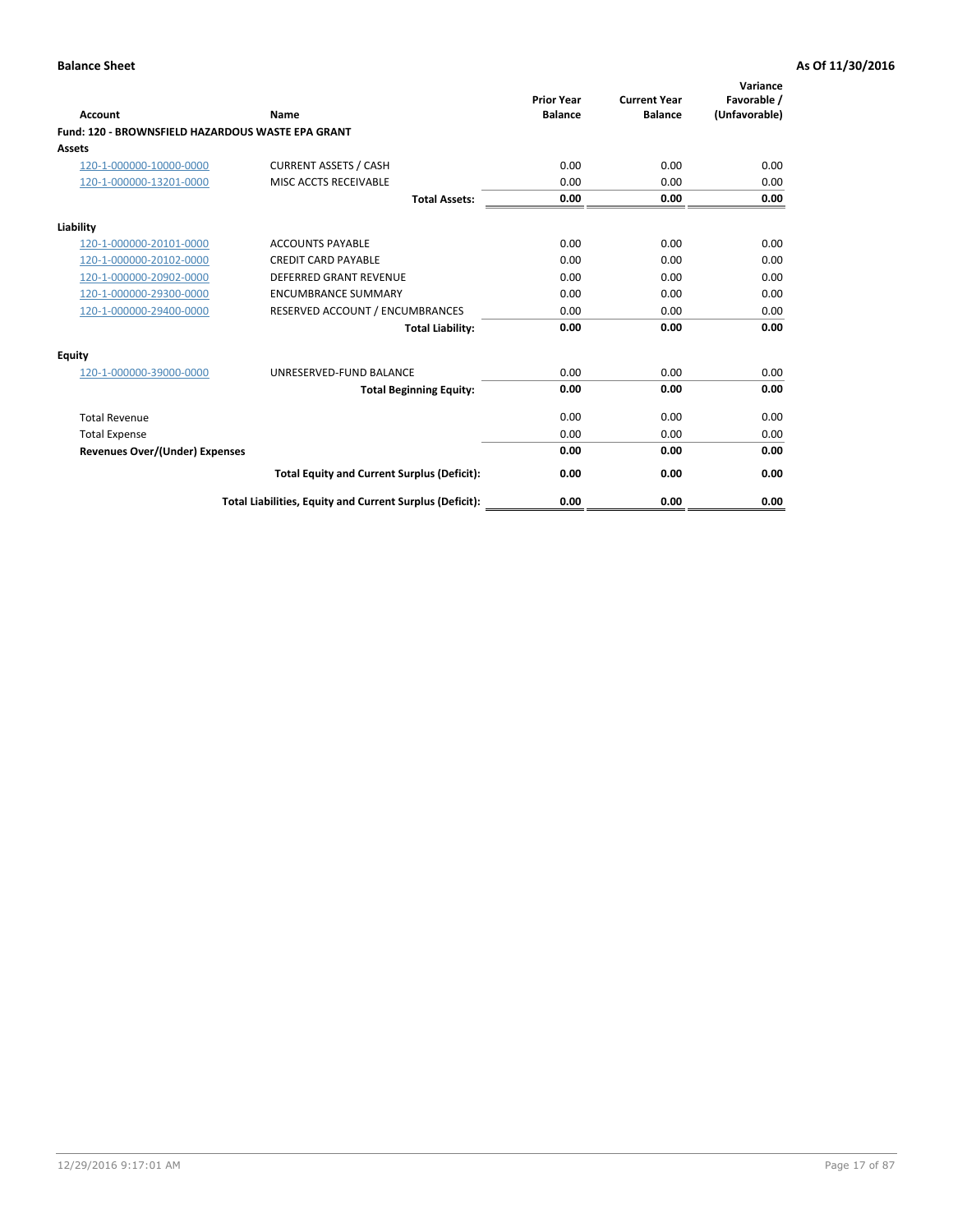|                                                   |                                                          | <b>Prior Year</b> | <b>Current Year</b> | Variance<br>Favorable / |
|---------------------------------------------------|----------------------------------------------------------|-------------------|---------------------|-------------------------|
| <b>Account</b>                                    | <b>Name</b>                                              | <b>Balance</b>    | <b>Balance</b>      | (Unfavorable)           |
| Fund: 120 - BROWNSFIELD HAZARDOUS WASTE EPA GRANT |                                                          |                   |                     |                         |
| <b>Assets</b>                                     |                                                          |                   |                     |                         |
| 120-1-000000-10000-0000                           | <b>CURRENT ASSETS / CASH</b>                             | 0.00              | 0.00                | 0.00                    |
| 120-1-000000-13201-0000                           | MISC ACCTS RECEIVABLE                                    | 0.00              | 0.00                | 0.00                    |
|                                                   | <b>Total Assets:</b>                                     | 0.00              | 0.00                | 0.00                    |
| Liability                                         |                                                          |                   |                     |                         |
| 120-1-000000-20101-0000                           | <b>ACCOUNTS PAYABLE</b>                                  | 0.00              | 0.00                | 0.00                    |
| 120-1-000000-20102-0000                           | <b>CREDIT CARD PAYABLE</b>                               | 0.00              | 0.00                | 0.00                    |
| 120-1-000000-20902-0000                           | <b>DEFERRED GRANT REVENUE</b>                            | 0.00              | 0.00                | 0.00                    |
| 120-1-000000-29300-0000                           | <b>ENCUMBRANCE SUMMARY</b>                               | 0.00              | 0.00                | 0.00                    |
| 120-1-000000-29400-0000                           | RESERVED ACCOUNT / ENCUMBRANCES                          | 0.00              | 0.00                | 0.00                    |
|                                                   | <b>Total Liability:</b>                                  | 0.00              | 0.00                | 0.00                    |
| Equity                                            |                                                          |                   |                     |                         |
| 120-1-000000-39000-0000                           | UNRESERVED-FUND BALANCE                                  | 0.00              | 0.00                | 0.00                    |
|                                                   | <b>Total Beginning Equity:</b>                           | 0.00              | 0.00                | 0.00                    |
| <b>Total Revenue</b>                              |                                                          | 0.00              | 0.00                | 0.00                    |
| <b>Total Expense</b>                              |                                                          | 0.00              | 0.00                | 0.00                    |
| <b>Revenues Over/(Under) Expenses</b>             |                                                          | 0.00              | 0.00                | 0.00                    |
|                                                   | <b>Total Equity and Current Surplus (Deficit):</b>       | 0.00              | 0.00                | 0.00                    |
|                                                   | Total Liabilities, Equity and Current Surplus (Deficit): | 0.00              | 0.00                | 0.00                    |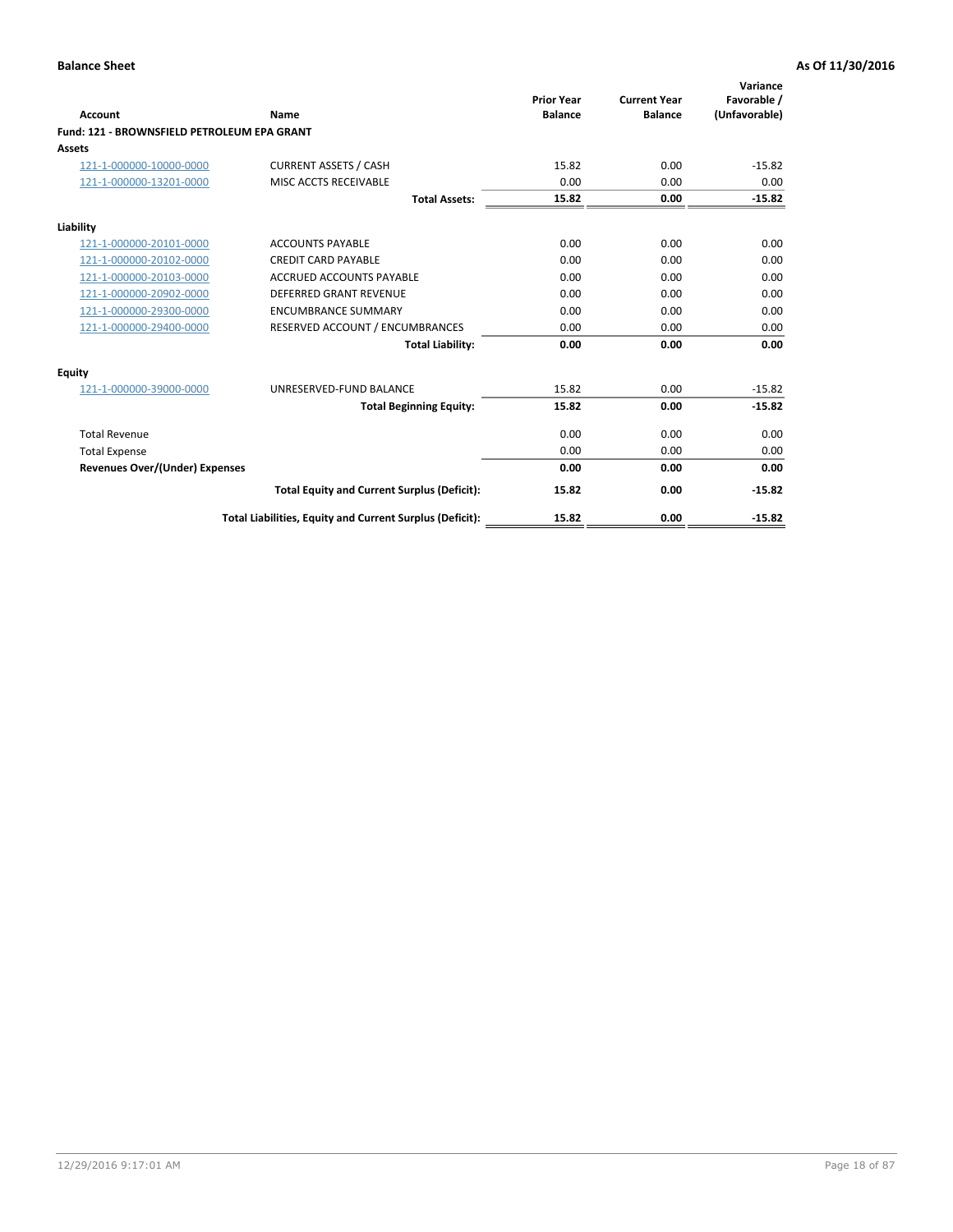| Account                                     | Name                                                     | <b>Prior Year</b><br><b>Balance</b> | <b>Current Year</b><br><b>Balance</b> | Variance<br>Favorable /<br>(Unfavorable) |
|---------------------------------------------|----------------------------------------------------------|-------------------------------------|---------------------------------------|------------------------------------------|
| Fund: 121 - BROWNSFIELD PETROLEUM EPA GRANT |                                                          |                                     |                                       |                                          |
| <b>Assets</b>                               |                                                          |                                     |                                       |                                          |
| 121-1-000000-10000-0000                     | <b>CURRENT ASSETS / CASH</b>                             | 15.82                               | 0.00                                  | $-15.82$                                 |
| 121-1-000000-13201-0000                     | MISC ACCTS RECEIVABLE                                    | 0.00                                | 0.00                                  | 0.00                                     |
|                                             | <b>Total Assets:</b>                                     | 15.82                               | 0.00                                  | $-15.82$                                 |
| Liability                                   |                                                          |                                     |                                       |                                          |
| 121-1-000000-20101-0000                     | <b>ACCOUNTS PAYABLE</b>                                  | 0.00                                | 0.00                                  | 0.00                                     |
| 121-1-000000-20102-0000                     | <b>CREDIT CARD PAYABLE</b>                               | 0.00                                | 0.00                                  | 0.00                                     |
| 121-1-000000-20103-0000                     | <b>ACCRUED ACCOUNTS PAYABLE</b>                          | 0.00                                | 0.00                                  | 0.00                                     |
| 121-1-000000-20902-0000                     | DEFERRED GRANT REVENUE                                   | 0.00                                | 0.00                                  | 0.00                                     |
| 121-1-000000-29300-0000                     | <b>ENCUMBRANCE SUMMARY</b>                               | 0.00                                | 0.00                                  | 0.00                                     |
| 121-1-000000-29400-0000                     | RESERVED ACCOUNT / ENCUMBRANCES                          | 0.00                                | 0.00                                  | 0.00                                     |
|                                             | <b>Total Liability:</b>                                  | 0.00                                | 0.00                                  | 0.00                                     |
| <b>Equity</b>                               |                                                          |                                     |                                       |                                          |
| 121-1-000000-39000-0000                     | UNRESERVED-FUND BALANCE                                  | 15.82                               | 0.00                                  | $-15.82$                                 |
|                                             | <b>Total Beginning Equity:</b>                           | 15.82                               | 0.00                                  | $-15.82$                                 |
| <b>Total Revenue</b>                        |                                                          | 0.00                                | 0.00                                  | 0.00                                     |
| <b>Total Expense</b>                        |                                                          | 0.00                                | 0.00                                  | 0.00                                     |
| <b>Revenues Over/(Under) Expenses</b>       |                                                          | 0.00                                | 0.00                                  | 0.00                                     |
|                                             | <b>Total Equity and Current Surplus (Deficit):</b>       | 15.82                               | 0.00                                  | $-15.82$                                 |
|                                             | Total Liabilities, Equity and Current Surplus (Deficit): | 15.82                               | 0.00                                  | $-15.82$                                 |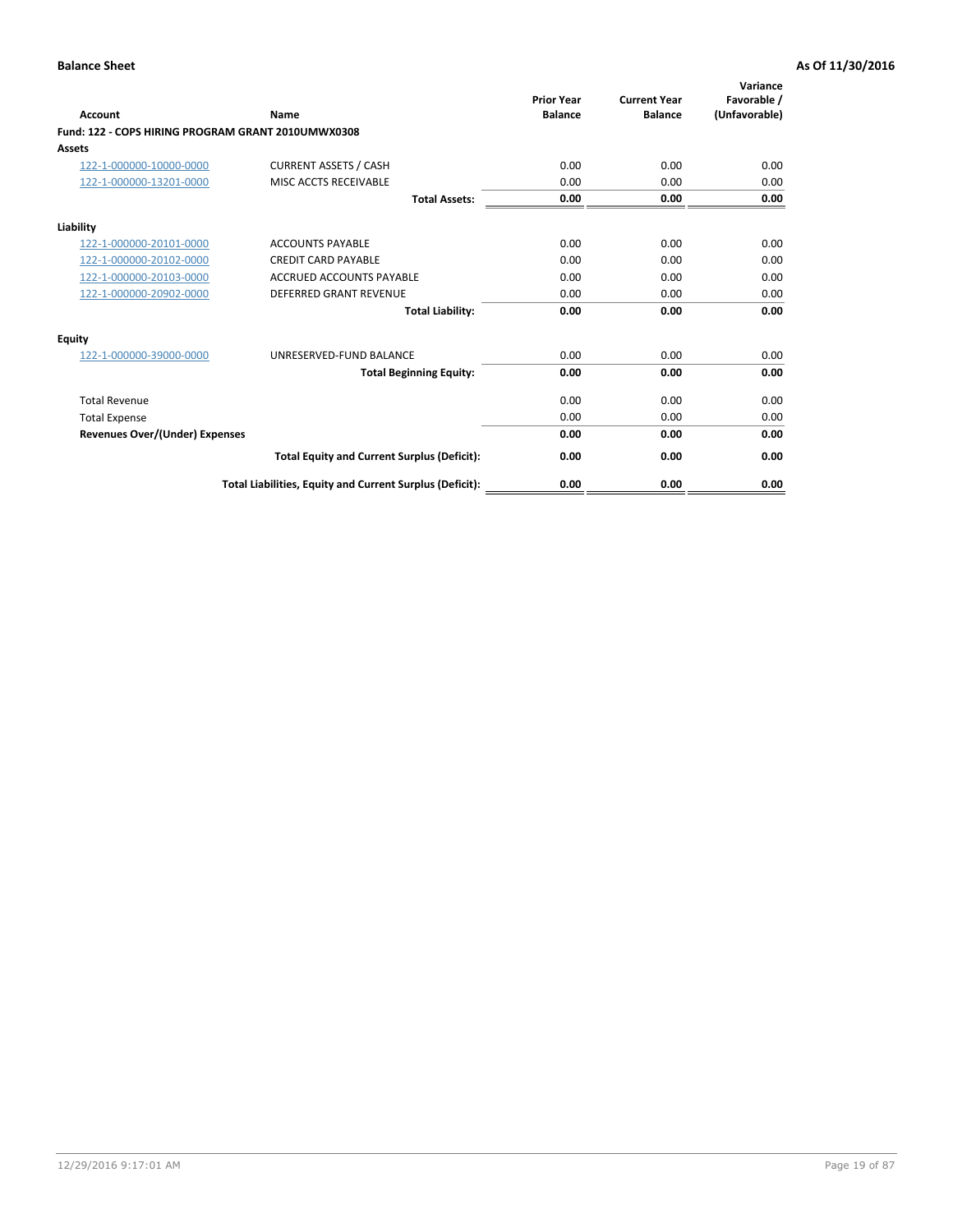| <b>Account</b>                                     | Name                                                     | <b>Prior Year</b><br><b>Balance</b> | <b>Current Year</b><br><b>Balance</b> | Variance<br>Favorable /<br>(Unfavorable) |
|----------------------------------------------------|----------------------------------------------------------|-------------------------------------|---------------------------------------|------------------------------------------|
| Fund: 122 - COPS HIRING PROGRAM GRANT 2010UMWX0308 |                                                          |                                     |                                       |                                          |
| Assets                                             |                                                          |                                     |                                       |                                          |
| 122-1-000000-10000-0000                            | <b>CURRENT ASSETS / CASH</b>                             | 0.00                                | 0.00                                  | 0.00                                     |
| 122-1-000000-13201-0000                            | MISC ACCTS RECEIVABLE                                    | 0.00                                | 0.00                                  | 0.00                                     |
|                                                    | <b>Total Assets:</b>                                     | 0.00                                | 0.00                                  | 0.00                                     |
| Liability                                          |                                                          |                                     |                                       |                                          |
| 122-1-000000-20101-0000                            | <b>ACCOUNTS PAYABLE</b>                                  | 0.00                                | 0.00                                  | 0.00                                     |
| 122-1-000000-20102-0000                            | <b>CREDIT CARD PAYABLE</b>                               | 0.00                                | 0.00                                  | 0.00                                     |
| 122-1-000000-20103-0000                            | <b>ACCRUED ACCOUNTS PAYABLE</b>                          | 0.00                                | 0.00                                  | 0.00                                     |
| 122-1-000000-20902-0000                            | <b>DEFERRED GRANT REVENUE</b>                            | 0.00                                | 0.00                                  | 0.00                                     |
|                                                    | <b>Total Liability:</b>                                  | 0.00                                | 0.00                                  | 0.00                                     |
| Equity                                             |                                                          |                                     |                                       |                                          |
| 122-1-000000-39000-0000                            | UNRESERVED-FUND BALANCE                                  | 0.00                                | 0.00                                  | 0.00                                     |
|                                                    | <b>Total Beginning Equity:</b>                           | 0.00                                | 0.00                                  | 0.00                                     |
| <b>Total Revenue</b>                               |                                                          | 0.00                                | 0.00                                  | 0.00                                     |
| <b>Total Expense</b>                               |                                                          | 0.00                                | 0.00                                  | 0.00                                     |
| <b>Revenues Over/(Under) Expenses</b>              |                                                          | 0.00                                | 0.00                                  | 0.00                                     |
|                                                    | <b>Total Equity and Current Surplus (Deficit):</b>       | 0.00                                | 0.00                                  | 0.00                                     |
|                                                    | Total Liabilities, Equity and Current Surplus (Deficit): | 0.00                                | 0.00                                  | 0.00                                     |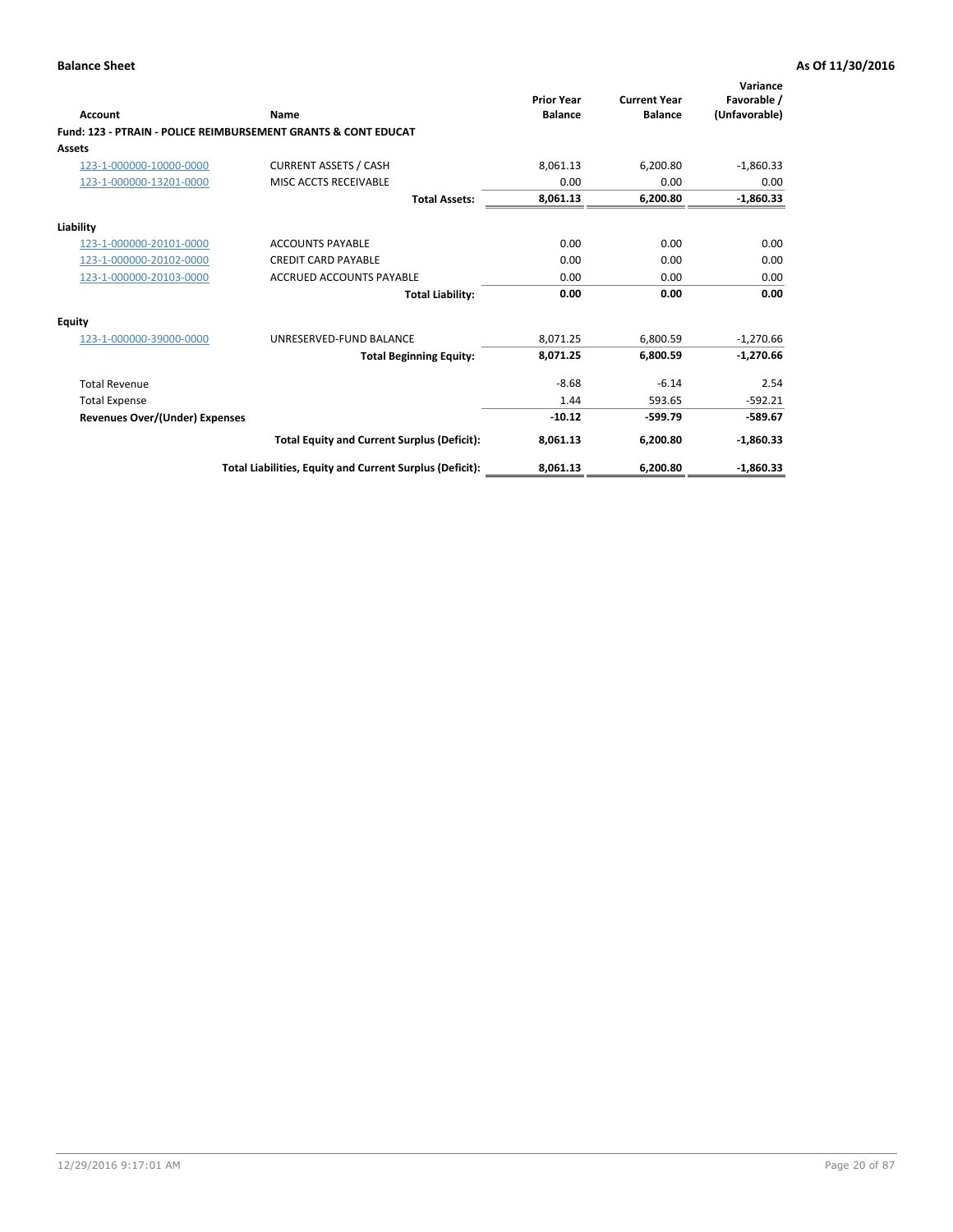| Account                        | Name                                                           | <b>Prior Year</b><br><b>Balance</b> | <b>Current Year</b><br><b>Balance</b> | Variance<br>Favorable /<br>(Unfavorable) |
|--------------------------------|----------------------------------------------------------------|-------------------------------------|---------------------------------------|------------------------------------------|
|                                | Fund: 123 - PTRAIN - POLICE REIMBURSEMENT GRANTS & CONT EDUCAT |                                     |                                       |                                          |
| Assets                         |                                                                |                                     |                                       |                                          |
| 123-1-000000-10000-0000        | <b>CURRENT ASSETS / CASH</b>                                   | 8,061.13                            | 6,200.80                              | $-1,860.33$                              |
| 123-1-000000-13201-0000        | MISC ACCTS RECEIVABLE                                          | 0.00                                | 0.00                                  | 0.00                                     |
|                                | <b>Total Assets:</b>                                           | 8,061.13                            | 6,200.80                              | $-1,860.33$                              |
| Liability                      |                                                                |                                     |                                       |                                          |
| 123-1-000000-20101-0000        | <b>ACCOUNTS PAYABLE</b>                                        | 0.00                                | 0.00                                  | 0.00                                     |
| 123-1-000000-20102-0000        | <b>CREDIT CARD PAYABLE</b>                                     | 0.00                                | 0.00                                  | 0.00                                     |
| 123-1-000000-20103-0000        | <b>ACCRUED ACCOUNTS PAYABLE</b>                                | 0.00                                | 0.00                                  | 0.00                                     |
|                                | <b>Total Liability:</b>                                        | 0.00                                | 0.00                                  | 0.00                                     |
| Equity                         |                                                                |                                     |                                       |                                          |
| 123-1-000000-39000-0000        | UNRESERVED-FUND BALANCE                                        | 8,071.25                            | 6,800.59                              | $-1,270.66$                              |
|                                | <b>Total Beginning Equity:</b>                                 | 8,071.25                            | 6,800.59                              | $-1,270.66$                              |
| <b>Total Revenue</b>           |                                                                | $-8.68$                             | $-6.14$                               | 2.54                                     |
| <b>Total Expense</b>           |                                                                | 1.44                                | 593.65                                | $-592.21$                                |
| Revenues Over/(Under) Expenses |                                                                | $-10.12$                            | $-599.79$                             | $-589.67$                                |
|                                | <b>Total Equity and Current Surplus (Deficit):</b>             | 8,061.13                            | 6,200.80                              | $-1,860.33$                              |
|                                | Total Liabilities, Equity and Current Surplus (Deficit):       | 8,061.13                            | 6,200.80                              | $-1,860.33$                              |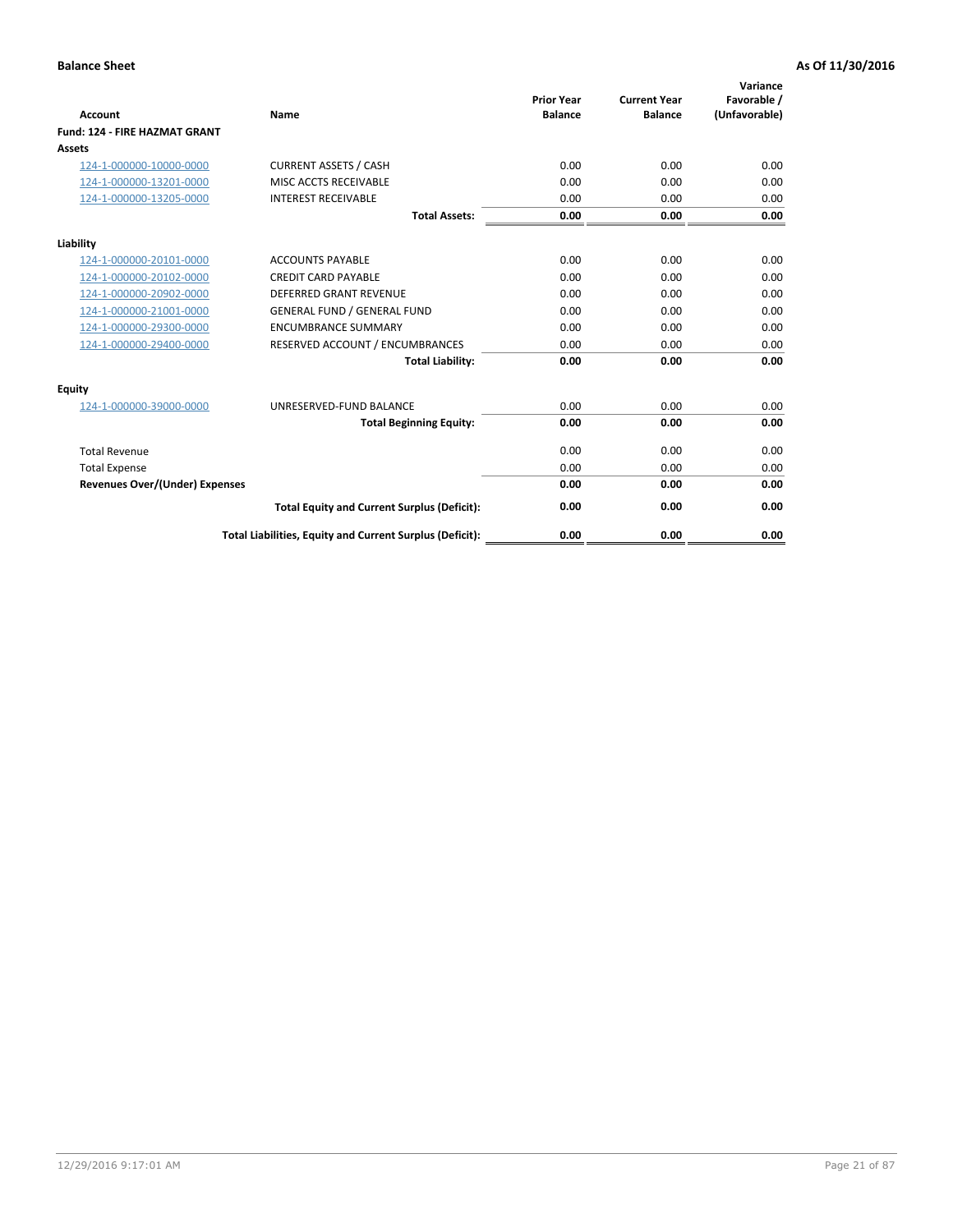|                                      |                                                          |                                     |                                       | Variance                     |
|--------------------------------------|----------------------------------------------------------|-------------------------------------|---------------------------------------|------------------------------|
| <b>Account</b>                       | Name                                                     | <b>Prior Year</b><br><b>Balance</b> | <b>Current Year</b><br><b>Balance</b> | Favorable /<br>(Unfavorable) |
| <b>Fund: 124 - FIRE HAZMAT GRANT</b> |                                                          |                                     |                                       |                              |
| <b>Assets</b>                        |                                                          |                                     |                                       |                              |
| 124-1-000000-10000-0000              | <b>CURRENT ASSETS / CASH</b>                             | 0.00                                | 0.00                                  | 0.00                         |
| 124-1-000000-13201-0000              | MISC ACCTS RECEIVABLE                                    | 0.00                                | 0.00                                  | 0.00                         |
| 124-1-000000-13205-0000              | <b>INTEREST RECEIVABLE</b>                               | 0.00                                | 0.00                                  | 0.00                         |
|                                      | <b>Total Assets:</b>                                     | 0.00                                | 0.00                                  | 0.00                         |
| Liability                            |                                                          |                                     |                                       |                              |
| 124-1-000000-20101-0000              | <b>ACCOUNTS PAYABLE</b>                                  | 0.00                                | 0.00                                  | 0.00                         |
| 124-1-000000-20102-0000              | <b>CREDIT CARD PAYABLE</b>                               | 0.00                                | 0.00                                  | 0.00                         |
| 124-1-000000-20902-0000              | <b>DEFERRED GRANT REVENUE</b>                            | 0.00                                | 0.00                                  | 0.00                         |
| 124-1-000000-21001-0000              | <b>GENERAL FUND / GENERAL FUND</b>                       | 0.00                                | 0.00                                  | 0.00                         |
| 124-1-000000-29300-0000              | <b>ENCUMBRANCE SUMMARY</b>                               | 0.00                                | 0.00                                  | 0.00                         |
| 124-1-000000-29400-0000              | RESERVED ACCOUNT / ENCUMBRANCES                          | 0.00                                | 0.00                                  | 0.00                         |
|                                      | <b>Total Liability:</b>                                  | 0.00                                | 0.00                                  | 0.00                         |
| Equity                               |                                                          |                                     |                                       |                              |
| 124-1-000000-39000-0000              | UNRESERVED-FUND BALANCE                                  | 0.00                                | 0.00                                  | 0.00                         |
|                                      | <b>Total Beginning Equity:</b>                           | 0.00                                | 0.00                                  | 0.00                         |
| <b>Total Revenue</b>                 |                                                          | 0.00                                | 0.00                                  | 0.00                         |
| <b>Total Expense</b>                 |                                                          | 0.00                                | 0.00                                  | 0.00                         |
| Revenues Over/(Under) Expenses       |                                                          | 0.00                                | 0.00                                  | 0.00                         |
|                                      | <b>Total Equity and Current Surplus (Deficit):</b>       | 0.00                                | 0.00                                  | 0.00                         |
|                                      | Total Liabilities, Equity and Current Surplus (Deficit): | 0.00                                | 0.00                                  | 0.00                         |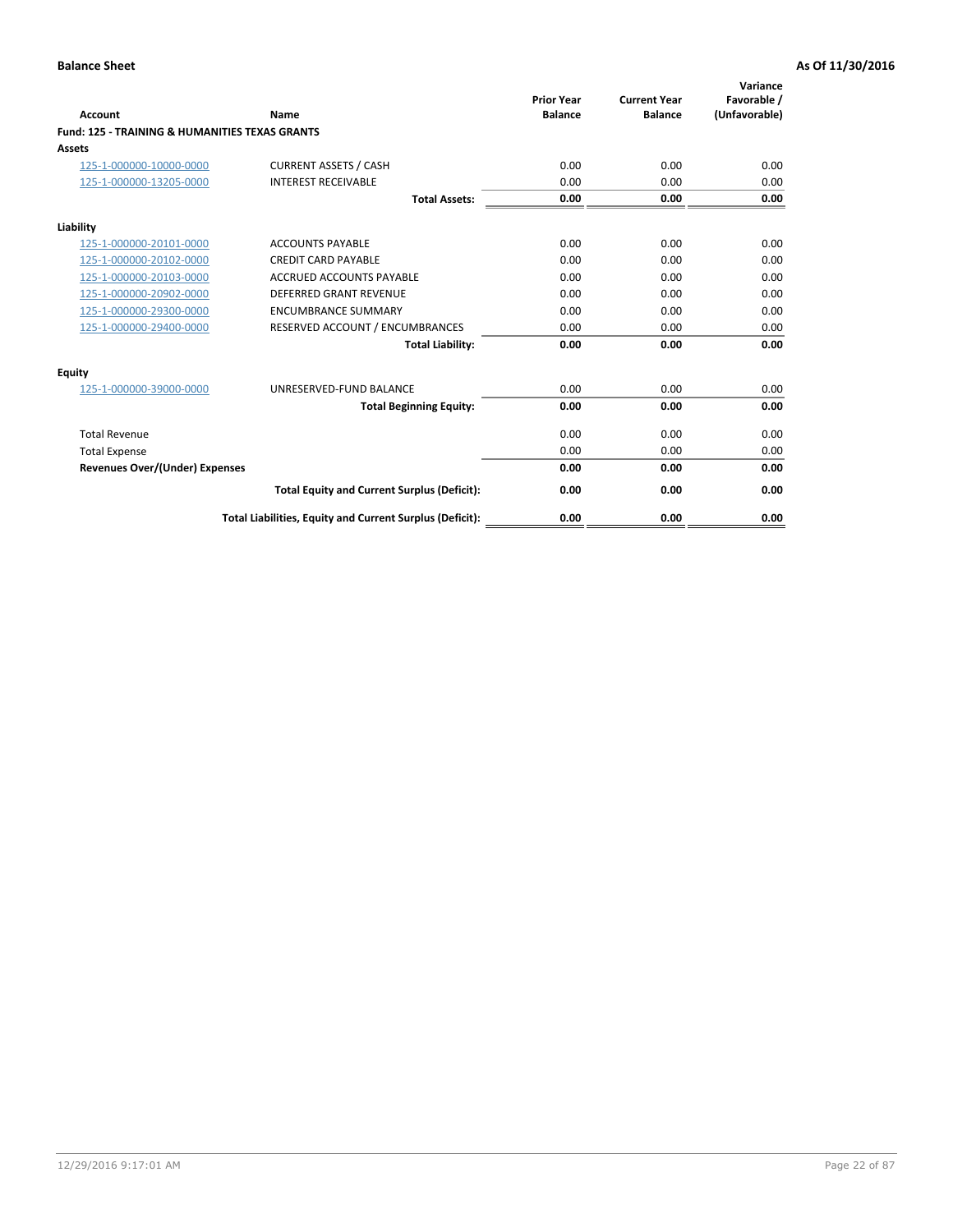| Account                                                   | Name                                                     | <b>Prior Year</b><br><b>Balance</b> | <b>Current Year</b><br><b>Balance</b> | Variance<br>Favorable /<br>(Unfavorable) |
|-----------------------------------------------------------|----------------------------------------------------------|-------------------------------------|---------------------------------------|------------------------------------------|
| <b>Fund: 125 - TRAINING &amp; HUMANITIES TEXAS GRANTS</b> |                                                          |                                     |                                       |                                          |
| <b>Assets</b>                                             |                                                          |                                     |                                       |                                          |
| 125-1-000000-10000-0000                                   | <b>CURRENT ASSETS / CASH</b>                             | 0.00                                | 0.00                                  | 0.00                                     |
| 125-1-000000-13205-0000                                   | <b>INTEREST RECEIVABLE</b>                               | 0.00                                | 0.00                                  | 0.00                                     |
|                                                           | <b>Total Assets:</b>                                     | 0.00                                | 0.00                                  | 0.00                                     |
| Liability                                                 |                                                          |                                     |                                       |                                          |
| 125-1-000000-20101-0000                                   | <b>ACCOUNTS PAYABLE</b>                                  | 0.00                                | 0.00                                  | 0.00                                     |
| 125-1-000000-20102-0000                                   | <b>CREDIT CARD PAYABLE</b>                               | 0.00                                | 0.00                                  | 0.00                                     |
| 125-1-000000-20103-0000                                   | <b>ACCRUED ACCOUNTS PAYABLE</b>                          | 0.00                                | 0.00                                  | 0.00                                     |
| 125-1-000000-20902-0000                                   | <b>DEFERRED GRANT REVENUE</b>                            | 0.00                                | 0.00                                  | 0.00                                     |
| 125-1-000000-29300-0000                                   | <b>ENCUMBRANCE SUMMARY</b>                               | 0.00                                | 0.00                                  | 0.00                                     |
| 125-1-000000-29400-0000                                   | RESERVED ACCOUNT / ENCUMBRANCES                          | 0.00                                | 0.00                                  | 0.00                                     |
|                                                           | <b>Total Liability:</b>                                  | 0.00                                | 0.00                                  | 0.00                                     |
| <b>Equity</b>                                             |                                                          |                                     |                                       |                                          |
| 125-1-000000-39000-0000                                   | UNRESERVED-FUND BALANCE                                  | 0.00                                | 0.00                                  | 0.00                                     |
|                                                           | <b>Total Beginning Equity:</b>                           | 0.00                                | 0.00                                  | 0.00                                     |
| <b>Total Revenue</b>                                      |                                                          | 0.00                                | 0.00                                  | 0.00                                     |
| <b>Total Expense</b>                                      |                                                          | 0.00                                | 0.00                                  | 0.00                                     |
| <b>Revenues Over/(Under) Expenses</b>                     |                                                          | 0.00                                | 0.00                                  | 0.00                                     |
|                                                           | <b>Total Equity and Current Surplus (Deficit):</b>       | 0.00                                | 0.00                                  | 0.00                                     |
|                                                           | Total Liabilities, Equity and Current Surplus (Deficit): | 0.00                                | 0.00                                  | 0.00                                     |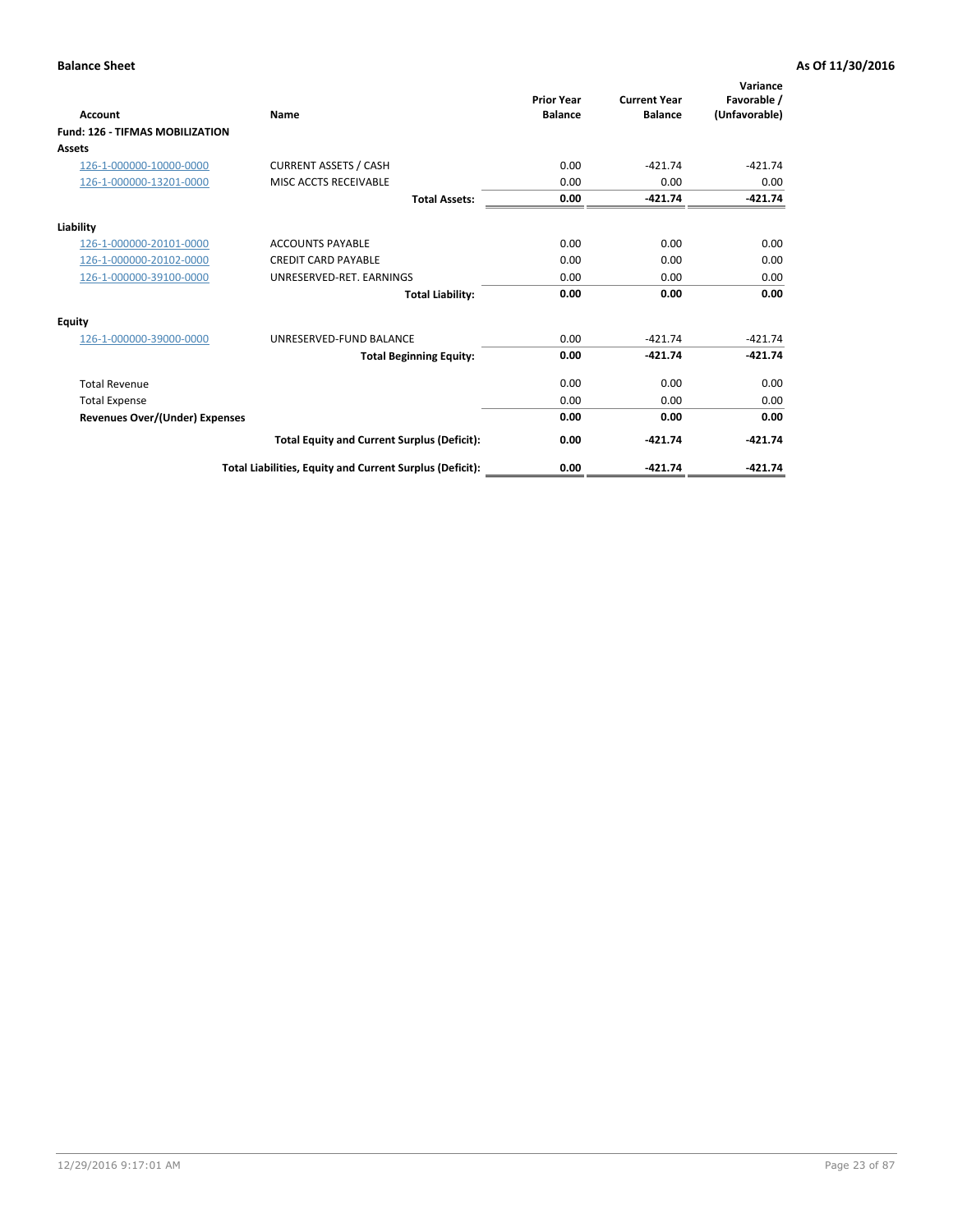| Account                                | Name                                                     | <b>Prior Year</b><br><b>Balance</b> | <b>Current Year</b><br><b>Balance</b> | Variance<br>Favorable /<br>(Unfavorable) |
|----------------------------------------|----------------------------------------------------------|-------------------------------------|---------------------------------------|------------------------------------------|
| <b>Fund: 126 - TIFMAS MOBILIZATION</b> |                                                          |                                     |                                       |                                          |
| <b>Assets</b>                          |                                                          |                                     |                                       |                                          |
| 126-1-000000-10000-0000                | <b>CURRENT ASSETS / CASH</b>                             | 0.00                                | $-421.74$                             | $-421.74$                                |
| 126-1-000000-13201-0000                | MISC ACCTS RECEIVABLE                                    | 0.00                                | 0.00                                  | 0.00                                     |
|                                        | <b>Total Assets:</b>                                     | 0.00                                | $-421.74$                             | $-421.74$                                |
| Liability                              |                                                          |                                     |                                       |                                          |
| 126-1-000000-20101-0000                | <b>ACCOUNTS PAYABLE</b>                                  | 0.00                                | 0.00                                  | 0.00                                     |
| 126-1-000000-20102-0000                | <b>CREDIT CARD PAYABLE</b>                               | 0.00                                | 0.00                                  | 0.00                                     |
| 126-1-000000-39100-0000                | UNRESERVED-RET. EARNINGS                                 | 0.00                                | 0.00                                  | 0.00                                     |
|                                        | <b>Total Liability:</b>                                  | 0.00                                | 0.00                                  | 0.00                                     |
| <b>Equity</b>                          |                                                          |                                     |                                       |                                          |
| 126-1-000000-39000-0000                | UNRESERVED-FUND BALANCE                                  | 0.00                                | $-421.74$                             | $-421.74$                                |
|                                        | <b>Total Beginning Equity:</b>                           | 0.00                                | $-421.74$                             | $-421.74$                                |
| <b>Total Revenue</b>                   |                                                          | 0.00                                | 0.00                                  | 0.00                                     |
| <b>Total Expense</b>                   |                                                          | 0.00                                | 0.00                                  | 0.00                                     |
| <b>Revenues Over/(Under) Expenses</b>  |                                                          | 0.00                                | 0.00                                  | 0.00                                     |
|                                        | <b>Total Equity and Current Surplus (Deficit):</b>       | 0.00                                | $-421.74$                             | $-421.74$                                |
|                                        | Total Liabilities, Equity and Current Surplus (Deficit): | 0.00                                | $-421.74$                             | $-421.74$                                |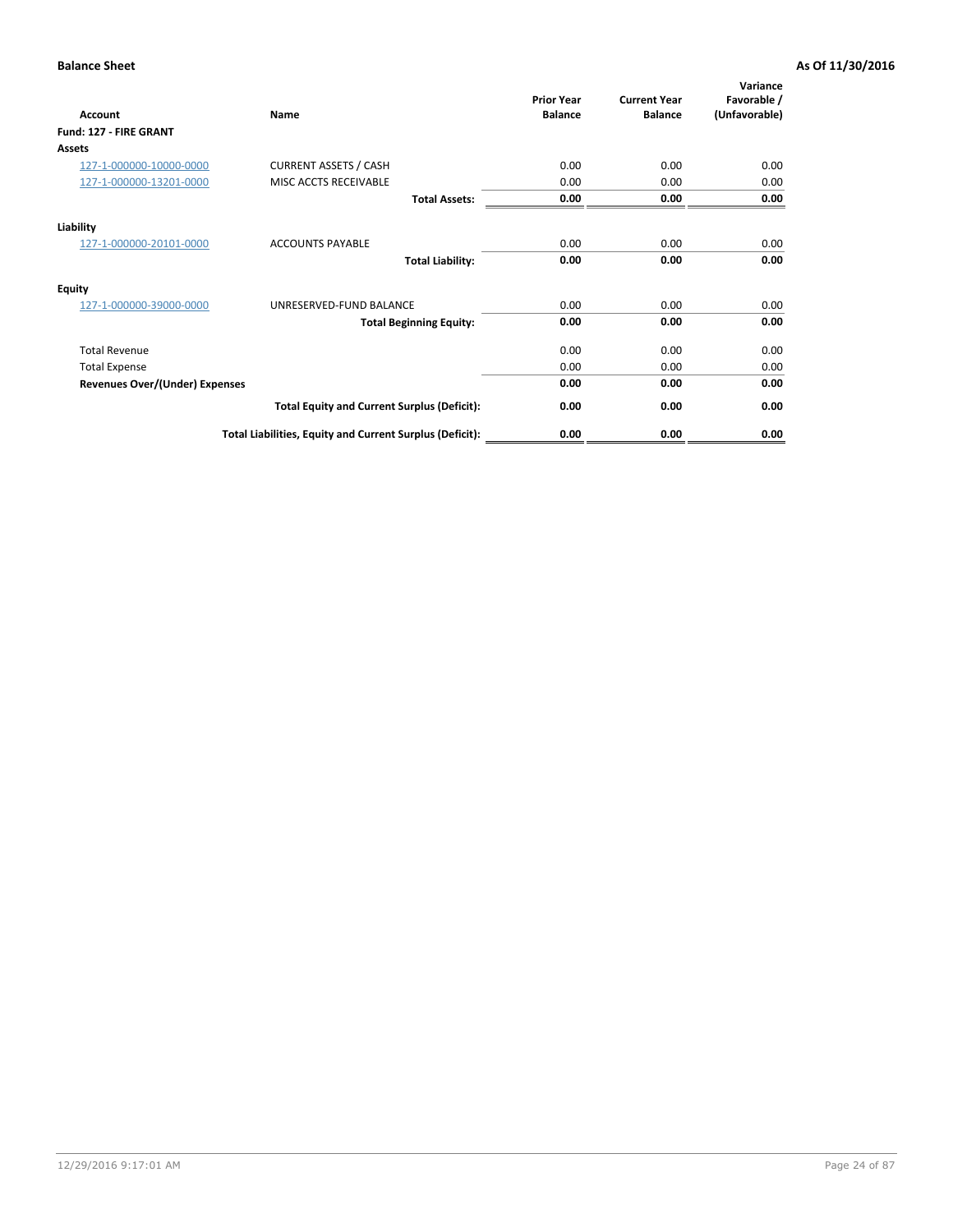| <b>Account</b>                        | Name                                                     | <b>Prior Year</b><br><b>Balance</b> | <b>Current Year</b><br><b>Balance</b> | Variance<br>Favorable /<br>(Unfavorable) |
|---------------------------------------|----------------------------------------------------------|-------------------------------------|---------------------------------------|------------------------------------------|
| Fund: 127 - FIRE GRANT                |                                                          |                                     |                                       |                                          |
| Assets                                |                                                          |                                     |                                       |                                          |
| 127-1-000000-10000-0000               | <b>CURRENT ASSETS / CASH</b>                             | 0.00                                | 0.00                                  | 0.00                                     |
| 127-1-000000-13201-0000               | MISC ACCTS RECEIVABLE                                    | 0.00                                | 0.00                                  | 0.00                                     |
|                                       | <b>Total Assets:</b>                                     | 0.00                                | 0.00                                  | 0.00                                     |
| Liability                             |                                                          |                                     |                                       |                                          |
| 127-1-000000-20101-0000               | <b>ACCOUNTS PAYABLE</b>                                  | 0.00                                | 0.00                                  | 0.00                                     |
|                                       | <b>Total Liability:</b>                                  | 0.00                                | 0.00                                  | 0.00                                     |
| <b>Equity</b>                         |                                                          |                                     |                                       |                                          |
| 127-1-000000-39000-0000               | UNRESERVED-FUND BALANCE                                  | 0.00                                | 0.00                                  | 0.00                                     |
|                                       | <b>Total Beginning Equity:</b>                           | 0.00                                | 0.00                                  | 0.00                                     |
| <b>Total Revenue</b>                  |                                                          | 0.00                                | 0.00                                  | 0.00                                     |
| <b>Total Expense</b>                  |                                                          | 0.00                                | 0.00                                  | 0.00                                     |
| <b>Revenues Over/(Under) Expenses</b> |                                                          | 0.00                                | 0.00                                  | 0.00                                     |
|                                       | <b>Total Equity and Current Surplus (Deficit):</b>       | 0.00                                | 0.00                                  | 0.00                                     |
|                                       | Total Liabilities, Equity and Current Surplus (Deficit): | 0.00                                | 0.00                                  | 0.00                                     |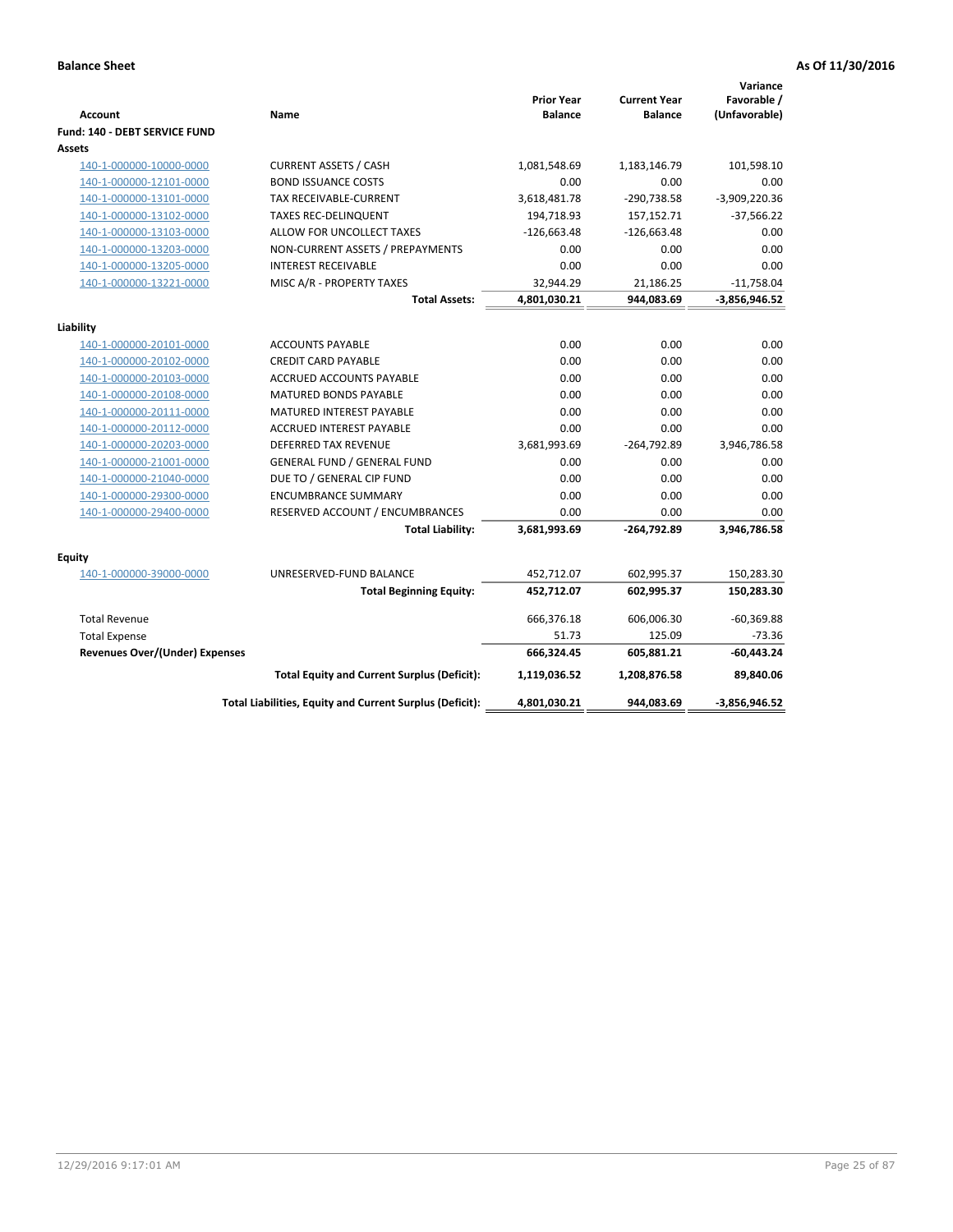| <b>Account</b>                        | Name                                                     | <b>Prior Year</b><br><b>Balance</b> | <b>Current Year</b><br><b>Balance</b> | Variance<br>Favorable /<br>(Unfavorable) |
|---------------------------------------|----------------------------------------------------------|-------------------------------------|---------------------------------------|------------------------------------------|
| Fund: 140 - DEBT SERVICE FUND         |                                                          |                                     |                                       |                                          |
| Assets                                |                                                          |                                     |                                       |                                          |
| 140-1-000000-10000-0000               | <b>CURRENT ASSETS / CASH</b>                             | 1,081,548.69                        | 1,183,146.79                          | 101,598.10                               |
| 140-1-000000-12101-0000               | <b>BOND ISSUANCE COSTS</b>                               | 0.00                                | 0.00                                  | 0.00                                     |
| 140-1-000000-13101-0000               | <b>TAX RECEIVABLE-CURRENT</b>                            | 3,618,481.78                        | -290,738.58                           | $-3,909,220.36$                          |
| 140-1-000000-13102-0000               | <b>TAXES REC-DELINQUENT</b>                              | 194,718.93                          | 157,152.71                            | $-37,566.22$                             |
| 140-1-000000-13103-0000               | ALLOW FOR UNCOLLECT TAXES                                | $-126,663.48$                       | $-126,663.48$                         | 0.00                                     |
| 140-1-000000-13203-0000               | NON-CURRENT ASSETS / PREPAYMENTS                         | 0.00                                | 0.00                                  | 0.00                                     |
| 140-1-000000-13205-0000               | <b>INTEREST RECEIVABLE</b>                               | 0.00                                | 0.00                                  | 0.00                                     |
| 140-1-000000-13221-0000               | MISC A/R - PROPERTY TAXES                                | 32,944.29                           | 21,186.25                             | $-11,758.04$                             |
|                                       | <b>Total Assets:</b>                                     | 4,801,030.21                        | 944,083.69                            | $-3,856,946.52$                          |
| Liability                             |                                                          |                                     |                                       |                                          |
| 140-1-000000-20101-0000               | <b>ACCOUNTS PAYABLE</b>                                  | 0.00                                | 0.00                                  | 0.00                                     |
| 140-1-000000-20102-0000               | <b>CREDIT CARD PAYABLE</b>                               | 0.00                                | 0.00                                  | 0.00                                     |
| 140-1-000000-20103-0000               | ACCRUED ACCOUNTS PAYABLE                                 | 0.00                                | 0.00                                  | 0.00                                     |
| 140-1-000000-20108-0000               | <b>MATURED BONDS PAYABLE</b>                             | 0.00                                | 0.00                                  | 0.00                                     |
| 140-1-000000-20111-0000               | MATURED INTEREST PAYABLE                                 | 0.00                                | 0.00                                  | 0.00                                     |
| 140-1-000000-20112-0000               | ACCRUED INTEREST PAYABLE                                 | 0.00                                | 0.00                                  | 0.00                                     |
| 140-1-000000-20203-0000               | <b>DEFERRED TAX REVENUE</b>                              | 3,681,993.69                        | $-264,792.89$                         | 3,946,786.58                             |
| 140-1-000000-21001-0000               | <b>GENERAL FUND / GENERAL FUND</b>                       | 0.00                                | 0.00                                  | 0.00                                     |
| 140-1-000000-21040-0000               | DUE TO / GENERAL CIP FUND                                | 0.00                                | 0.00                                  | 0.00                                     |
| 140-1-000000-29300-0000               | <b>ENCUMBRANCE SUMMARY</b>                               | 0.00                                | 0.00                                  | 0.00                                     |
| 140-1-000000-29400-0000               | RESERVED ACCOUNT / ENCUMBRANCES                          | 0.00                                | 0.00                                  | 0.00                                     |
|                                       | <b>Total Liability:</b>                                  | 3,681,993.69                        | $-264,792.89$                         | 3,946,786.58                             |
|                                       |                                                          |                                     |                                       |                                          |
| Equity<br>140-1-000000-39000-0000     | UNRESERVED-FUND BALANCE                                  | 452,712.07                          | 602,995.37                            | 150,283.30                               |
|                                       | <b>Total Beginning Equity:</b>                           | 452,712.07                          | 602,995.37                            | 150,283.30                               |
|                                       |                                                          |                                     |                                       |                                          |
| <b>Total Revenue</b>                  |                                                          | 666,376.18                          | 606,006.30                            | $-60,369.88$                             |
| <b>Total Expense</b>                  |                                                          | 51.73                               | 125.09                                | $-73.36$                                 |
| <b>Revenues Over/(Under) Expenses</b> |                                                          | 666,324.45                          | 605,881.21                            | $-60,443.24$                             |
|                                       | <b>Total Equity and Current Surplus (Deficit):</b>       | 1,119,036.52                        | 1,208,876.58                          | 89,840.06                                |
|                                       | Total Liabilities, Equity and Current Surplus (Deficit): | 4,801,030.21                        | 944.083.69                            | $-3,856,946.52$                          |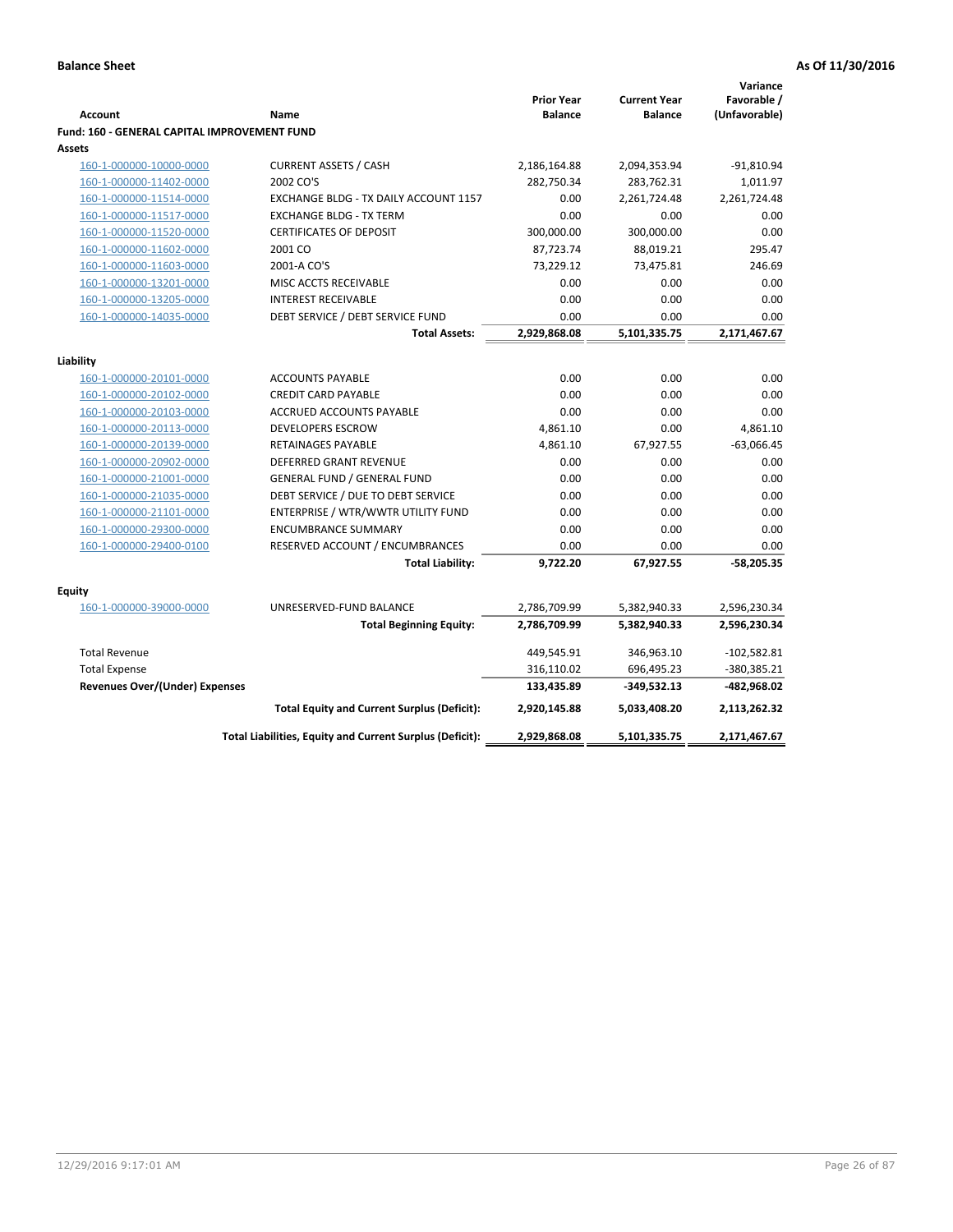| Favorable /<br><b>Prior Year</b><br><b>Current Year</b><br>(Unfavorable)<br><b>Account</b><br><b>Balance</b><br><b>Balance</b><br>Name<br><b>Fund: 160 - GENERAL CAPITAL IMPROVEMENT FUND</b><br>Assets<br><b>CURRENT ASSETS / CASH</b><br>$-91,810.94$<br>160-1-000000-10000-0000<br>2,186,164.88<br>2,094,353.94<br>2002 CO'S<br>282,750.34<br>283,762.31<br>1,011.97<br>160-1-000000-11402-0000<br>2,261,724.48<br>160-1-000000-11514-0000<br>EXCHANGE BLDG - TX DAILY ACCOUNT 1157<br>0.00<br>2,261,724.48<br>0.00<br>160-1-000000-11517-0000<br><b>EXCHANGE BLDG - TX TERM</b><br>0.00<br>0.00<br>300,000.00<br>160-1-000000-11520-0000<br><b>CERTIFICATES OF DEPOSIT</b><br>300,000.00<br>0.00<br>295.47<br>160-1-000000-11602-0000<br>2001 CO<br>87,723.74<br>88,019.21<br>160-1-000000-11603-0000<br>2001-A CO'S<br>73,229.12<br>73,475.81<br>246.69<br>160-1-000000-13201-0000<br>0.00<br>0.00<br>0.00<br>MISC ACCTS RECEIVABLE<br>160-1-000000-13205-0000<br><b>INTEREST RECEIVABLE</b><br>0.00<br>0.00<br>0.00<br>DEBT SERVICE / DEBT SERVICE FUND<br>0.00<br>0.00<br>0.00<br>160-1-000000-14035-0000<br>2,929,868.08<br>5,101,335.75<br>2,171,467.67<br><b>Total Assets:</b><br>Liability<br><b>ACCOUNTS PAYABLE</b><br>0.00<br>0.00<br>0.00<br>160-1-000000-20101-0000<br>0.00<br><b>CREDIT CARD PAYABLE</b><br>0.00<br>0.00<br>160-1-000000-20102-0000<br>160-1-000000-20103-0000<br><b>ACCRUED ACCOUNTS PAYABLE</b><br>0.00<br>0.00<br>0.00<br><b>DEVELOPERS ESCROW</b><br>4,861.10<br>0.00<br>4,861.10<br>160-1-000000-20113-0000<br>4,861.10<br>$-63,066.45$<br>160-1-000000-20139-0000<br><b>RETAINAGES PAYABLE</b><br>67,927.55<br>0.00<br>0.00<br>0.00<br>160-1-000000-20902-0000<br><b>DEFERRED GRANT REVENUE</b><br>160-1-000000-21001-0000<br><b>GENERAL FUND / GENERAL FUND</b><br>0.00<br>0.00<br>0.00<br>DEBT SERVICE / DUE TO DEBT SERVICE<br>160-1-000000-21035-0000<br>0.00<br>0.00<br>0.00<br>ENTERPRISE / WTR/WWTR UTILITY FUND<br>0.00<br>0.00<br>160-1-000000-21101-0000<br>0.00<br><b>ENCUMBRANCE SUMMARY</b><br>0.00<br>0.00<br>0.00<br>160-1-000000-29300-0000<br>RESERVED ACCOUNT / ENCUMBRANCES<br>0.00<br>0.00<br>0.00<br>160-1-000000-29400-0100<br>9,722.20<br>67,927.55<br>$-58,205.35$<br><b>Total Liability:</b><br>Equity<br>160-1-000000-39000-0000<br>UNRESERVED-FUND BALANCE<br>2,596,230.34<br>2,786,709.99<br>5,382,940.33<br>2,786,709.99<br>5,382,940.33<br>2,596,230.34<br><b>Total Beginning Equity:</b><br>$-102,582.81$<br><b>Total Revenue</b><br>449,545.91<br>346,963.10<br><b>Total Expense</b><br>316,110.02<br>696,495.23<br>-380,385.21<br>Revenues Over/(Under) Expenses<br>-482,968.02<br>133,435.89<br>$-349,532.13$<br><b>Total Equity and Current Surplus (Deficit):</b><br>2,920,145.88<br>5,033,408.20<br>2,113,262.32<br>Total Liabilities, Equity and Current Surplus (Deficit):<br>2,929,868.08<br>5,101,335.75<br>2,171,467.67 |  |  | Variance |
|----------------------------------------------------------------------------------------------------------------------------------------------------------------------------------------------------------------------------------------------------------------------------------------------------------------------------------------------------------------------------------------------------------------------------------------------------------------------------------------------------------------------------------------------------------------------------------------------------------------------------------------------------------------------------------------------------------------------------------------------------------------------------------------------------------------------------------------------------------------------------------------------------------------------------------------------------------------------------------------------------------------------------------------------------------------------------------------------------------------------------------------------------------------------------------------------------------------------------------------------------------------------------------------------------------------------------------------------------------------------------------------------------------------------------------------------------------------------------------------------------------------------------------------------------------------------------------------------------------------------------------------------------------------------------------------------------------------------------------------------------------------------------------------------------------------------------------------------------------------------------------------------------------------------------------------------------------------------------------------------------------------------------------------------------------------------------------------------------------------------------------------------------------------------------------------------------------------------------------------------------------------------------------------------------------------------------------------------------------------------------------------------------------------------------------------------------------------------------------------------------------------------------------------------------------------------------------------------------------------------------------------------------------------------------------------------------------------------------------------------------------------------------------------------------------------------------------------------------------------------------------------------------------|--|--|----------|
|                                                                                                                                                                                                                                                                                                                                                                                                                                                                                                                                                                                                                                                                                                                                                                                                                                                                                                                                                                                                                                                                                                                                                                                                                                                                                                                                                                                                                                                                                                                                                                                                                                                                                                                                                                                                                                                                                                                                                                                                                                                                                                                                                                                                                                                                                                                                                                                                                                                                                                                                                                                                                                                                                                                                                                                                                                                                                                          |  |  |          |
|                                                                                                                                                                                                                                                                                                                                                                                                                                                                                                                                                                                                                                                                                                                                                                                                                                                                                                                                                                                                                                                                                                                                                                                                                                                                                                                                                                                                                                                                                                                                                                                                                                                                                                                                                                                                                                                                                                                                                                                                                                                                                                                                                                                                                                                                                                                                                                                                                                                                                                                                                                                                                                                                                                                                                                                                                                                                                                          |  |  |          |
|                                                                                                                                                                                                                                                                                                                                                                                                                                                                                                                                                                                                                                                                                                                                                                                                                                                                                                                                                                                                                                                                                                                                                                                                                                                                                                                                                                                                                                                                                                                                                                                                                                                                                                                                                                                                                                                                                                                                                                                                                                                                                                                                                                                                                                                                                                                                                                                                                                                                                                                                                                                                                                                                                                                                                                                                                                                                                                          |  |  |          |
|                                                                                                                                                                                                                                                                                                                                                                                                                                                                                                                                                                                                                                                                                                                                                                                                                                                                                                                                                                                                                                                                                                                                                                                                                                                                                                                                                                                                                                                                                                                                                                                                                                                                                                                                                                                                                                                                                                                                                                                                                                                                                                                                                                                                                                                                                                                                                                                                                                                                                                                                                                                                                                                                                                                                                                                                                                                                                                          |  |  |          |
|                                                                                                                                                                                                                                                                                                                                                                                                                                                                                                                                                                                                                                                                                                                                                                                                                                                                                                                                                                                                                                                                                                                                                                                                                                                                                                                                                                                                                                                                                                                                                                                                                                                                                                                                                                                                                                                                                                                                                                                                                                                                                                                                                                                                                                                                                                                                                                                                                                                                                                                                                                                                                                                                                                                                                                                                                                                                                                          |  |  |          |
|                                                                                                                                                                                                                                                                                                                                                                                                                                                                                                                                                                                                                                                                                                                                                                                                                                                                                                                                                                                                                                                                                                                                                                                                                                                                                                                                                                                                                                                                                                                                                                                                                                                                                                                                                                                                                                                                                                                                                                                                                                                                                                                                                                                                                                                                                                                                                                                                                                                                                                                                                                                                                                                                                                                                                                                                                                                                                                          |  |  |          |
|                                                                                                                                                                                                                                                                                                                                                                                                                                                                                                                                                                                                                                                                                                                                                                                                                                                                                                                                                                                                                                                                                                                                                                                                                                                                                                                                                                                                                                                                                                                                                                                                                                                                                                                                                                                                                                                                                                                                                                                                                                                                                                                                                                                                                                                                                                                                                                                                                                                                                                                                                                                                                                                                                                                                                                                                                                                                                                          |  |  |          |
|                                                                                                                                                                                                                                                                                                                                                                                                                                                                                                                                                                                                                                                                                                                                                                                                                                                                                                                                                                                                                                                                                                                                                                                                                                                                                                                                                                                                                                                                                                                                                                                                                                                                                                                                                                                                                                                                                                                                                                                                                                                                                                                                                                                                                                                                                                                                                                                                                                                                                                                                                                                                                                                                                                                                                                                                                                                                                                          |  |  |          |
|                                                                                                                                                                                                                                                                                                                                                                                                                                                                                                                                                                                                                                                                                                                                                                                                                                                                                                                                                                                                                                                                                                                                                                                                                                                                                                                                                                                                                                                                                                                                                                                                                                                                                                                                                                                                                                                                                                                                                                                                                                                                                                                                                                                                                                                                                                                                                                                                                                                                                                                                                                                                                                                                                                                                                                                                                                                                                                          |  |  |          |
|                                                                                                                                                                                                                                                                                                                                                                                                                                                                                                                                                                                                                                                                                                                                                                                                                                                                                                                                                                                                                                                                                                                                                                                                                                                                                                                                                                                                                                                                                                                                                                                                                                                                                                                                                                                                                                                                                                                                                                                                                                                                                                                                                                                                                                                                                                                                                                                                                                                                                                                                                                                                                                                                                                                                                                                                                                                                                                          |  |  |          |
|                                                                                                                                                                                                                                                                                                                                                                                                                                                                                                                                                                                                                                                                                                                                                                                                                                                                                                                                                                                                                                                                                                                                                                                                                                                                                                                                                                                                                                                                                                                                                                                                                                                                                                                                                                                                                                                                                                                                                                                                                                                                                                                                                                                                                                                                                                                                                                                                                                                                                                                                                                                                                                                                                                                                                                                                                                                                                                          |  |  |          |
|                                                                                                                                                                                                                                                                                                                                                                                                                                                                                                                                                                                                                                                                                                                                                                                                                                                                                                                                                                                                                                                                                                                                                                                                                                                                                                                                                                                                                                                                                                                                                                                                                                                                                                                                                                                                                                                                                                                                                                                                                                                                                                                                                                                                                                                                                                                                                                                                                                                                                                                                                                                                                                                                                                                                                                                                                                                                                                          |  |  |          |
|                                                                                                                                                                                                                                                                                                                                                                                                                                                                                                                                                                                                                                                                                                                                                                                                                                                                                                                                                                                                                                                                                                                                                                                                                                                                                                                                                                                                                                                                                                                                                                                                                                                                                                                                                                                                                                                                                                                                                                                                                                                                                                                                                                                                                                                                                                                                                                                                                                                                                                                                                                                                                                                                                                                                                                                                                                                                                                          |  |  |          |
|                                                                                                                                                                                                                                                                                                                                                                                                                                                                                                                                                                                                                                                                                                                                                                                                                                                                                                                                                                                                                                                                                                                                                                                                                                                                                                                                                                                                                                                                                                                                                                                                                                                                                                                                                                                                                                                                                                                                                                                                                                                                                                                                                                                                                                                                                                                                                                                                                                                                                                                                                                                                                                                                                                                                                                                                                                                                                                          |  |  |          |
|                                                                                                                                                                                                                                                                                                                                                                                                                                                                                                                                                                                                                                                                                                                                                                                                                                                                                                                                                                                                                                                                                                                                                                                                                                                                                                                                                                                                                                                                                                                                                                                                                                                                                                                                                                                                                                                                                                                                                                                                                                                                                                                                                                                                                                                                                                                                                                                                                                                                                                                                                                                                                                                                                                                                                                                                                                                                                                          |  |  |          |
|                                                                                                                                                                                                                                                                                                                                                                                                                                                                                                                                                                                                                                                                                                                                                                                                                                                                                                                                                                                                                                                                                                                                                                                                                                                                                                                                                                                                                                                                                                                                                                                                                                                                                                                                                                                                                                                                                                                                                                                                                                                                                                                                                                                                                                                                                                                                                                                                                                                                                                                                                                                                                                                                                                                                                                                                                                                                                                          |  |  |          |
|                                                                                                                                                                                                                                                                                                                                                                                                                                                                                                                                                                                                                                                                                                                                                                                                                                                                                                                                                                                                                                                                                                                                                                                                                                                                                                                                                                                                                                                                                                                                                                                                                                                                                                                                                                                                                                                                                                                                                                                                                                                                                                                                                                                                                                                                                                                                                                                                                                                                                                                                                                                                                                                                                                                                                                                                                                                                                                          |  |  |          |
|                                                                                                                                                                                                                                                                                                                                                                                                                                                                                                                                                                                                                                                                                                                                                                                                                                                                                                                                                                                                                                                                                                                                                                                                                                                                                                                                                                                                                                                                                                                                                                                                                                                                                                                                                                                                                                                                                                                                                                                                                                                                                                                                                                                                                                                                                                                                                                                                                                                                                                                                                                                                                                                                                                                                                                                                                                                                                                          |  |  |          |
|                                                                                                                                                                                                                                                                                                                                                                                                                                                                                                                                                                                                                                                                                                                                                                                                                                                                                                                                                                                                                                                                                                                                                                                                                                                                                                                                                                                                                                                                                                                                                                                                                                                                                                                                                                                                                                                                                                                                                                                                                                                                                                                                                                                                                                                                                                                                                                                                                                                                                                                                                                                                                                                                                                                                                                                                                                                                                                          |  |  |          |
|                                                                                                                                                                                                                                                                                                                                                                                                                                                                                                                                                                                                                                                                                                                                                                                                                                                                                                                                                                                                                                                                                                                                                                                                                                                                                                                                                                                                                                                                                                                                                                                                                                                                                                                                                                                                                                                                                                                                                                                                                                                                                                                                                                                                                                                                                                                                                                                                                                                                                                                                                                                                                                                                                                                                                                                                                                                                                                          |  |  |          |
|                                                                                                                                                                                                                                                                                                                                                                                                                                                                                                                                                                                                                                                                                                                                                                                                                                                                                                                                                                                                                                                                                                                                                                                                                                                                                                                                                                                                                                                                                                                                                                                                                                                                                                                                                                                                                                                                                                                                                                                                                                                                                                                                                                                                                                                                                                                                                                                                                                                                                                                                                                                                                                                                                                                                                                                                                                                                                                          |  |  |          |
|                                                                                                                                                                                                                                                                                                                                                                                                                                                                                                                                                                                                                                                                                                                                                                                                                                                                                                                                                                                                                                                                                                                                                                                                                                                                                                                                                                                                                                                                                                                                                                                                                                                                                                                                                                                                                                                                                                                                                                                                                                                                                                                                                                                                                                                                                                                                                                                                                                                                                                                                                                                                                                                                                                                                                                                                                                                                                                          |  |  |          |
|                                                                                                                                                                                                                                                                                                                                                                                                                                                                                                                                                                                                                                                                                                                                                                                                                                                                                                                                                                                                                                                                                                                                                                                                                                                                                                                                                                                                                                                                                                                                                                                                                                                                                                                                                                                                                                                                                                                                                                                                                                                                                                                                                                                                                                                                                                                                                                                                                                                                                                                                                                                                                                                                                                                                                                                                                                                                                                          |  |  |          |
|                                                                                                                                                                                                                                                                                                                                                                                                                                                                                                                                                                                                                                                                                                                                                                                                                                                                                                                                                                                                                                                                                                                                                                                                                                                                                                                                                                                                                                                                                                                                                                                                                                                                                                                                                                                                                                                                                                                                                                                                                                                                                                                                                                                                                                                                                                                                                                                                                                                                                                                                                                                                                                                                                                                                                                                                                                                                                                          |  |  |          |
|                                                                                                                                                                                                                                                                                                                                                                                                                                                                                                                                                                                                                                                                                                                                                                                                                                                                                                                                                                                                                                                                                                                                                                                                                                                                                                                                                                                                                                                                                                                                                                                                                                                                                                                                                                                                                                                                                                                                                                                                                                                                                                                                                                                                                                                                                                                                                                                                                                                                                                                                                                                                                                                                                                                                                                                                                                                                                                          |  |  |          |
|                                                                                                                                                                                                                                                                                                                                                                                                                                                                                                                                                                                                                                                                                                                                                                                                                                                                                                                                                                                                                                                                                                                                                                                                                                                                                                                                                                                                                                                                                                                                                                                                                                                                                                                                                                                                                                                                                                                                                                                                                                                                                                                                                                                                                                                                                                                                                                                                                                                                                                                                                                                                                                                                                                                                                                                                                                                                                                          |  |  |          |
|                                                                                                                                                                                                                                                                                                                                                                                                                                                                                                                                                                                                                                                                                                                                                                                                                                                                                                                                                                                                                                                                                                                                                                                                                                                                                                                                                                                                                                                                                                                                                                                                                                                                                                                                                                                                                                                                                                                                                                                                                                                                                                                                                                                                                                                                                                                                                                                                                                                                                                                                                                                                                                                                                                                                                                                                                                                                                                          |  |  |          |
|                                                                                                                                                                                                                                                                                                                                                                                                                                                                                                                                                                                                                                                                                                                                                                                                                                                                                                                                                                                                                                                                                                                                                                                                                                                                                                                                                                                                                                                                                                                                                                                                                                                                                                                                                                                                                                                                                                                                                                                                                                                                                                                                                                                                                                                                                                                                                                                                                                                                                                                                                                                                                                                                                                                                                                                                                                                                                                          |  |  |          |
|                                                                                                                                                                                                                                                                                                                                                                                                                                                                                                                                                                                                                                                                                                                                                                                                                                                                                                                                                                                                                                                                                                                                                                                                                                                                                                                                                                                                                                                                                                                                                                                                                                                                                                                                                                                                                                                                                                                                                                                                                                                                                                                                                                                                                                                                                                                                                                                                                                                                                                                                                                                                                                                                                                                                                                                                                                                                                                          |  |  |          |
|                                                                                                                                                                                                                                                                                                                                                                                                                                                                                                                                                                                                                                                                                                                                                                                                                                                                                                                                                                                                                                                                                                                                                                                                                                                                                                                                                                                                                                                                                                                                                                                                                                                                                                                                                                                                                                                                                                                                                                                                                                                                                                                                                                                                                                                                                                                                                                                                                                                                                                                                                                                                                                                                                                                                                                                                                                                                                                          |  |  |          |
|                                                                                                                                                                                                                                                                                                                                                                                                                                                                                                                                                                                                                                                                                                                                                                                                                                                                                                                                                                                                                                                                                                                                                                                                                                                                                                                                                                                                                                                                                                                                                                                                                                                                                                                                                                                                                                                                                                                                                                                                                                                                                                                                                                                                                                                                                                                                                                                                                                                                                                                                                                                                                                                                                                                                                                                                                                                                                                          |  |  |          |
|                                                                                                                                                                                                                                                                                                                                                                                                                                                                                                                                                                                                                                                                                                                                                                                                                                                                                                                                                                                                                                                                                                                                                                                                                                                                                                                                                                                                                                                                                                                                                                                                                                                                                                                                                                                                                                                                                                                                                                                                                                                                                                                                                                                                                                                                                                                                                                                                                                                                                                                                                                                                                                                                                                                                                                                                                                                                                                          |  |  |          |
|                                                                                                                                                                                                                                                                                                                                                                                                                                                                                                                                                                                                                                                                                                                                                                                                                                                                                                                                                                                                                                                                                                                                                                                                                                                                                                                                                                                                                                                                                                                                                                                                                                                                                                                                                                                                                                                                                                                                                                                                                                                                                                                                                                                                                                                                                                                                                                                                                                                                                                                                                                                                                                                                                                                                                                                                                                                                                                          |  |  |          |
|                                                                                                                                                                                                                                                                                                                                                                                                                                                                                                                                                                                                                                                                                                                                                                                                                                                                                                                                                                                                                                                                                                                                                                                                                                                                                                                                                                                                                                                                                                                                                                                                                                                                                                                                                                                                                                                                                                                                                                                                                                                                                                                                                                                                                                                                                                                                                                                                                                                                                                                                                                                                                                                                                                                                                                                                                                                                                                          |  |  |          |
|                                                                                                                                                                                                                                                                                                                                                                                                                                                                                                                                                                                                                                                                                                                                                                                                                                                                                                                                                                                                                                                                                                                                                                                                                                                                                                                                                                                                                                                                                                                                                                                                                                                                                                                                                                                                                                                                                                                                                                                                                                                                                                                                                                                                                                                                                                                                                                                                                                                                                                                                                                                                                                                                                                                                                                                                                                                                                                          |  |  |          |
|                                                                                                                                                                                                                                                                                                                                                                                                                                                                                                                                                                                                                                                                                                                                                                                                                                                                                                                                                                                                                                                                                                                                                                                                                                                                                                                                                                                                                                                                                                                                                                                                                                                                                                                                                                                                                                                                                                                                                                                                                                                                                                                                                                                                                                                                                                                                                                                                                                                                                                                                                                                                                                                                                                                                                                                                                                                                                                          |  |  |          |
|                                                                                                                                                                                                                                                                                                                                                                                                                                                                                                                                                                                                                                                                                                                                                                                                                                                                                                                                                                                                                                                                                                                                                                                                                                                                                                                                                                                                                                                                                                                                                                                                                                                                                                                                                                                                                                                                                                                                                                                                                                                                                                                                                                                                                                                                                                                                                                                                                                                                                                                                                                                                                                                                                                                                                                                                                                                                                                          |  |  |          |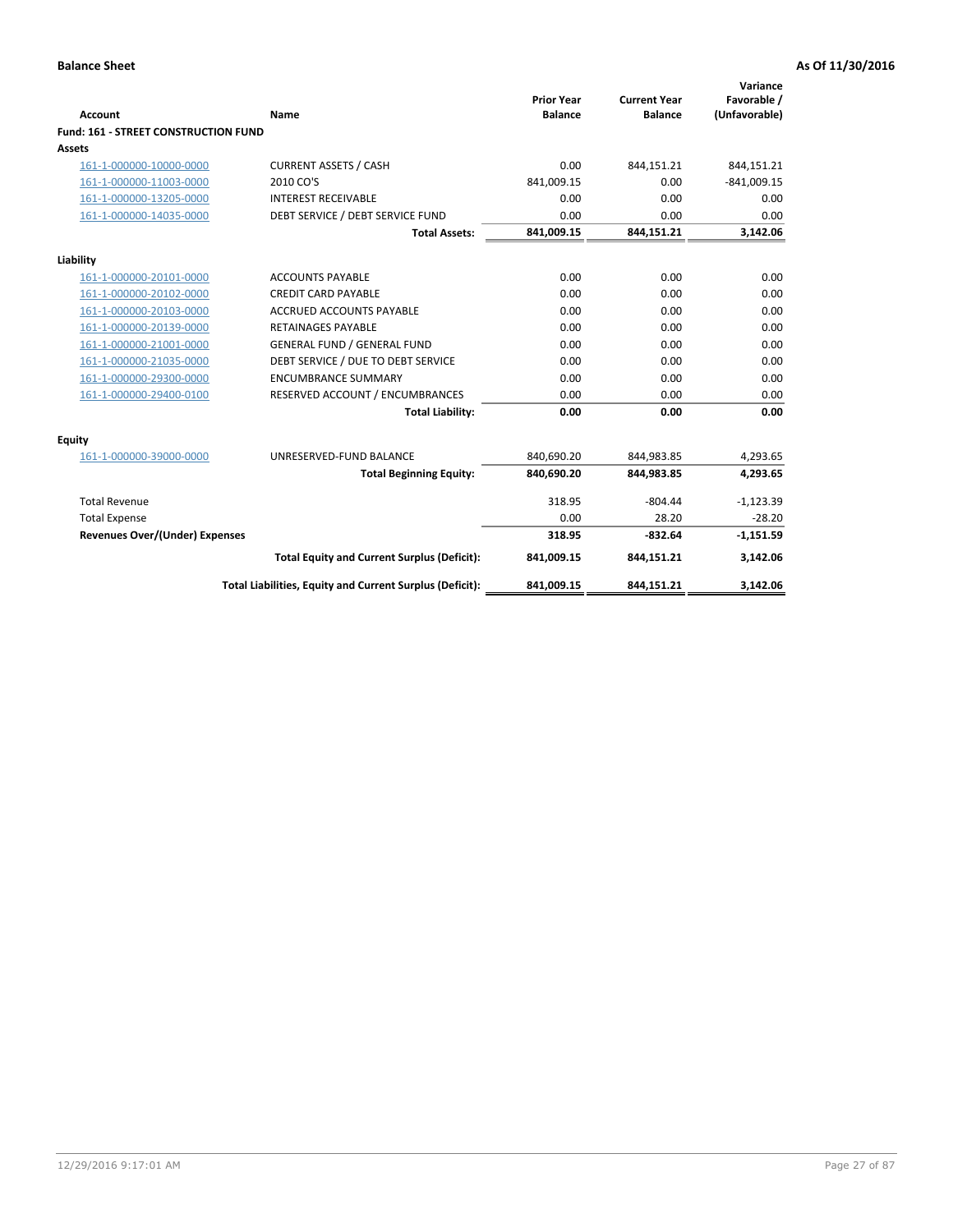| <b>Account</b>                       | Name                                                     | <b>Prior Year</b><br><b>Balance</b> | <b>Current Year</b><br><b>Balance</b> | Variance<br>Favorable /<br>(Unfavorable) |
|--------------------------------------|----------------------------------------------------------|-------------------------------------|---------------------------------------|------------------------------------------|
| Fund: 161 - STREET CONSTRUCTION FUND |                                                          |                                     |                                       |                                          |
| <b>Assets</b>                        |                                                          |                                     |                                       |                                          |
| 161-1-000000-10000-0000              | <b>CURRENT ASSETS / CASH</b>                             | 0.00                                | 844,151.21                            | 844,151.21                               |
| 161-1-000000-11003-0000              | 2010 CO'S                                                | 841,009.15                          | 0.00                                  | $-841,009.15$                            |
| 161-1-000000-13205-0000              | <b>INTEREST RECEIVABLE</b>                               | 0.00                                | 0.00                                  | 0.00                                     |
| 161-1-000000-14035-0000              | DEBT SERVICE / DEBT SERVICE FUND                         | 0.00                                | 0.00                                  | 0.00                                     |
|                                      | <b>Total Assets:</b>                                     | 841,009.15                          | 844,151.21                            | 3,142.06                                 |
| Liability                            |                                                          |                                     |                                       |                                          |
| 161-1-000000-20101-0000              | <b>ACCOUNTS PAYABLE</b>                                  | 0.00                                | 0.00                                  | 0.00                                     |
| 161-1-000000-20102-0000              | <b>CREDIT CARD PAYABLE</b>                               | 0.00                                | 0.00                                  | 0.00                                     |
| 161-1-000000-20103-0000              | <b>ACCRUED ACCOUNTS PAYABLE</b>                          | 0.00                                | 0.00                                  | 0.00                                     |
| 161-1-000000-20139-0000              | <b>RETAINAGES PAYABLE</b>                                | 0.00                                | 0.00                                  | 0.00                                     |
| 161-1-000000-21001-0000              | <b>GENERAL FUND / GENERAL FUND</b>                       | 0.00                                | 0.00                                  | 0.00                                     |
| 161-1-000000-21035-0000              | DEBT SERVICE / DUE TO DEBT SERVICE                       | 0.00                                | 0.00                                  | 0.00                                     |
| 161-1-000000-29300-0000              | <b>ENCUMBRANCE SUMMARY</b>                               | 0.00                                | 0.00                                  | 0.00                                     |
| 161-1-000000-29400-0100              | RESERVED ACCOUNT / ENCUMBRANCES                          | 0.00                                | 0.00                                  | 0.00                                     |
|                                      | <b>Total Liability:</b>                                  | 0.00                                | 0.00                                  | 0.00                                     |
| <b>Equity</b>                        |                                                          |                                     |                                       |                                          |
| 161-1-000000-39000-0000              | UNRESERVED-FUND BALANCE                                  | 840,690.20                          | 844,983.85                            | 4,293.65                                 |
|                                      | <b>Total Beginning Equity:</b>                           | 840,690.20                          | 844,983.85                            | 4,293.65                                 |
| <b>Total Revenue</b>                 |                                                          | 318.95                              | $-804.44$                             | $-1,123.39$                              |
| <b>Total Expense</b>                 |                                                          | 0.00                                | 28.20                                 | $-28.20$                                 |
| Revenues Over/(Under) Expenses       |                                                          | 318.95                              | $-832.64$                             | $-1,151.59$                              |
|                                      | <b>Total Equity and Current Surplus (Deficit):</b>       | 841,009.15                          | 844,151.21                            | 3,142.06                                 |
|                                      | Total Liabilities, Equity and Current Surplus (Deficit): | 841,009.15                          | 844,151.21                            | 3,142.06                                 |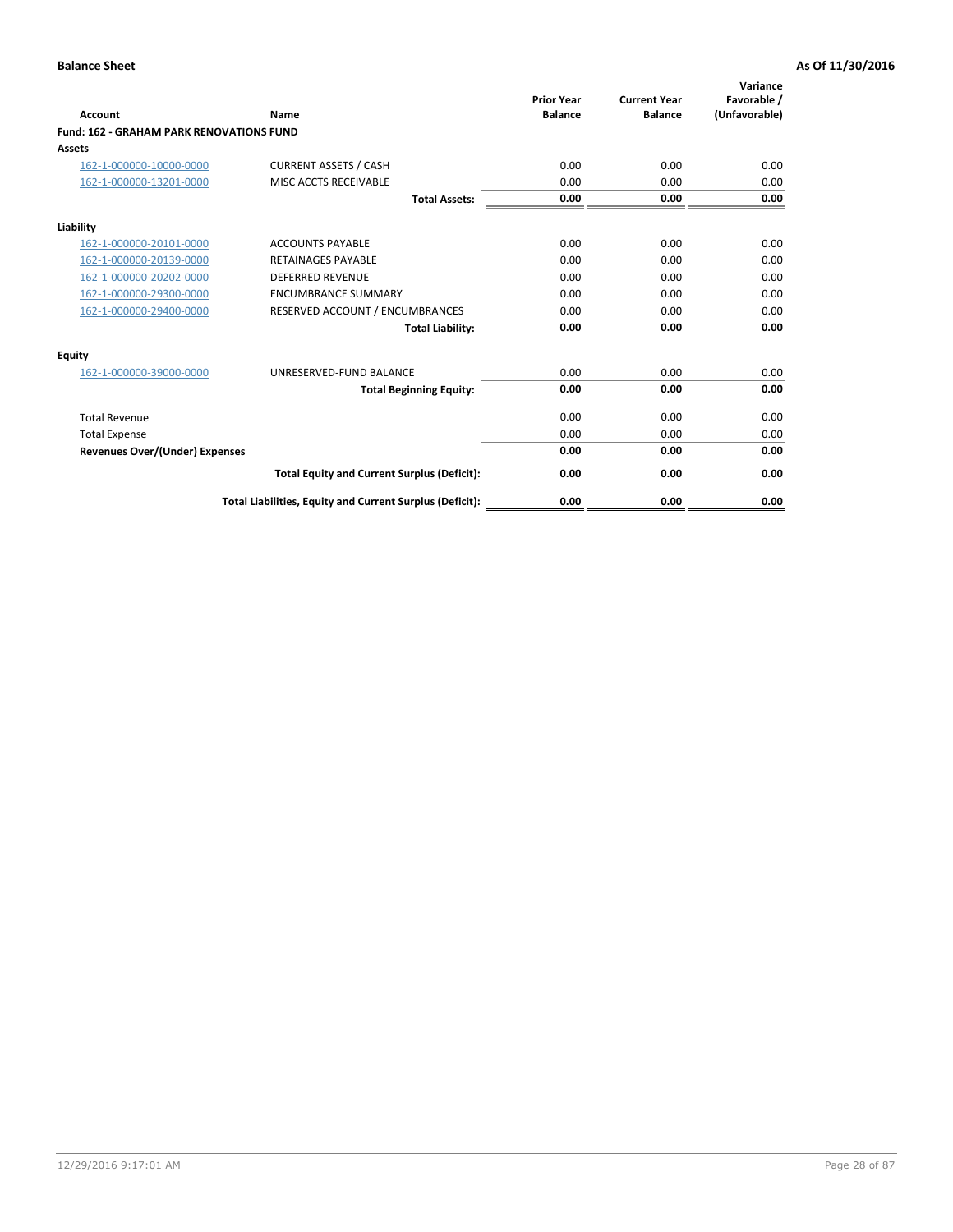|                                                 |                                                          | <b>Prior Year</b><br><b>Balance</b> | <b>Current Year</b> | Variance<br>Favorable / |
|-------------------------------------------------|----------------------------------------------------------|-------------------------------------|---------------------|-------------------------|
| <b>Account</b>                                  | Name                                                     |                                     | <b>Balance</b>      | (Unfavorable)           |
| <b>Fund: 162 - GRAHAM PARK RENOVATIONS FUND</b> |                                                          |                                     |                     |                         |
| <b>Assets</b>                                   |                                                          |                                     |                     |                         |
| 162-1-000000-10000-0000                         | <b>CURRENT ASSETS / CASH</b>                             | 0.00                                | 0.00                | 0.00                    |
| 162-1-000000-13201-0000                         | MISC ACCTS RECEIVABLE                                    | 0.00                                | 0.00                | 0.00                    |
|                                                 | <b>Total Assets:</b>                                     | 0.00                                | 0.00                | 0.00                    |
| Liability                                       |                                                          |                                     |                     |                         |
| 162-1-000000-20101-0000                         | <b>ACCOUNTS PAYABLE</b>                                  | 0.00                                | 0.00                | 0.00                    |
| 162-1-000000-20139-0000                         | <b>RETAINAGES PAYABLE</b>                                | 0.00                                | 0.00                | 0.00                    |
| 162-1-000000-20202-0000                         | <b>DEFERRED REVENUE</b>                                  | 0.00                                | 0.00                | 0.00                    |
| 162-1-000000-29300-0000                         | <b>ENCUMBRANCE SUMMARY</b>                               | 0.00                                | 0.00                | 0.00                    |
| 162-1-000000-29400-0000                         | RESERVED ACCOUNT / ENCUMBRANCES                          | 0.00                                | 0.00                | 0.00                    |
|                                                 | <b>Total Liability:</b>                                  | 0.00                                | 0.00                | 0.00                    |
| Equity                                          |                                                          |                                     |                     |                         |
| 162-1-000000-39000-0000                         | UNRESERVED-FUND BALANCE                                  | 0.00                                | 0.00                | 0.00                    |
|                                                 | <b>Total Beginning Equity:</b>                           | 0.00                                | 0.00                | 0.00                    |
| <b>Total Revenue</b>                            |                                                          | 0.00                                | 0.00                | 0.00                    |
| <b>Total Expense</b>                            |                                                          | 0.00                                | 0.00                | 0.00                    |
| Revenues Over/(Under) Expenses                  |                                                          | 0.00                                | 0.00                | 0.00                    |
|                                                 | <b>Total Equity and Current Surplus (Deficit):</b>       | 0.00                                | 0.00                | 0.00                    |
|                                                 | Total Liabilities, Equity and Current Surplus (Deficit): | 0.00                                | 0.00                | 0.00                    |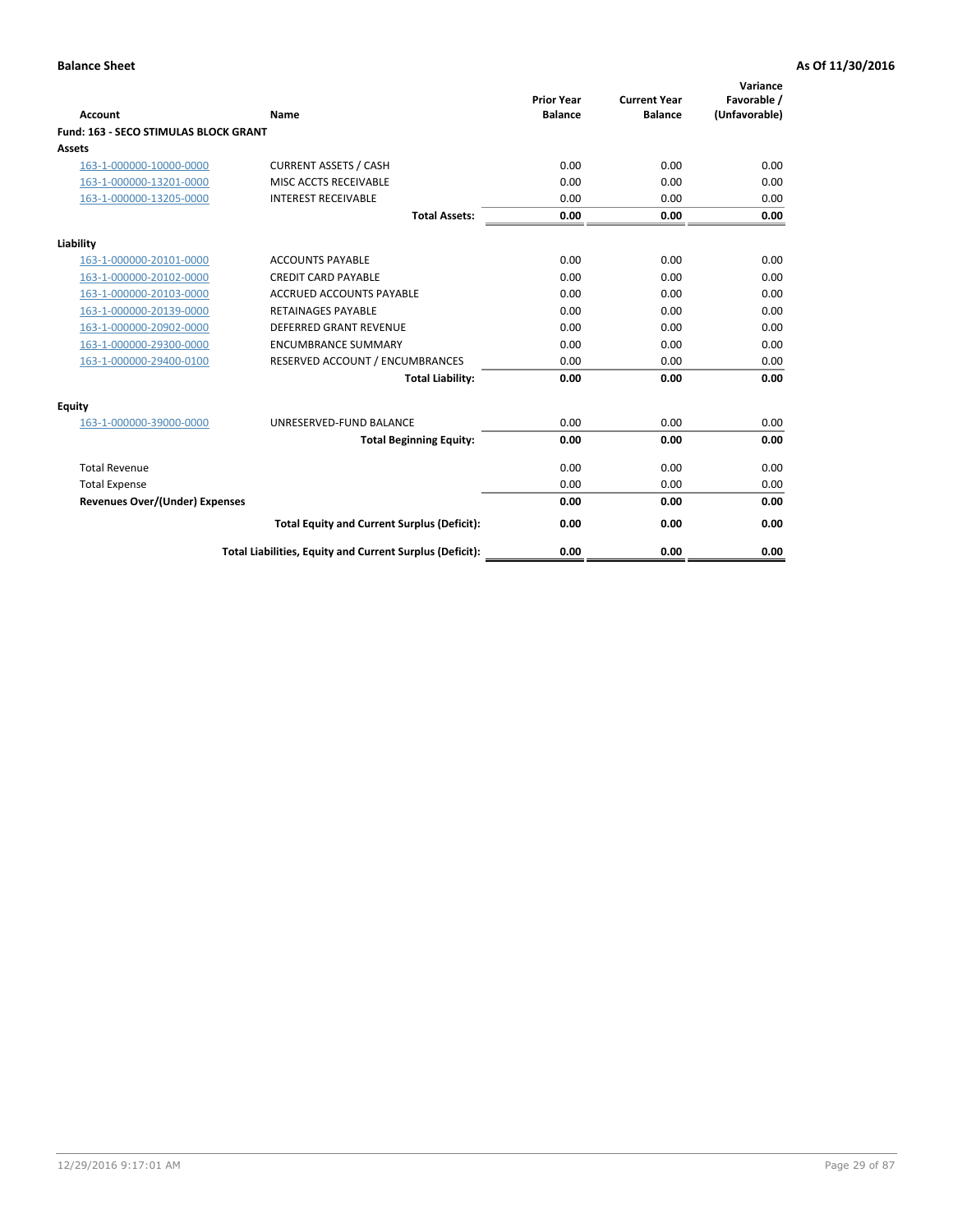|                                              |                                                          | <b>Prior Year</b> | <b>Current Year</b> | Variance<br>Favorable / |
|----------------------------------------------|----------------------------------------------------------|-------------------|---------------------|-------------------------|
| <b>Account</b>                               | Name                                                     | <b>Balance</b>    | <b>Balance</b>      | (Unfavorable)           |
| <b>Fund: 163 - SECO STIMULAS BLOCK GRANT</b> |                                                          |                   |                     |                         |
| Assets                                       |                                                          |                   |                     |                         |
| 163-1-000000-10000-0000                      | <b>CURRENT ASSETS / CASH</b>                             | 0.00              | 0.00                | 0.00                    |
| 163-1-000000-13201-0000                      | MISC ACCTS RECEIVABLE                                    | 0.00              | 0.00                | 0.00                    |
| 163-1-000000-13205-0000                      | <b>INTEREST RECEIVABLE</b>                               | 0.00              | 0.00                | 0.00                    |
|                                              | <b>Total Assets:</b>                                     | 0.00              | 0.00                | 0.00                    |
| Liability                                    |                                                          |                   |                     |                         |
| 163-1-000000-20101-0000                      | <b>ACCOUNTS PAYABLE</b>                                  | 0.00              | 0.00                | 0.00                    |
| 163-1-000000-20102-0000                      | <b>CREDIT CARD PAYABLE</b>                               | 0.00              | 0.00                | 0.00                    |
| 163-1-000000-20103-0000                      | <b>ACCRUED ACCOUNTS PAYABLE</b>                          | 0.00              | 0.00                | 0.00                    |
| 163-1-000000-20139-0000                      | <b>RETAINAGES PAYABLE</b>                                | 0.00              | 0.00                | 0.00                    |
| 163-1-000000-20902-0000                      | <b>DEFERRED GRANT REVENUE</b>                            | 0.00              | 0.00                | 0.00                    |
| 163-1-000000-29300-0000                      | <b>ENCUMBRANCE SUMMARY</b>                               | 0.00              | 0.00                | 0.00                    |
| 163-1-000000-29400-0100                      | RESERVED ACCOUNT / ENCUMBRANCES                          | 0.00              | 0.00                | 0.00                    |
|                                              | <b>Total Liability:</b>                                  | 0.00              | 0.00                | 0.00                    |
| <b>Equity</b>                                |                                                          |                   |                     |                         |
| 163-1-000000-39000-0000                      | UNRESERVED-FUND BALANCE                                  | 0.00              | 0.00                | 0.00                    |
|                                              | <b>Total Beginning Equity:</b>                           | 0.00              | 0.00                | 0.00                    |
| <b>Total Revenue</b>                         |                                                          | 0.00              | 0.00                | 0.00                    |
| <b>Total Expense</b>                         |                                                          | 0.00              | 0.00                | 0.00                    |
| <b>Revenues Over/(Under) Expenses</b>        |                                                          | 0.00              | 0.00                | 0.00                    |
|                                              | <b>Total Equity and Current Surplus (Deficit):</b>       | 0.00              | 0.00                | 0.00                    |
|                                              | Total Liabilities, Equity and Current Surplus (Deficit): | 0.00              | 0.00                | 0.00                    |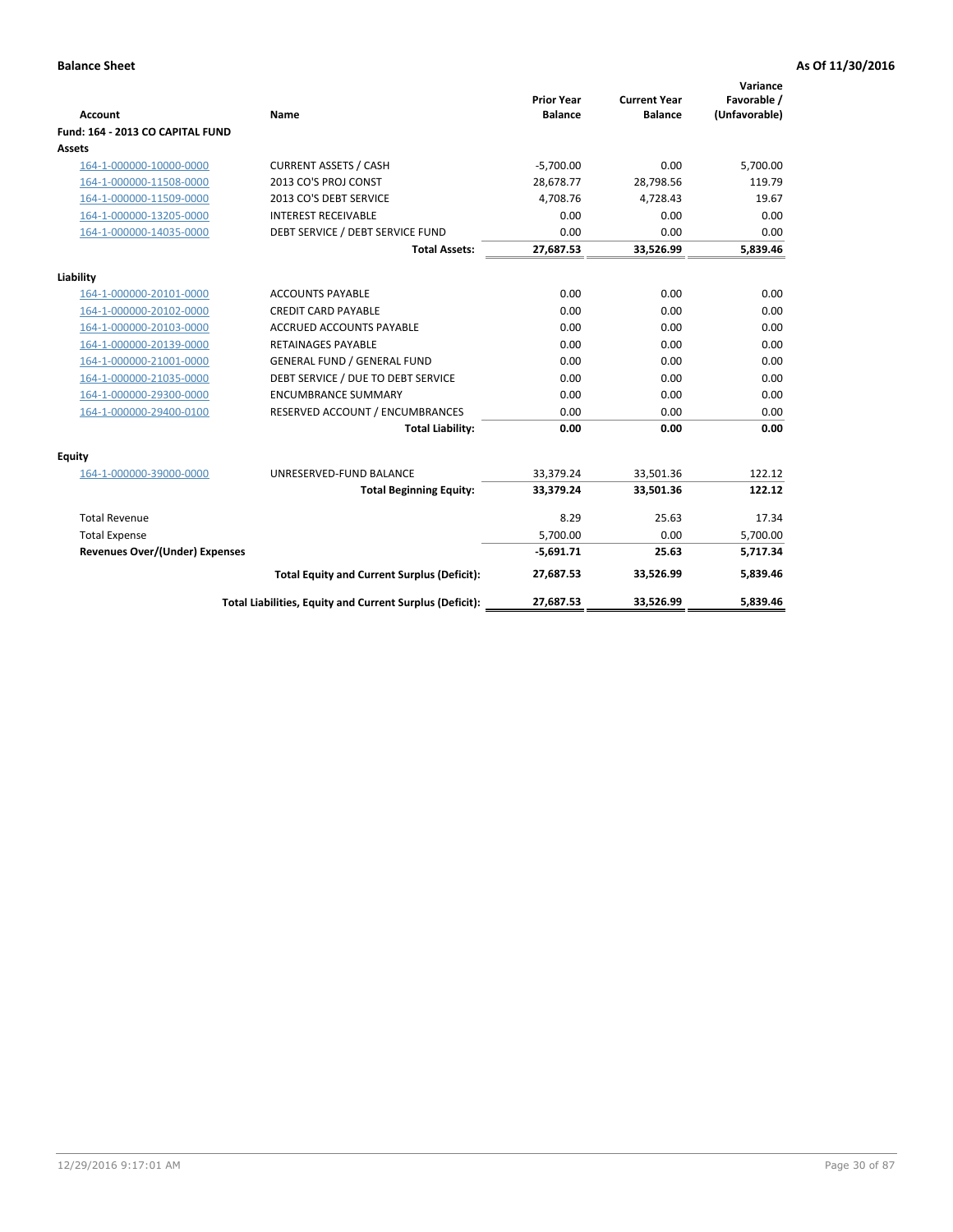|                                       |                                                          |                                     |                                       | Variance                     |
|---------------------------------------|----------------------------------------------------------|-------------------------------------|---------------------------------------|------------------------------|
| <b>Account</b>                        | Name                                                     | <b>Prior Year</b><br><b>Balance</b> | <b>Current Year</b><br><b>Balance</b> | Favorable /<br>(Unfavorable) |
| Fund: 164 - 2013 CO CAPITAL FUND      |                                                          |                                     |                                       |                              |
| Assets                                |                                                          |                                     |                                       |                              |
| 164-1-000000-10000-0000               | <b>CURRENT ASSETS / CASH</b>                             | $-5,700.00$                         | 0.00                                  | 5,700.00                     |
| 164-1-000000-11508-0000               | 2013 CO'S PROJ CONST                                     | 28.678.77                           | 28.798.56                             | 119.79                       |
| 164-1-000000-11509-0000               | 2013 CO'S DEBT SERVICE                                   | 4,708.76                            | 4.728.43                              | 19.67                        |
| 164-1-000000-13205-0000               | <b>INTEREST RECEIVABLE</b>                               | 0.00                                | 0.00                                  | 0.00                         |
| 164-1-000000-14035-0000               | DEBT SERVICE / DEBT SERVICE FUND                         | 0.00                                | 0.00                                  | 0.00                         |
|                                       | <b>Total Assets:</b>                                     | 27,687.53                           | 33,526.99                             | 5,839.46                     |
| Liability                             |                                                          |                                     |                                       |                              |
| 164-1-000000-20101-0000               | <b>ACCOUNTS PAYABLE</b>                                  | 0.00                                | 0.00                                  | 0.00                         |
| 164-1-000000-20102-0000               | <b>CREDIT CARD PAYABLE</b>                               | 0.00                                | 0.00                                  | 0.00                         |
| 164-1-000000-20103-0000               | <b>ACCRUED ACCOUNTS PAYABLE</b>                          | 0.00                                | 0.00                                  | 0.00                         |
| 164-1-000000-20139-0000               | <b>RETAINAGES PAYABLE</b>                                | 0.00                                | 0.00                                  | 0.00                         |
| 164-1-000000-21001-0000               | <b>GENERAL FUND / GENERAL FUND</b>                       | 0.00                                | 0.00                                  | 0.00                         |
| 164-1-000000-21035-0000               | DEBT SERVICE / DUE TO DEBT SERVICE                       | 0.00                                | 0.00                                  | 0.00                         |
| 164-1-000000-29300-0000               | <b>ENCUMBRANCE SUMMARY</b>                               | 0.00                                | 0.00                                  | 0.00                         |
| 164-1-000000-29400-0100               | RESERVED ACCOUNT / ENCUMBRANCES                          | 0.00                                | 0.00                                  | 0.00                         |
|                                       | <b>Total Liability:</b>                                  | 0.00                                | 0.00                                  | 0.00                         |
| Equity                                |                                                          |                                     |                                       |                              |
| 164-1-000000-39000-0000               | UNRESERVED-FUND BALANCE                                  | 33,379.24                           | 33,501.36                             | 122.12                       |
|                                       | <b>Total Beginning Equity:</b>                           | 33,379.24                           | 33,501.36                             | 122.12                       |
| <b>Total Revenue</b>                  |                                                          | 8.29                                | 25.63                                 | 17.34                        |
| <b>Total Expense</b>                  |                                                          | 5,700.00                            | 0.00                                  | 5,700.00                     |
| <b>Revenues Over/(Under) Expenses</b> |                                                          | $-5,691.71$                         | 25.63                                 | 5,717.34                     |
|                                       | <b>Total Equity and Current Surplus (Deficit):</b>       | 27,687.53                           | 33,526.99                             | 5.839.46                     |
|                                       | Total Liabilities, Equity and Current Surplus (Deficit): | 27,687.53                           | 33,526.99                             | 5.839.46                     |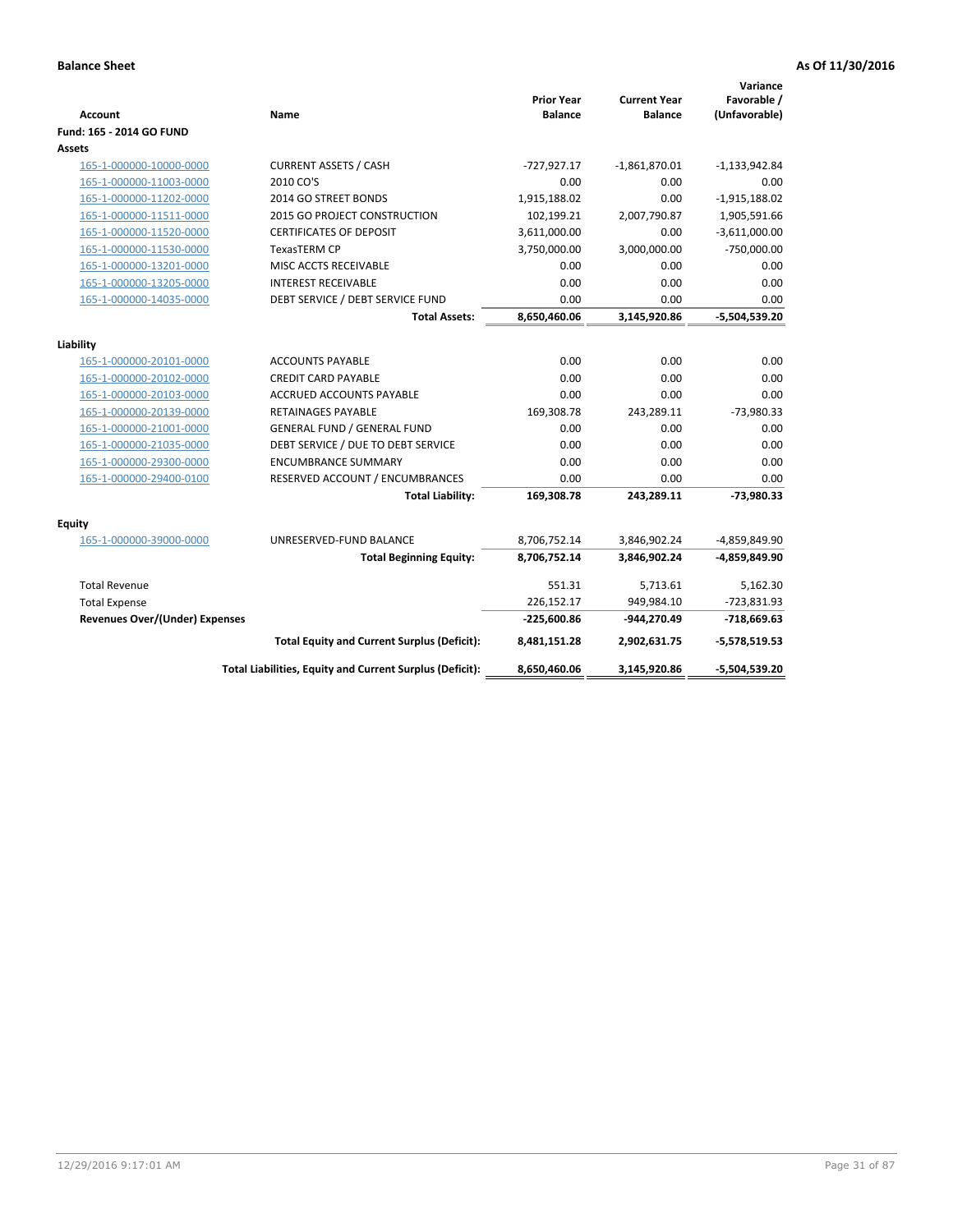| <b>Account</b>                 | Name                                                     | <b>Prior Year</b><br><b>Balance</b> | <b>Current Year</b><br><b>Balance</b> | Variance<br>Favorable /<br>(Unfavorable) |
|--------------------------------|----------------------------------------------------------|-------------------------------------|---------------------------------------|------------------------------------------|
| Fund: 165 - 2014 GO FUND       |                                                          |                                     |                                       |                                          |
| Assets                         |                                                          |                                     |                                       |                                          |
| 165-1-000000-10000-0000        | <b>CURRENT ASSETS / CASH</b>                             | $-727,927.17$                       | $-1,861,870.01$                       | $-1,133,942.84$                          |
| 165-1-000000-11003-0000        | 2010 CO'S                                                | 0.00                                | 0.00                                  | 0.00                                     |
| 165-1-000000-11202-0000        | 2014 GO STREET BONDS                                     | 1,915,188.02                        | 0.00                                  | $-1,915,188.02$                          |
| 165-1-000000-11511-0000        | 2015 GO PROJECT CONSTRUCTION                             | 102,199.21                          | 2,007,790.87                          | 1,905,591.66                             |
| 165-1-000000-11520-0000        | <b>CERTIFICATES OF DEPOSIT</b>                           | 3,611,000.00                        | 0.00                                  | $-3,611,000.00$                          |
| 165-1-000000-11530-0000        | <b>TexasTERM CP</b>                                      | 3,750,000.00                        | 3,000,000.00                          | $-750,000.00$                            |
| 165-1-000000-13201-0000        | MISC ACCTS RECEIVABLE                                    | 0.00                                | 0.00                                  | 0.00                                     |
| 165-1-000000-13205-0000        | <b>INTEREST RECEIVABLE</b>                               | 0.00                                | 0.00                                  | 0.00                                     |
| 165-1-000000-14035-0000        | DEBT SERVICE / DEBT SERVICE FUND                         | 0.00                                | 0.00                                  | 0.00                                     |
|                                | <b>Total Assets:</b>                                     | 8,650,460.06                        | 3,145,920.86                          | $-5,504,539.20$                          |
|                                |                                                          |                                     |                                       |                                          |
| Liability                      |                                                          |                                     |                                       |                                          |
| 165-1-000000-20101-0000        | <b>ACCOUNTS PAYABLE</b>                                  | 0.00                                | 0.00                                  | 0.00                                     |
| 165-1-000000-20102-0000        | <b>CREDIT CARD PAYABLE</b>                               | 0.00                                | 0.00                                  | 0.00                                     |
| 165-1-000000-20103-0000        | <b>ACCRUED ACCOUNTS PAYABLE</b>                          | 0.00                                | 0.00                                  | 0.00                                     |
| 165-1-000000-20139-0000        | RETAINAGES PAYABLE                                       | 169,308.78                          | 243,289.11                            | $-73,980.33$                             |
| 165-1-000000-21001-0000        | GENERAL FUND / GENERAL FUND                              | 0.00                                | 0.00                                  | 0.00                                     |
| 165-1-000000-21035-0000        | DEBT SERVICE / DUE TO DEBT SERVICE                       | 0.00                                | 0.00                                  | 0.00                                     |
| 165-1-000000-29300-0000        | <b>ENCUMBRANCE SUMMARY</b>                               | 0.00                                | 0.00                                  | 0.00                                     |
| 165-1-000000-29400-0100        | RESERVED ACCOUNT / ENCUMBRANCES                          | 0.00                                | 0.00                                  | 0.00                                     |
|                                | <b>Total Liability:</b>                                  | 169,308.78                          | 243,289.11                            | $-73,980.33$                             |
| <b>Equity</b>                  |                                                          |                                     |                                       |                                          |
| 165-1-000000-39000-0000        | UNRESERVED-FUND BALANCE                                  | 8,706,752.14                        | 3,846,902.24                          | -4,859,849.90                            |
|                                | <b>Total Beginning Equity:</b>                           | 8,706,752.14                        | 3,846,902.24                          | -4,859,849.90                            |
| <b>Total Revenue</b>           |                                                          | 551.31                              | 5,713.61                              | 5,162.30                                 |
| <b>Total Expense</b>           |                                                          | 226,152.17                          | 949,984.10                            | $-723,831.93$                            |
| Revenues Over/(Under) Expenses |                                                          | $-225,600.86$                       | -944,270.49                           | $-718,669.63$                            |
|                                | <b>Total Equity and Current Surplus (Deficit):</b>       | 8,481,151.28                        | 2,902,631.75                          | $-5,578,519.53$                          |
|                                | Total Liabilities, Equity and Current Surplus (Deficit): | 8,650,460.06                        | 3,145,920.86                          | $-5,504,539.20$                          |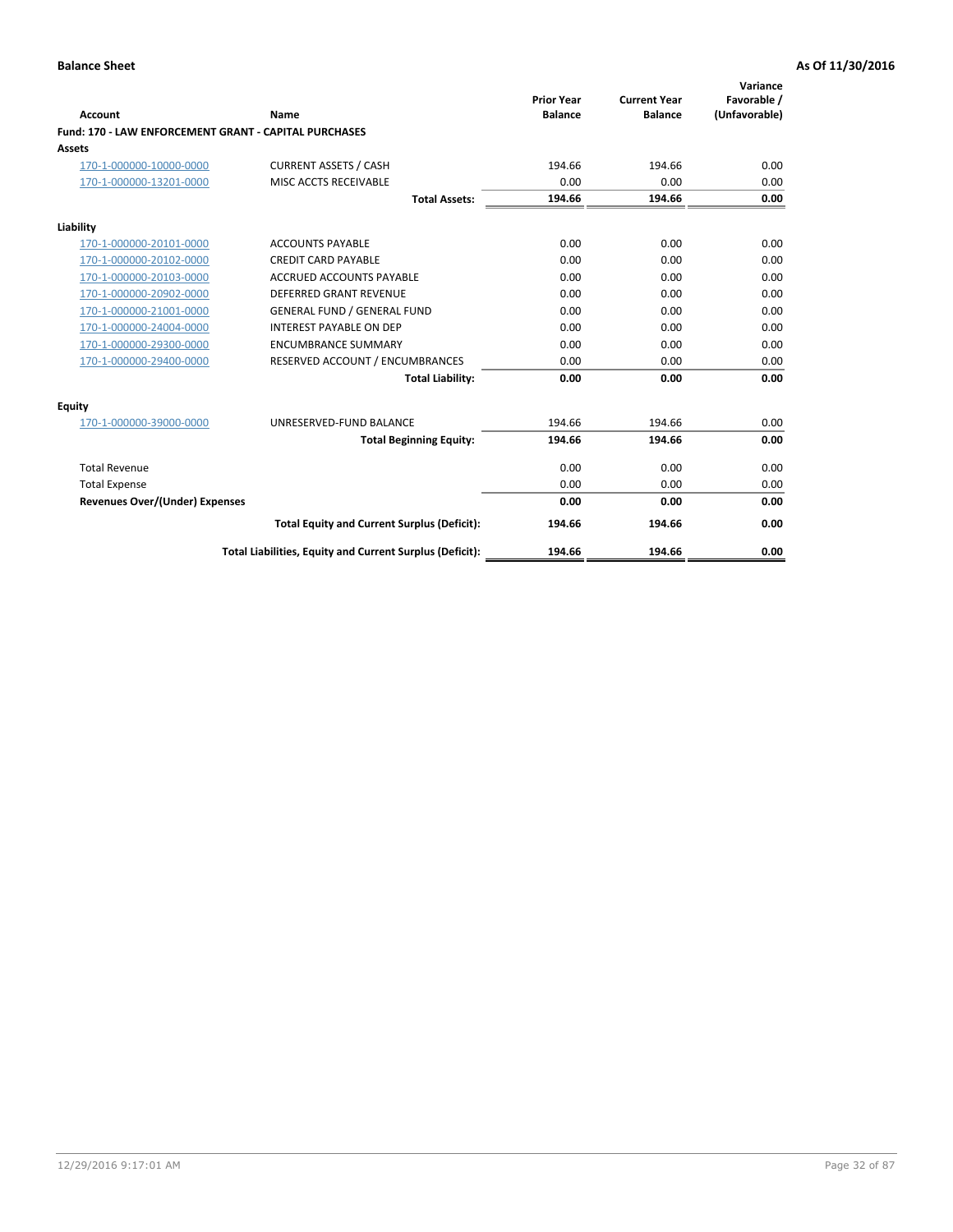| Account                                               | Name                                                     | <b>Prior Year</b><br><b>Balance</b> | <b>Current Year</b><br><b>Balance</b> | Variance<br>Favorable /<br>(Unfavorable) |
|-------------------------------------------------------|----------------------------------------------------------|-------------------------------------|---------------------------------------|------------------------------------------|
| Fund: 170 - LAW ENFORCEMENT GRANT - CAPITAL PURCHASES |                                                          |                                     |                                       |                                          |
| <b>Assets</b>                                         |                                                          |                                     |                                       |                                          |
| 170-1-000000-10000-0000                               | <b>CURRENT ASSETS / CASH</b>                             | 194.66                              | 194.66                                | 0.00                                     |
| 170-1-000000-13201-0000                               | MISC ACCTS RECEIVABLE                                    | 0.00                                | 0.00                                  | 0.00                                     |
|                                                       | <b>Total Assets:</b>                                     | 194.66                              | 194.66                                | 0.00                                     |
| Liability                                             |                                                          |                                     |                                       |                                          |
| 170-1-000000-20101-0000                               | <b>ACCOUNTS PAYABLE</b>                                  | 0.00                                | 0.00                                  | 0.00                                     |
| 170-1-000000-20102-0000                               | <b>CREDIT CARD PAYABLE</b>                               | 0.00                                | 0.00                                  | 0.00                                     |
| 170-1-000000-20103-0000                               | <b>ACCRUED ACCOUNTS PAYABLE</b>                          | 0.00                                | 0.00                                  | 0.00                                     |
| 170-1-000000-20902-0000                               | <b>DEFERRED GRANT REVENUE</b>                            | 0.00                                | 0.00                                  | 0.00                                     |
| 170-1-000000-21001-0000                               | <b>GENERAL FUND / GENERAL FUND</b>                       | 0.00                                | 0.00                                  | 0.00                                     |
| 170-1-000000-24004-0000                               | <b>INTEREST PAYABLE ON DEP</b>                           | 0.00                                | 0.00                                  | 0.00                                     |
| 170-1-000000-29300-0000                               | <b>ENCUMBRANCE SUMMARY</b>                               | 0.00                                | 0.00                                  | 0.00                                     |
| 170-1-000000-29400-0000                               | RESERVED ACCOUNT / ENCUMBRANCES                          | 0.00                                | 0.00                                  | 0.00                                     |
|                                                       | <b>Total Liability:</b>                                  | 0.00                                | 0.00                                  | 0.00                                     |
| <b>Equity</b>                                         |                                                          |                                     |                                       |                                          |
| 170-1-000000-39000-0000                               | UNRESERVED-FUND BALANCE                                  | 194.66                              | 194.66                                | 0.00                                     |
|                                                       | <b>Total Beginning Equity:</b>                           | 194.66                              | 194.66                                | 0.00                                     |
| <b>Total Revenue</b>                                  |                                                          | 0.00                                | 0.00                                  | 0.00                                     |
| <b>Total Expense</b>                                  |                                                          | 0.00                                | 0.00                                  | 0.00                                     |
| <b>Revenues Over/(Under) Expenses</b>                 |                                                          | 0.00                                | 0.00                                  | 0.00                                     |
|                                                       | <b>Total Equity and Current Surplus (Deficit):</b>       | 194.66                              | 194.66                                | 0.00                                     |
|                                                       | Total Liabilities, Equity and Current Surplus (Deficit): | 194.66                              | 194.66                                | 0.00                                     |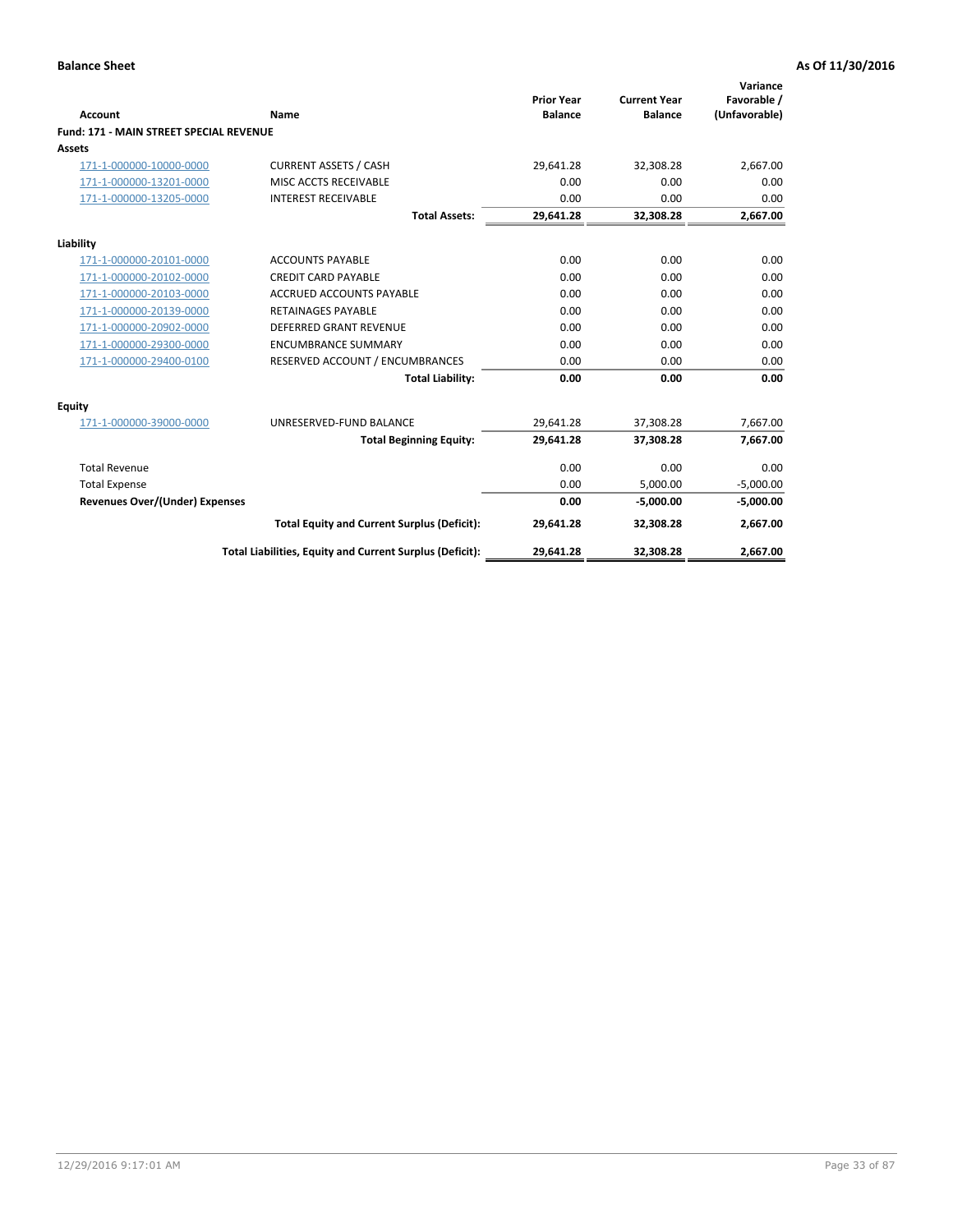|                                         |                                                          | <b>Prior Year</b> | <b>Current Year</b> | Variance<br>Favorable / |
|-----------------------------------------|----------------------------------------------------------|-------------------|---------------------|-------------------------|
| Account                                 | Name                                                     | <b>Balance</b>    | <b>Balance</b>      | (Unfavorable)           |
| Fund: 171 - MAIN STREET SPECIAL REVENUE |                                                          |                   |                     |                         |
| <b>Assets</b>                           |                                                          |                   |                     |                         |
| 171-1-000000-10000-0000                 | <b>CURRENT ASSETS / CASH</b>                             | 29,641.28         | 32,308.28           | 2,667.00                |
| 171-1-000000-13201-0000                 | MISC ACCTS RECEIVABLE                                    | 0.00              | 0.00                | 0.00                    |
| 171-1-000000-13205-0000                 | <b>INTEREST RECEIVABLE</b>                               | 0.00              | 0.00                | 0.00                    |
|                                         | <b>Total Assets:</b>                                     | 29,641.28         | 32,308.28           | 2,667.00                |
| Liability                               |                                                          |                   |                     |                         |
| 171-1-000000-20101-0000                 | <b>ACCOUNTS PAYABLE</b>                                  | 0.00              | 0.00                | 0.00                    |
| 171-1-000000-20102-0000                 | <b>CREDIT CARD PAYABLE</b>                               | 0.00              | 0.00                | 0.00                    |
| 171-1-000000-20103-0000                 | <b>ACCRUED ACCOUNTS PAYABLE</b>                          | 0.00              | 0.00                | 0.00                    |
| 171-1-000000-20139-0000                 | <b>RETAINAGES PAYABLE</b>                                | 0.00              | 0.00                | 0.00                    |
| 171-1-000000-20902-0000                 | <b>DEFERRED GRANT REVENUE</b>                            | 0.00              | 0.00                | 0.00                    |
| 171-1-000000-29300-0000                 | <b>ENCUMBRANCE SUMMARY</b>                               | 0.00              | 0.00                | 0.00                    |
| 171-1-000000-29400-0100                 | RESERVED ACCOUNT / ENCUMBRANCES                          | 0.00              | 0.00                | 0.00                    |
|                                         | <b>Total Liability:</b>                                  | 0.00              | 0.00                | 0.00                    |
| <b>Equity</b>                           |                                                          |                   |                     |                         |
| 171-1-000000-39000-0000                 | UNRESERVED-FUND BALANCE                                  | 29,641.28         | 37,308.28           | 7,667.00                |
|                                         | <b>Total Beginning Equity:</b>                           | 29.641.28         | 37,308.28           | 7,667.00                |
| <b>Total Revenue</b>                    |                                                          | 0.00              | 0.00                | 0.00                    |
| <b>Total Expense</b>                    |                                                          | 0.00              | 5,000.00            | $-5,000.00$             |
| <b>Revenues Over/(Under) Expenses</b>   |                                                          | 0.00              | $-5.000.00$         | $-5,000.00$             |
|                                         | <b>Total Equity and Current Surplus (Deficit):</b>       | 29,641.28         | 32,308.28           | 2,667.00                |
|                                         | Total Liabilities, Equity and Current Surplus (Deficit): | 29,641.28         | 32,308.28           | 2,667.00                |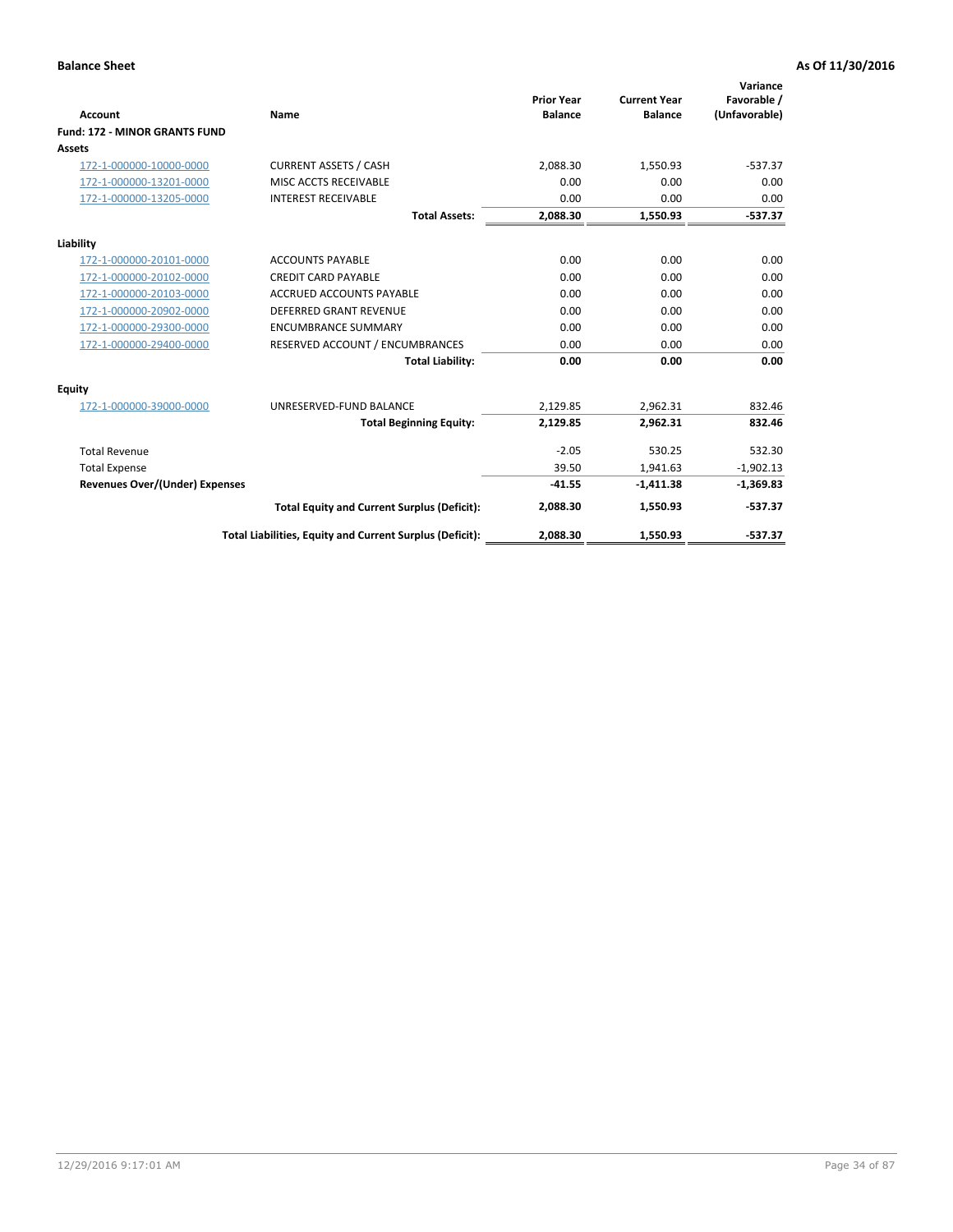|                                       |                                                          |                                     |                                       | Variance                     |
|---------------------------------------|----------------------------------------------------------|-------------------------------------|---------------------------------------|------------------------------|
| <b>Account</b>                        | <b>Name</b>                                              | <b>Prior Year</b><br><b>Balance</b> | <b>Current Year</b><br><b>Balance</b> | Favorable /<br>(Unfavorable) |
| <b>Fund: 172 - MINOR GRANTS FUND</b>  |                                                          |                                     |                                       |                              |
| <b>Assets</b>                         |                                                          |                                     |                                       |                              |
|                                       | <b>CURRENT ASSETS / CASH</b>                             | 2.088.30                            |                                       | $-537.37$                    |
| 172-1-000000-10000-0000               |                                                          |                                     | 1,550.93                              |                              |
| 172-1-000000-13201-0000               | MISC ACCTS RECEIVABLE                                    | 0.00                                | 0.00                                  | 0.00                         |
| 172-1-000000-13205-0000               | <b>INTEREST RECEIVABLE</b>                               | 0.00                                | 0.00                                  | 0.00                         |
|                                       | <b>Total Assets:</b>                                     | 2,088.30                            | 1,550.93                              | $-537.37$                    |
| Liability                             |                                                          |                                     |                                       |                              |
| 172-1-000000-20101-0000               | <b>ACCOUNTS PAYABLE</b>                                  | 0.00                                | 0.00                                  | 0.00                         |
| 172-1-000000-20102-0000               | <b>CREDIT CARD PAYABLE</b>                               | 0.00                                | 0.00                                  | 0.00                         |
| 172-1-000000-20103-0000               | <b>ACCRUED ACCOUNTS PAYABLE</b>                          | 0.00                                | 0.00                                  | 0.00                         |
| 172-1-000000-20902-0000               | <b>DEFERRED GRANT REVENUE</b>                            | 0.00                                | 0.00                                  | 0.00                         |
| 172-1-000000-29300-0000               | <b>ENCUMBRANCE SUMMARY</b>                               | 0.00                                | 0.00                                  | 0.00                         |
| 172-1-000000-29400-0000               | RESERVED ACCOUNT / ENCUMBRANCES                          | 0.00                                | 0.00                                  | 0.00                         |
|                                       | <b>Total Liability:</b>                                  | 0.00                                | 0.00                                  | 0.00                         |
| Equity                                |                                                          |                                     |                                       |                              |
| 172-1-000000-39000-0000               | UNRESERVED-FUND BALANCE                                  | 2,129.85                            | 2,962.31                              | 832.46                       |
|                                       | <b>Total Beginning Equity:</b>                           | 2,129.85                            | 2,962.31                              | 832.46                       |
| <b>Total Revenue</b>                  |                                                          | $-2.05$                             | 530.25                                | 532.30                       |
| <b>Total Expense</b>                  |                                                          | 39.50                               | 1,941.63                              | $-1,902.13$                  |
| <b>Revenues Over/(Under) Expenses</b> |                                                          | $-41.55$                            | $-1,411.38$                           | $-1,369.83$                  |
|                                       | <b>Total Equity and Current Surplus (Deficit):</b>       | 2,088.30                            | 1,550.93                              | $-537.37$                    |
|                                       | Total Liabilities, Equity and Current Surplus (Deficit): | 2,088.30                            | 1,550.93                              | $-537.37$                    |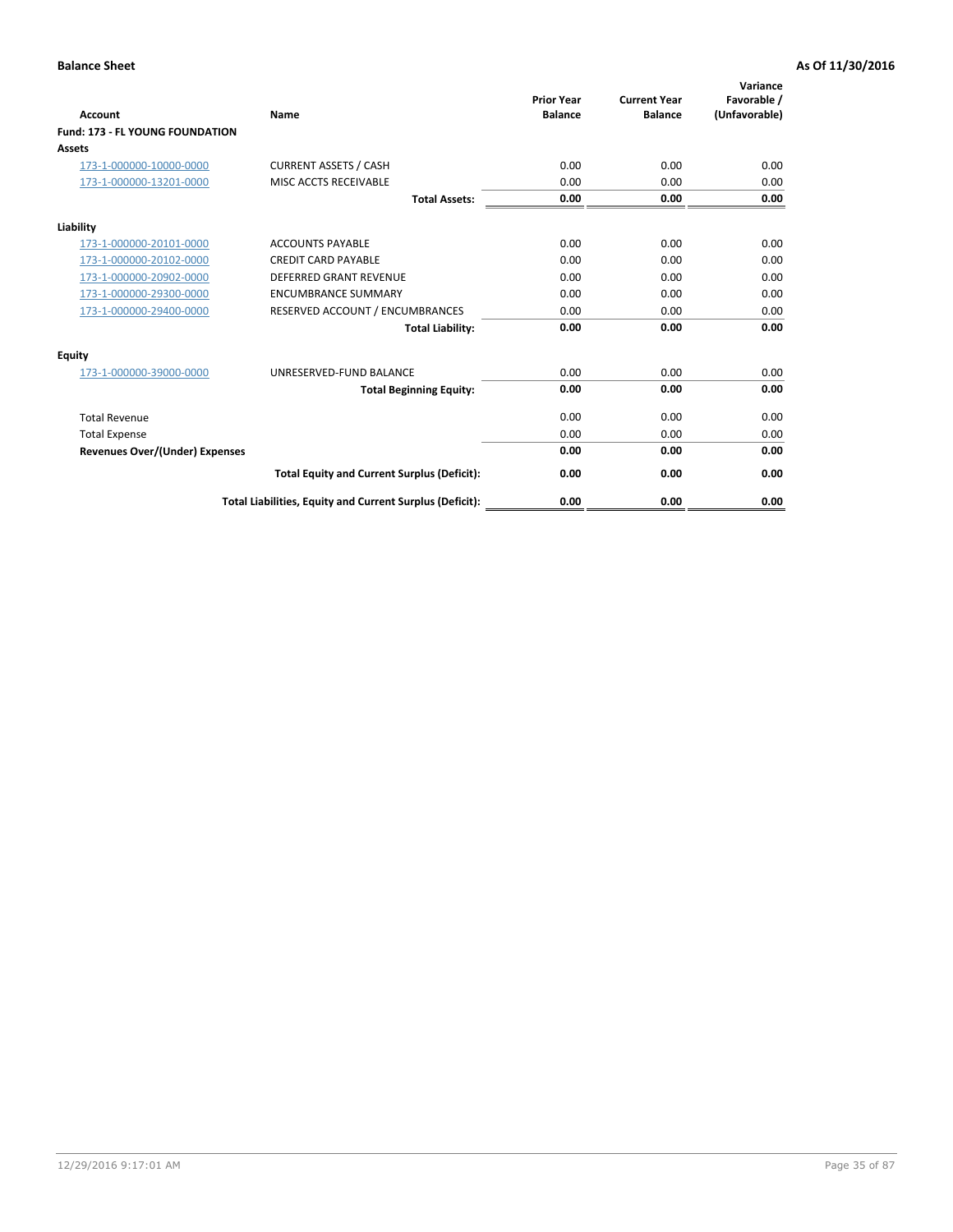| <b>Account</b>                         | <b>Name</b>                                              | <b>Prior Year</b><br><b>Balance</b> | <b>Current Year</b><br><b>Balance</b> | Variance<br>Favorable /<br>(Unfavorable) |
|----------------------------------------|----------------------------------------------------------|-------------------------------------|---------------------------------------|------------------------------------------|
| <b>Fund: 173 - FL YOUNG FOUNDATION</b> |                                                          |                                     |                                       |                                          |
| Assets                                 |                                                          |                                     |                                       |                                          |
| 173-1-000000-10000-0000                | <b>CURRENT ASSETS / CASH</b>                             | 0.00                                | 0.00                                  | 0.00                                     |
| 173-1-000000-13201-0000                | MISC ACCTS RECEIVABLE                                    | 0.00                                | 0.00                                  | 0.00                                     |
|                                        | <b>Total Assets:</b>                                     | 0.00                                | 0.00                                  | 0.00                                     |
| Liability                              |                                                          |                                     |                                       |                                          |
| 173-1-000000-20101-0000                | <b>ACCOUNTS PAYABLE</b>                                  | 0.00                                | 0.00                                  | 0.00                                     |
| 173-1-000000-20102-0000                | <b>CREDIT CARD PAYABLE</b>                               | 0.00                                | 0.00                                  | 0.00                                     |
| 173-1-000000-20902-0000                | <b>DEFERRED GRANT REVENUE</b>                            | 0.00                                | 0.00                                  | 0.00                                     |
| 173-1-000000-29300-0000                | <b>ENCUMBRANCE SUMMARY</b>                               | 0.00                                | 0.00                                  | 0.00                                     |
| 173-1-000000-29400-0000                | RESERVED ACCOUNT / ENCUMBRANCES                          | 0.00                                | 0.00                                  | 0.00                                     |
|                                        | <b>Total Liability:</b>                                  | 0.00                                | 0.00                                  | 0.00                                     |
| Equity                                 |                                                          |                                     |                                       |                                          |
| 173-1-000000-39000-0000                | UNRESERVED-FUND BALANCE                                  | 0.00                                | 0.00                                  | 0.00                                     |
|                                        | <b>Total Beginning Equity:</b>                           | 0.00                                | 0.00                                  | 0.00                                     |
| <b>Total Revenue</b>                   |                                                          | 0.00                                | 0.00                                  | 0.00                                     |
| <b>Total Expense</b>                   |                                                          | 0.00                                | 0.00                                  | 0.00                                     |
| <b>Revenues Over/(Under) Expenses</b>  |                                                          | 0.00                                | 0.00                                  | 0.00                                     |
|                                        | <b>Total Equity and Current Surplus (Deficit):</b>       | 0.00                                | 0.00                                  | 0.00                                     |
|                                        | Total Liabilities, Equity and Current Surplus (Deficit): | 0.00                                | 0.00                                  | 0.00                                     |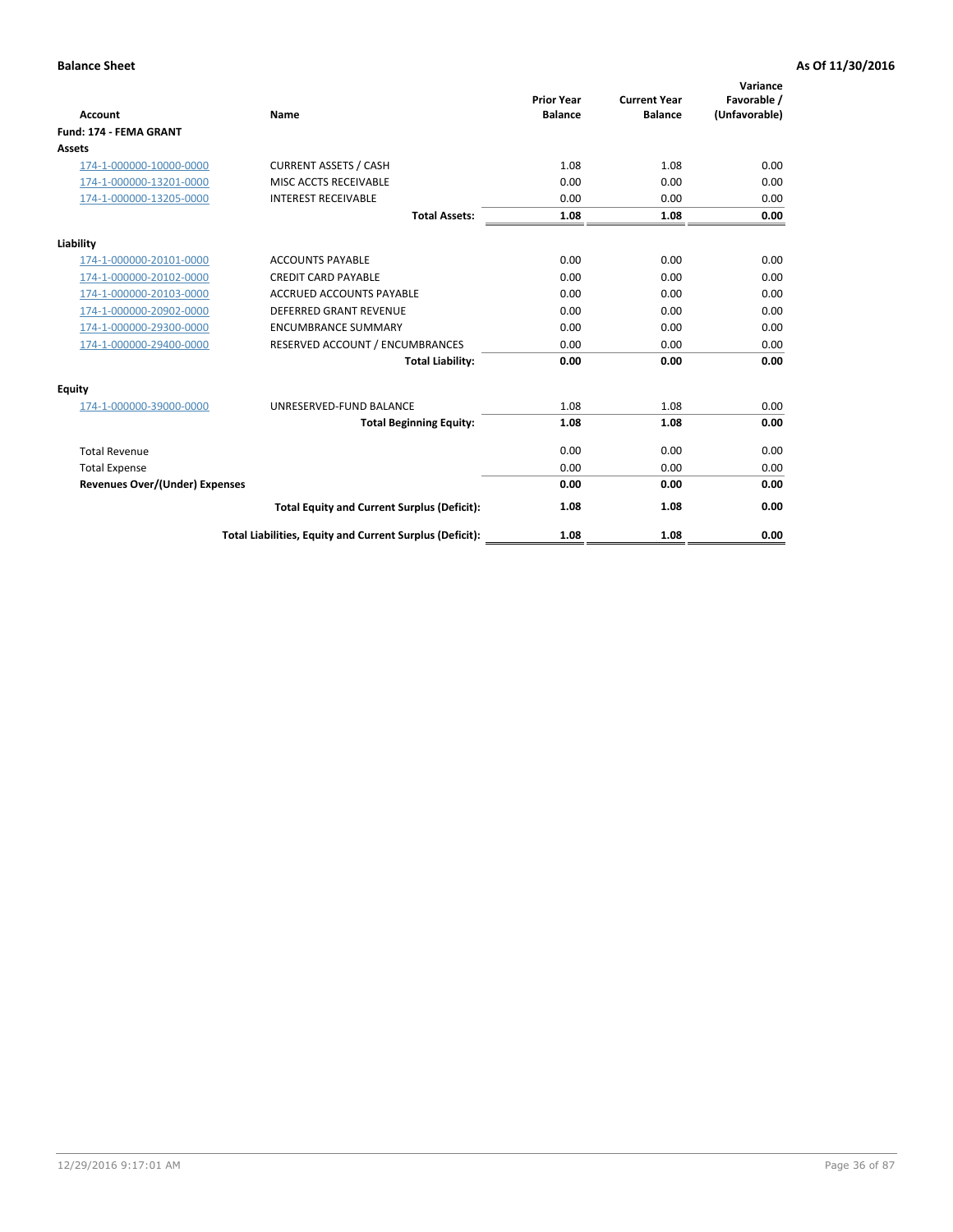| <b>Account</b>                        | Name                                                     | <b>Prior Year</b><br><b>Balance</b> | <b>Current Year</b><br><b>Balance</b> | Variance<br>Favorable /<br>(Unfavorable) |
|---------------------------------------|----------------------------------------------------------|-------------------------------------|---------------------------------------|------------------------------------------|
| <b>Fund: 174 - FEMA GRANT</b>         |                                                          |                                     |                                       |                                          |
| <b>Assets</b>                         |                                                          |                                     |                                       |                                          |
| 174-1-000000-10000-0000               | <b>CURRENT ASSETS / CASH</b>                             | 1.08                                | 1.08                                  | 0.00                                     |
| 174-1-000000-13201-0000               | MISC ACCTS RECEIVABLE                                    | 0.00                                | 0.00                                  | 0.00                                     |
| 174-1-000000-13205-0000               | <b>INTEREST RECEIVABLE</b>                               | 0.00                                | 0.00                                  | 0.00                                     |
|                                       | <b>Total Assets:</b>                                     | 1.08                                | 1.08                                  | 0.00                                     |
| Liability                             |                                                          |                                     |                                       |                                          |
| 174-1-000000-20101-0000               | <b>ACCOUNTS PAYABLE</b>                                  | 0.00                                | 0.00                                  | 0.00                                     |
| 174-1-000000-20102-0000               | <b>CREDIT CARD PAYABLE</b>                               | 0.00                                | 0.00                                  | 0.00                                     |
| 174-1-000000-20103-0000               | <b>ACCRUED ACCOUNTS PAYABLE</b>                          | 0.00                                | 0.00                                  | 0.00                                     |
| 174-1-000000-20902-0000               | <b>DEFERRED GRANT REVENUE</b>                            | 0.00                                | 0.00                                  | 0.00                                     |
| 174-1-000000-29300-0000               | <b>ENCUMBRANCE SUMMARY</b>                               | 0.00                                | 0.00                                  | 0.00                                     |
| 174-1-000000-29400-0000               | RESERVED ACCOUNT / ENCUMBRANCES                          | 0.00                                | 0.00                                  | 0.00                                     |
|                                       | <b>Total Liability:</b>                                  | 0.00                                | 0.00                                  | 0.00                                     |
| <b>Equity</b>                         |                                                          |                                     |                                       |                                          |
| 174-1-000000-39000-0000               | UNRESERVED-FUND BALANCE                                  | 1.08                                | 1.08                                  | 0.00                                     |
|                                       | <b>Total Beginning Equity:</b>                           | 1.08                                | 1.08                                  | 0.00                                     |
| <b>Total Revenue</b>                  |                                                          | 0.00                                | 0.00                                  | 0.00                                     |
| <b>Total Expense</b>                  |                                                          | 0.00                                | 0.00                                  | 0.00                                     |
| <b>Revenues Over/(Under) Expenses</b> |                                                          | 0.00                                | 0.00                                  | 0.00                                     |
|                                       | <b>Total Equity and Current Surplus (Deficit):</b>       | 1.08                                | 1.08                                  | 0.00                                     |
|                                       | Total Liabilities, Equity and Current Surplus (Deficit): | 1.08                                | 1.08                                  | 0.00                                     |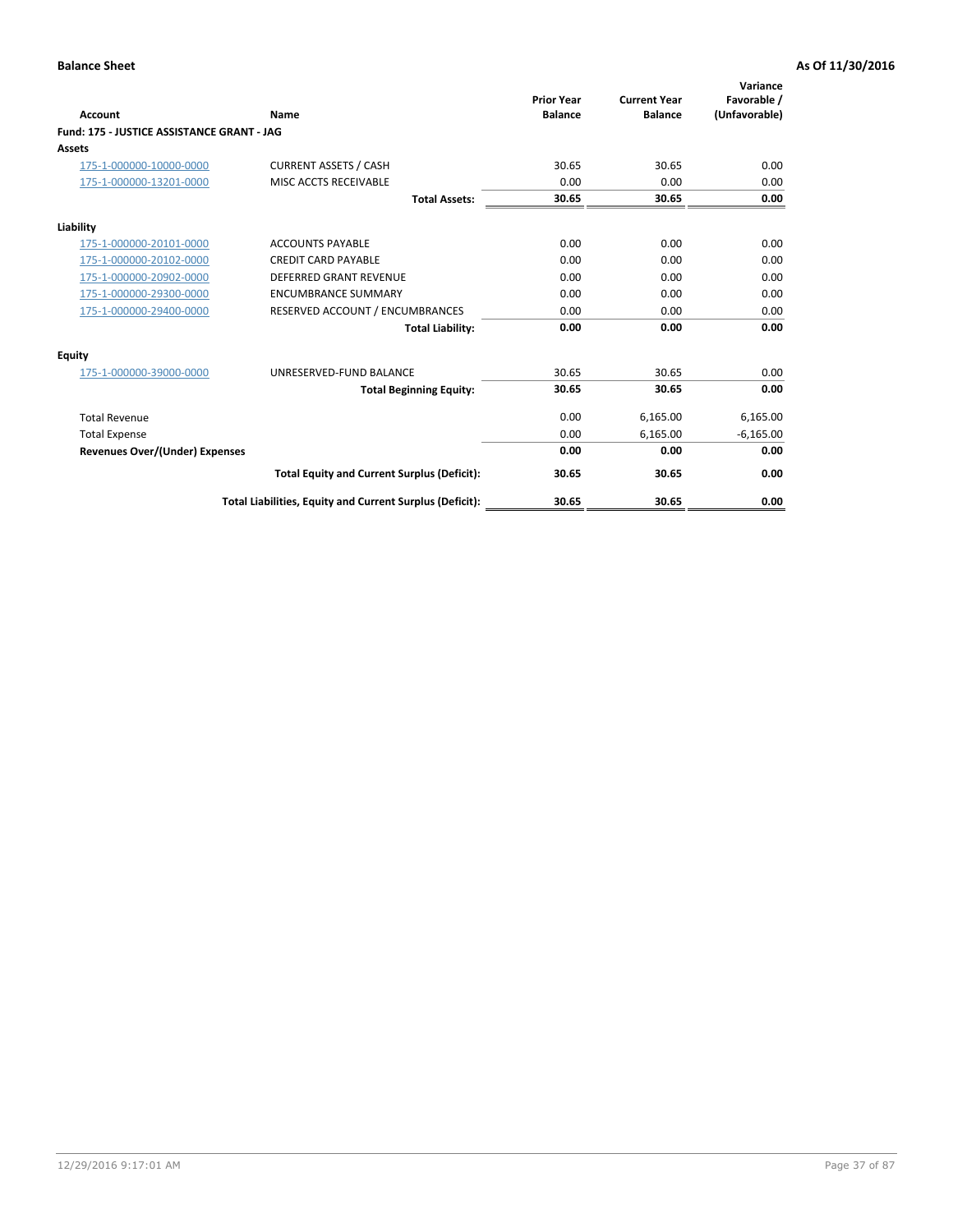|                                            |                                                          | <b>Prior Year</b> | <b>Current Year</b> | Variance<br>Favorable / |
|--------------------------------------------|----------------------------------------------------------|-------------------|---------------------|-------------------------|
| <b>Account</b>                             | Name                                                     | <b>Balance</b>    | <b>Balance</b>      | (Unfavorable)           |
| Fund: 175 - JUSTICE ASSISTANCE GRANT - JAG |                                                          |                   |                     |                         |
| <b>Assets</b>                              |                                                          |                   |                     |                         |
| 175-1-000000-10000-0000                    | <b>CURRENT ASSETS / CASH</b>                             | 30.65             | 30.65               | 0.00                    |
| 175-1-000000-13201-0000                    | MISC ACCTS RECEIVABLE                                    | 0.00              | 0.00                | 0.00                    |
|                                            | <b>Total Assets:</b>                                     | 30.65             | 30.65               | 0.00                    |
| Liability                                  |                                                          |                   |                     |                         |
| 175-1-000000-20101-0000                    | <b>ACCOUNTS PAYABLE</b>                                  | 0.00              | 0.00                | 0.00                    |
| 175-1-000000-20102-0000                    | <b>CREDIT CARD PAYABLE</b>                               | 0.00              | 0.00                | 0.00                    |
| 175-1-000000-20902-0000                    | <b>DEFERRED GRANT REVENUE</b>                            | 0.00              | 0.00                | 0.00                    |
| 175-1-000000-29300-0000                    | <b>ENCUMBRANCE SUMMARY</b>                               | 0.00              | 0.00                | 0.00                    |
| 175-1-000000-29400-0000                    | RESERVED ACCOUNT / ENCUMBRANCES                          | 0.00              | 0.00                | 0.00                    |
|                                            | <b>Total Liability:</b>                                  | 0.00              | 0.00                | 0.00                    |
| Equity                                     |                                                          |                   |                     |                         |
| 175-1-000000-39000-0000                    | UNRESERVED-FUND BALANCE                                  | 30.65             | 30.65               | 0.00                    |
|                                            | <b>Total Beginning Equity:</b>                           | 30.65             | 30.65               | 0.00                    |
| <b>Total Revenue</b>                       |                                                          | 0.00              | 6,165.00            | 6,165.00                |
| <b>Total Expense</b>                       |                                                          | 0.00              | 6,165.00            | $-6,165.00$             |
| <b>Revenues Over/(Under) Expenses</b>      |                                                          | 0.00              | 0.00                | 0.00                    |
|                                            | <b>Total Equity and Current Surplus (Deficit):</b>       | 30.65             | 30.65               | 0.00                    |
|                                            | Total Liabilities, Equity and Current Surplus (Deficit): | 30.65             | 30.65               | 0.00                    |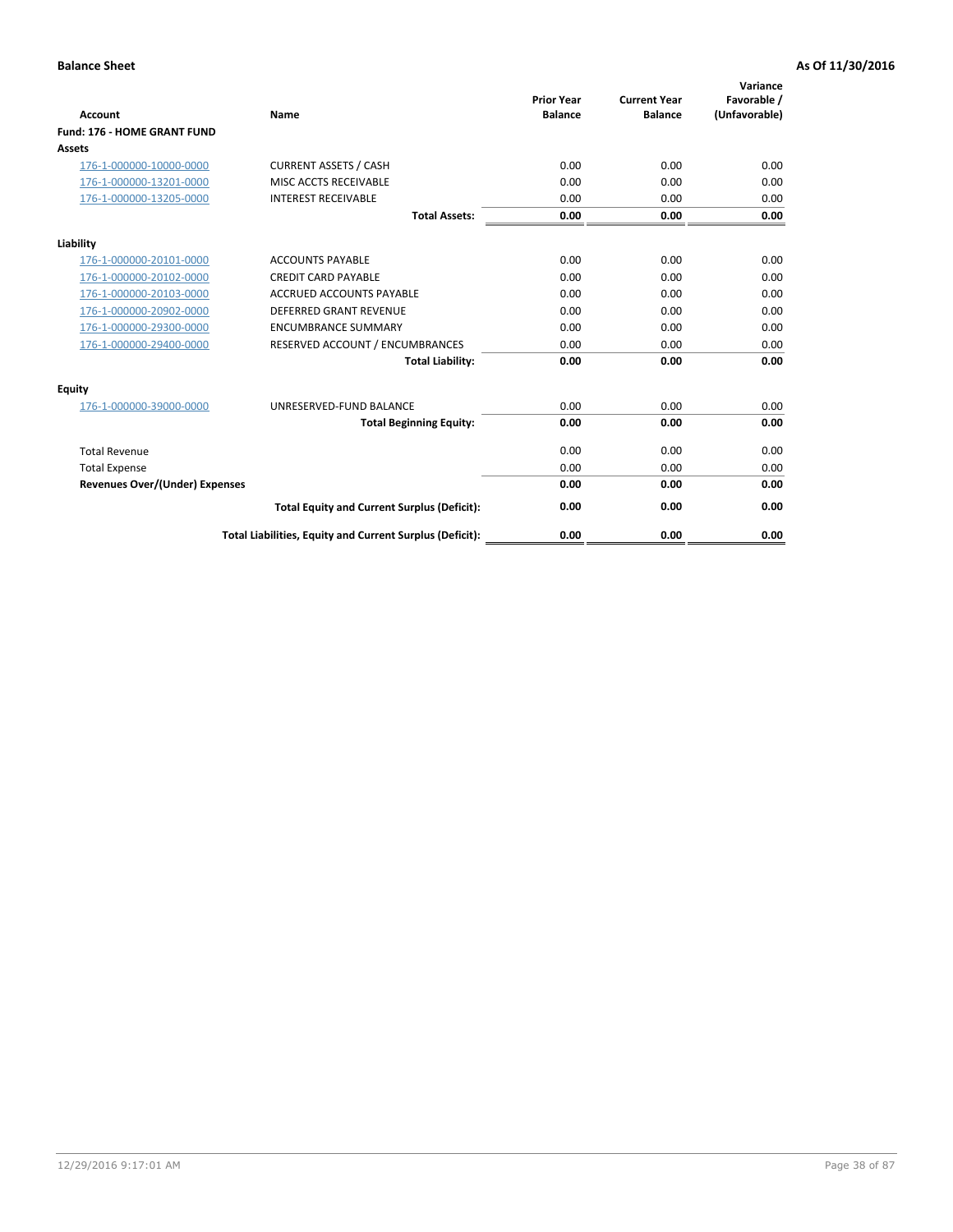| <b>Account</b>                        | Name                                                     | <b>Prior Year</b><br><b>Balance</b> | <b>Current Year</b><br><b>Balance</b> | Variance<br>Favorable /<br>(Unfavorable) |
|---------------------------------------|----------------------------------------------------------|-------------------------------------|---------------------------------------|------------------------------------------|
| Fund: 176 - HOME GRANT FUND           |                                                          |                                     |                                       |                                          |
| Assets                                |                                                          |                                     |                                       |                                          |
| 176-1-000000-10000-0000               | <b>CURRENT ASSETS / CASH</b>                             | 0.00                                | 0.00                                  | 0.00                                     |
| 176-1-000000-13201-0000               | MISC ACCTS RECEIVABLE                                    | 0.00                                | 0.00                                  | 0.00                                     |
| 176-1-000000-13205-0000               | <b>INTEREST RECEIVABLE</b>                               | 0.00                                | 0.00                                  | 0.00                                     |
|                                       | <b>Total Assets:</b>                                     | 0.00                                | 0.00                                  | 0.00                                     |
| Liability                             |                                                          |                                     |                                       |                                          |
| 176-1-000000-20101-0000               | <b>ACCOUNTS PAYABLE</b>                                  | 0.00                                | 0.00                                  | 0.00                                     |
| 176-1-000000-20102-0000               | <b>CREDIT CARD PAYABLE</b>                               | 0.00                                | 0.00                                  | 0.00                                     |
| 176-1-000000-20103-0000               | <b>ACCRUED ACCOUNTS PAYABLE</b>                          | 0.00                                | 0.00                                  | 0.00                                     |
| 176-1-000000-20902-0000               | <b>DEFERRED GRANT REVENUE</b>                            | 0.00                                | 0.00                                  | 0.00                                     |
| 176-1-000000-29300-0000               | <b>ENCUMBRANCE SUMMARY</b>                               | 0.00                                | 0.00                                  | 0.00                                     |
| 176-1-000000-29400-0000               | RESERVED ACCOUNT / ENCUMBRANCES                          | 0.00                                | 0.00                                  | 0.00                                     |
|                                       | <b>Total Liability:</b>                                  | 0.00                                | 0.00                                  | 0.00                                     |
| <b>Equity</b>                         |                                                          |                                     |                                       |                                          |
| 176-1-000000-39000-0000               | UNRESERVED-FUND BALANCE                                  | 0.00                                | 0.00                                  | 0.00                                     |
|                                       | <b>Total Beginning Equity:</b>                           | 0.00                                | 0.00                                  | 0.00                                     |
| <b>Total Revenue</b>                  |                                                          | 0.00                                | 0.00                                  | 0.00                                     |
| <b>Total Expense</b>                  |                                                          | 0.00                                | 0.00                                  | 0.00                                     |
| <b>Revenues Over/(Under) Expenses</b> |                                                          | 0.00                                | 0.00                                  | 0.00                                     |
|                                       | <b>Total Equity and Current Surplus (Deficit):</b>       | 0.00                                | 0.00                                  | 0.00                                     |
|                                       | Total Liabilities, Equity and Current Surplus (Deficit): | 0.00                                | 0.00                                  | 0.00                                     |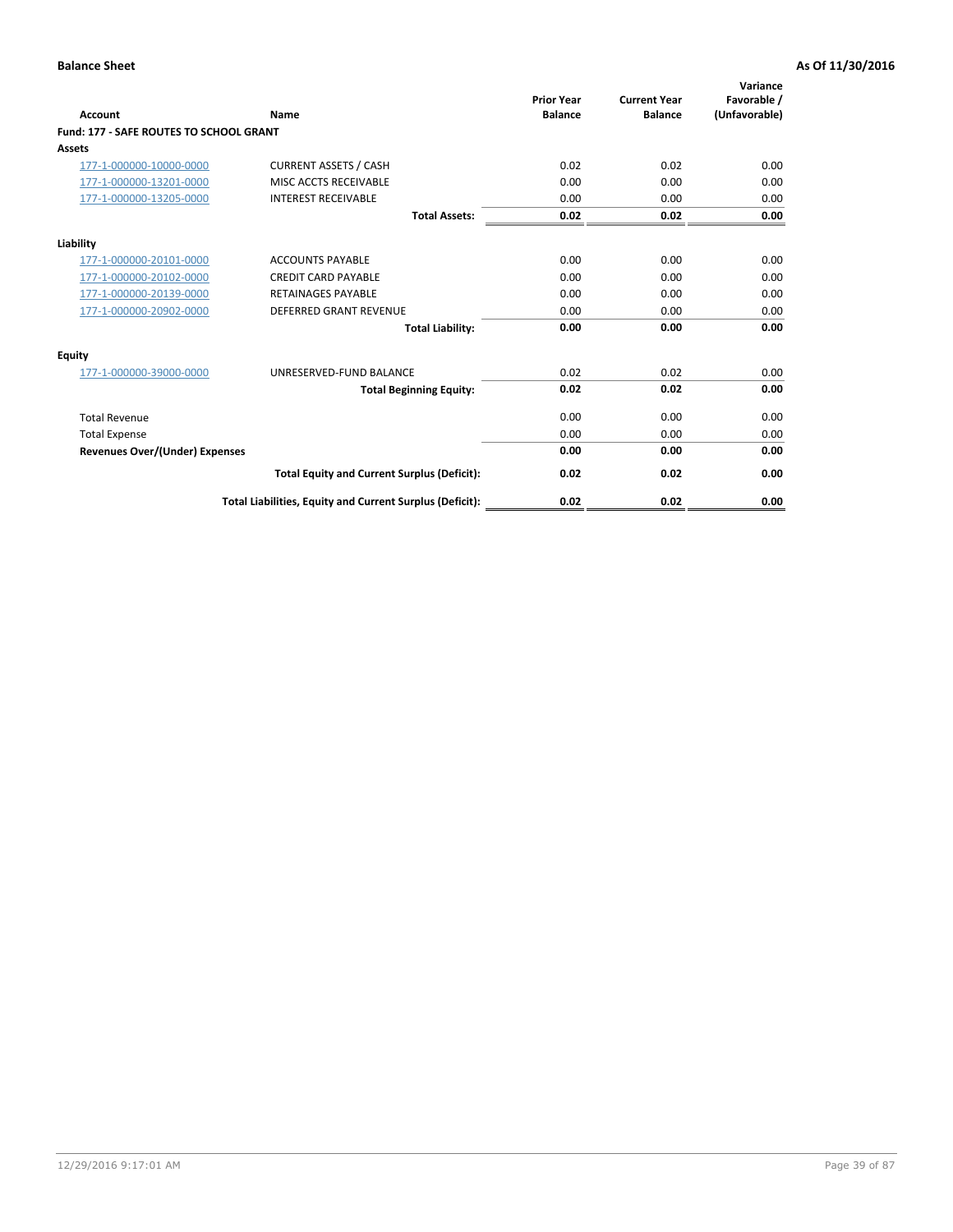| Account                                        | Name                                                     | <b>Prior Year</b><br><b>Balance</b> | <b>Current Year</b><br><b>Balance</b> | Variance<br>Favorable /<br>(Unfavorable) |
|------------------------------------------------|----------------------------------------------------------|-------------------------------------|---------------------------------------|------------------------------------------|
| <b>Fund: 177 - SAFE ROUTES TO SCHOOL GRANT</b> |                                                          |                                     |                                       |                                          |
| <b>Assets</b>                                  |                                                          |                                     |                                       |                                          |
| 177-1-000000-10000-0000                        | <b>CURRENT ASSETS / CASH</b>                             | 0.02                                | 0.02                                  | 0.00                                     |
| 177-1-000000-13201-0000                        | MISC ACCTS RECEIVABLE                                    | 0.00                                | 0.00                                  | 0.00                                     |
| 177-1-000000-13205-0000                        | <b>INTEREST RECEIVABLE</b>                               | 0.00                                | 0.00                                  | 0.00                                     |
|                                                | <b>Total Assets:</b>                                     | 0.02                                | 0.02                                  | 0.00                                     |
| Liability                                      |                                                          |                                     |                                       |                                          |
| 177-1-000000-20101-0000                        | <b>ACCOUNTS PAYABLE</b>                                  | 0.00                                | 0.00                                  | 0.00                                     |
| 177-1-000000-20102-0000                        | <b>CREDIT CARD PAYABLE</b>                               | 0.00                                | 0.00                                  | 0.00                                     |
| 177-1-000000-20139-0000                        | <b>RETAINAGES PAYABLE</b>                                | 0.00                                | 0.00                                  | 0.00                                     |
| 177-1-000000-20902-0000                        | <b>DEFERRED GRANT REVENUE</b>                            | 0.00                                | 0.00                                  | 0.00                                     |
|                                                | <b>Total Liability:</b>                                  | 0.00                                | 0.00                                  | 0.00                                     |
| Equity                                         |                                                          |                                     |                                       |                                          |
| 177-1-000000-39000-0000                        | UNRESERVED-FUND BALANCE                                  | 0.02                                | 0.02                                  | 0.00                                     |
|                                                | <b>Total Beginning Equity:</b>                           | 0.02                                | 0.02                                  | 0.00                                     |
| <b>Total Revenue</b>                           |                                                          | 0.00                                | 0.00                                  | 0.00                                     |
| <b>Total Expense</b>                           |                                                          | 0.00                                | 0.00                                  | 0.00                                     |
| Revenues Over/(Under) Expenses                 |                                                          | 0.00                                | 0.00                                  | 0.00                                     |
|                                                | <b>Total Equity and Current Surplus (Deficit):</b>       | 0.02                                | 0.02                                  | 0.00                                     |
|                                                | Total Liabilities, Equity and Current Surplus (Deficit): | 0.02                                | 0.02                                  | 0.00                                     |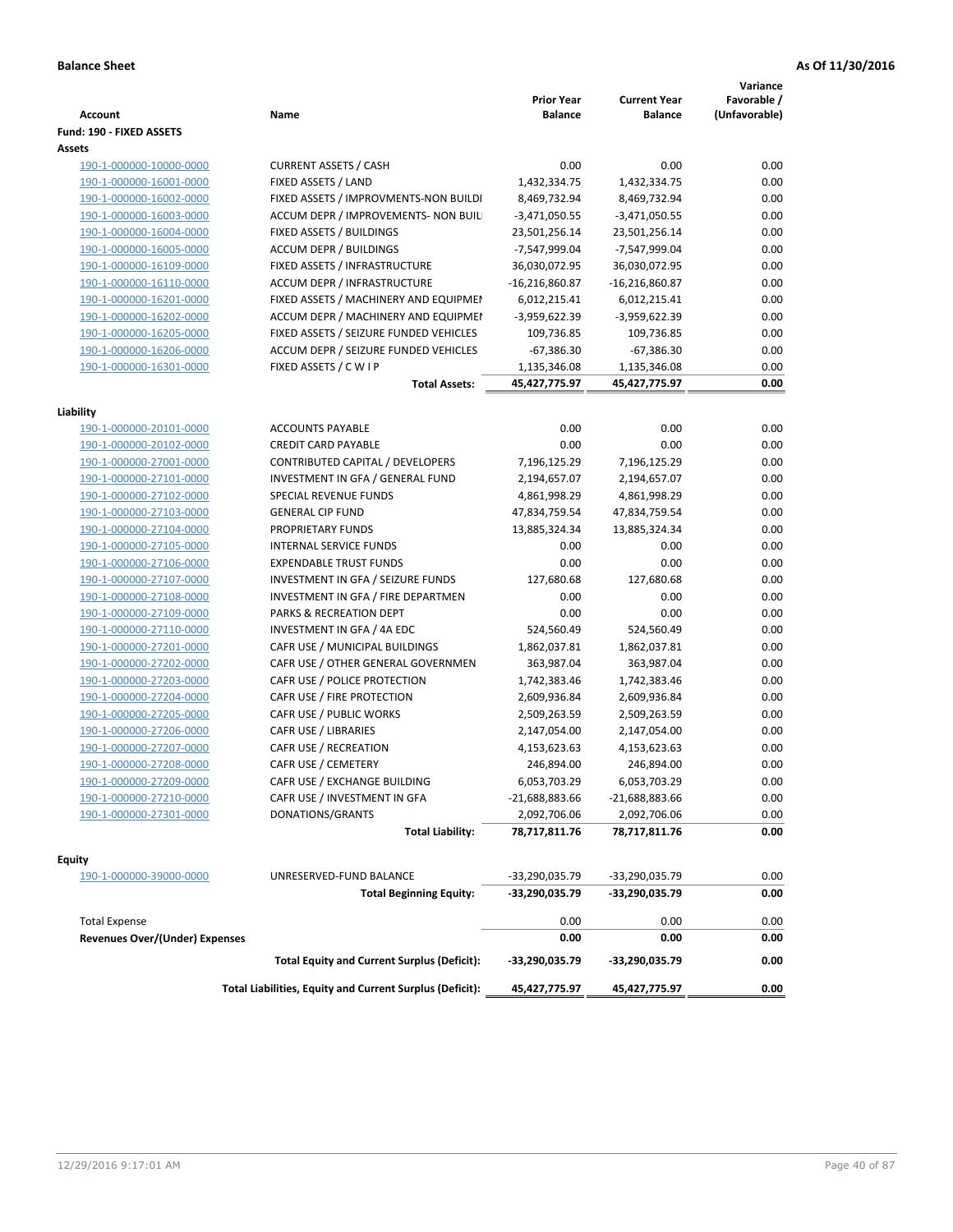| <b>Account</b>                        | Name                                                     | <b>Prior Year</b><br><b>Balance</b> | <b>Current Year</b><br><b>Balance</b> | Variance<br>Favorable /<br>(Unfavorable) |
|---------------------------------------|----------------------------------------------------------|-------------------------------------|---------------------------------------|------------------------------------------|
| Fund: 190 - FIXED ASSETS<br>Assets    |                                                          |                                     |                                       |                                          |
| 190-1-000000-10000-0000               | <b>CURRENT ASSETS / CASH</b>                             | 0.00                                | 0.00                                  | 0.00                                     |
| 190-1-000000-16001-0000               | FIXED ASSETS / LAND                                      | 1,432,334.75                        | 1,432,334.75                          | 0.00                                     |
| 190-1-000000-16002-0000               | FIXED ASSETS / IMPROVMENTS-NON BUILDI                    | 8,469,732.94                        | 8,469,732.94                          | 0.00                                     |
| 190-1-000000-16003-0000               | ACCUM DEPR / IMPROVEMENTS- NON BUIL                      | $-3,471,050.55$                     | $-3,471,050.55$                       | 0.00                                     |
| 190-1-000000-16004-0000               | FIXED ASSETS / BUILDINGS                                 | 23,501,256.14                       | 23,501,256.14                         | 0.00                                     |
| 190-1-000000-16005-0000               | <b>ACCUM DEPR / BUILDINGS</b>                            | -7,547,999.04                       | -7,547,999.04                         | 0.00                                     |
| 190-1-000000-16109-0000               | FIXED ASSETS / INFRASTRUCTURE                            | 36,030,072.95                       | 36,030,072.95                         | 0.00                                     |
| 190-1-000000-16110-0000               | <b>ACCUM DEPR / INFRASTRUCTURE</b>                       | $-16,216,860.87$                    | $-16,216,860.87$                      | 0.00                                     |
| 190-1-000000-16201-0000               | FIXED ASSETS / MACHINERY AND EQUIPMEN                    | 6,012,215.41                        | 6,012,215.41                          | 0.00                                     |
| 190-1-000000-16202-0000               | ACCUM DEPR / MACHINERY AND EQUIPMEI                      | -3,959,622.39                       | -3,959,622.39                         | 0.00                                     |
| 190-1-000000-16205-0000               | FIXED ASSETS / SEIZURE FUNDED VEHICLES                   | 109,736.85                          | 109,736.85                            | 0.00                                     |
| 190-1-000000-16206-0000               | ACCUM DEPR / SEIZURE FUNDED VEHICLES                     | $-67,386.30$                        | $-67,386.30$                          | 0.00                                     |
| 190-1-000000-16301-0000               | FIXED ASSETS / C W I P                                   | 1,135,346.08                        | 1,135,346.08                          | 0.00                                     |
|                                       | <b>Total Assets:</b>                                     | 45,427,775.97                       | 45,427,775.97                         | 0.00                                     |
|                                       |                                                          |                                     |                                       |                                          |
| Liability                             |                                                          |                                     |                                       |                                          |
| 190-1-000000-20101-0000               | <b>ACCOUNTS PAYABLE</b>                                  | 0.00                                | 0.00                                  | 0.00                                     |
| 190-1-000000-20102-0000               | <b>CREDIT CARD PAYABLE</b>                               | 0.00                                | 0.00                                  | 0.00                                     |
| 190-1-000000-27001-0000               | CONTRIBUTED CAPITAL / DEVELOPERS                         | 7,196,125.29                        | 7,196,125.29                          | 0.00                                     |
| 190-1-000000-27101-0000               | INVESTMENT IN GFA / GENERAL FUND                         | 2,194,657.07                        | 2,194,657.07                          | 0.00                                     |
| 190-1-000000-27102-0000               | SPECIAL REVENUE FUNDS                                    | 4,861,998.29                        | 4,861,998.29                          | 0.00                                     |
| 190-1-000000-27103-0000               | <b>GENERAL CIP FUND</b>                                  | 47,834,759.54                       | 47,834,759.54                         | 0.00                                     |
| 190-1-000000-27104-0000               | PROPRIETARY FUNDS                                        | 13,885,324.34                       | 13,885,324.34                         | 0.00                                     |
| 190-1-000000-27105-0000               | <b>INTERNAL SERVICE FUNDS</b>                            | 0.00                                | 0.00                                  | 0.00                                     |
| 190-1-000000-27106-0000               | <b>EXPENDABLE TRUST FUNDS</b>                            | 0.00                                | 0.00                                  | 0.00                                     |
| 190-1-000000-27107-0000               | INVESTMENT IN GFA / SEIZURE FUNDS                        | 127,680.68                          | 127,680.68                            | 0.00                                     |
| 190-1-000000-27108-0000               | INVESTMENT IN GFA / FIRE DEPARTMEN                       | 0.00                                | 0.00                                  | 0.00                                     |
| 190-1-000000-27109-0000               | PARKS & RECREATION DEPT                                  | 0.00                                | 0.00                                  | 0.00                                     |
| 190-1-000000-27110-0000               | INVESTMENT IN GFA / 4A EDC                               | 524,560.49                          | 524,560.49                            | 0.00                                     |
| 190-1-000000-27201-0000               | CAFR USE / MUNICIPAL BUILDINGS                           | 1,862,037.81                        | 1,862,037.81                          | 0.00                                     |
| 190-1-000000-27202-0000               | CAFR USE / OTHER GENERAL GOVERNMEN                       | 363,987.04                          | 363,987.04                            | 0.00                                     |
| 190-1-000000-27203-0000               | CAFR USE / POLICE PROTECTION                             | 1,742,383.46                        | 1,742,383.46                          | 0.00                                     |
| 190-1-000000-27204-0000               | CAFR USE / FIRE PROTECTION                               | 2,609,936.84                        | 2,609,936.84                          | 0.00                                     |
| 190-1-000000-27205-0000               | CAFR USE / PUBLIC WORKS                                  | 2,509,263.59                        | 2,509,263.59                          | 0.00                                     |
| 190-1-000000-27206-0000               | CAFR USE / LIBRARIES                                     | 2,147,054.00                        | 2,147,054.00                          | 0.00                                     |
| 190-1-000000-27207-0000               | CAFR USE / RECREATION                                    | 4,153,623.63                        | 4,153,623.63                          | 0.00                                     |
| 190-1-000000-27208-0000               | CAFR USE / CEMETERY                                      | 246,894.00                          | 246,894.00                            | 0.00                                     |
| 190-1-000000-27209-0000               | CAFR USE / EXCHANGE BUILDING                             | 6,053,703.29                        | 6,053,703.29                          | 0.00                                     |
| 190-1-000000-27210-0000               | CAFR USE / INVESTMENT IN GFA                             | $-21,688,883.66$                    | -21,688,883.66                        | 0.00                                     |
| 190-1-000000-27301-0000               | DONATIONS/GRANTS                                         | 2,092,706.06                        | 2,092,706.06                          | 0.00                                     |
|                                       | <b>Total Liability:</b>                                  | 78,717,811.76                       | 78,717,811.76                         | 0.00                                     |
| <b>Equity</b>                         |                                                          |                                     |                                       |                                          |
| 190-1-000000-39000-0000               | UNRESERVED-FUND BALANCE                                  | -33,290,035.79                      | -33,290,035.79                        | 0.00                                     |
|                                       | <b>Total Beginning Equity:</b>                           | -33,290,035.79                      | -33,290,035.79                        | 0.00                                     |
| <b>Total Expense</b>                  |                                                          | 0.00                                | 0.00                                  | 0.00                                     |
| <b>Revenues Over/(Under) Expenses</b> |                                                          | 0.00                                | 0.00                                  | 0.00                                     |
|                                       | <b>Total Equity and Current Surplus (Deficit):</b>       | -33,290,035.79                      | -33,290,035.79                        | 0.00                                     |
|                                       | Total Liabilities, Equity and Current Surplus (Deficit): | 45,427,775.97                       | 45,427,775.97                         | 0.00                                     |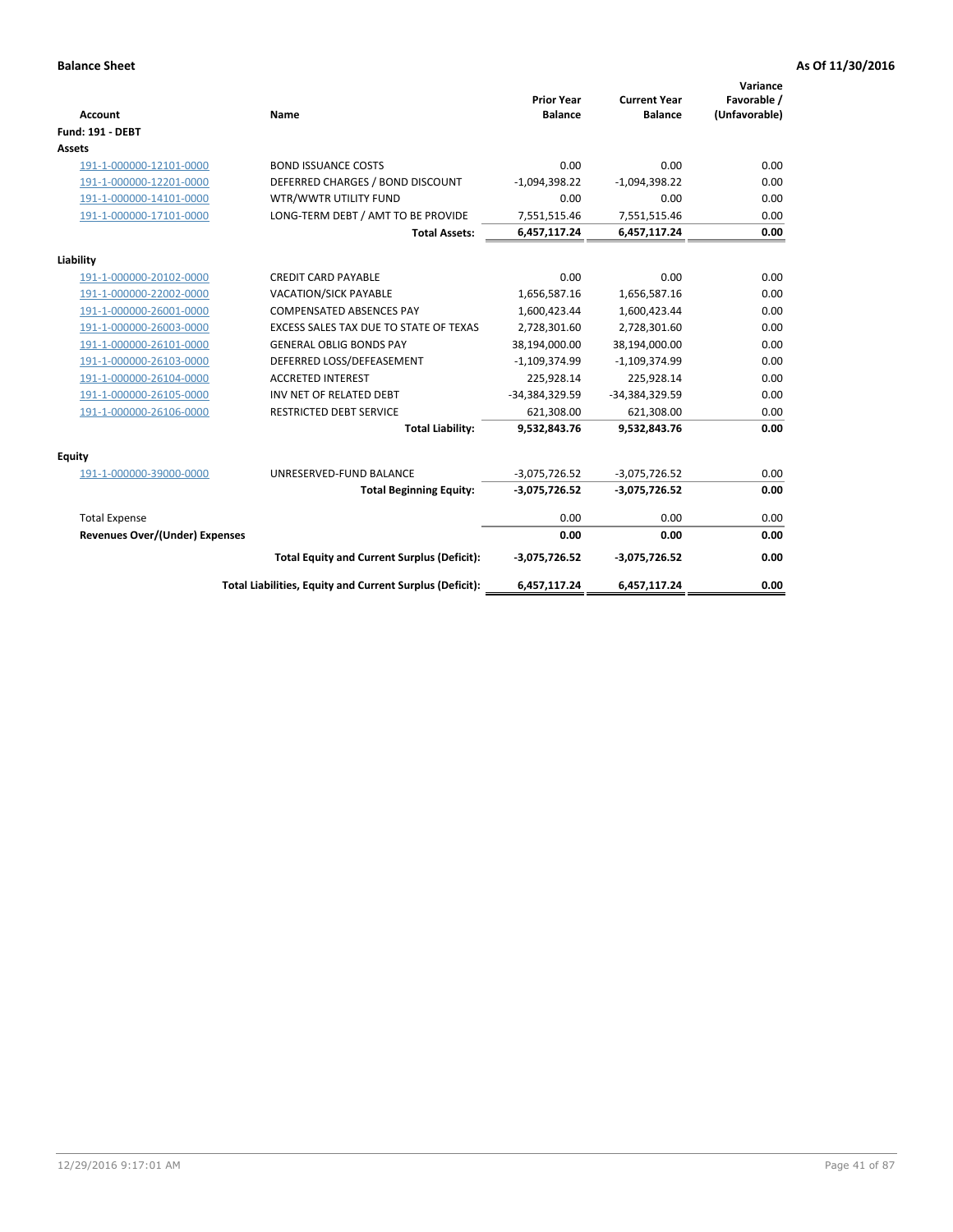| <b>Account</b>                        | <b>Name</b>                                              | <b>Prior Year</b><br><b>Balance</b> | <b>Current Year</b><br><b>Balance</b> | Variance<br>Favorable /<br>(Unfavorable) |
|---------------------------------------|----------------------------------------------------------|-------------------------------------|---------------------------------------|------------------------------------------|
| <b>Fund: 191 - DEBT</b>               |                                                          |                                     |                                       |                                          |
| <b>Assets</b>                         |                                                          |                                     |                                       |                                          |
| 191-1-000000-12101-0000               | <b>BOND ISSUANCE COSTS</b>                               | 0.00                                | 0.00                                  | 0.00                                     |
| 191-1-000000-12201-0000               | DEFERRED CHARGES / BOND DISCOUNT                         | $-1,094,398.22$                     | $-1,094,398.22$                       | 0.00                                     |
| 191-1-000000-14101-0000               | WTR/WWTR UTILITY FUND                                    | 0.00                                | 0.00                                  | 0.00                                     |
| 191-1-000000-17101-0000               | LONG-TERM DEBT / AMT TO BE PROVIDE                       | 7,551,515.46                        | 7,551,515.46                          | 0.00                                     |
|                                       | <b>Total Assets:</b>                                     | 6,457,117.24                        | 6,457,117.24                          | 0.00                                     |
| Liability                             |                                                          |                                     |                                       |                                          |
| 191-1-000000-20102-0000               | <b>CREDIT CARD PAYABLE</b>                               | 0.00                                | 0.00                                  | 0.00                                     |
| 191-1-000000-22002-0000               | VACATION/SICK PAYABLE                                    | 1,656,587.16                        | 1,656,587.16                          | 0.00                                     |
| 191-1-000000-26001-0000               | <b>COMPENSATED ABSENCES PAY</b>                          | 1,600,423.44                        | 1,600,423.44                          | 0.00                                     |
| 191-1-000000-26003-0000               | EXCESS SALES TAX DUE TO STATE OF TEXAS                   | 2,728,301.60                        | 2,728,301.60                          | 0.00                                     |
| 191-1-000000-26101-0000               | <b>GENERAL OBLIG BONDS PAY</b>                           | 38,194,000.00                       | 38,194,000.00                         | 0.00                                     |
| 191-1-000000-26103-0000               | DEFERRED LOSS/DEFEASEMENT                                | $-1,109,374.99$                     | $-1,109,374.99$                       | 0.00                                     |
| 191-1-000000-26104-0000               | <b>ACCRETED INTEREST</b>                                 | 225,928.14                          | 225,928.14                            | 0.00                                     |
| 191-1-000000-26105-0000               | INV NET OF RELATED DEBT                                  | -34,384,329.59                      | -34,384,329.59                        | 0.00                                     |
| 191-1-000000-26106-0000               | <b>RESTRICTED DEBT SERVICE</b>                           | 621,308.00                          | 621,308.00                            | 0.00                                     |
|                                       | <b>Total Liability:</b>                                  | 9,532,843.76                        | 9,532,843.76                          | 0.00                                     |
| Equity                                |                                                          |                                     |                                       |                                          |
| 191-1-000000-39000-0000               | UNRESERVED-FUND BALANCE                                  | $-3,075,726.52$                     | $-3,075,726.52$                       | 0.00                                     |
|                                       | <b>Total Beginning Equity:</b>                           | $-3,075,726.52$                     | $-3,075,726.52$                       | 0.00                                     |
| <b>Total Expense</b>                  |                                                          | 0.00                                | 0.00                                  | 0.00                                     |
| <b>Revenues Over/(Under) Expenses</b> |                                                          | 0.00                                | 0.00                                  | 0.00                                     |
|                                       | <b>Total Equity and Current Surplus (Deficit):</b>       | -3,075,726.52                       | $-3,075,726.52$                       | 0.00                                     |
|                                       | Total Liabilities, Equity and Current Surplus (Deficit): | 6,457,117.24                        | 6,457,117.24                          | 0.00                                     |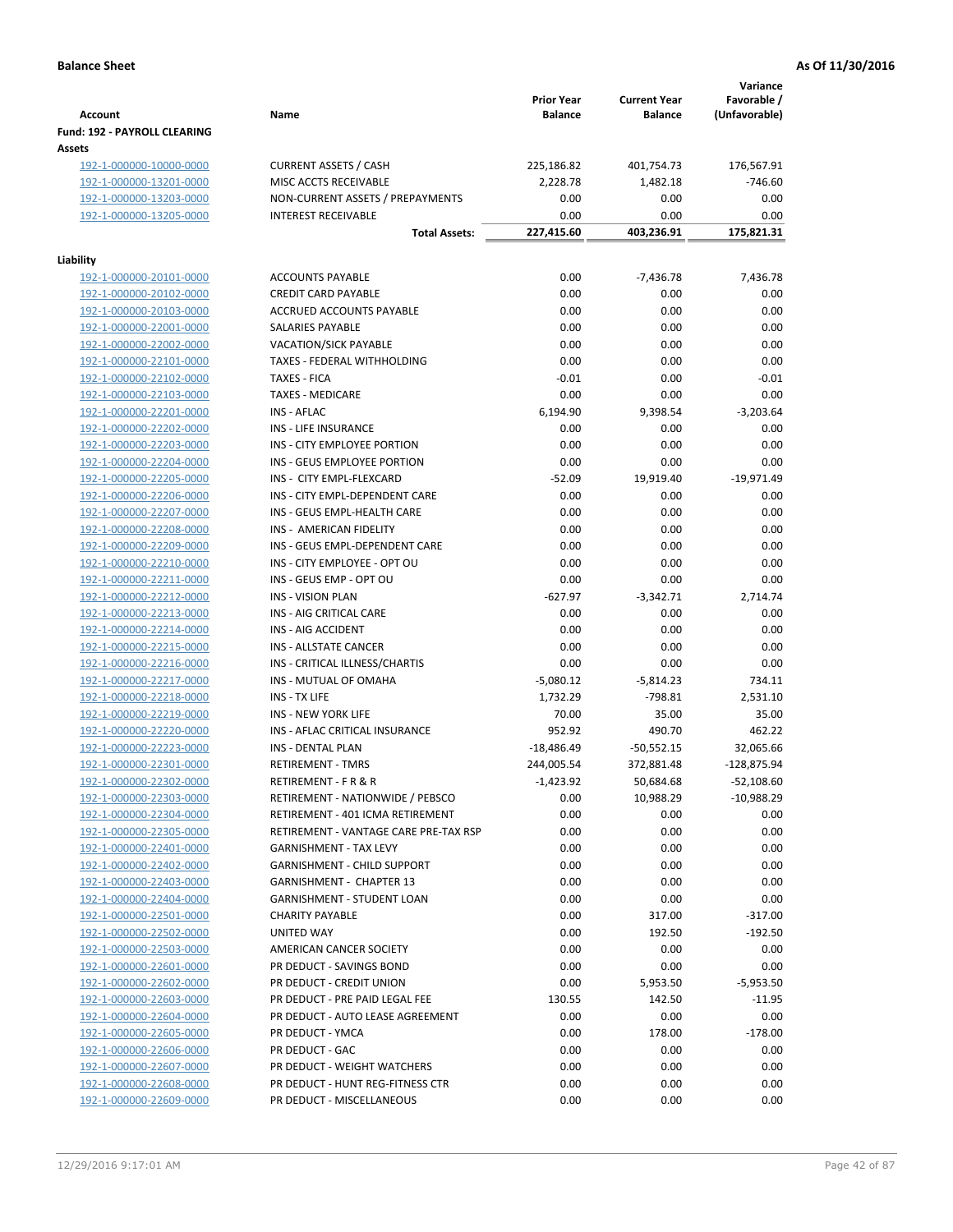| <b>Account</b>                         | Name                                  | <b>Prior Year</b><br><b>Balance</b> | <b>Current Year</b><br><b>Balance</b> | Variance<br>Favorable /<br>(Unfavorable) |
|----------------------------------------|---------------------------------------|-------------------------------------|---------------------------------------|------------------------------------------|
| Fund: 192 - PAYROLL CLEARING<br>Assets |                                       |                                     |                                       |                                          |
| 192-1-000000-10000-0000                | <b>CURRENT ASSETS / CASH</b>          | 225,186.82                          | 401,754.73                            | 176,567.91                               |
| 192-1-000000-13201-0000                | MISC ACCTS RECEIVABLE                 | 2,228.78                            | 1,482.18                              | $-746.60$                                |
| 192-1-000000-13203-0000                | NON-CURRENT ASSETS / PREPAYMENTS      | 0.00                                | 0.00                                  | 0.00                                     |
| 192-1-000000-13205-0000                | <b>INTEREST RECEIVABLE</b>            | 0.00                                | 0.00                                  | 0.00                                     |
|                                        | <b>Total Assets:</b>                  | 227,415.60                          | 403,236.91                            | 175,821.31                               |
| Liability                              |                                       |                                     |                                       |                                          |
| 192-1-000000-20101-0000                | <b>ACCOUNTS PAYABLE</b>               | 0.00                                | $-7,436.78$                           | 7,436.78                                 |
| 192-1-000000-20102-0000                | <b>CREDIT CARD PAYABLE</b>            | 0.00                                | 0.00                                  | 0.00                                     |
| 192-1-000000-20103-0000                | ACCRUED ACCOUNTS PAYABLE              | 0.00                                | 0.00                                  | 0.00                                     |
| 192-1-000000-22001-0000                | SALARIES PAYABLE                      | 0.00                                | 0.00                                  | 0.00                                     |
| 192-1-000000-22002-0000                | <b>VACATION/SICK PAYABLE</b>          | 0.00                                | 0.00                                  | 0.00                                     |
| 192-1-000000-22101-0000                | TAXES - FEDERAL WITHHOLDING           | 0.00                                | 0.00                                  | 0.00                                     |
| 192-1-000000-22102-0000                | <b>TAXES - FICA</b>                   | $-0.01$                             | 0.00                                  | $-0.01$                                  |
| 192-1-000000-22103-0000                | <b>TAXES - MEDICARE</b>               | 0.00                                | 0.00                                  | 0.00                                     |
| 192-1-000000-22201-0000                | <b>INS - AFLAC</b>                    | 6,194.90                            | 9,398.54                              | $-3,203.64$                              |
| 192-1-000000-22202-0000                | INS - LIFE INSURANCE                  | 0.00                                | 0.00                                  | 0.00                                     |
| 192-1-000000-22203-0000                | INS - CITY EMPLOYEE PORTION           | 0.00                                | 0.00                                  | 0.00                                     |
| 192-1-000000-22204-0000                | INS - GEUS EMPLOYEE PORTION           | 0.00                                | 0.00                                  | 0.00                                     |
| 192-1-000000-22205-0000                | INS - CITY EMPL-FLEXCARD              | $-52.09$                            | 19,919.40                             | $-19,971.49$                             |
| 192-1-000000-22206-0000                | INS - CITY EMPL-DEPENDENT CARE        | 0.00                                | 0.00                                  | 0.00                                     |
| 192-1-000000-22207-0000                | INS - GEUS EMPL-HEALTH CARE           | 0.00                                | 0.00                                  | 0.00                                     |
| 192-1-000000-22208-0000                | INS - AMERICAN FIDELITY               | 0.00                                | 0.00                                  | 0.00                                     |
| 192-1-000000-22209-0000                | INS - GEUS EMPL-DEPENDENT CARE        | 0.00                                | 0.00                                  | 0.00                                     |
| 192-1-000000-22210-0000                | INS - CITY EMPLOYEE - OPT OU          | 0.00                                | 0.00                                  | 0.00                                     |
| 192-1-000000-22211-0000                | INS - GEUS EMP - OPT OU               | 0.00                                | 0.00                                  | 0.00                                     |
| 192-1-000000-22212-0000                | INS - VISION PLAN                     | $-627.97$                           | $-3,342.71$                           | 2,714.74                                 |
| 192-1-000000-22213-0000                | INS - AIG CRITICAL CARE               | 0.00                                | 0.00                                  | 0.00                                     |
| 192-1-000000-22214-0000                | INS - AIG ACCIDENT                    | 0.00                                | 0.00                                  | 0.00                                     |
| 192-1-000000-22215-0000                | <b>INS - ALLSTATE CANCER</b>          | 0.00                                | 0.00                                  | 0.00                                     |
| 192-1-000000-22216-0000                | INS - CRITICAL ILLNESS/CHARTIS        | 0.00                                | 0.00                                  | 0.00                                     |
| 192-1-000000-22217-0000                | INS - MUTUAL OF OMAHA                 | $-5,080.12$                         | $-5,814.23$                           | 734.11                                   |
| 192-1-000000-22218-0000                | INS - TX LIFE                         | 1,732.29                            | $-798.81$                             | 2,531.10                                 |
| 192-1-000000-22219-0000                | <b>INS - NEW YORK LIFE</b>            | 70.00                               | 35.00                                 | 35.00                                    |
| 192-1-000000-22220-0000                | INS - AFLAC CRITICAL INSURANCE        | 952.92                              | 490.70                                | 462.22                                   |
| 192-1-000000-22223-0000                | INS - DENTAL PLAN                     | $-18,486.49$                        | $-50,552.15$                          | 32,065.66                                |
| 192-1-000000-22301-0000                | <b>RETIREMENT - TMRS</b>              | 244,005.54                          | 372,881.48                            | $-128,875.94$                            |
| 192-1-000000-22302-0000                | RETIREMENT - F R & R                  | $-1,423.92$                         | 50,684.68                             | $-52,108.60$                             |
| 192-1-000000-22303-0000                | RETIREMENT - NATIONWIDE / PEBSCO      | 0.00                                | 10,988.29                             | $-10,988.29$                             |
| 192-1-000000-22304-0000                | RETIREMENT - 401 ICMA RETIREMENT      | 0.00                                | 0.00                                  | 0.00                                     |
| 192-1-000000-22305-0000                | RETIREMENT - VANTAGE CARE PRE-TAX RSP | 0.00                                | 0.00                                  | 0.00                                     |
| 192-1-000000-22401-0000                | <b>GARNISHMENT - TAX LEVY</b>         | 0.00                                | 0.00                                  | 0.00                                     |
| 192-1-000000-22402-0000                | GARNISHMENT - CHILD SUPPORT           | 0.00                                | 0.00                                  | 0.00                                     |
| 192-1-000000-22403-0000                | GARNISHMENT - CHAPTER 13              | 0.00                                | 0.00                                  | 0.00                                     |
| 192-1-000000-22404-0000                | <b>GARNISHMENT - STUDENT LOAN</b>     | 0.00                                | 0.00                                  | 0.00                                     |
| 192-1-000000-22501-0000                | <b>CHARITY PAYABLE</b>                | 0.00                                | 317.00                                | $-317.00$                                |
| 192-1-000000-22502-0000                | <b>UNITED WAY</b>                     | 0.00                                | 192.50                                | $-192.50$                                |
| 192-1-000000-22503-0000                | AMERICAN CANCER SOCIETY               | 0.00                                | 0.00                                  | 0.00                                     |
| 192-1-000000-22601-0000                | PR DEDUCT - SAVINGS BOND              | 0.00                                | 0.00                                  | 0.00                                     |
| 192-1-000000-22602-0000                | PR DEDUCT - CREDIT UNION              | 0.00                                | 5,953.50                              | $-5,953.50$                              |
| 192-1-000000-22603-0000                | PR DEDUCT - PRE PAID LEGAL FEE        | 130.55                              | 142.50                                | $-11.95$                                 |
| 192-1-000000-22604-0000                | PR DEDUCT - AUTO LEASE AGREEMENT      | 0.00                                | 0.00                                  | 0.00                                     |
| 192-1-000000-22605-0000                | PR DEDUCT - YMCA                      | 0.00                                | 178.00                                | $-178.00$                                |
| 192-1-000000-22606-0000                | PR DEDUCT - GAC                       | 0.00                                | 0.00                                  | 0.00                                     |
| 192-1-000000-22607-0000                | PR DEDUCT - WEIGHT WATCHERS           | 0.00                                | 0.00                                  | 0.00                                     |
| 192-1-000000-22608-0000                | PR DEDUCT - HUNT REG-FITNESS CTR      | 0.00                                | 0.00                                  | 0.00                                     |
| 192-1-000000-22609-0000                | PR DEDUCT - MISCELLANEOUS             | 0.00                                | 0.00                                  | 0.00                                     |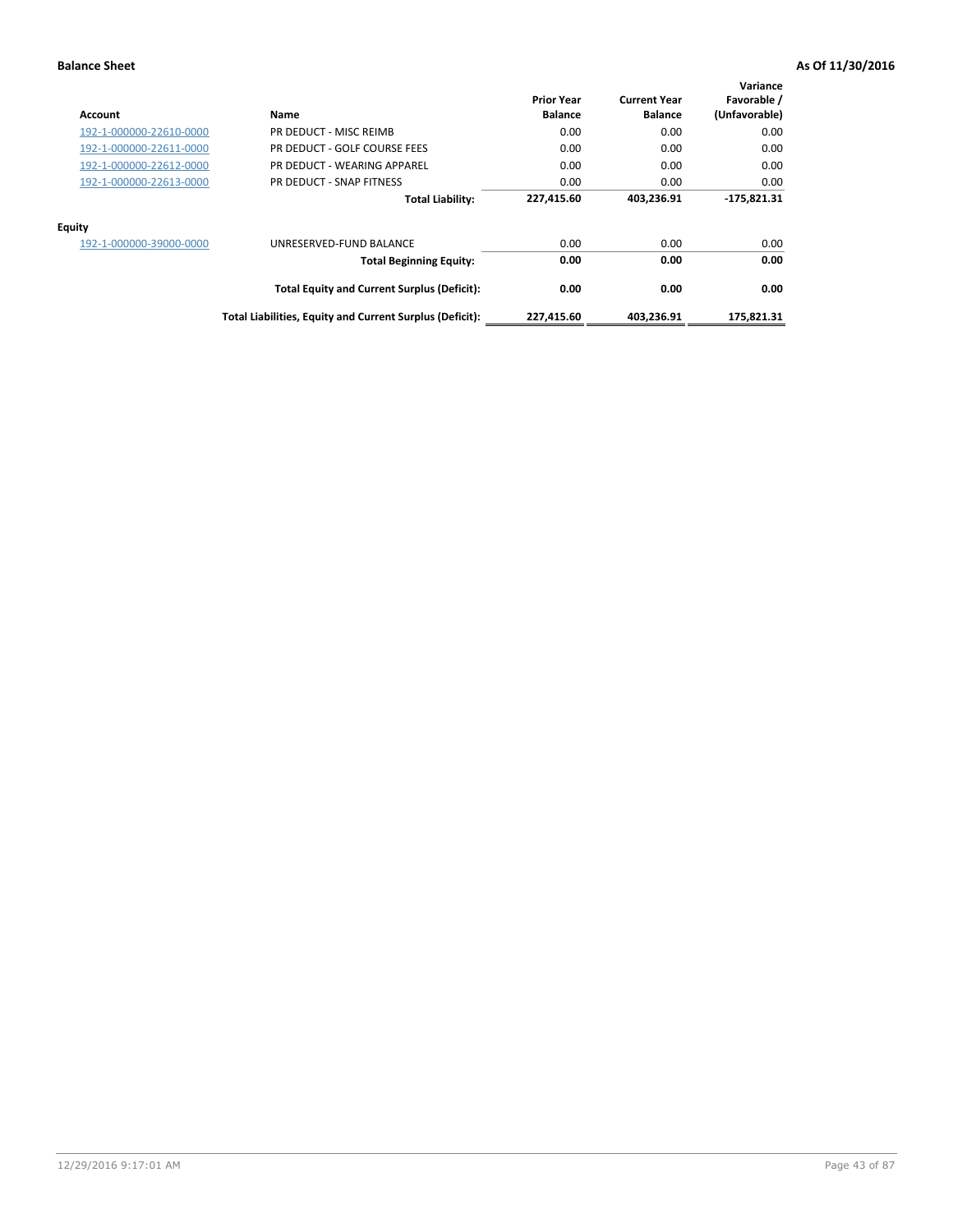| Account                 | Name                                                     | <b>Prior Year</b><br><b>Balance</b> | <b>Current Year</b><br><b>Balance</b> | Variance<br>Favorable /<br>(Unfavorable) |
|-------------------------|----------------------------------------------------------|-------------------------------------|---------------------------------------|------------------------------------------|
| 192-1-000000-22610-0000 | PR DEDUCT - MISC REIMB                                   | 0.00                                | 0.00                                  | 0.00                                     |
| 192-1-000000-22611-0000 | PR DEDUCT - GOLF COURSE FEES                             | 0.00                                | 0.00                                  | 0.00                                     |
| 192-1-000000-22612-0000 | PR DEDUCT - WEARING APPAREL                              | 0.00                                | 0.00                                  | 0.00                                     |
| 192-1-000000-22613-0000 | PR DEDUCT - SNAP FITNESS                                 | 0.00                                | 0.00                                  | 0.00                                     |
|                         | <b>Total Liability:</b>                                  | 227,415.60                          | 403,236.91                            | $-175,821.31$                            |
| Equity                  |                                                          |                                     |                                       |                                          |
| 192-1-000000-39000-0000 | UNRESERVED-FUND BALANCE                                  | 0.00                                | 0.00                                  | 0.00                                     |
|                         | <b>Total Beginning Equity:</b>                           | 0.00                                | 0.00                                  | 0.00                                     |
|                         | <b>Total Equity and Current Surplus (Deficit):</b>       | 0.00                                | 0.00                                  | 0.00                                     |
|                         | Total Liabilities, Equity and Current Surplus (Deficit): | 227,415.60                          | 403,236.91                            | 175.821.31                               |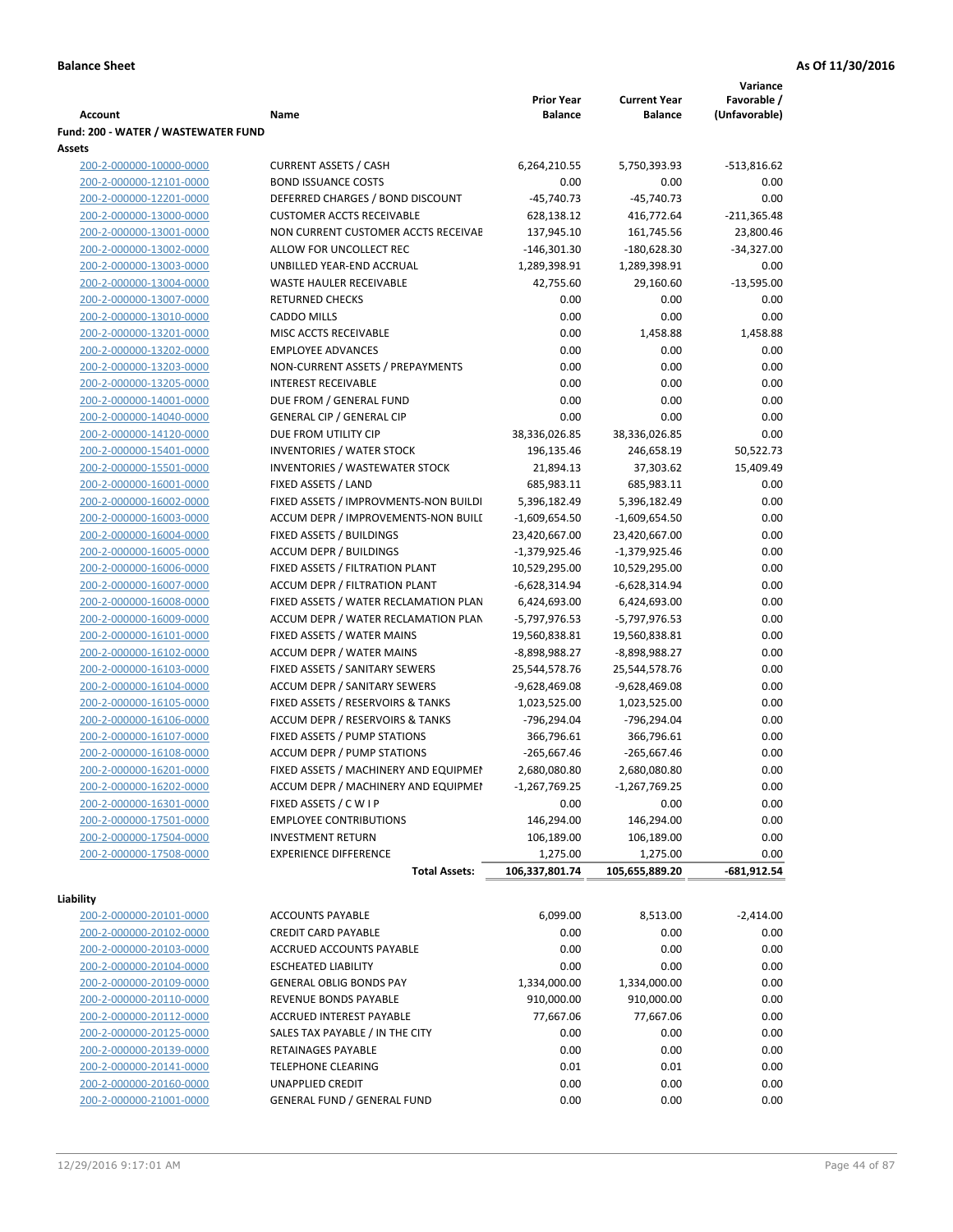|                                     |                                       |                   |                     | Variance      |
|-------------------------------------|---------------------------------------|-------------------|---------------------|---------------|
|                                     |                                       | <b>Prior Year</b> | <b>Current Year</b> | Favorable /   |
| <b>Account</b>                      | Name                                  | <b>Balance</b>    | <b>Balance</b>      | (Unfavorable) |
| Fund: 200 - WATER / WASTEWATER FUND |                                       |                   |                     |               |
| Assets                              |                                       |                   |                     |               |
| 200-2-000000-10000-0000             | <b>CURRENT ASSETS / CASH</b>          | 6,264,210.55      | 5,750,393.93        | -513,816.62   |
| 200-2-000000-12101-0000             | <b>BOND ISSUANCE COSTS</b>            | 0.00              | 0.00                | 0.00          |
| 200-2-000000-12201-0000             | DEFERRED CHARGES / BOND DISCOUNT      | $-45,740.73$      | $-45,740.73$        | 0.00          |
| 200-2-000000-13000-0000             | <b>CUSTOMER ACCTS RECEIVABLE</b>      | 628,138.12        | 416,772.64          | $-211,365.48$ |
| 200-2-000000-13001-0000             | NON CURRENT CUSTOMER ACCTS RECEIVAE   | 137,945.10        | 161,745.56          | 23,800.46     |
| 200-2-000000-13002-0000             | ALLOW FOR UNCOLLECT REC               | $-146,301.30$     | $-180,628.30$       | $-34,327.00$  |
| 200-2-000000-13003-0000             | UNBILLED YEAR-END ACCRUAL             | 1,289,398.91      | 1,289,398.91        | 0.00          |
| 200-2-000000-13004-0000             | <b>WASTE HAULER RECEIVABLE</b>        | 42,755.60         | 29,160.60           | $-13,595.00$  |
| 200-2-000000-13007-0000             | <b>RETURNED CHECKS</b>                | 0.00              | 0.00                | 0.00          |
| 200-2-000000-13010-0000             | <b>CADDO MILLS</b>                    | 0.00              | 0.00                | 0.00          |
| 200-2-000000-13201-0000             | MISC ACCTS RECEIVABLE                 | 0.00              | 1,458.88            | 1,458.88      |
| 200-2-000000-13202-0000             | <b>EMPLOYEE ADVANCES</b>              | 0.00              | 0.00                | 0.00          |
| 200-2-000000-13203-0000             | NON-CURRENT ASSETS / PREPAYMENTS      | 0.00              | 0.00                | 0.00          |
| 200-2-000000-13205-0000             | <b>INTEREST RECEIVABLE</b>            | 0.00              | 0.00                | 0.00          |
| 200-2-000000-14001-0000             | DUE FROM / GENERAL FUND               | 0.00              | 0.00                | 0.00          |
| 200-2-000000-14040-0000             | <b>GENERAL CIP / GENERAL CIP</b>      | 0.00              | 0.00                | 0.00          |
| 200-2-000000-14120-0000             | DUE FROM UTILITY CIP                  | 38,336,026.85     | 38,336,026.85       | 0.00          |
| 200-2-000000-15401-0000             | <b>INVENTORIES / WATER STOCK</b>      | 196,135.46        | 246,658.19          | 50,522.73     |
| 200-2-000000-15501-0000             | <b>INVENTORIES / WASTEWATER STOCK</b> | 21,894.13         | 37,303.62           | 15,409.49     |
| 200-2-000000-16001-0000             | FIXED ASSETS / LAND                   | 685,983.11        | 685,983.11          | 0.00          |
| 200-2-000000-16002-0000             | FIXED ASSETS / IMPROVMENTS-NON BUILDI | 5,396,182.49      | 5,396,182.49        | 0.00          |
| 200-2-000000-16003-0000             | ACCUM DEPR / IMPROVEMENTS-NON BUILI   | $-1,609,654.50$   | -1,609,654.50       | 0.00          |
| 200-2-000000-16004-0000             | FIXED ASSETS / BUILDINGS              | 23,420,667.00     | 23,420,667.00       | 0.00          |
| 200-2-000000-16005-0000             | <b>ACCUM DEPR / BUILDINGS</b>         | $-1,379,925.46$   | $-1,379,925.46$     | 0.00          |
| 200-2-000000-16006-0000             | FIXED ASSETS / FILTRATION PLANT       | 10,529,295.00     | 10,529,295.00       | 0.00          |
| 200-2-000000-16007-0000             | ACCUM DEPR / FILTRATION PLANT         | -6,628,314.94     | -6,628,314.94       | 0.00          |
| 200-2-000000-16008-0000             | FIXED ASSETS / WATER RECLAMATION PLAN | 6,424,693.00      | 6,424,693.00        | 0.00          |
| 200-2-000000-16009-0000             | ACCUM DEPR / WATER RECLAMATION PLAN   | -5,797,976.53     | -5,797,976.53       | 0.00          |
| 200-2-000000-16101-0000             | FIXED ASSETS / WATER MAINS            | 19,560,838.81     | 19,560,838.81       | 0.00          |
| 200-2-000000-16102-0000             | <b>ACCUM DEPR / WATER MAINS</b>       | -8,898,988.27     | -8,898,988.27       | 0.00          |
| 200-2-000000-16103-0000             | FIXED ASSETS / SANITARY SEWERS        | 25,544,578.76     | 25,544,578.76       | 0.00          |
| 200-2-000000-16104-0000             | <b>ACCUM DEPR / SANITARY SEWERS</b>   | -9,628,469.08     | -9,628,469.08       | 0.00          |
| 200-2-000000-16105-0000             | FIXED ASSETS / RESERVOIRS & TANKS     | 1,023,525.00      | 1,023,525.00        | 0.00          |
| 200-2-000000-16106-0000             | ACCUM DEPR / RESERVOIRS & TANKS       | -796,294.04       | -796,294.04         | 0.00          |
| 200-2-000000-16107-0000             | FIXED ASSETS / PUMP STATIONS          | 366,796.61        | 366,796.61          | 0.00          |
| 200-2-000000-16108-0000             | <b>ACCUM DEPR / PUMP STATIONS</b>     | $-265,667.46$     | $-265,667.46$       | 0.00          |
| 200-2-000000-16201-0000             | FIXED ASSETS / MACHINERY AND EQUIPMEN | 2,680,080.80      | 2,680,080.80        | 0.00          |
| 200-2-000000-16202-0000             | ACCUM DEPR / MACHINERY AND EQUIPMEI   | $-1,267,769.25$   | $-1,267,769.25$     | 0.00          |
| 200-2-000000-16301-0000             | FIXED ASSETS / C W I P                | 0.00              | 0.00                | 0.00          |
| 200-2-000000-17501-0000             | <b>EMPLOYEE CONTRIBUTIONS</b>         | 146,294.00        | 146,294.00          | 0.00          |
| 200-2-000000-17504-0000             | <b>INVESTMENT RETURN</b>              | 106,189.00        | 106,189.00          | 0.00          |
| 200-2-000000-17508-0000             | <b>EXPERIENCE DIFFERENCE</b>          | 1,275.00          | 1,275.00            | 0.00          |
|                                     | <b>Total Assets:</b>                  | 106,337,801.74    | 105,655,889.20      | -681,912.54   |
|                                     |                                       |                   |                     |               |
| Liability                           |                                       |                   |                     |               |
| 200-2-000000-20101-0000             | <b>ACCOUNTS PAYABLE</b>               | 6,099.00          | 8,513.00            | $-2,414.00$   |
| 200-2-000000-20102-0000             | <b>CREDIT CARD PAYABLE</b>            | 0.00              | 0.00                | 0.00          |
| 200-2-000000-20103-0000             | ACCRUED ACCOUNTS PAYABLE              | 0.00              | 0.00                | 0.00          |
| 200-2-000000-20104-0000             | <b>ESCHEATED LIABILITY</b>            | 0.00              | 0.00                | 0.00          |
| 200-2-000000-20109-0000             | <b>GENERAL OBLIG BONDS PAY</b>        | 1,334,000.00      | 1,334,000.00        | 0.00          |
| 200-2-000000-20110-0000             | REVENUE BONDS PAYABLE                 | 910,000.00        | 910,000.00          | 0.00          |
| 200-2-000000-20112-0000             | ACCRUED INTEREST PAYABLE              | 77,667.06         | 77,667.06           | 0.00          |
| 200-2-000000-20125-0000             | SALES TAX PAYABLE / IN THE CITY       | 0.00              | 0.00                | 0.00          |
| 200-2-000000-20139-0000             | RETAINAGES PAYABLE                    | 0.00              | 0.00                | 0.00          |
| 200-2-000000-20141-0000             | <b>TELEPHONE CLEARING</b>             | 0.01              | 0.01                | 0.00          |
| 200-2-000000-20160-0000             | <b>UNAPPLIED CREDIT</b>               | 0.00              | 0.00                | 0.00          |
| 200-2-000000-21001-0000             | <b>GENERAL FUND / GENERAL FUND</b>    | 0.00              | 0.00                | 0.00          |
|                                     |                                       |                   |                     |               |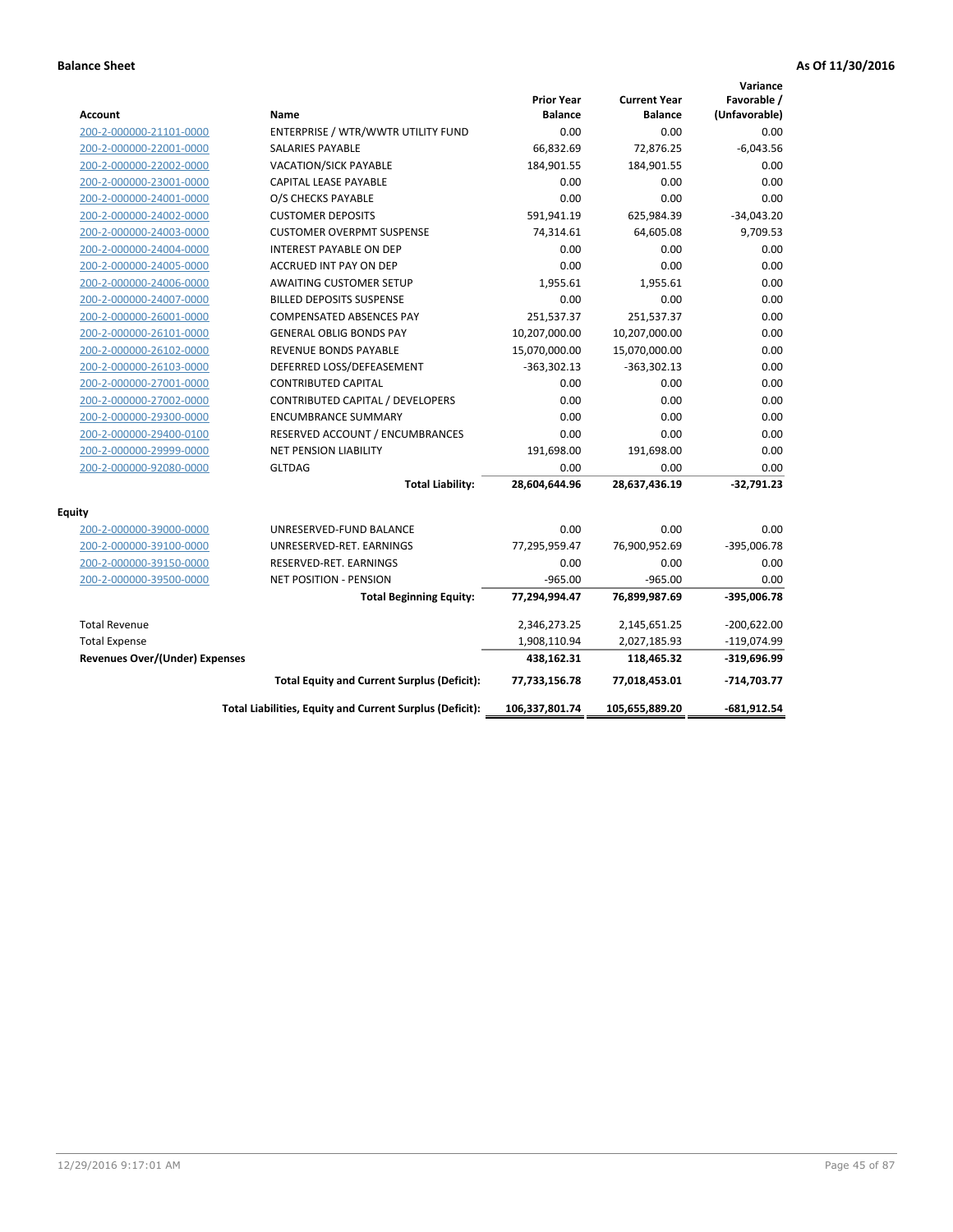| <b>Account</b>                        | Name                                                     | <b>Prior Year</b><br><b>Balance</b> | <b>Current Year</b><br><b>Balance</b> | Variance<br>Favorable /<br>(Unfavorable) |
|---------------------------------------|----------------------------------------------------------|-------------------------------------|---------------------------------------|------------------------------------------|
| 200-2-000000-21101-0000               | ENTERPRISE / WTR/WWTR UTILITY FUND                       | 0.00                                | 0.00                                  | 0.00                                     |
| 200-2-000000-22001-0000               | SALARIES PAYABLE                                         | 66,832.69                           | 72,876.25                             | $-6,043.56$                              |
| 200-2-000000-22002-0000               | <b>VACATION/SICK PAYABLE</b>                             | 184,901.55                          | 184,901.55                            | 0.00                                     |
| 200-2-000000-23001-0000               | CAPITAL LEASE PAYABLE                                    | 0.00                                | 0.00                                  | 0.00                                     |
| 200-2-000000-24001-0000               | O/S CHECKS PAYABLE                                       | 0.00                                | 0.00                                  | 0.00                                     |
| 200-2-000000-24002-0000               | <b>CUSTOMER DEPOSITS</b>                                 | 591,941.19                          | 625,984.39                            | $-34,043.20$                             |
| 200-2-000000-24003-0000               | <b>CUSTOMER OVERPMT SUSPENSE</b>                         | 74,314.61                           | 64,605.08                             | 9,709.53                                 |
| 200-2-000000-24004-0000               | <b>INTEREST PAYABLE ON DEP</b>                           | 0.00                                | 0.00                                  | 0.00                                     |
| 200-2-000000-24005-0000               | ACCRUED INT PAY ON DEP                                   | 0.00                                | 0.00                                  | 0.00                                     |
| 200-2-000000-24006-0000               | <b>AWAITING CUSTOMER SETUP</b>                           | 1,955.61                            | 1,955.61                              | 0.00                                     |
| 200-2-000000-24007-0000               | <b>BILLED DEPOSITS SUSPENSE</b>                          | 0.00                                | 0.00                                  | 0.00                                     |
| 200-2-000000-26001-0000               | <b>COMPENSATED ABSENCES PAY</b>                          | 251,537.37                          | 251,537.37                            | 0.00                                     |
| 200-2-000000-26101-0000               | <b>GENERAL OBLIG BONDS PAY</b>                           | 10,207,000.00                       | 10,207,000.00                         | 0.00                                     |
| 200-2-000000-26102-0000               | <b>REVENUE BONDS PAYABLE</b>                             | 15,070,000.00                       | 15,070,000.00                         | 0.00                                     |
| 200-2-000000-26103-0000               | DEFERRED LOSS/DEFEASEMENT                                | $-363,302.13$                       | $-363,302.13$                         | 0.00                                     |
| 200-2-000000-27001-0000               | <b>CONTRIBUTED CAPITAL</b>                               | 0.00                                | 0.00                                  | 0.00                                     |
| 200-2-000000-27002-0000               | CONTRIBUTED CAPITAL / DEVELOPERS                         | 0.00                                | 0.00                                  | 0.00                                     |
| 200-2-000000-29300-0000               | <b>ENCUMBRANCE SUMMARY</b>                               | 0.00                                | 0.00                                  | 0.00                                     |
| 200-2-000000-29400-0100               | RESERVED ACCOUNT / ENCUMBRANCES                          | 0.00                                | 0.00                                  | 0.00                                     |
| 200-2-000000-29999-0000               | <b>NET PENSION LIABILITY</b>                             | 191,698.00                          | 191,698.00                            | 0.00                                     |
| 200-2-000000-92080-0000               | <b>GLTDAG</b>                                            | 0.00                                | 0.00                                  | 0.00                                     |
|                                       | <b>Total Liability:</b>                                  | 28,604,644.96                       | 28,637,436.19                         | $-32,791.23$                             |
| <b>Equity</b>                         |                                                          |                                     |                                       |                                          |
| 200-2-000000-39000-0000               | UNRESERVED-FUND BALANCE                                  | 0.00                                | 0.00                                  | 0.00                                     |
| 200-2-000000-39100-0000               | UNRESERVED-RET. EARNINGS                                 | 77,295,959.47                       | 76,900,952.69                         | -395,006.78                              |
| 200-2-000000-39150-0000               | RESERVED-RET. EARNINGS                                   | 0.00                                | 0.00                                  | 0.00                                     |
| 200-2-000000-39500-0000               | <b>NET POSITION - PENSION</b>                            | $-965.00$                           | $-965.00$                             | 0.00                                     |
|                                       | <b>Total Beginning Equity:</b>                           | 77,294,994.47                       | 76,899,987.69                         | $-395,006.78$                            |
| <b>Total Revenue</b>                  |                                                          | 2,346,273.25                        | 2,145,651.25                          | $-200,622.00$                            |
| <b>Total Expense</b>                  |                                                          | 1,908,110.94                        | 2,027,185.93                          | -119,074.99                              |
| <b>Revenues Over/(Under) Expenses</b> |                                                          | 438,162.31                          | 118,465.32                            | $-319,696.99$                            |
|                                       | <b>Total Equity and Current Surplus (Deficit):</b>       | 77,733,156.78                       | 77,018,453.01                         | $-714,703.77$                            |
|                                       | Total Liabilities, Equity and Current Surplus (Deficit): | 106,337,801.74                      | 105,655,889.20                        | $-681,912.54$                            |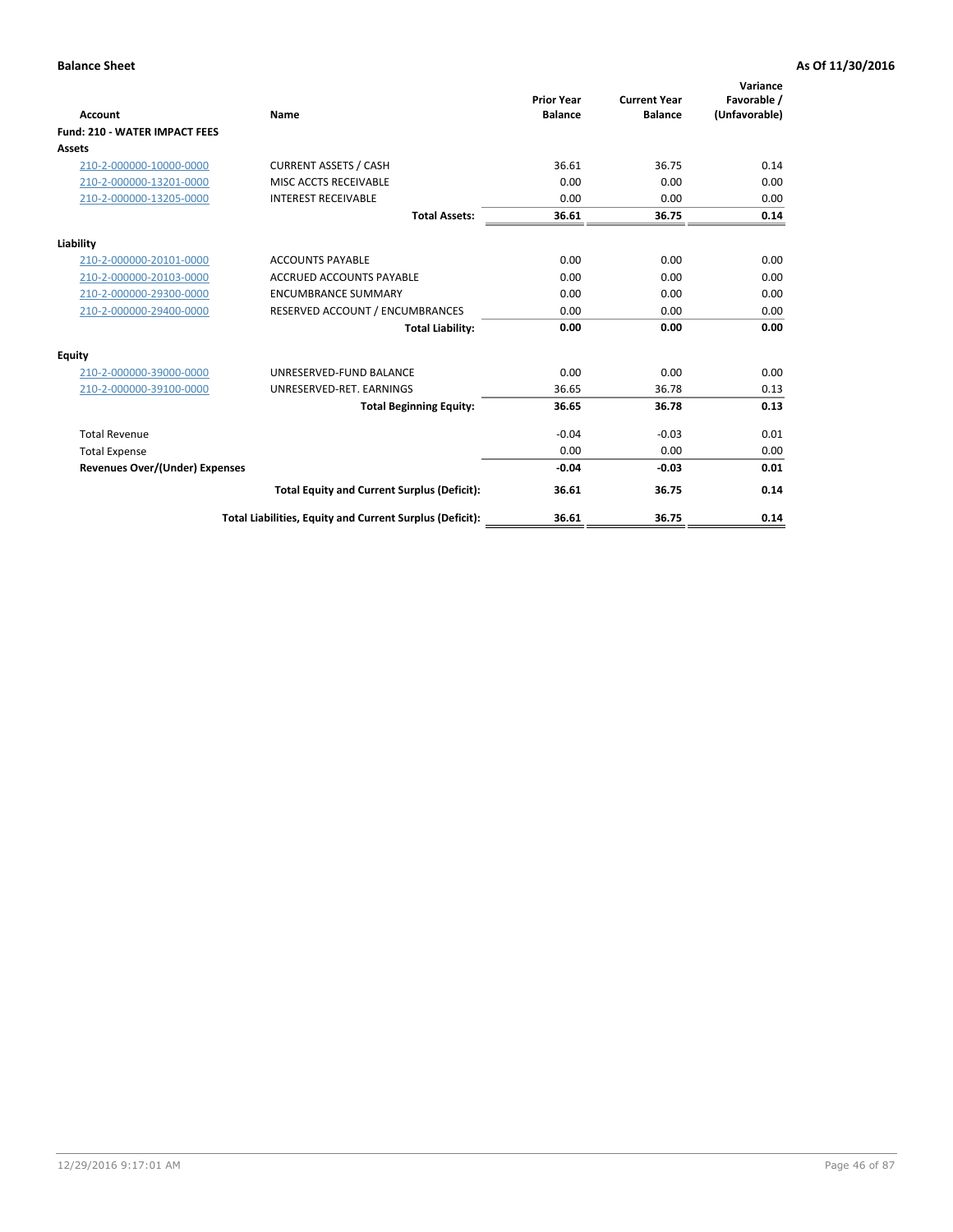| <b>Account</b>                       | Name                                                     | <b>Prior Year</b><br><b>Balance</b> | <b>Current Year</b><br><b>Balance</b> | Variance<br>Favorable /<br>(Unfavorable) |
|--------------------------------------|----------------------------------------------------------|-------------------------------------|---------------------------------------|------------------------------------------|
| <b>Fund: 210 - WATER IMPACT FEES</b> |                                                          |                                     |                                       |                                          |
| <b>Assets</b>                        |                                                          |                                     |                                       |                                          |
| 210-2-000000-10000-0000              | <b>CURRENT ASSETS / CASH</b>                             | 36.61                               | 36.75                                 | 0.14                                     |
| 210-2-000000-13201-0000              | MISC ACCTS RECEIVABLE                                    | 0.00                                | 0.00                                  | 0.00                                     |
| 210-2-000000-13205-0000              | <b>INTEREST RECEIVABLE</b>                               | 0.00                                | 0.00                                  | 0.00                                     |
|                                      | <b>Total Assets:</b>                                     | 36.61                               | 36.75                                 | 0.14                                     |
| Liability                            |                                                          |                                     |                                       |                                          |
| 210-2-000000-20101-0000              | <b>ACCOUNTS PAYABLE</b>                                  | 0.00                                | 0.00                                  | 0.00                                     |
| 210-2-000000-20103-0000              | <b>ACCRUED ACCOUNTS PAYABLE</b>                          | 0.00                                | 0.00                                  | 0.00                                     |
| 210-2-000000-29300-0000              | <b>ENCUMBRANCE SUMMARY</b>                               | 0.00                                | 0.00                                  | 0.00                                     |
| 210-2-000000-29400-0000              | RESERVED ACCOUNT / ENCUMBRANCES                          | 0.00                                | 0.00                                  | 0.00                                     |
|                                      | <b>Total Liability:</b>                                  | 0.00                                | 0.00                                  | 0.00                                     |
| Equity                               |                                                          |                                     |                                       |                                          |
| 210-2-000000-39000-0000              | UNRESERVED-FUND BALANCE                                  | 0.00                                | 0.00                                  | 0.00                                     |
| 210-2-000000-39100-0000              | UNRESERVED-RET. EARNINGS                                 | 36.65                               | 36.78                                 | 0.13                                     |
|                                      | <b>Total Beginning Equity:</b>                           | 36.65                               | 36.78                                 | 0.13                                     |
| <b>Total Revenue</b>                 |                                                          | $-0.04$                             | $-0.03$                               | 0.01                                     |
| <b>Total Expense</b>                 |                                                          | 0.00                                | 0.00                                  | 0.00                                     |
| Revenues Over/(Under) Expenses       |                                                          | $-0.04$                             | $-0.03$                               | 0.01                                     |
|                                      | <b>Total Equity and Current Surplus (Deficit):</b>       | 36.61                               | 36.75                                 | 0.14                                     |
|                                      | Total Liabilities, Equity and Current Surplus (Deficit): | 36.61                               | 36.75                                 | 0.14                                     |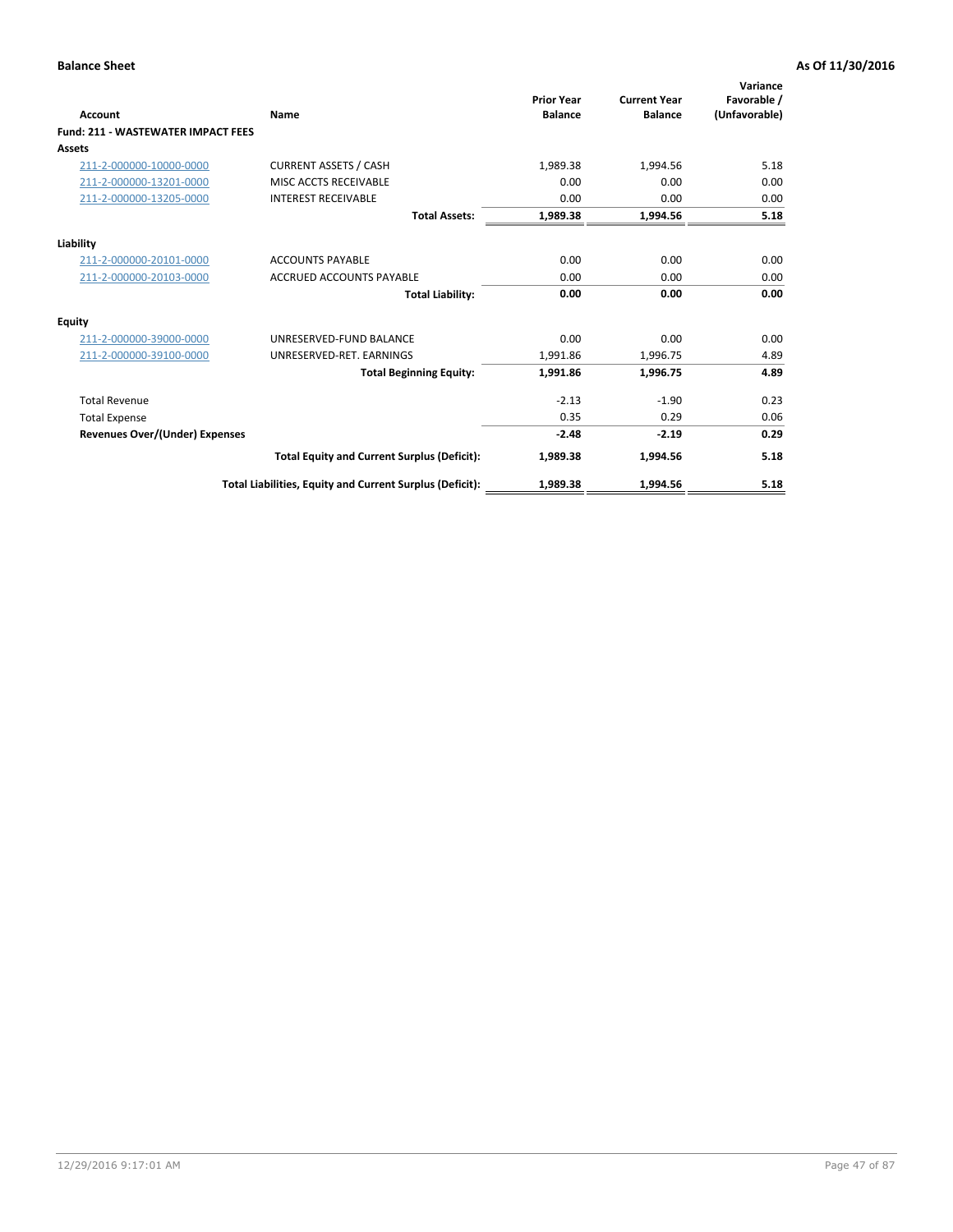| <b>Account</b>                            | Name                                                     | <b>Prior Year</b><br><b>Balance</b> | <b>Current Year</b><br><b>Balance</b> | Variance<br>Favorable /<br>(Unfavorable) |
|-------------------------------------------|----------------------------------------------------------|-------------------------------------|---------------------------------------|------------------------------------------|
| <b>Fund: 211 - WASTEWATER IMPACT FEES</b> |                                                          |                                     |                                       |                                          |
| <b>Assets</b>                             |                                                          |                                     |                                       |                                          |
| 211-2-000000-10000-0000                   | <b>CURRENT ASSETS / CASH</b>                             | 1,989.38                            | 1,994.56                              | 5.18                                     |
| 211-2-000000-13201-0000                   | MISC ACCTS RECEIVABLE                                    | 0.00                                | 0.00                                  | 0.00                                     |
| 211-2-000000-13205-0000                   | <b>INTEREST RECEIVABLE</b>                               | 0.00                                | 0.00                                  | 0.00                                     |
|                                           | <b>Total Assets:</b>                                     | 1,989.38                            | 1,994.56                              | 5.18                                     |
| Liability                                 |                                                          |                                     |                                       |                                          |
| 211-2-000000-20101-0000                   | <b>ACCOUNTS PAYABLE</b>                                  | 0.00                                | 0.00                                  | 0.00                                     |
| 211-2-000000-20103-0000                   | <b>ACCRUED ACCOUNTS PAYABLE</b>                          | 0.00                                | 0.00                                  | 0.00                                     |
|                                           | <b>Total Liability:</b>                                  | 0.00                                | 0.00                                  | 0.00                                     |
| Equity                                    |                                                          |                                     |                                       |                                          |
| 211-2-000000-39000-0000                   | UNRESERVED-FUND BALANCE                                  | 0.00                                | 0.00                                  | 0.00                                     |
| 211-2-000000-39100-0000                   | UNRESERVED-RET. EARNINGS                                 | 1,991.86                            | 1,996.75                              | 4.89                                     |
|                                           | <b>Total Beginning Equity:</b>                           | 1,991.86                            | 1,996.75                              | 4.89                                     |
| <b>Total Revenue</b>                      |                                                          | $-2.13$                             | $-1.90$                               | 0.23                                     |
| <b>Total Expense</b>                      |                                                          | 0.35                                | 0.29                                  | 0.06                                     |
| <b>Revenues Over/(Under) Expenses</b>     |                                                          | $-2.48$                             | $-2.19$                               | 0.29                                     |
|                                           | <b>Total Equity and Current Surplus (Deficit):</b>       | 1,989.38                            | 1,994.56                              | 5.18                                     |
|                                           | Total Liabilities, Equity and Current Surplus (Deficit): | 1,989.38                            | 1,994.56                              | 5.18                                     |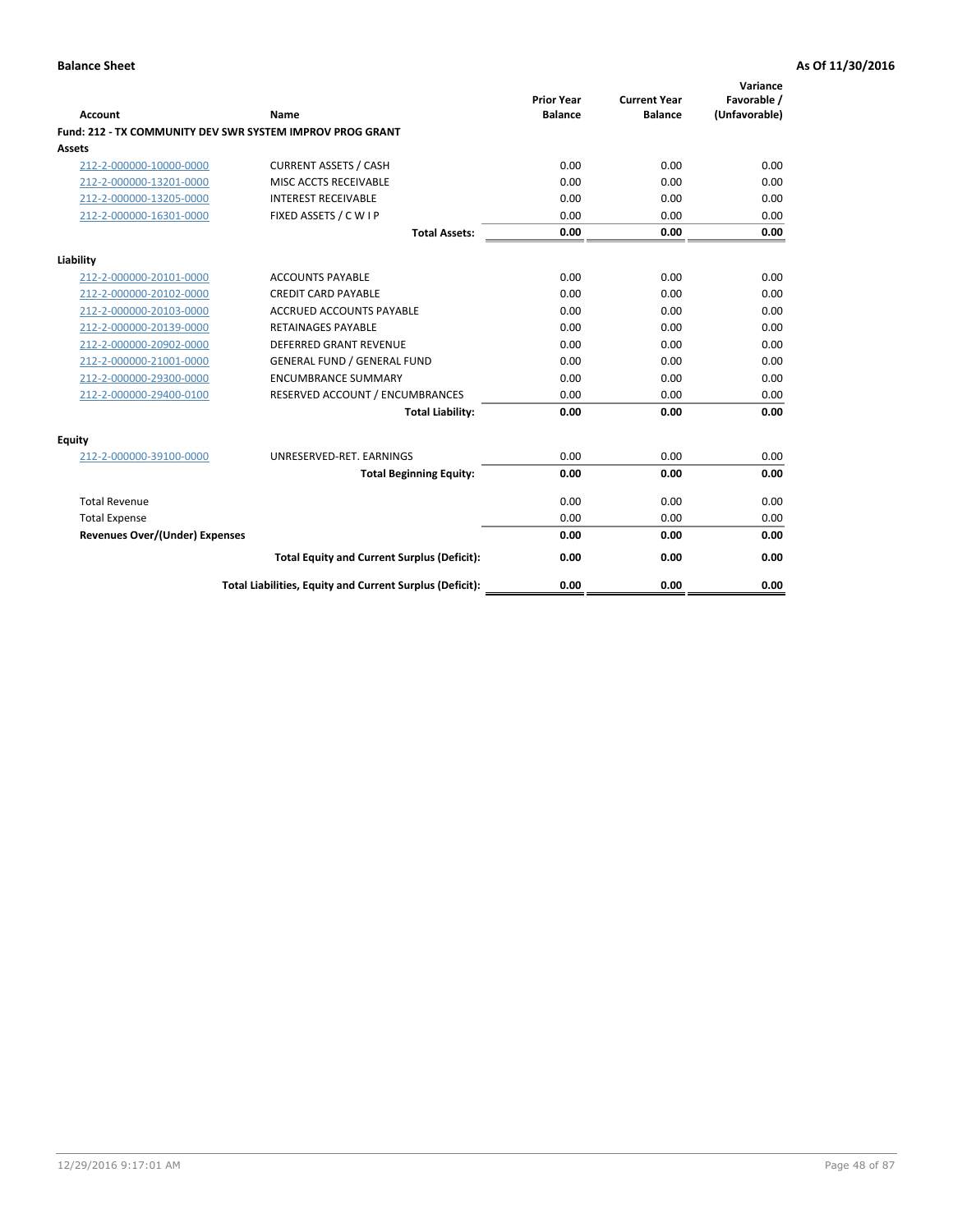| <b>Account</b>                        | Name                                                      | <b>Prior Year</b><br><b>Balance</b> | <b>Current Year</b><br><b>Balance</b> | Variance<br>Favorable /<br>(Unfavorable) |
|---------------------------------------|-----------------------------------------------------------|-------------------------------------|---------------------------------------|------------------------------------------|
|                                       | Fund: 212 - TX COMMUNITY DEV SWR SYSTEM IMPROV PROG GRANT |                                     |                                       |                                          |
| <b>Assets</b>                         |                                                           |                                     |                                       |                                          |
| 212-2-000000-10000-0000               | <b>CURRENT ASSETS / CASH</b>                              | 0.00                                | 0.00                                  | 0.00                                     |
| 212-2-000000-13201-0000               | MISC ACCTS RECEIVABLE                                     | 0.00                                | 0.00                                  | 0.00                                     |
| 212-2-000000-13205-0000               | <b>INTEREST RECEIVABLE</b>                                | 0.00                                | 0.00                                  | 0.00                                     |
| 212-2-000000-16301-0000               | FIXED ASSETS / C W I P                                    | 0.00                                | 0.00                                  | 0.00                                     |
|                                       | <b>Total Assets:</b>                                      | 0.00                                | 0.00                                  | 0.00                                     |
| Liability                             |                                                           |                                     |                                       |                                          |
| 212-2-000000-20101-0000               | <b>ACCOUNTS PAYABLE</b>                                   | 0.00                                | 0.00                                  | 0.00                                     |
| 212-2-000000-20102-0000               | <b>CREDIT CARD PAYABLE</b>                                | 0.00                                | 0.00                                  | 0.00                                     |
| 212-2-000000-20103-0000               | <b>ACCRUED ACCOUNTS PAYABLE</b>                           | 0.00                                | 0.00                                  | 0.00                                     |
| 212-2-000000-20139-0000               | <b>RETAINAGES PAYABLE</b>                                 | 0.00                                | 0.00                                  | 0.00                                     |
| 212-2-000000-20902-0000               | <b>DEFERRED GRANT REVENUE</b>                             | 0.00                                | 0.00                                  | 0.00                                     |
| 212-2-000000-21001-0000               | <b>GENERAL FUND / GENERAL FUND</b>                        | 0.00                                | 0.00                                  | 0.00                                     |
| 212-2-000000-29300-0000               | <b>ENCUMBRANCE SUMMARY</b>                                | 0.00                                | 0.00                                  | 0.00                                     |
| 212-2-000000-29400-0100               | RESERVED ACCOUNT / ENCUMBRANCES                           | 0.00                                | 0.00                                  | 0.00                                     |
|                                       | <b>Total Liability:</b>                                   | 0.00                                | 0.00                                  | 0.00                                     |
| Equity                                |                                                           |                                     |                                       |                                          |
| 212-2-000000-39100-0000               | UNRESERVED-RET. EARNINGS                                  | 0.00                                | 0.00                                  | 0.00                                     |
|                                       | <b>Total Beginning Equity:</b>                            | 0.00                                | 0.00                                  | 0.00                                     |
| <b>Total Revenue</b>                  |                                                           | 0.00                                | 0.00                                  | 0.00                                     |
| <b>Total Expense</b>                  |                                                           | 0.00                                | 0.00                                  | 0.00                                     |
| <b>Revenues Over/(Under) Expenses</b> |                                                           | 0.00                                | 0.00                                  | 0.00                                     |
|                                       | <b>Total Equity and Current Surplus (Deficit):</b>        | 0.00                                | 0.00                                  | 0.00                                     |
|                                       | Total Liabilities, Equity and Current Surplus (Deficit):  | 0.00                                | 0.00                                  | 0.00                                     |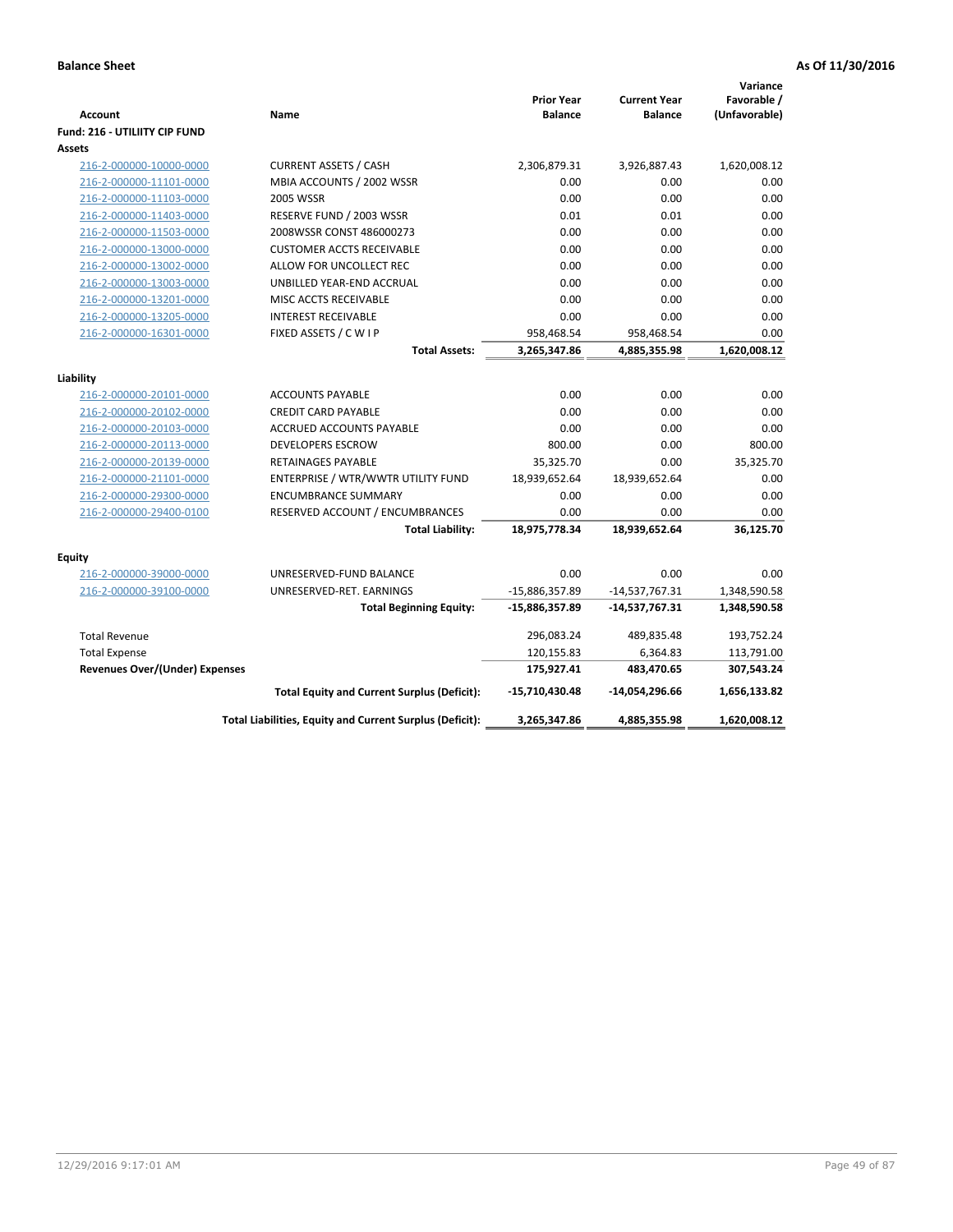| <b>Account</b>                        | Name                                                     | <b>Prior Year</b><br><b>Balance</b> | <b>Current Year</b><br><b>Balance</b> | Variance<br>Favorable /<br>(Unfavorable) |
|---------------------------------------|----------------------------------------------------------|-------------------------------------|---------------------------------------|------------------------------------------|
| Fund: 216 - UTILIITY CIP FUND         |                                                          |                                     |                                       |                                          |
| <b>Assets</b>                         |                                                          |                                     |                                       |                                          |
| 216-2-000000-10000-0000               | <b>CURRENT ASSETS / CASH</b>                             | 2,306,879.31                        | 3,926,887.43                          | 1,620,008.12                             |
| 216-2-000000-11101-0000               | MBIA ACCOUNTS / 2002 WSSR                                | 0.00                                | 0.00                                  | 0.00                                     |
| 216-2-000000-11103-0000               | <b>2005 WSSR</b>                                         | 0.00                                | 0.00                                  | 0.00                                     |
| 216-2-000000-11403-0000               | RESERVE FUND / 2003 WSSR                                 | 0.01                                | 0.01                                  | 0.00                                     |
| 216-2-000000-11503-0000               | 2008WSSR CONST 486000273                                 | 0.00                                | 0.00                                  | 0.00                                     |
| 216-2-000000-13000-0000               | <b>CUSTOMER ACCTS RECEIVABLE</b>                         | 0.00                                | 0.00                                  | 0.00                                     |
| 216-2-000000-13002-0000               | ALLOW FOR UNCOLLECT REC                                  | 0.00                                | 0.00                                  | 0.00                                     |
| 216-2-000000-13003-0000               | UNBILLED YEAR-END ACCRUAL                                | 0.00                                | 0.00                                  | 0.00                                     |
| 216-2-000000-13201-0000               | MISC ACCTS RECEIVABLE                                    | 0.00                                | 0.00                                  | 0.00                                     |
| 216-2-000000-13205-0000               | <b>INTEREST RECEIVABLE</b>                               | 0.00                                | 0.00                                  | 0.00                                     |
| 216-2-000000-16301-0000               | FIXED ASSETS / C W I P                                   | 958,468.54                          | 958,468.54                            | 0.00                                     |
|                                       | <b>Total Assets:</b>                                     | 3,265,347.86                        | 4,885,355.98                          | 1,620,008.12                             |
|                                       |                                                          |                                     |                                       |                                          |
| Liability                             |                                                          |                                     |                                       |                                          |
| 216-2-000000-20101-0000               | <b>ACCOUNTS PAYABLE</b>                                  | 0.00                                | 0.00                                  | 0.00                                     |
| 216-2-000000-20102-0000               | <b>CREDIT CARD PAYABLE</b>                               | 0.00                                | 0.00                                  | 0.00<br>0.00                             |
| 216-2-000000-20103-0000               | ACCRUED ACCOUNTS PAYABLE                                 | 0.00                                | 0.00                                  |                                          |
| 216-2-000000-20113-0000               | <b>DEVELOPERS ESCROW</b>                                 | 800.00                              | 0.00                                  | 800.00                                   |
| 216-2-000000-20139-0000               | <b>RETAINAGES PAYABLE</b>                                | 35,325.70                           | 0.00                                  | 35,325.70                                |
| 216-2-000000-21101-0000               | ENTERPRISE / WTR/WWTR UTILITY FUND                       | 18,939,652.64                       | 18,939,652.64                         | 0.00                                     |
| 216-2-000000-29300-0000               | <b>ENCUMBRANCE SUMMARY</b>                               | 0.00                                | 0.00                                  | 0.00                                     |
| 216-2-000000-29400-0100               | RESERVED ACCOUNT / ENCUMBRANCES                          | 0.00                                | 0.00                                  | 0.00                                     |
|                                       | <b>Total Liability:</b>                                  | 18,975,778.34                       | 18,939,652.64                         | 36,125.70                                |
| <b>Equity</b>                         |                                                          |                                     |                                       |                                          |
| 216-2-000000-39000-0000               | UNRESERVED-FUND BALANCE                                  | 0.00                                | 0.00                                  | 0.00                                     |
| 216-2-000000-39100-0000               | UNRESERVED-RET. EARNINGS                                 | -15,886,357.89                      | $-14,537,767.31$                      | 1,348,590.58                             |
|                                       | <b>Total Beginning Equity:</b>                           | -15,886,357.89                      | -14,537,767.31                        | 1,348,590.58                             |
| <b>Total Revenue</b>                  |                                                          | 296,083.24                          | 489,835.48                            | 193,752.24                               |
| <b>Total Expense</b>                  |                                                          | 120,155.83                          | 6,364.83                              | 113,791.00                               |
| <b>Revenues Over/(Under) Expenses</b> |                                                          | 175,927.41                          | 483,470.65                            | 307,543.24                               |
|                                       | <b>Total Equity and Current Surplus (Deficit):</b>       | -15,710,430.48                      | -14,054,296.66                        | 1,656,133.82                             |
|                                       | Total Liabilities, Equity and Current Surplus (Deficit): | 3,265,347.86                        | 4,885,355.98                          | 1,620,008.12                             |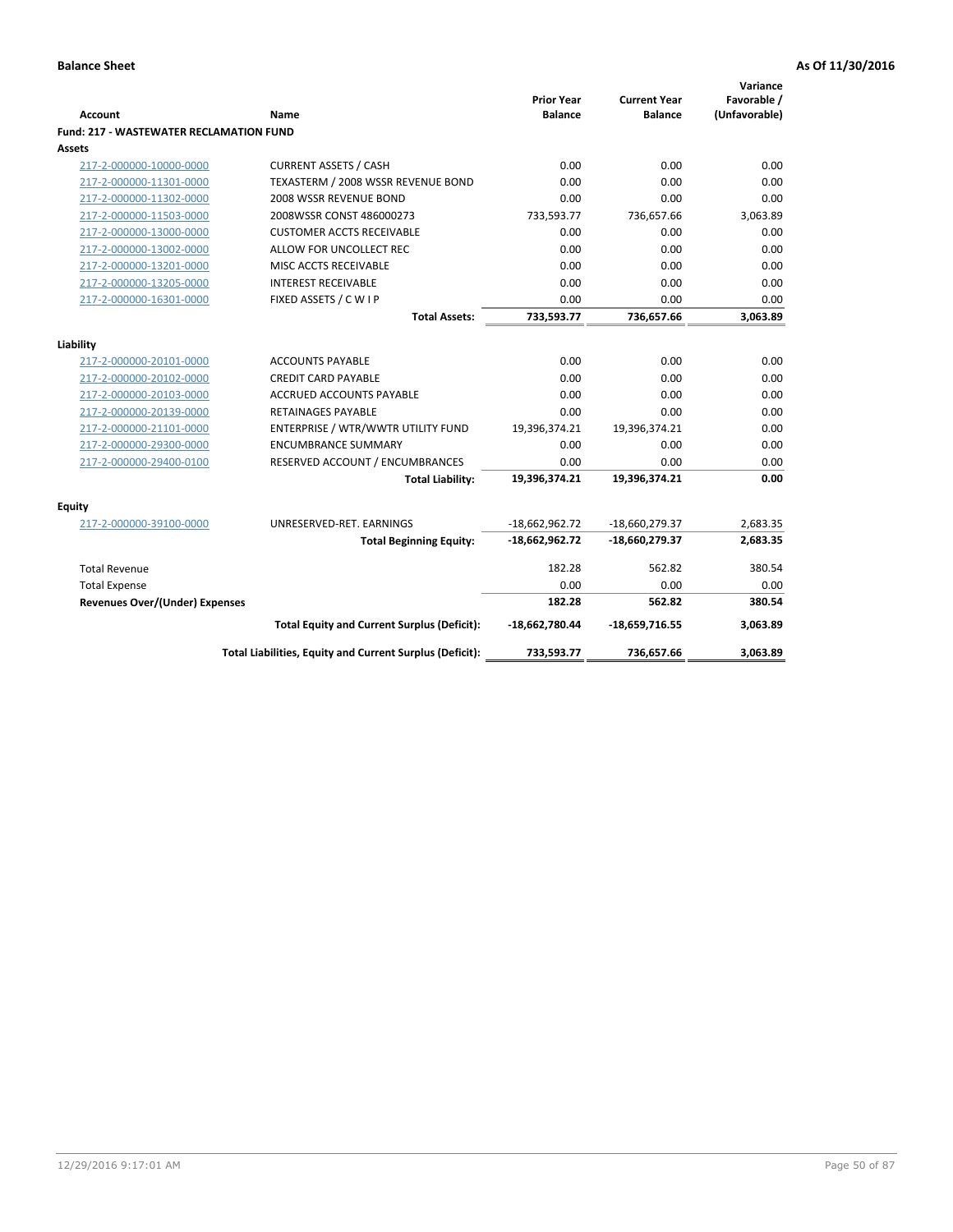| <b>Account</b>                                 | <b>Name</b>                                              | <b>Prior Year</b><br><b>Balance</b> | <b>Current Year</b><br><b>Balance</b> | Variance<br>Favorable /<br>(Unfavorable) |
|------------------------------------------------|----------------------------------------------------------|-------------------------------------|---------------------------------------|------------------------------------------|
| <b>Fund: 217 - WASTEWATER RECLAMATION FUND</b> |                                                          |                                     |                                       |                                          |
| Assets                                         |                                                          |                                     |                                       |                                          |
| 217-2-000000-10000-0000                        | <b>CURRENT ASSETS / CASH</b>                             | 0.00                                | 0.00                                  | 0.00                                     |
| 217-2-000000-11301-0000                        | TEXASTERM / 2008 WSSR REVENUE BOND                       | 0.00                                | 0.00                                  | 0.00                                     |
| 217-2-000000-11302-0000                        | 2008 WSSR REVENUE BOND                                   | 0.00                                | 0.00                                  | 0.00                                     |
| 217-2-000000-11503-0000                        | 2008WSSR CONST 486000273                                 | 733,593.77                          | 736,657.66                            | 3,063.89                                 |
| 217-2-000000-13000-0000                        | <b>CUSTOMER ACCTS RECEIVABLE</b>                         | 0.00                                | 0.00                                  | 0.00                                     |
| 217-2-000000-13002-0000                        | ALLOW FOR UNCOLLECT REC                                  | 0.00                                | 0.00                                  | 0.00                                     |
| 217-2-000000-13201-0000                        | MISC ACCTS RECEIVABLE                                    | 0.00                                | 0.00                                  | 0.00                                     |
| 217-2-000000-13205-0000                        | <b>INTEREST RECEIVABLE</b>                               | 0.00                                | 0.00                                  | 0.00                                     |
| 217-2-000000-16301-0000                        | FIXED ASSETS / C W I P                                   | 0.00                                | 0.00                                  | 0.00                                     |
|                                                | <b>Total Assets:</b>                                     | 733,593.77                          | 736,657.66                            | 3,063.89                                 |
| Liability                                      |                                                          |                                     |                                       |                                          |
| 217-2-000000-20101-0000                        | <b>ACCOUNTS PAYABLE</b>                                  | 0.00                                | 0.00                                  | 0.00                                     |
| 217-2-000000-20102-0000                        | <b>CREDIT CARD PAYABLE</b>                               | 0.00                                | 0.00                                  | 0.00                                     |
| 217-2-000000-20103-0000                        | <b>ACCRUED ACCOUNTS PAYABLE</b>                          | 0.00                                | 0.00                                  | 0.00                                     |
| 217-2-000000-20139-0000                        | <b>RETAINAGES PAYABLE</b>                                | 0.00                                | 0.00                                  | 0.00                                     |
| 217-2-000000-21101-0000                        | ENTERPRISE / WTR/WWTR UTILITY FUND                       | 19,396,374.21                       | 19,396,374.21                         | 0.00                                     |
| 217-2-000000-29300-0000                        | <b>ENCUMBRANCE SUMMARY</b>                               | 0.00                                | 0.00                                  | 0.00                                     |
| 217-2-000000-29400-0100                        | RESERVED ACCOUNT / ENCUMBRANCES                          | 0.00                                | 0.00                                  | 0.00                                     |
|                                                | <b>Total Liability:</b>                                  | 19,396,374.21                       | 19,396,374.21                         | 0.00                                     |
|                                                |                                                          |                                     |                                       |                                          |
| <b>Equity</b>                                  |                                                          |                                     |                                       |                                          |
| 217-2-000000-39100-0000                        | UNRESERVED-RET. EARNINGS                                 | $-18,662,962.72$                    | -18,660,279.37                        | 2,683.35                                 |
|                                                | <b>Total Beginning Equity:</b>                           | $-18,662,962.72$                    | -18,660,279.37                        | 2,683.35                                 |
| <b>Total Revenue</b>                           |                                                          | 182.28                              | 562.82                                | 380.54                                   |
| <b>Total Expense</b>                           |                                                          | 0.00                                | 0.00                                  | 0.00                                     |
| Revenues Over/(Under) Expenses                 |                                                          | 182.28                              | 562.82                                | 380.54                                   |
|                                                | <b>Total Equity and Current Surplus (Deficit):</b>       | -18,662,780.44                      | $-18,659,716.55$                      | 3,063.89                                 |
|                                                | Total Liabilities, Equity and Current Surplus (Deficit): | 733,593.77                          | 736,657.66                            | 3.063.89                                 |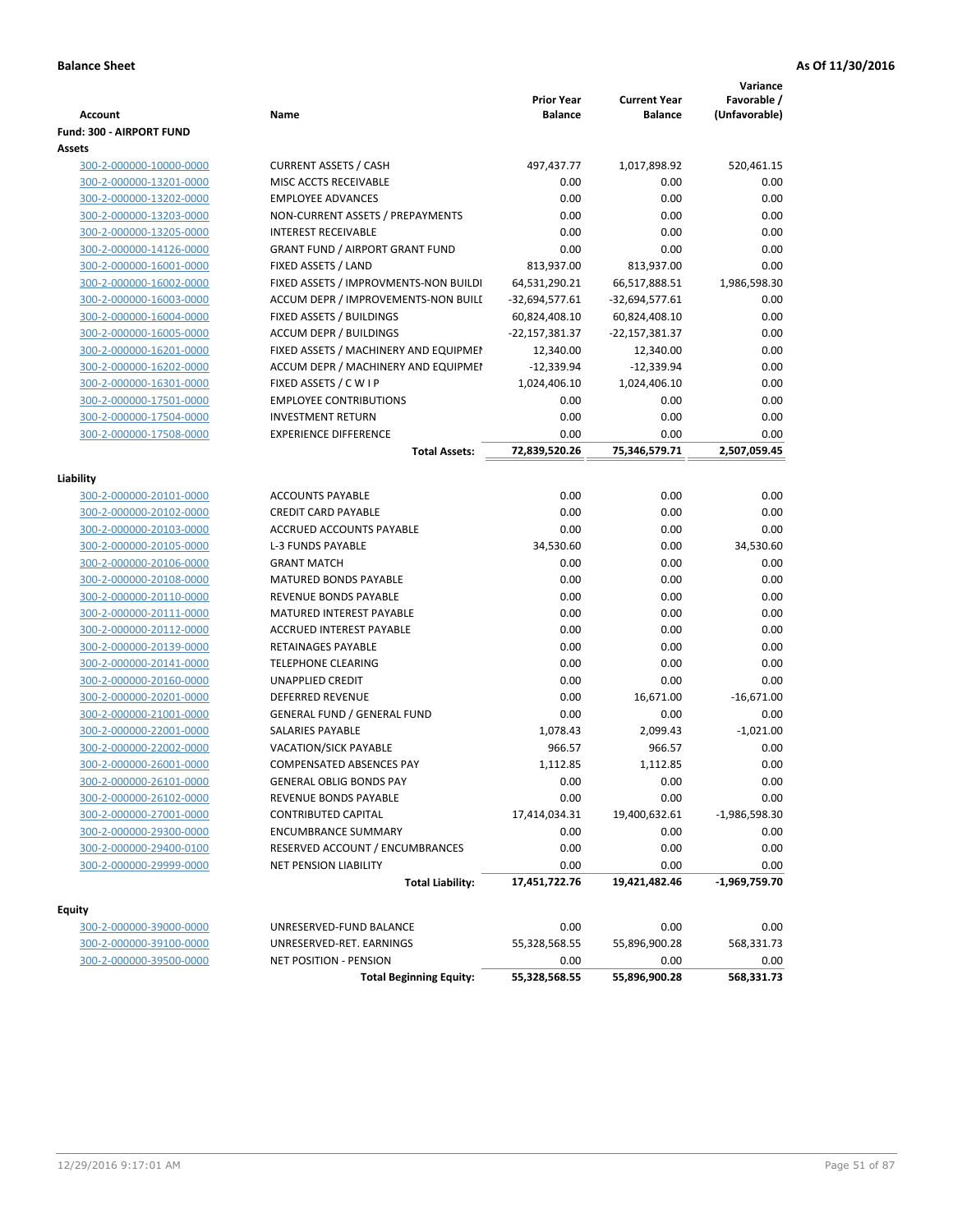| <b>Account</b>           | Name                                                    | <b>Prior Year</b><br><b>Balance</b> | <b>Current Year</b><br><b>Balance</b> | Variance<br>Favorable /<br>(Unfavorable) |
|--------------------------|---------------------------------------------------------|-------------------------------------|---------------------------------------|------------------------------------------|
| Fund: 300 - AIRPORT FUND |                                                         |                                     |                                       |                                          |
| Assets                   |                                                         |                                     |                                       |                                          |
| 300-2-000000-10000-0000  | <b>CURRENT ASSETS / CASH</b>                            | 497,437.77                          | 1,017,898.92                          | 520,461.15                               |
| 300-2-000000-13201-0000  | MISC ACCTS RECEIVABLE                                   | 0.00                                | 0.00                                  | 0.00                                     |
| 300-2-000000-13202-0000  | <b>EMPLOYEE ADVANCES</b>                                | 0.00                                | 0.00                                  | 0.00                                     |
| 300-2-000000-13203-0000  | NON-CURRENT ASSETS / PREPAYMENTS                        | 0.00                                | 0.00                                  | 0.00                                     |
| 300-2-000000-13205-0000  | <b>INTEREST RECEIVABLE</b>                              | 0.00                                | 0.00                                  | 0.00                                     |
| 300-2-000000-14126-0000  | <b>GRANT FUND / AIRPORT GRANT FUND</b>                  | 0.00                                | 0.00                                  | 0.00                                     |
| 300-2-000000-16001-0000  | FIXED ASSETS / LAND                                     | 813,937.00                          | 813,937.00                            | 0.00                                     |
| 300-2-000000-16002-0000  | FIXED ASSETS / IMPROVMENTS-NON BUILDI                   | 64,531,290.21                       | 66,517,888.51                         | 1,986,598.30                             |
| 300-2-000000-16003-0000  | ACCUM DEPR / IMPROVEMENTS-NON BUILL                     | $-32,694,577.61$                    | $-32,694,577.61$                      | 0.00                                     |
| 300-2-000000-16004-0000  | FIXED ASSETS / BUILDINGS                                | 60,824,408.10                       | 60,824,408.10                         | 0.00                                     |
| 300-2-000000-16005-0000  | <b>ACCUM DEPR / BUILDINGS</b>                           | -22,157,381.37                      | -22,157,381.37                        | 0.00                                     |
| 300-2-000000-16201-0000  | FIXED ASSETS / MACHINERY AND EQUIPMEN                   | 12,340.00                           | 12,340.00                             | 0.00                                     |
| 300-2-000000-16202-0000  | ACCUM DEPR / MACHINERY AND EQUIPMEI                     | $-12,339.94$                        | $-12,339.94$                          | 0.00                                     |
| 300-2-000000-16301-0000  | FIXED ASSETS / C W I P                                  | 1,024,406.10                        | 1,024,406.10                          | 0.00                                     |
| 300-2-000000-17501-0000  | <b>EMPLOYEE CONTRIBUTIONS</b>                           | 0.00                                | 0.00                                  | 0.00                                     |
| 300-2-000000-17504-0000  | <b>INVESTMENT RETURN</b>                                | 0.00                                | 0.00                                  | 0.00                                     |
| 300-2-000000-17508-0000  | <b>EXPERIENCE DIFFERENCE</b>                            | 0.00                                | 0.00                                  | 0.00                                     |
|                          | <b>Total Assets:</b>                                    | 72,839,520.26                       | 75,346,579.71                         | 2,507,059.45                             |
| Liability                |                                                         |                                     |                                       |                                          |
| 300-2-000000-20101-0000  | <b>ACCOUNTS PAYABLE</b>                                 | 0.00                                | 0.00                                  | 0.00                                     |
| 300-2-000000-20102-0000  | <b>CREDIT CARD PAYABLE</b>                              | 0.00                                | 0.00                                  | 0.00                                     |
| 300-2-000000-20103-0000  | <b>ACCRUED ACCOUNTS PAYABLE</b>                         | 0.00                                | 0.00                                  | 0.00                                     |
| 300-2-000000-20105-0000  | <b>L-3 FUNDS PAYABLE</b>                                | 34,530.60                           | 0.00                                  | 34,530.60                                |
| 300-2-000000-20106-0000  | <b>GRANT MATCH</b>                                      | 0.00                                | 0.00                                  | 0.00                                     |
| 300-2-000000-20108-0000  | <b>MATURED BONDS PAYABLE</b>                            | 0.00                                | 0.00                                  | 0.00                                     |
| 300-2-000000-20110-0000  | REVENUE BONDS PAYABLE                                   | 0.00                                | 0.00                                  | 0.00                                     |
| 300-2-000000-20111-0000  | MATURED INTEREST PAYABLE                                | 0.00                                | 0.00                                  | 0.00                                     |
| 300-2-000000-20112-0000  | <b>ACCRUED INTEREST PAYABLE</b>                         | 0.00                                | 0.00                                  | 0.00                                     |
| 300-2-000000-20139-0000  | RETAINAGES PAYABLE                                      | 0.00                                | 0.00                                  | 0.00                                     |
| 300-2-000000-20141-0000  | <b>TELEPHONE CLEARING</b>                               | 0.00                                | 0.00                                  | 0.00                                     |
| 300-2-000000-20160-0000  | <b>UNAPPLIED CREDIT</b>                                 | 0.00                                | 0.00                                  | 0.00                                     |
| 300-2-000000-20201-0000  | <b>DEFERRED REVENUE</b>                                 | 0.00                                | 16,671.00                             | $-16,671.00$                             |
| 300-2-000000-21001-0000  | <b>GENERAL FUND / GENERAL FUND</b>                      | 0.00                                | 0.00                                  | 0.00                                     |
| 300-2-000000-22001-0000  | SALARIES PAYABLE                                        | 1,078.43                            | 2,099.43                              | $-1,021.00$                              |
| 300-2-000000-22002-0000  | VACATION/SICK PAYABLE                                   | 966.57                              | 966.57                                | 0.00                                     |
| 300-2-000000-26001-0000  | <b>COMPENSATED ABSENCES PAY</b>                         | 1,112.85                            | 1,112.85                              | 0.00                                     |
| 300-2-000000-26101-0000  |                                                         | 0.00                                | 0.00                                  | 0.00                                     |
|                          | GENERAL OBLIG BONDS PAY                                 |                                     |                                       |                                          |
| 300-2-000000-26102-0000  | REVENUE BONDS PAYABLE                                   | 0.00<br>17,414,034.31               | 0.00                                  | 0.00                                     |
| 300-2-000000-27001-0000  | <b>CONTRIBUTED CAPITAL</b>                              |                                     | 19,400,632.61                         | $-1,986,598.30$                          |
| 300-2-000000-29300-0000  | <b>ENCUMBRANCE SUMMARY</b>                              | 0.00                                | 0.00                                  | 0.00                                     |
| 300-2-000000-29400-0100  | RESERVED ACCOUNT / ENCUMBRANCES                         | 0.00                                | 0.00                                  | 0.00                                     |
| 300-2-000000-29999-0000  | <b>NET PENSION LIABILITY</b><br><b>Total Liability:</b> | 0.00<br>17,451,722.76               | 0.00<br>19,421,482.46                 | 0.00<br>$-1,969,759.70$                  |
|                          |                                                         |                                     |                                       |                                          |
| Equity                   |                                                         |                                     |                                       |                                          |
| 300-2-000000-39000-0000  | UNRESERVED-FUND BALANCE                                 | 0.00                                | 0.00                                  | 0.00                                     |
| 300-2-000000-39100-0000  | UNRESERVED-RET. EARNINGS                                | 55,328,568.55                       | 55,896,900.28                         | 568,331.73                               |
| 300-2-000000-39500-0000  | <b>NET POSITION - PENSION</b>                           | 0.00                                | 0.00                                  | 0.00                                     |
|                          | <b>Total Beginning Equity:</b>                          | 55,328,568.55                       | 55,896,900.28                         | 568,331.73                               |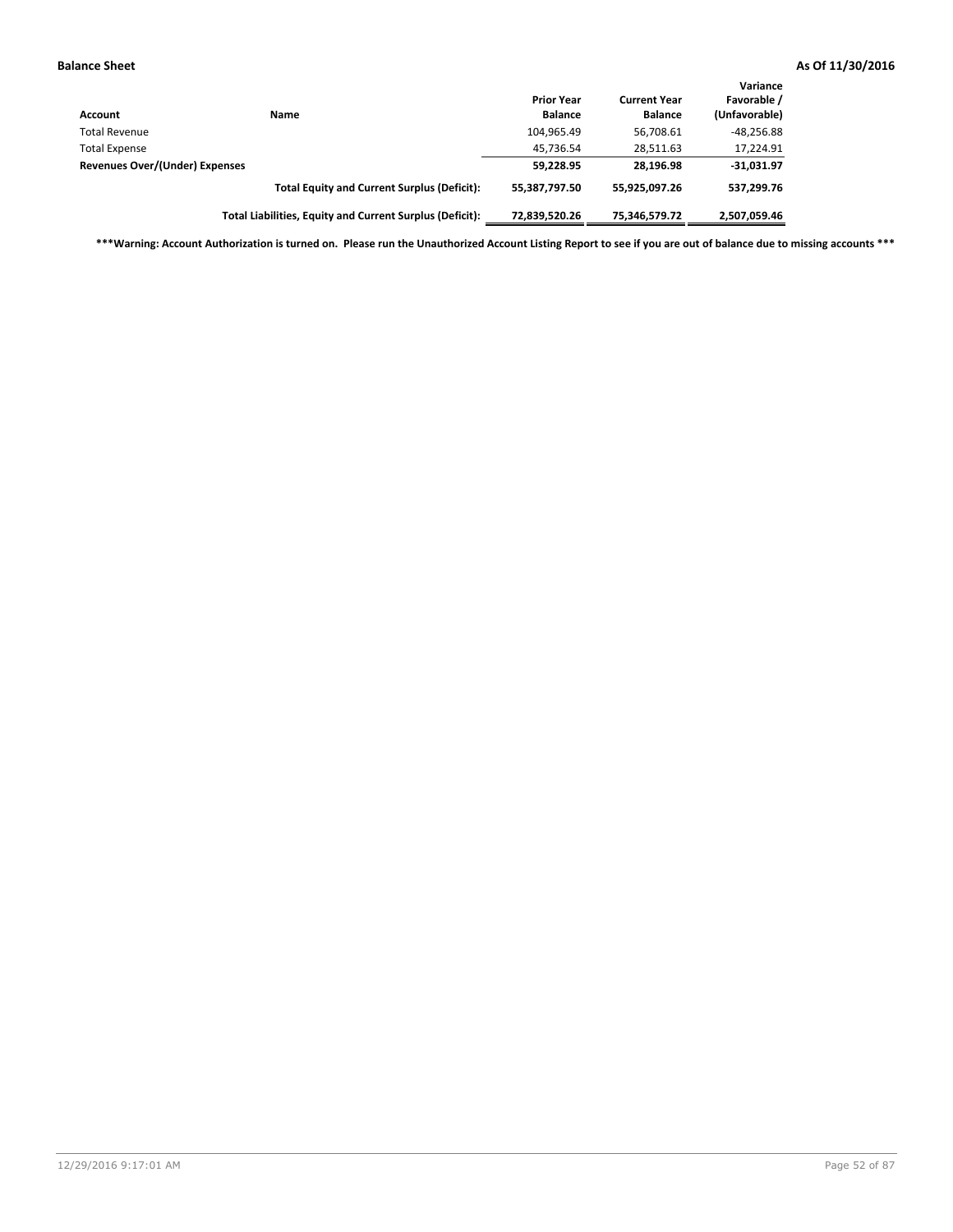| <b>Account</b>                 | Name                                                     | <b>Prior Year</b><br><b>Balance</b> | <b>Current Year</b><br><b>Balance</b> | Variance<br>Favorable /<br>(Unfavorable) |
|--------------------------------|----------------------------------------------------------|-------------------------------------|---------------------------------------|------------------------------------------|
| <b>Total Revenue</b>           |                                                          | 104,965.49                          | 56,708.61                             | $-48,256.88$                             |
| <b>Total Expense</b>           |                                                          | 45,736.54                           | 28,511.63                             | 17,224.91                                |
| Revenues Over/(Under) Expenses |                                                          | 59,228.95                           | 28.196.98                             | $-31,031.97$                             |
|                                | <b>Total Equity and Current Surplus (Deficit):</b>       | 55,387,797.50                       | 55,925,097.26                         | 537,299.76                               |
|                                | Total Liabilities, Equity and Current Surplus (Deficit): | 72,839,520.26                       | 75,346,579.72                         | 2,507,059.46                             |

**\*\*\*Warning: Account Authorization is turned on. Please run the Unauthorized Account Listing Report to see if you are out of balance due to missing accounts \*\*\***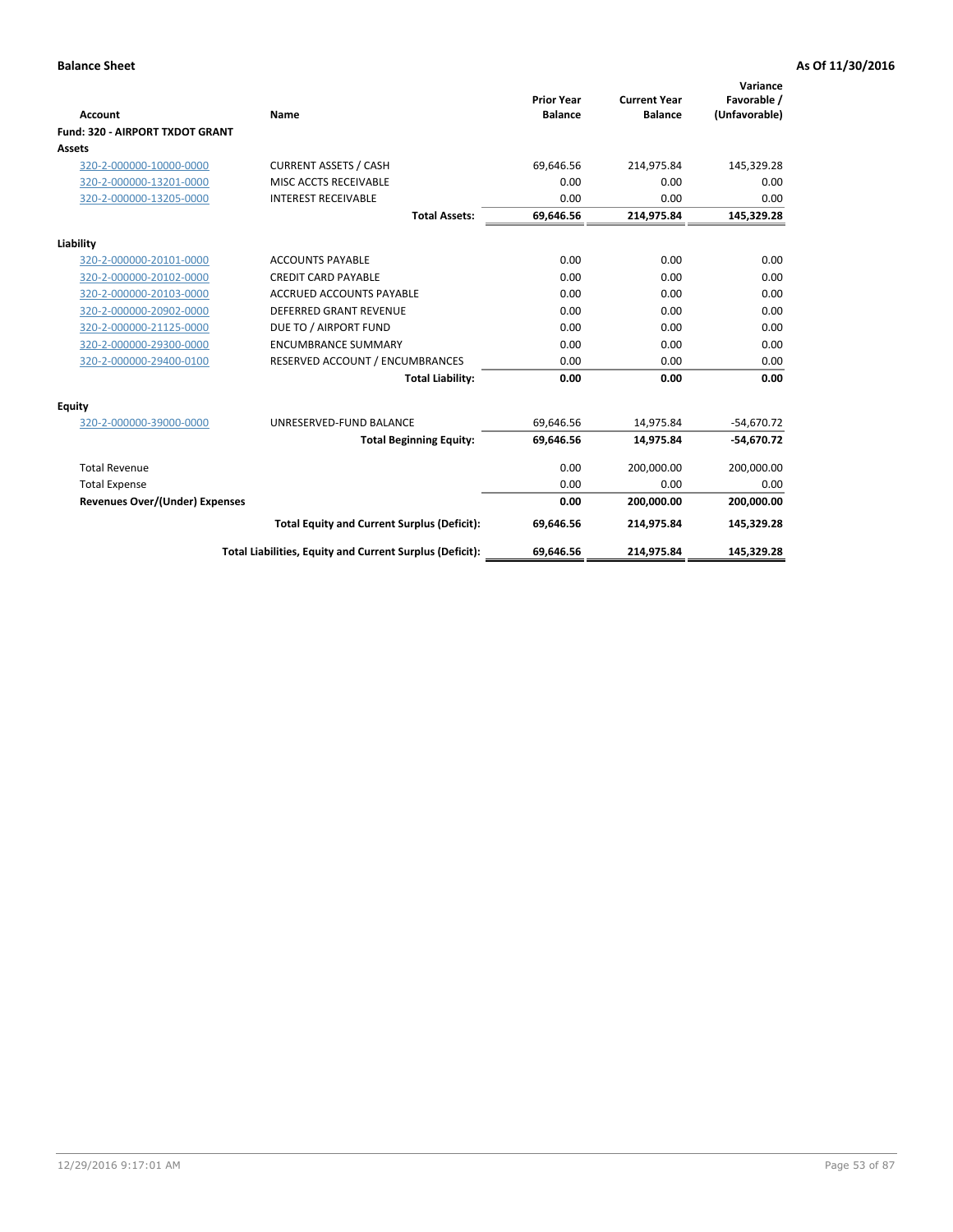|                                       |                                                          |                                     |                                       | Variance                     |
|---------------------------------------|----------------------------------------------------------|-------------------------------------|---------------------------------------|------------------------------|
| <b>Account</b>                        | Name                                                     | <b>Prior Year</b><br><b>Balance</b> | <b>Current Year</b><br><b>Balance</b> | Favorable /<br>(Unfavorable) |
| Fund: 320 - AIRPORT TXDOT GRANT       |                                                          |                                     |                                       |                              |
| Assets                                |                                                          |                                     |                                       |                              |
| 320-2-000000-10000-0000               | <b>CURRENT ASSETS / CASH</b>                             | 69,646.56                           | 214,975.84                            | 145,329.28                   |
| 320-2-000000-13201-0000               | MISC ACCTS RECEIVABLE                                    | 0.00                                | 0.00                                  | 0.00                         |
| 320-2-000000-13205-0000               | <b>INTEREST RECEIVABLE</b>                               | 0.00                                | 0.00                                  | 0.00                         |
|                                       | <b>Total Assets:</b>                                     | 69,646.56                           | 214,975.84                            | 145,329.28                   |
| Liability                             |                                                          |                                     |                                       |                              |
| 320-2-000000-20101-0000               | <b>ACCOUNTS PAYABLE</b>                                  | 0.00                                | 0.00                                  | 0.00                         |
| 320-2-000000-20102-0000               | <b>CREDIT CARD PAYABLE</b>                               | 0.00                                | 0.00                                  | 0.00                         |
| 320-2-000000-20103-0000               | <b>ACCRUED ACCOUNTS PAYABLE</b>                          | 0.00                                | 0.00                                  | 0.00                         |
| 320-2-000000-20902-0000               | <b>DEFERRED GRANT REVENUE</b>                            | 0.00                                | 0.00                                  | 0.00                         |
| 320-2-000000-21125-0000               | DUE TO / AIRPORT FUND                                    | 0.00                                | 0.00                                  | 0.00                         |
| 320-2-000000-29300-0000               | <b>ENCUMBRANCE SUMMARY</b>                               | 0.00                                | 0.00                                  | 0.00                         |
| 320-2-000000-29400-0100               | RESERVED ACCOUNT / ENCUMBRANCES                          | 0.00                                | 0.00                                  | 0.00                         |
|                                       | <b>Total Liability:</b>                                  | 0.00                                | 0.00                                  | 0.00                         |
| <b>Equity</b>                         |                                                          |                                     |                                       |                              |
| 320-2-000000-39000-0000               | UNRESERVED-FUND BALANCE                                  | 69,646.56                           | 14,975.84                             | $-54,670.72$                 |
|                                       | <b>Total Beginning Equity:</b>                           | 69,646.56                           | 14,975.84                             | $-54,670.72$                 |
| <b>Total Revenue</b>                  |                                                          | 0.00                                | 200,000.00                            | 200,000.00                   |
| <b>Total Expense</b>                  |                                                          | 0.00                                | 0.00                                  | 0.00                         |
| <b>Revenues Over/(Under) Expenses</b> |                                                          | 0.00                                | 200,000.00                            | 200,000.00                   |
|                                       | <b>Total Equity and Current Surplus (Deficit):</b>       | 69,646.56                           | 214,975.84                            | 145,329.28                   |
|                                       | Total Liabilities, Equity and Current Surplus (Deficit): | 69,646.56                           | 214,975.84                            | 145,329.28                   |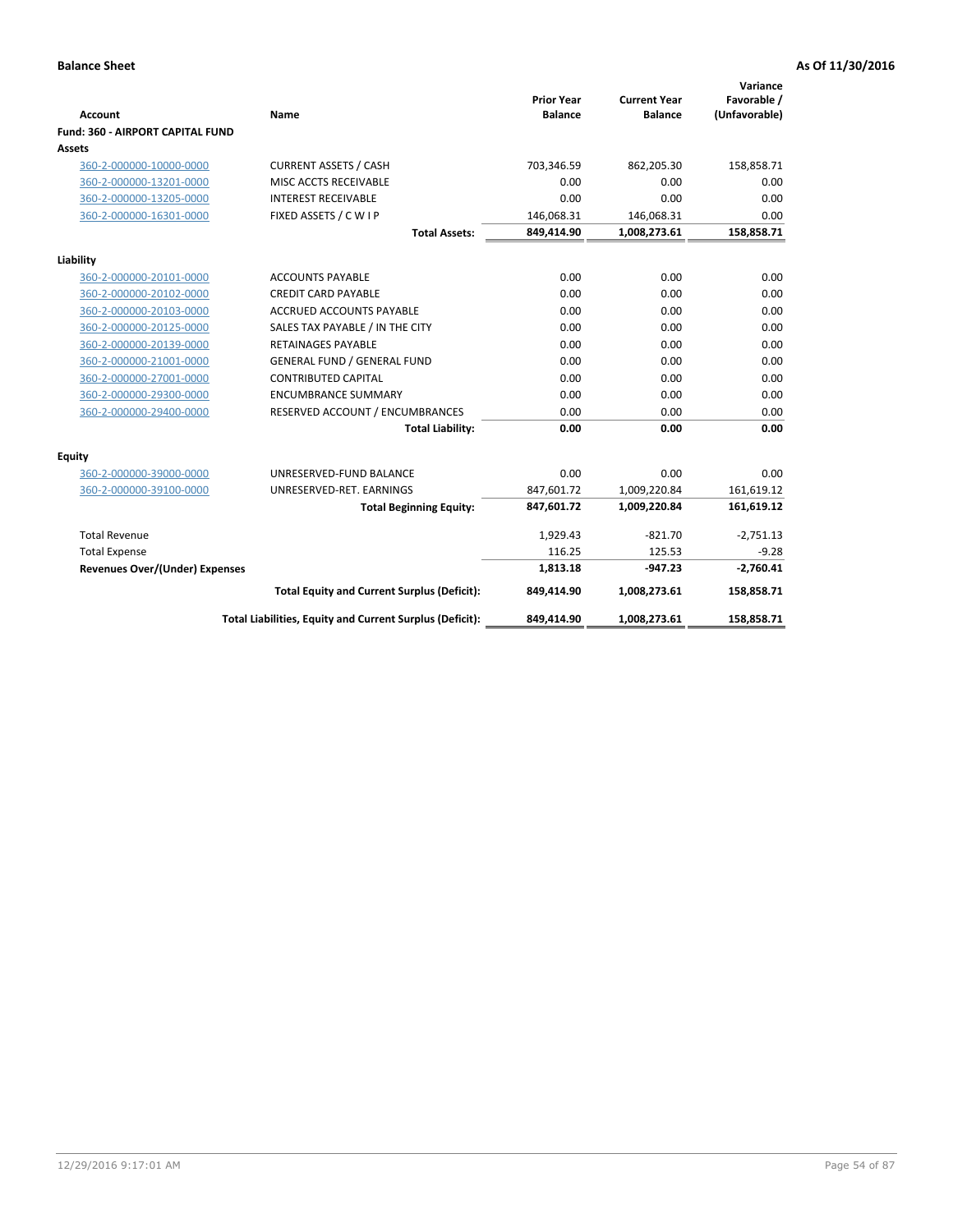|                                         |                                                          |                                     |                                       | Variance                     |
|-----------------------------------------|----------------------------------------------------------|-------------------------------------|---------------------------------------|------------------------------|
| <b>Account</b>                          | Name                                                     | <b>Prior Year</b><br><b>Balance</b> | <b>Current Year</b><br><b>Balance</b> | Favorable /<br>(Unfavorable) |
| <b>Fund: 360 - AIRPORT CAPITAL FUND</b> |                                                          |                                     |                                       |                              |
| Assets                                  |                                                          |                                     |                                       |                              |
| 360-2-000000-10000-0000                 | <b>CURRENT ASSETS / CASH</b>                             | 703,346.59                          | 862,205.30                            | 158,858.71                   |
| 360-2-000000-13201-0000                 | MISC ACCTS RECEIVABLE                                    | 0.00                                | 0.00                                  | 0.00                         |
| 360-2-000000-13205-0000                 | <b>INTEREST RECEIVABLE</b>                               | 0.00                                | 0.00                                  | 0.00                         |
| 360-2-000000-16301-0000                 | FIXED ASSETS / C W I P                                   | 146,068.31                          | 146,068.31                            | 0.00                         |
|                                         | <b>Total Assets:</b>                                     | 849,414.90                          | 1,008,273.61                          | 158,858.71                   |
| Liability                               |                                                          |                                     |                                       |                              |
| 360-2-000000-20101-0000                 | <b>ACCOUNTS PAYABLE</b>                                  | 0.00                                | 0.00                                  | 0.00                         |
| 360-2-000000-20102-0000                 | <b>CREDIT CARD PAYABLE</b>                               | 0.00                                | 0.00                                  | 0.00                         |
| 360-2-000000-20103-0000                 | <b>ACCRUED ACCOUNTS PAYABLE</b>                          | 0.00                                | 0.00                                  | 0.00                         |
| 360-2-000000-20125-0000                 | SALES TAX PAYABLE / IN THE CITY                          | 0.00                                | 0.00                                  | 0.00                         |
| 360-2-000000-20139-0000                 | <b>RETAINAGES PAYABLE</b>                                | 0.00                                | 0.00                                  | 0.00                         |
| 360-2-000000-21001-0000                 | <b>GENERAL FUND / GENERAL FUND</b>                       | 0.00                                | 0.00                                  | 0.00                         |
| 360-2-000000-27001-0000                 | <b>CONTRIBUTED CAPITAL</b>                               | 0.00                                | 0.00                                  | 0.00                         |
| 360-2-000000-29300-0000                 | <b>ENCUMBRANCE SUMMARY</b>                               | 0.00                                | 0.00                                  | 0.00                         |
| 360-2-000000-29400-0000                 | RESERVED ACCOUNT / ENCUMBRANCES                          | 0.00                                | 0.00                                  | 0.00                         |
|                                         | <b>Total Liability:</b>                                  | 0.00                                | 0.00                                  | 0.00                         |
| Equity                                  |                                                          |                                     |                                       |                              |
| 360-2-000000-39000-0000                 | UNRESERVED-FUND BALANCE                                  | 0.00                                | 0.00                                  | 0.00                         |
| 360-2-000000-39100-0000                 | UNRESERVED-RET. EARNINGS                                 | 847,601.72                          | 1,009,220.84                          | 161,619.12                   |
|                                         | <b>Total Beginning Equity:</b>                           | 847,601.72                          | 1,009,220.84                          | 161,619.12                   |
| <b>Total Revenue</b>                    |                                                          | 1,929.43                            | $-821.70$                             | $-2,751.13$                  |
| <b>Total Expense</b>                    |                                                          | 116.25                              | 125.53                                | $-9.28$                      |
| <b>Revenues Over/(Under) Expenses</b>   |                                                          | 1,813.18                            | $-947.23$                             | $-2,760.41$                  |
|                                         | <b>Total Equity and Current Surplus (Deficit):</b>       | 849,414.90                          | 1,008,273.61                          | 158,858.71                   |
|                                         | Total Liabilities, Equity and Current Surplus (Deficit): | 849,414.90                          | 1,008,273.61                          | 158,858.71                   |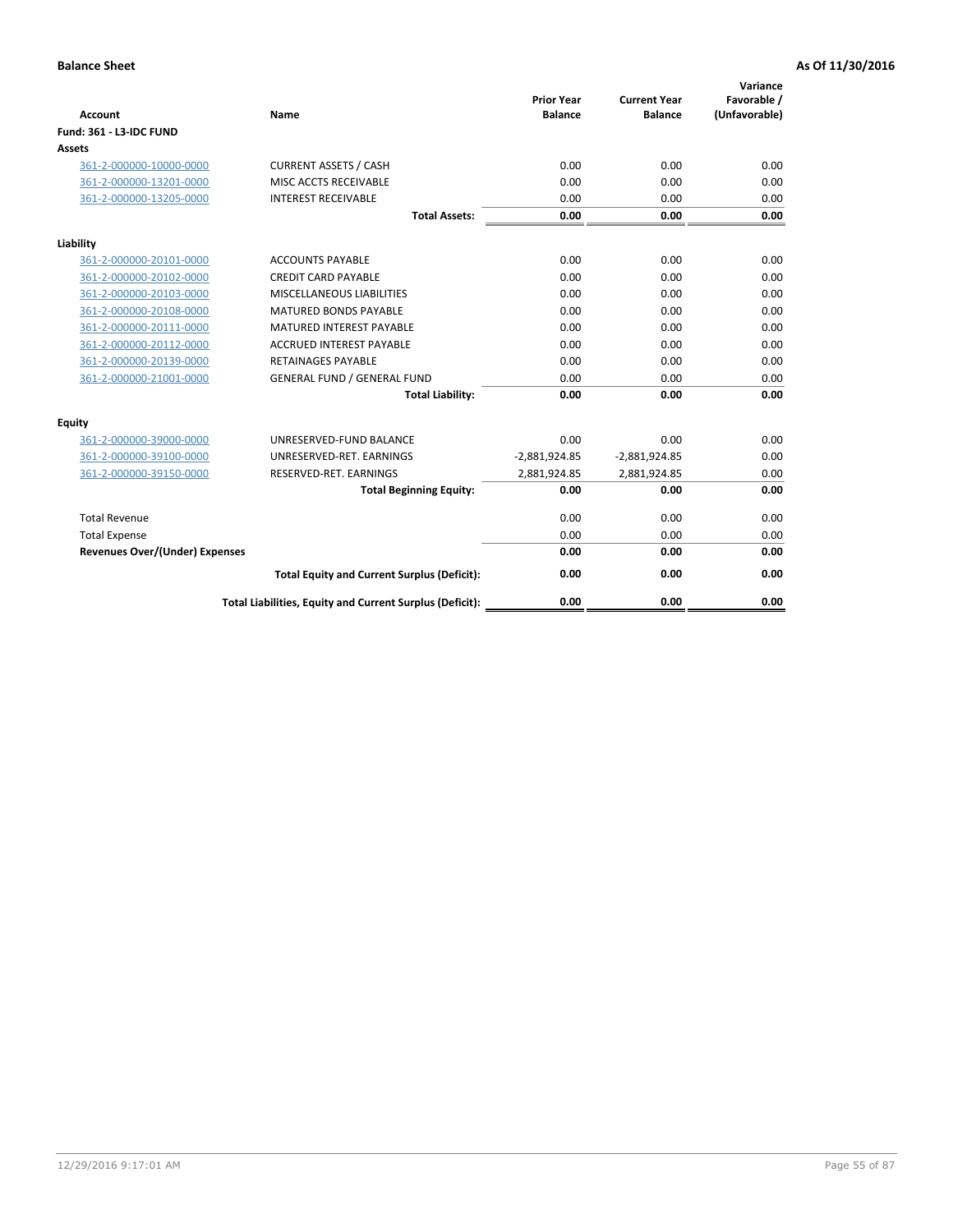| <b>Account</b>                        | Name                                                     | <b>Prior Year</b><br><b>Balance</b> | <b>Current Year</b><br><b>Balance</b> | Variance<br>Favorable /<br>(Unfavorable) |
|---------------------------------------|----------------------------------------------------------|-------------------------------------|---------------------------------------|------------------------------------------|
| Fund: 361 - L3-IDC FUND               |                                                          |                                     |                                       |                                          |
| Assets                                |                                                          |                                     |                                       |                                          |
| 361-2-000000-10000-0000               | <b>CURRENT ASSETS / CASH</b>                             | 0.00                                | 0.00                                  | 0.00                                     |
| 361-2-000000-13201-0000               | MISC ACCTS RECEIVABLE                                    | 0.00                                | 0.00                                  | 0.00                                     |
| 361-2-000000-13205-0000               | <b>INTEREST RECEIVABLE</b>                               | 0.00                                | 0.00                                  | 0.00                                     |
|                                       | <b>Total Assets:</b>                                     | 0.00                                | 0.00                                  | 0.00                                     |
| Liability                             |                                                          |                                     |                                       |                                          |
| 361-2-000000-20101-0000               | <b>ACCOUNTS PAYABLE</b>                                  | 0.00                                | 0.00                                  | 0.00                                     |
| 361-2-000000-20102-0000               | <b>CREDIT CARD PAYABLE</b>                               | 0.00                                | 0.00                                  | 0.00                                     |
| 361-2-000000-20103-0000               | MISCELLANEOUS LIABILITIES                                | 0.00                                | 0.00                                  | 0.00                                     |
| 361-2-000000-20108-0000               | <b>MATURED BONDS PAYABLE</b>                             | 0.00                                | 0.00                                  | 0.00                                     |
| 361-2-000000-20111-0000               | <b>MATURED INTEREST PAYABLE</b>                          | 0.00                                | 0.00                                  | 0.00                                     |
| 361-2-000000-20112-0000               | <b>ACCRUED INTEREST PAYABLE</b>                          | 0.00                                | 0.00                                  | 0.00                                     |
| 361-2-000000-20139-0000               | <b>RETAINAGES PAYABLE</b>                                | 0.00                                | 0.00                                  | 0.00                                     |
| 361-2-000000-21001-0000               | <b>GENERAL FUND / GENERAL FUND</b>                       | 0.00                                | 0.00                                  | 0.00                                     |
|                                       | <b>Total Liability:</b>                                  | 0.00                                | 0.00                                  | 0.00                                     |
| Equity                                |                                                          |                                     |                                       |                                          |
| 361-2-000000-39000-0000               | UNRESERVED-FUND BALANCE                                  | 0.00                                | 0.00                                  | 0.00                                     |
| 361-2-000000-39100-0000               | UNRESERVED-RET. EARNINGS                                 | $-2,881,924.85$                     | $-2,881,924.85$                       | 0.00                                     |
| 361-2-000000-39150-0000               | RESERVED-RET. EARNINGS                                   | 2,881,924.85                        | 2,881,924.85                          | 0.00                                     |
|                                       | <b>Total Beginning Equity:</b>                           | 0.00                                | 0.00                                  | 0.00                                     |
| <b>Total Revenue</b>                  |                                                          | 0.00                                | 0.00                                  | 0.00                                     |
| <b>Total Expense</b>                  |                                                          | 0.00                                | 0.00                                  | 0.00                                     |
| <b>Revenues Over/(Under) Expenses</b> |                                                          | 0.00                                | 0.00                                  | 0.00                                     |
|                                       | <b>Total Equity and Current Surplus (Deficit):</b>       | 0.00                                | 0.00                                  | 0.00                                     |
|                                       | Total Liabilities, Equity and Current Surplus (Deficit): | 0.00                                | 0.00                                  | 0.00                                     |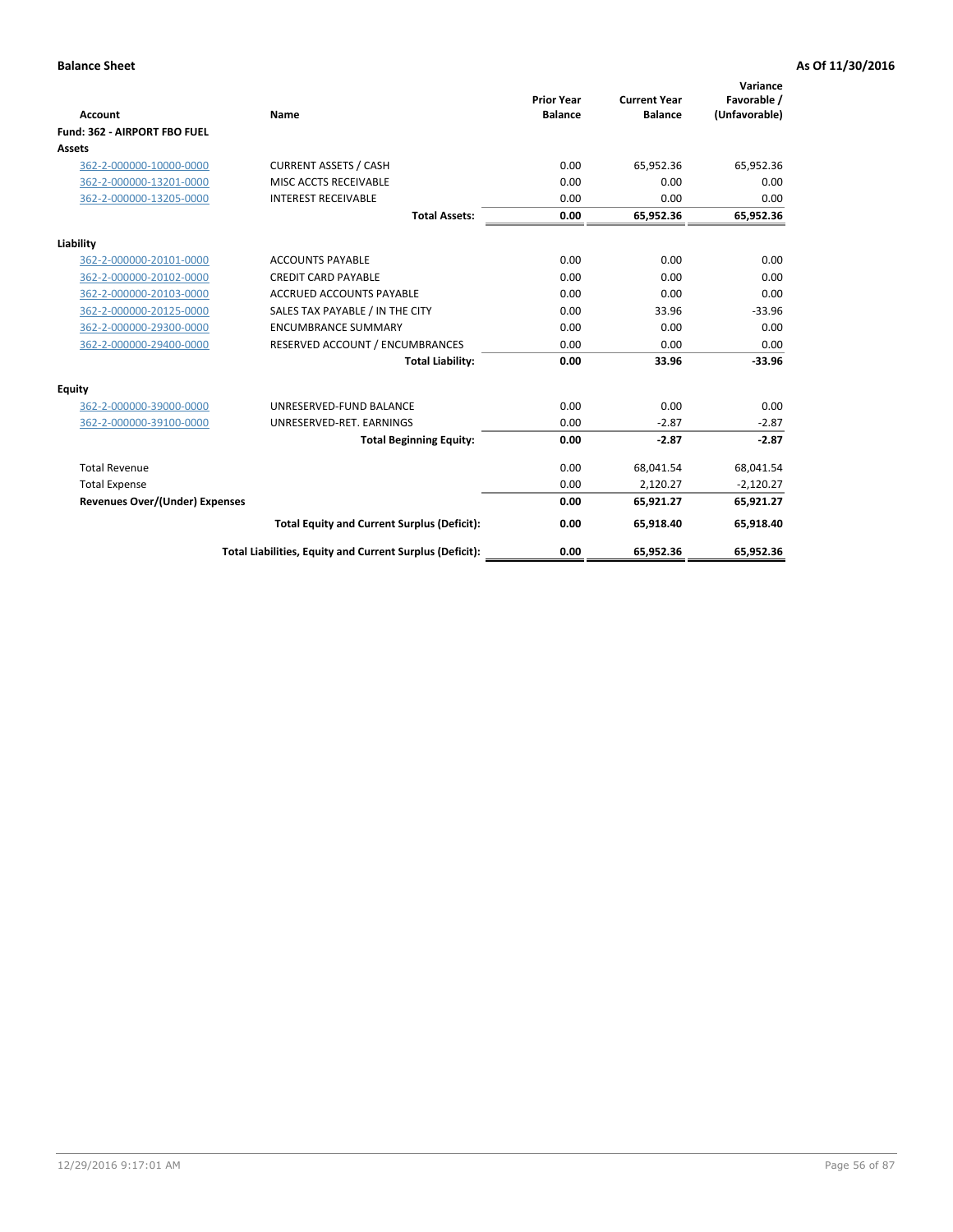|                                       |                                                          |                                     |                                       | Variance                     |
|---------------------------------------|----------------------------------------------------------|-------------------------------------|---------------------------------------|------------------------------|
| <b>Account</b>                        | Name                                                     | <b>Prior Year</b><br><b>Balance</b> | <b>Current Year</b><br><b>Balance</b> | Favorable /<br>(Unfavorable) |
| Fund: 362 - AIRPORT FBO FUEL          |                                                          |                                     |                                       |                              |
| Assets                                |                                                          |                                     |                                       |                              |
| 362-2-000000-10000-0000               | <b>CURRENT ASSETS / CASH</b>                             | 0.00                                | 65.952.36                             | 65,952.36                    |
| 362-2-000000-13201-0000               | MISC ACCTS RECEIVABLE                                    | 0.00                                | 0.00                                  | 0.00                         |
| 362-2-000000-13205-0000               | <b>INTEREST RECEIVABLE</b>                               | 0.00                                | 0.00                                  | 0.00                         |
|                                       | <b>Total Assets:</b>                                     | 0.00                                | 65,952.36                             | 65,952.36                    |
| Liability                             |                                                          |                                     |                                       |                              |
| 362-2-000000-20101-0000               | <b>ACCOUNTS PAYABLE</b>                                  | 0.00                                | 0.00                                  | 0.00                         |
| 362-2-000000-20102-0000               | <b>CREDIT CARD PAYABLE</b>                               | 0.00                                | 0.00                                  | 0.00                         |
| 362-2-000000-20103-0000               | <b>ACCRUED ACCOUNTS PAYABLE</b>                          | 0.00                                | 0.00                                  | 0.00                         |
| 362-2-000000-20125-0000               | SALES TAX PAYABLE / IN THE CITY                          | 0.00                                | 33.96                                 | $-33.96$                     |
| 362-2-000000-29300-0000               | <b>ENCUMBRANCE SUMMARY</b>                               | 0.00                                | 0.00                                  | 0.00                         |
| 362-2-000000-29400-0000               | RESERVED ACCOUNT / ENCUMBRANCES                          | 0.00                                | 0.00                                  | 0.00                         |
|                                       | <b>Total Liability:</b>                                  | 0.00                                | 33.96                                 | $-33.96$                     |
| <b>Equity</b>                         |                                                          |                                     |                                       |                              |
| 362-2-000000-39000-0000               | UNRESERVED-FUND BALANCE                                  | 0.00                                | 0.00                                  | 0.00                         |
| 362-2-000000-39100-0000               | UNRESERVED-RET. EARNINGS                                 | 0.00                                | $-2.87$                               | $-2.87$                      |
|                                       | <b>Total Beginning Equity:</b>                           | 0.00                                | $-2.87$                               | $-2.87$                      |
| <b>Total Revenue</b>                  |                                                          | 0.00                                | 68,041.54                             | 68,041.54                    |
| <b>Total Expense</b>                  |                                                          | 0.00                                | 2,120.27                              | $-2,120.27$                  |
| <b>Revenues Over/(Under) Expenses</b> |                                                          | 0.00                                | 65,921.27                             | 65,921.27                    |
|                                       | <b>Total Equity and Current Surplus (Deficit):</b>       | 0.00                                | 65,918.40                             | 65,918.40                    |
|                                       | Total Liabilities, Equity and Current Surplus (Deficit): | 0.00                                | 65,952.36                             | 65,952.36                    |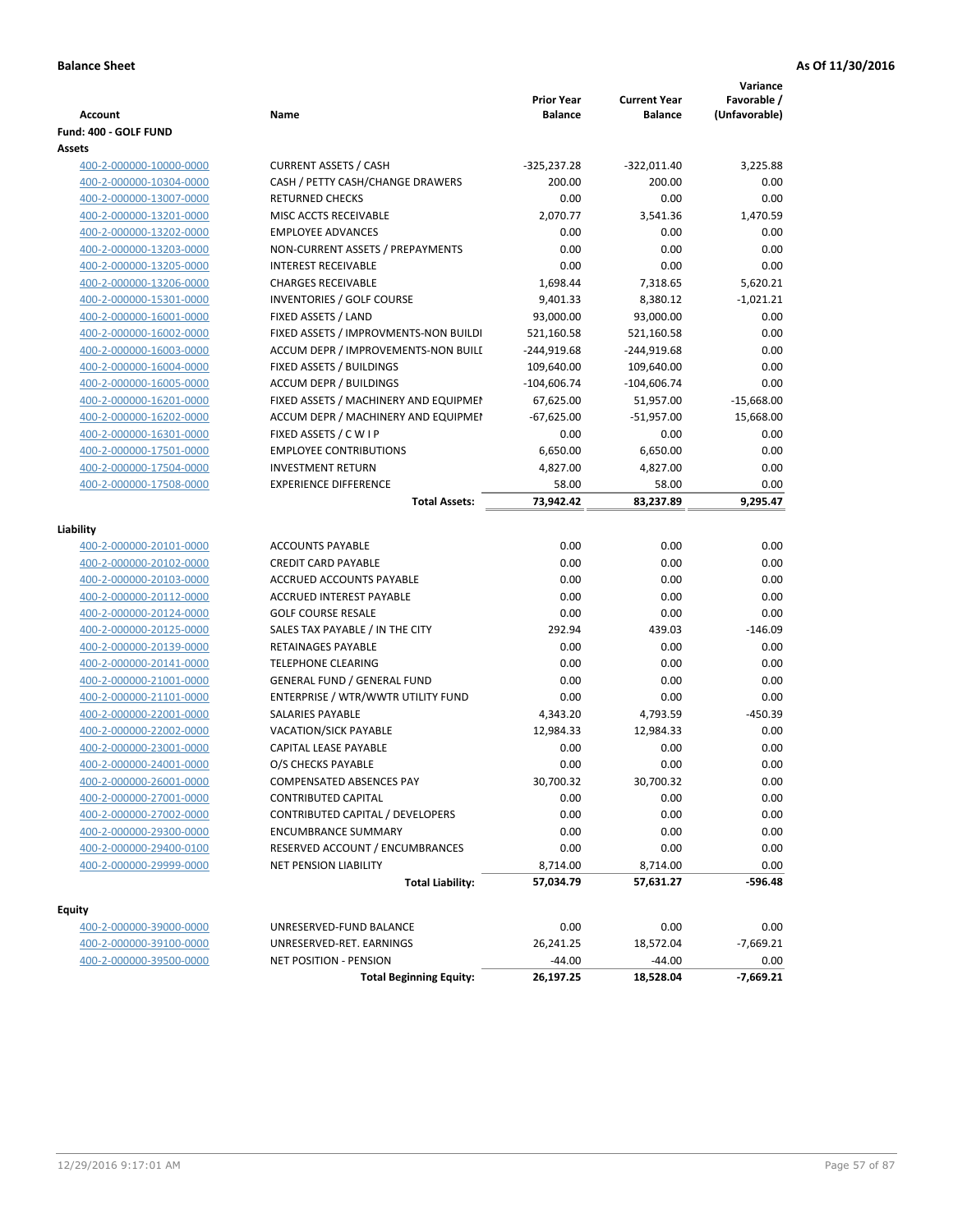|                         |                                         | <b>Prior Year</b> | <b>Current Year</b> | Variance<br>Favorable / |
|-------------------------|-----------------------------------------|-------------------|---------------------|-------------------------|
| <b>Account</b>          | Name                                    | <b>Balance</b>    | <b>Balance</b>      | (Unfavorable)           |
| Fund: 400 - GOLF FUND   |                                         |                   |                     |                         |
| Assets                  |                                         |                   |                     |                         |
| 400-2-000000-10000-0000 | <b>CURRENT ASSETS / CASH</b>            | $-325,237.28$     | $-322,011.40$       | 3,225.88                |
| 400-2-000000-10304-0000 | CASH / PETTY CASH/CHANGE DRAWERS        | 200.00            | 200.00              | 0.00                    |
| 400-2-000000-13007-0000 | <b>RETURNED CHECKS</b>                  | 0.00              | 0.00                | 0.00                    |
| 400-2-000000-13201-0000 | MISC ACCTS RECEIVABLE                   | 2,070.77          | 3,541.36            | 1,470.59                |
| 400-2-000000-13202-0000 | <b>EMPLOYEE ADVANCES</b>                | 0.00              | 0.00                | 0.00                    |
| 400-2-000000-13203-0000 | NON-CURRENT ASSETS / PREPAYMENTS        | 0.00              | 0.00                | 0.00                    |
| 400-2-000000-13205-0000 | <b>INTEREST RECEIVABLE</b>              | 0.00              | 0.00                | 0.00                    |
| 400-2-000000-13206-0000 | <b>CHARGES RECEIVABLE</b>               | 1,698.44          | 7,318.65            | 5,620.21                |
| 400-2-000000-15301-0000 | INVENTORIES / GOLF COURSE               | 9,401.33          | 8,380.12            | $-1,021.21$             |
| 400-2-000000-16001-0000 | FIXED ASSETS / LAND                     | 93,000.00         | 93,000.00           | 0.00                    |
| 400-2-000000-16002-0000 | FIXED ASSETS / IMPROVMENTS-NON BUILDI   | 521,160.58        | 521,160.58          | 0.00                    |
| 400-2-000000-16003-0000 | ACCUM DEPR / IMPROVEMENTS-NON BUILI     | -244,919.68       | $-244,919.68$       | 0.00                    |
| 400-2-000000-16004-0000 | FIXED ASSETS / BUILDINGS                | 109,640.00        | 109,640.00          | 0.00                    |
| 400-2-000000-16005-0000 | <b>ACCUM DEPR / BUILDINGS</b>           | $-104,606.74$     | $-104,606.74$       | 0.00                    |
| 400-2-000000-16201-0000 | FIXED ASSETS / MACHINERY AND EQUIPMEN   | 67,625.00         | 51,957.00           | $-15,668.00$            |
| 400-2-000000-16202-0000 | ACCUM DEPR / MACHINERY AND EQUIPMEI     | $-67,625.00$      | $-51,957.00$        | 15,668.00               |
| 400-2-000000-16301-0000 | FIXED ASSETS / C W I P                  | 0.00              | 0.00                | 0.00                    |
| 400-2-000000-17501-0000 | <b>EMPLOYEE CONTRIBUTIONS</b>           | 6,650.00          | 6,650.00            | 0.00                    |
| 400-2-000000-17504-0000 | <b>INVESTMENT RETURN</b>                | 4,827.00          | 4,827.00            | 0.00                    |
| 400-2-000000-17508-0000 | <b>EXPERIENCE DIFFERENCE</b>            | 58.00             | 58.00               | 0.00                    |
|                         | <b>Total Assets:</b>                    | 73,942.42         | 83,237.89           | 9,295.47                |
|                         |                                         |                   |                     |                         |
| Liability               |                                         |                   |                     |                         |
| 400-2-000000-20101-0000 | <b>ACCOUNTS PAYABLE</b>                 | 0.00              | 0.00                | 0.00                    |
| 400-2-000000-20102-0000 | <b>CREDIT CARD PAYABLE</b>              | 0.00              | 0.00                | 0.00                    |
| 400-2-000000-20103-0000 | ACCRUED ACCOUNTS PAYABLE                | 0.00              | 0.00                | 0.00                    |
| 400-2-000000-20112-0000 | <b>ACCRUED INTEREST PAYABLE</b>         | 0.00              | 0.00                | 0.00                    |
| 400-2-000000-20124-0000 | <b>GOLF COURSE RESALE</b>               | 0.00              | 0.00                | 0.00                    |
| 400-2-000000-20125-0000 | SALES TAX PAYABLE / IN THE CITY         | 292.94            | 439.03              | $-146.09$               |
| 400-2-000000-20139-0000 | RETAINAGES PAYABLE                      | 0.00              | 0.00                | 0.00                    |
| 400-2-000000-20141-0000 | <b>TELEPHONE CLEARING</b>               | 0.00              | 0.00                | 0.00                    |
| 400-2-000000-21001-0000 | <b>GENERAL FUND / GENERAL FUND</b>      | 0.00              | 0.00                | 0.00                    |
| 400-2-000000-21101-0000 | ENTERPRISE / WTR/WWTR UTILITY FUND      | 0.00              | 0.00                | 0.00                    |
| 400-2-000000-22001-0000 | SALARIES PAYABLE                        | 4,343.20          | 4,793.59            | $-450.39$               |
| 400-2-000000-22002-0000 | VACATION/SICK PAYABLE                   | 12,984.33         | 12,984.33           | 0.00                    |
| 400-2-000000-23001-0000 | CAPITAL LEASE PAYABLE                   | 0.00              | 0.00                | 0.00                    |
| 400-2-000000-24001-0000 | O/S CHECKS PAYABLE                      | 0.00              | 0.00                | 0.00                    |
| 400-2-000000-26001-0000 | COMPENSATED ABSENCES PAY                | 30,700.32         | 30,700.32           | 0.00                    |
| 400-2-000000-27001-0000 | CONTRIBUTED CAPITAL                     | 0.00              | 0.00                | 0.00                    |
| 400-2-000000-27002-0000 | <b>CONTRIBUTED CAPITAL / DEVELOPERS</b> | 0.00              | 0.00                | 0.00                    |
| 400-2-000000-29300-0000 | <b>ENCUMBRANCE SUMMARY</b>              | 0.00              | 0.00                | 0.00                    |
| 400-2-000000-29400-0100 | RESERVED ACCOUNT / ENCUMBRANCES         | 0.00              | 0.00                | 0.00                    |
| 400-2-000000-29999-0000 | NET PENSION LIABILITY                   | 8,714.00          | 8,714.00            | 0.00                    |
|                         | <b>Total Liability:</b>                 | 57,034.79         | 57,631.27           | -596.48                 |
|                         |                                         |                   |                     |                         |
| <b>Equity</b>           |                                         |                   |                     |                         |
| 400-2-000000-39000-0000 | UNRESERVED-FUND BALANCE                 | 0.00              | 0.00                | 0.00                    |
| 400-2-000000-39100-0000 | UNRESERVED-RET. EARNINGS                | 26,241.25         | 18,572.04           | $-7,669.21$             |
| 400-2-000000-39500-0000 | NET POSITION - PENSION                  | $-44.00$          | $-44.00$            | 0.00                    |
|                         | <b>Total Beginning Equity:</b>          | 26,197.25         | 18,528.04           | $-7,669.21$             |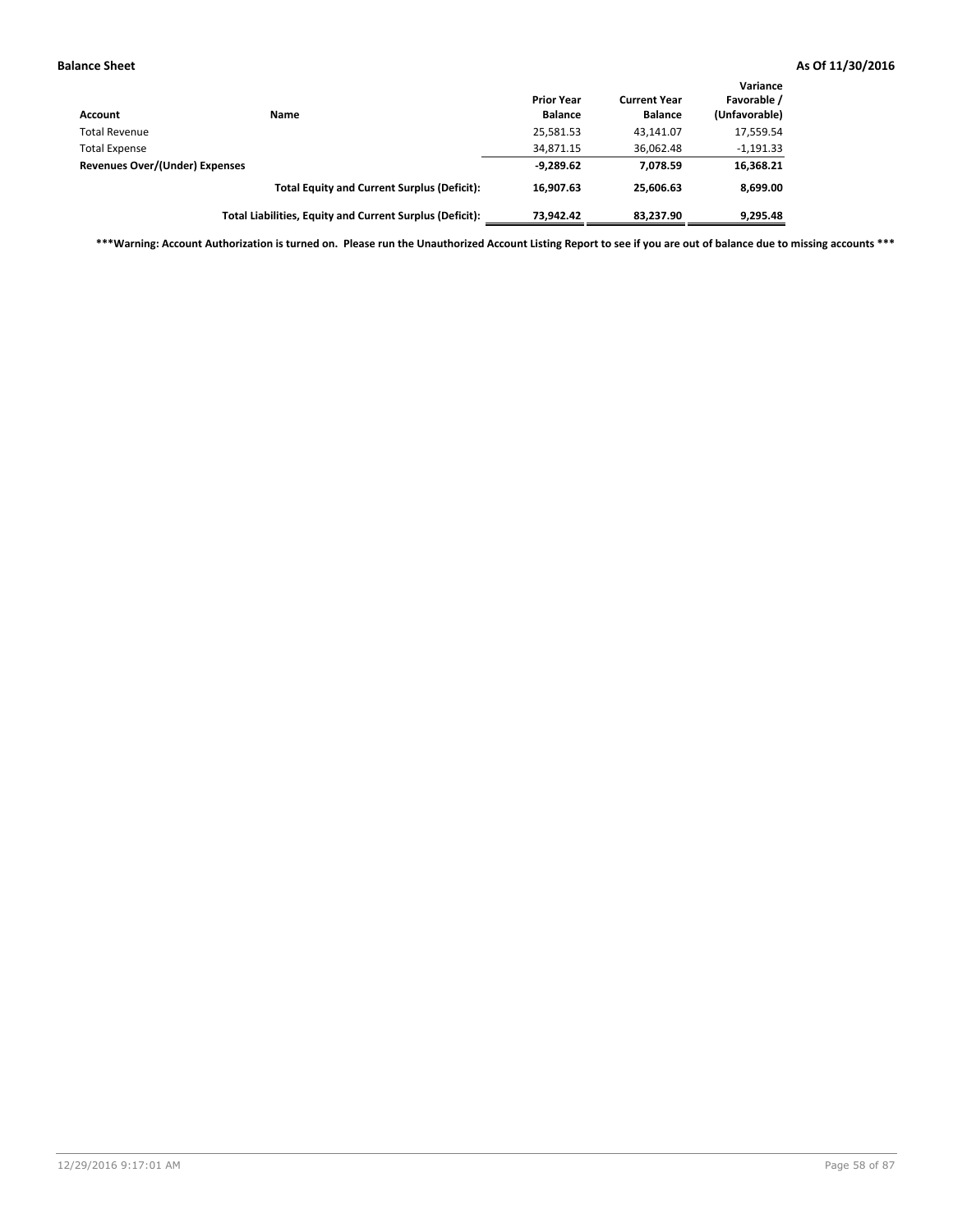| Account                               | Name                                                     | <b>Prior Year</b><br><b>Balance</b> | <b>Current Year</b><br><b>Balance</b> | Variance<br>Favorable /<br>(Unfavorable) |
|---------------------------------------|----------------------------------------------------------|-------------------------------------|---------------------------------------|------------------------------------------|
| <b>Total Revenue</b>                  |                                                          | 25,581.53                           | 43.141.07                             | 17,559.54                                |
| <b>Total Expense</b>                  |                                                          | 34,871.15                           | 36,062.48                             | $-1,191.33$                              |
| <b>Revenues Over/(Under) Expenses</b> |                                                          | $-9,289.62$                         | 7.078.59                              | 16,368.21                                |
|                                       | <b>Total Equity and Current Surplus (Deficit):</b>       | 16.907.63                           | 25.606.63                             | 8,699.00                                 |
|                                       | Total Liabilities, Equity and Current Surplus (Deficit): | 73,942.42                           | 83.237.90                             | 9,295.48                                 |

**\*\*\*Warning: Account Authorization is turned on. Please run the Unauthorized Account Listing Report to see if you are out of balance due to missing accounts \*\*\***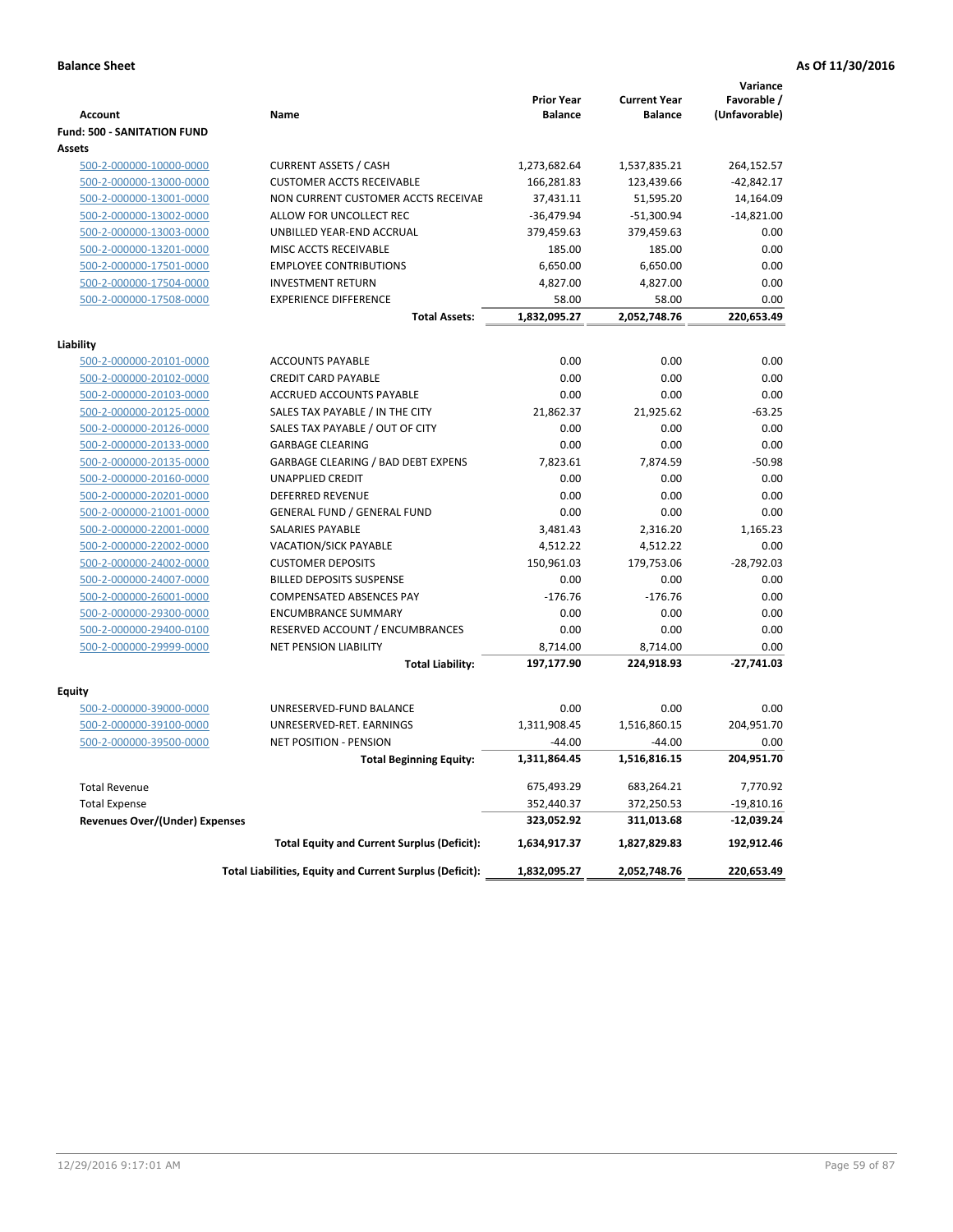|                                       |                                                          | <b>Prior Year</b> | <b>Current Year</b> | Variance<br>Favorable / |
|---------------------------------------|----------------------------------------------------------|-------------------|---------------------|-------------------------|
| <b>Account</b>                        | Name                                                     | <b>Balance</b>    | <b>Balance</b>      | (Unfavorable)           |
| Fund: 500 - SANITATION FUND           |                                                          |                   |                     |                         |
| Assets                                |                                                          |                   |                     |                         |
| 500-2-000000-10000-0000               | <b>CURRENT ASSETS / CASH</b>                             | 1,273,682.64      | 1,537,835.21        | 264,152.57              |
| 500-2-000000-13000-0000               | <b>CUSTOMER ACCTS RECEIVABLE</b>                         | 166,281.83        | 123,439.66          | $-42,842.17$            |
| 500-2-000000-13001-0000               | NON CURRENT CUSTOMER ACCTS RECEIVAE                      | 37,431.11         | 51,595.20           | 14,164.09               |
| 500-2-000000-13002-0000               | ALLOW FOR UNCOLLECT REC                                  | $-36,479.94$      | $-51,300.94$        | $-14,821.00$            |
| 500-2-000000-13003-0000               | UNBILLED YEAR-END ACCRUAL                                | 379,459.63        | 379,459.63          | 0.00                    |
| 500-2-000000-13201-0000               | MISC ACCTS RECEIVABLE                                    | 185.00            | 185.00              | 0.00                    |
| 500-2-000000-17501-0000               | <b>EMPLOYEE CONTRIBUTIONS</b>                            | 6,650.00          | 6,650.00            | 0.00                    |
| 500-2-000000-17504-0000               | <b>INVESTMENT RETURN</b>                                 | 4,827.00          | 4,827.00            | 0.00                    |
| 500-2-000000-17508-0000               | <b>EXPERIENCE DIFFERENCE</b>                             | 58.00             | 58.00               | 0.00                    |
|                                       | <b>Total Assets:</b>                                     | 1,832,095.27      | 2,052,748.76        | 220,653.49              |
| Liability                             |                                                          |                   |                     |                         |
| 500-2-000000-20101-0000               | <b>ACCOUNTS PAYABLE</b>                                  | 0.00              | 0.00                | 0.00                    |
| 500-2-000000-20102-0000               | <b>CREDIT CARD PAYABLE</b>                               | 0.00              | 0.00                | 0.00                    |
| 500-2-000000-20103-0000               | ACCRUED ACCOUNTS PAYABLE                                 | 0.00              | 0.00                | 0.00                    |
| 500-2-000000-20125-0000               | SALES TAX PAYABLE / IN THE CITY                          | 21,862.37         | 21,925.62           | $-63.25$                |
| 500-2-000000-20126-0000               | SALES TAX PAYABLE / OUT OF CITY                          | 0.00              | 0.00                | 0.00                    |
| 500-2-000000-20133-0000               | <b>GARBAGE CLEARING</b>                                  | 0.00              | 0.00                | 0.00                    |
| 500-2-000000-20135-0000               | GARBAGE CLEARING / BAD DEBT EXPENS                       | 7,823.61          | 7,874.59            | $-50.98$                |
| 500-2-000000-20160-0000               | <b>UNAPPLIED CREDIT</b>                                  | 0.00              | 0.00                | 0.00                    |
| 500-2-000000-20201-0000               | <b>DEFERRED REVENUE</b>                                  | 0.00              | 0.00                | 0.00                    |
| 500-2-000000-21001-0000               | <b>GENERAL FUND / GENERAL FUND</b>                       | 0.00              | 0.00                | 0.00                    |
| 500-2-000000-22001-0000               | SALARIES PAYABLE                                         | 3,481.43          | 2,316.20            | 1,165.23                |
| 500-2-000000-22002-0000               | <b>VACATION/SICK PAYABLE</b>                             | 4,512.22          | 4,512.22            | 0.00                    |
| 500-2-000000-24002-0000               | <b>CUSTOMER DEPOSITS</b>                                 | 150,961.03        | 179,753.06          | $-28,792.03$            |
| 500-2-000000-24007-0000               | <b>BILLED DEPOSITS SUSPENSE</b>                          | 0.00              | 0.00                | 0.00                    |
| 500-2-000000-26001-0000               | <b>COMPENSATED ABSENCES PAY</b>                          | $-176.76$         | $-176.76$           | 0.00                    |
| 500-2-000000-29300-0000               | <b>ENCUMBRANCE SUMMARY</b>                               | 0.00              | 0.00                | 0.00                    |
| 500-2-000000-29400-0100               | RESERVED ACCOUNT / ENCUMBRANCES                          | 0.00              | 0.00                | 0.00                    |
| 500-2-000000-29999-0000               | <b>NET PENSION LIABILITY</b>                             | 8,714.00          | 8,714.00            | 0.00                    |
|                                       | <b>Total Liability:</b>                                  | 197,177.90        | 224,918.93          | $-27,741.03$            |
|                                       |                                                          |                   |                     |                         |
| Equity                                |                                                          |                   |                     |                         |
| 500-2-000000-39000-0000               | UNRESERVED-FUND BALANCE                                  | 0.00              | 0.00                | 0.00                    |
| 500-2-000000-39100-0000               | UNRESERVED-RET. EARNINGS                                 | 1,311,908.45      | 1,516,860.15        | 204,951.70              |
| 500-2-000000-39500-0000               | <b>NET POSITION - PENSION</b>                            | $-44.00$          | $-44.00$            | 0.00                    |
|                                       | <b>Total Beginning Equity:</b>                           | 1,311,864.45      | 1,516,816.15        | 204,951.70              |
| <b>Total Revenue</b>                  |                                                          | 675,493.29        | 683,264.21          | 7,770.92                |
| <b>Total Expense</b>                  |                                                          | 352,440.37        | 372,250.53          | $-19,810.16$            |
| <b>Revenues Over/(Under) Expenses</b> |                                                          | 323,052.92        | 311,013.68          | $-12,039.24$            |
|                                       | <b>Total Equity and Current Surplus (Deficit):</b>       | 1,634,917.37      | 1,827,829.83        | 192,912.46              |
|                                       | Total Liabilities, Equity and Current Surplus (Deficit): | 1,832,095.27      | 2,052,748.76        | 220,653.49              |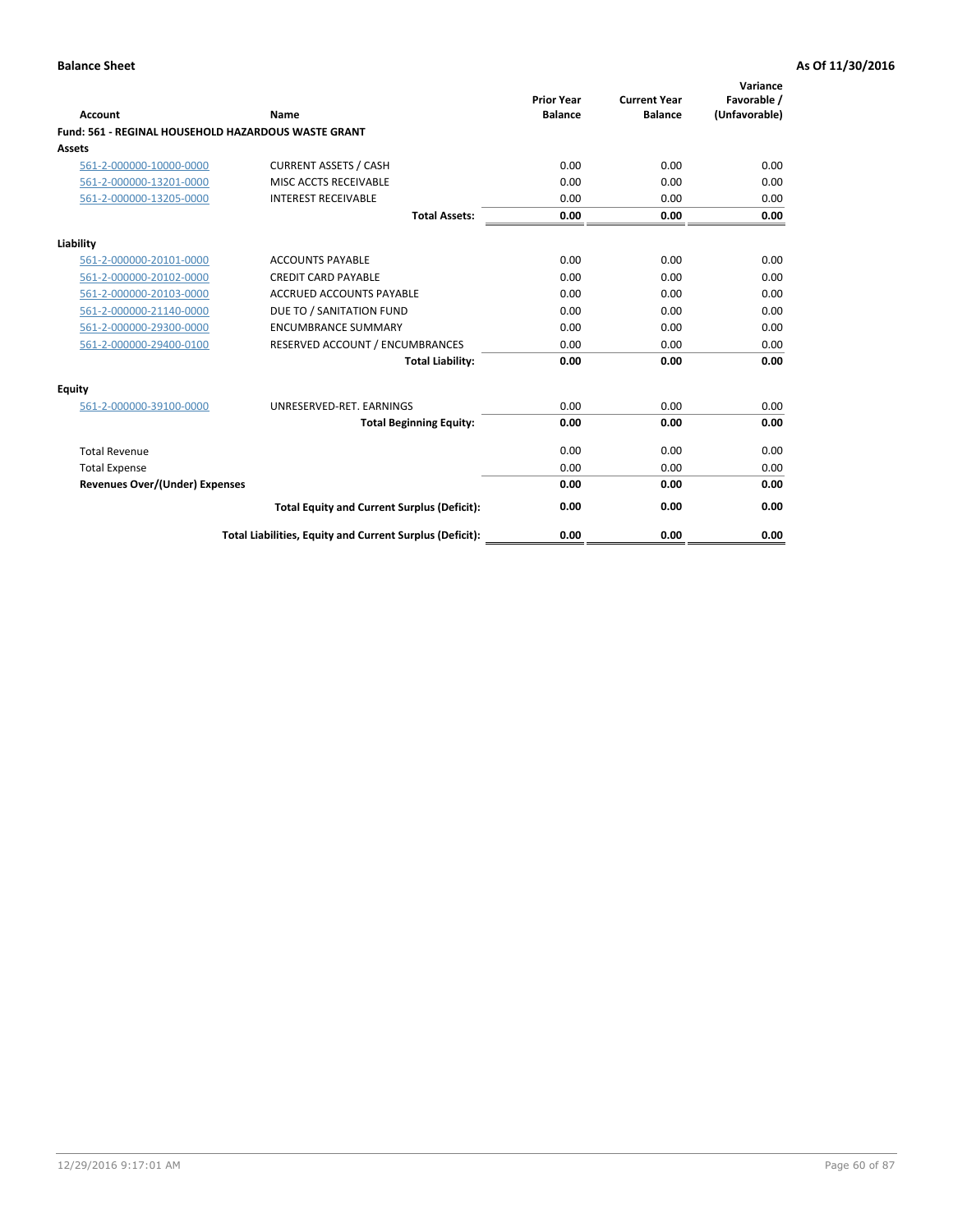| Account                                             | Name                                                     | <b>Prior Year</b><br><b>Balance</b> | <b>Current Year</b><br><b>Balance</b> | Variance<br>Favorable /<br>(Unfavorable) |
|-----------------------------------------------------|----------------------------------------------------------|-------------------------------------|---------------------------------------|------------------------------------------|
| Fund: 561 - REGINAL HOUSEHOLD HAZARDOUS WASTE GRANT |                                                          |                                     |                                       |                                          |
| <b>Assets</b>                                       |                                                          |                                     |                                       |                                          |
| 561-2-000000-10000-0000                             | <b>CURRENT ASSETS / CASH</b>                             | 0.00                                | 0.00                                  | 0.00                                     |
| 561-2-000000-13201-0000                             | MISC ACCTS RECEIVABLE                                    | 0.00                                | 0.00                                  | 0.00                                     |
| 561-2-000000-13205-0000                             | <b>INTEREST RECEIVABLE</b>                               | 0.00                                | 0.00                                  | 0.00                                     |
|                                                     | <b>Total Assets:</b>                                     | 0.00                                | 0.00                                  | 0.00                                     |
| Liability                                           |                                                          |                                     |                                       |                                          |
| 561-2-000000-20101-0000                             | <b>ACCOUNTS PAYABLE</b>                                  | 0.00                                | 0.00                                  | 0.00                                     |
| 561-2-000000-20102-0000                             | <b>CREDIT CARD PAYABLE</b>                               | 0.00                                | 0.00                                  | 0.00                                     |
| 561-2-000000-20103-0000                             | <b>ACCRUED ACCOUNTS PAYABLE</b>                          | 0.00                                | 0.00                                  | 0.00                                     |
| 561-2-000000-21140-0000                             | DUE TO / SANITATION FUND                                 | 0.00                                | 0.00                                  | 0.00                                     |
| 561-2-000000-29300-0000                             | <b>ENCUMBRANCE SUMMARY</b>                               | 0.00                                | 0.00                                  | 0.00                                     |
| 561-2-000000-29400-0100                             | RESERVED ACCOUNT / ENCUMBRANCES                          | 0.00                                | 0.00                                  | 0.00                                     |
|                                                     | <b>Total Liability:</b>                                  | 0.00                                | 0.00                                  | 0.00                                     |
| <b>Equity</b>                                       |                                                          |                                     |                                       |                                          |
| 561-2-000000-39100-0000                             | UNRESERVED-RET. EARNINGS                                 | 0.00                                | 0.00                                  | 0.00                                     |
|                                                     | <b>Total Beginning Equity:</b>                           | 0.00                                | 0.00                                  | 0.00                                     |
| <b>Total Revenue</b>                                |                                                          | 0.00                                | 0.00                                  | 0.00                                     |
| <b>Total Expense</b>                                |                                                          | 0.00                                | 0.00                                  | 0.00                                     |
| <b>Revenues Over/(Under) Expenses</b>               |                                                          | 0.00                                | 0.00                                  | 0.00                                     |
|                                                     | <b>Total Equity and Current Surplus (Deficit):</b>       | 0.00                                | 0.00                                  | 0.00                                     |
|                                                     | Total Liabilities, Equity and Current Surplus (Deficit): | 0.00                                | 0.00                                  | 0.00                                     |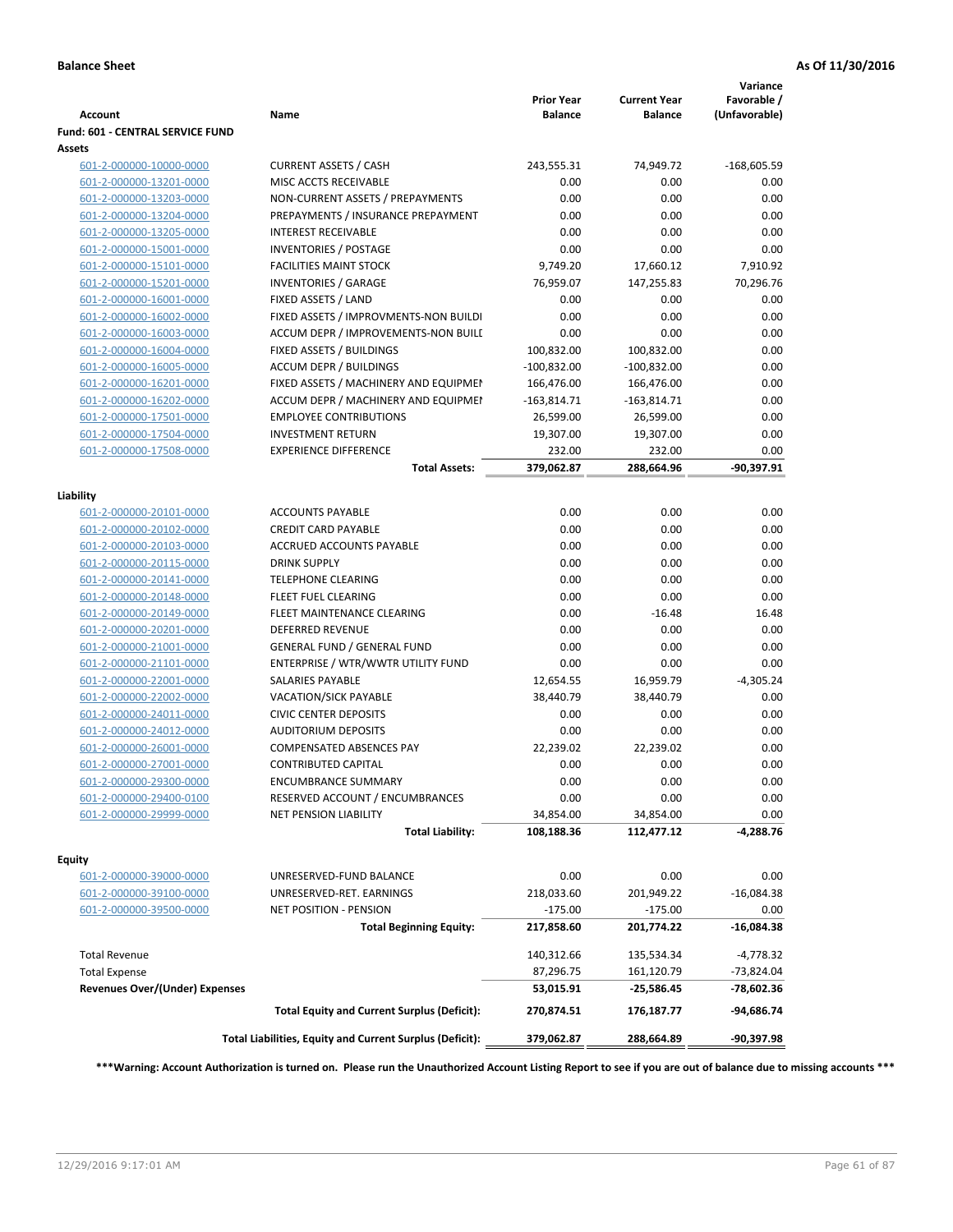| <b>Account</b>                        | Name                                                     | <b>Prior Year</b><br><b>Balance</b> | <b>Current Year</b><br><b>Balance</b> | Variance<br>Favorable /<br>(Unfavorable) |
|---------------------------------------|----------------------------------------------------------|-------------------------------------|---------------------------------------|------------------------------------------|
| Fund: 601 - CENTRAL SERVICE FUND      |                                                          |                                     |                                       |                                          |
| <b>Assets</b>                         |                                                          |                                     |                                       |                                          |
| 601-2-000000-10000-0000               | <b>CURRENT ASSETS / CASH</b>                             | 243,555.31                          | 74,949.72                             | $-168,605.59$                            |
| 601-2-000000-13201-0000               | MISC ACCTS RECEIVABLE                                    | 0.00                                | 0.00                                  | 0.00                                     |
| 601-2-000000-13203-0000               | NON-CURRENT ASSETS / PREPAYMENTS                         | 0.00                                | 0.00                                  | 0.00                                     |
| 601-2-000000-13204-0000               | PREPAYMENTS / INSURANCE PREPAYMENT                       | 0.00                                | 0.00                                  | 0.00                                     |
| 601-2-000000-13205-0000               | <b>INTEREST RECEIVABLE</b>                               | 0.00                                | 0.00                                  | 0.00                                     |
| 601-2-000000-15001-0000               | <b>INVENTORIES / POSTAGE</b>                             | 0.00                                | 0.00                                  | 0.00                                     |
| 601-2-000000-15101-0000               | <b>FACILITIES MAINT STOCK</b>                            | 9,749.20                            | 17,660.12                             | 7,910.92                                 |
| 601-2-000000-15201-0000               | <b>INVENTORIES / GARAGE</b>                              | 76,959.07                           | 147,255.83                            | 70,296.76                                |
| 601-2-000000-16001-0000               | FIXED ASSETS / LAND                                      | 0.00                                | 0.00                                  | 0.00                                     |
| 601-2-000000-16002-0000               | FIXED ASSETS / IMPROVMENTS-NON BUILDI                    | 0.00                                | 0.00                                  | 0.00                                     |
| 601-2-000000-16003-0000               | ACCUM DEPR / IMPROVEMENTS-NON BUILI                      | 0.00                                | 0.00                                  | 0.00                                     |
| 601-2-000000-16004-0000               | FIXED ASSETS / BUILDINGS                                 | 100,832.00                          | 100,832.00                            | 0.00                                     |
| 601-2-000000-16005-0000               | <b>ACCUM DEPR / BUILDINGS</b>                            | $-100,832.00$                       | $-100,832.00$                         | 0.00                                     |
| 601-2-000000-16201-0000               | FIXED ASSETS / MACHINERY AND EQUIPMEN                    | 166,476.00                          | 166,476.00                            | 0.00                                     |
| 601-2-000000-16202-0000               | ACCUM DEPR / MACHINERY AND EQUIPMEI                      | $-163,814.71$                       | $-163,814.71$                         | 0.00                                     |
| 601-2-000000-17501-0000               | <b>EMPLOYEE CONTRIBUTIONS</b>                            | 26,599.00                           | 26,599.00                             | 0.00                                     |
| 601-2-000000-17504-0000               | <b>INVESTMENT RETURN</b>                                 | 19,307.00                           | 19,307.00                             | 0.00                                     |
| 601-2-000000-17508-0000               | <b>EXPERIENCE DIFFERENCE</b>                             | 232.00                              | 232.00                                | 0.00                                     |
|                                       | <b>Total Assets:</b>                                     | 379,062.87                          | 288,664.96                            | $-90,397.91$                             |
| Liability                             |                                                          |                                     |                                       |                                          |
| 601-2-000000-20101-0000               | <b>ACCOUNTS PAYABLE</b>                                  | 0.00                                | 0.00                                  | 0.00                                     |
| 601-2-000000-20102-0000               | <b>CREDIT CARD PAYABLE</b>                               | 0.00                                | 0.00                                  | 0.00                                     |
| 601-2-000000-20103-0000               | ACCRUED ACCOUNTS PAYABLE                                 | 0.00                                | 0.00                                  | 0.00                                     |
| 601-2-000000-20115-0000               | <b>DRINK SUPPLY</b>                                      | 0.00                                | 0.00                                  | 0.00                                     |
| 601-2-000000-20141-0000               | <b>TELEPHONE CLEARING</b>                                | 0.00                                | 0.00                                  | 0.00                                     |
| 601-2-000000-20148-0000               | <b>FLEET FUEL CLEARING</b>                               | 0.00                                | 0.00                                  | 0.00                                     |
| 601-2-000000-20149-0000               | FLEET MAINTENANCE CLEARING                               | 0.00                                | $-16.48$                              | 16.48                                    |
| 601-2-000000-20201-0000               | <b>DEFERRED REVENUE</b>                                  | 0.00                                | 0.00                                  | 0.00                                     |
| 601-2-000000-21001-0000               | <b>GENERAL FUND / GENERAL FUND</b>                       | 0.00                                | 0.00                                  | 0.00                                     |
| 601-2-000000-21101-0000               | ENTERPRISE / WTR/WWTR UTILITY FUND                       | 0.00                                | 0.00                                  | 0.00                                     |
| 601-2-000000-22001-0000               | SALARIES PAYABLE                                         | 12,654.55                           | 16,959.79                             | $-4,305.24$                              |
| 601-2-000000-22002-0000               | <b>VACATION/SICK PAYABLE</b>                             | 38,440.79                           | 38,440.79                             | 0.00                                     |
| 601-2-000000-24011-0000               | <b>CIVIC CENTER DEPOSITS</b>                             | 0.00                                | 0.00                                  | 0.00                                     |
| 601-2-000000-24012-0000               | <b>AUDITORIUM DEPOSITS</b>                               | 0.00                                | 0.00                                  | 0.00                                     |
| 601-2-000000-26001-0000               | <b>COMPENSATED ABSENCES PAY</b>                          | 22,239.02                           | 22,239.02                             | 0.00                                     |
| 601-2-000000-27001-0000               | <b>CONTRIBUTED CAPITAL</b>                               | 0.00                                | 0.00                                  | 0.00                                     |
| 601-2-000000-29300-0000               | <b>ENCUMBRANCE SUMMARY</b>                               | 0.00                                | 0.00                                  | 0.00                                     |
| 601-2-000000-29400-0100               | RESERVED ACCOUNT / ENCUMBRANCES                          | 0.00                                | 0.00                                  | 0.00                                     |
| 601-2-000000-29999-0000               | NET PENSION LIABILITY                                    | 34,854.00                           | 34,854.00                             | 0.00                                     |
|                                       | <b>Total Liability:</b>                                  | 108,188.36                          | 112,477.12                            | -4,288.76                                |
| <b>Equity</b>                         |                                                          |                                     |                                       |                                          |
| 601-2-000000-39000-0000               | UNRESERVED-FUND BALANCE                                  | 0.00                                | 0.00                                  | 0.00                                     |
| 601-2-000000-39100-0000               | UNRESERVED-RET. EARNINGS                                 | 218,033.60                          | 201,949.22                            | $-16,084.38$                             |
| 601-2-000000-39500-0000               | NET POSITION - PENSION                                   | $-175.00$                           | $-175.00$                             | 0.00                                     |
|                                       | <b>Total Beginning Equity:</b>                           | 217,858.60                          | 201,774.22                            | $-16,084.38$                             |
|                                       |                                                          |                                     |                                       |                                          |
| <b>Total Revenue</b>                  |                                                          | 140,312.66                          | 135,534.34                            | $-4,778.32$                              |
| <b>Total Expense</b>                  |                                                          | 87,296.75<br>53,015.91              | 161,120.79                            | -73,824.04<br>-78,602.36                 |
| <b>Revenues Over/(Under) Expenses</b> | <b>Total Equity and Current Surplus (Deficit):</b>       | 270,874.51                          | -25,586.45<br>176,187.77              | $-94,686.74$                             |
|                                       | Total Liabilities, Equity and Current Surplus (Deficit): | 379,062.87                          | 288,664.89                            | $-90,397.98$                             |
|                                       |                                                          |                                     |                                       |                                          |

**\*\*\*Warning: Account Authorization is turned on. Please run the Unauthorized Account Listing Report to see if you are out of balance due to missing accounts \*\*\***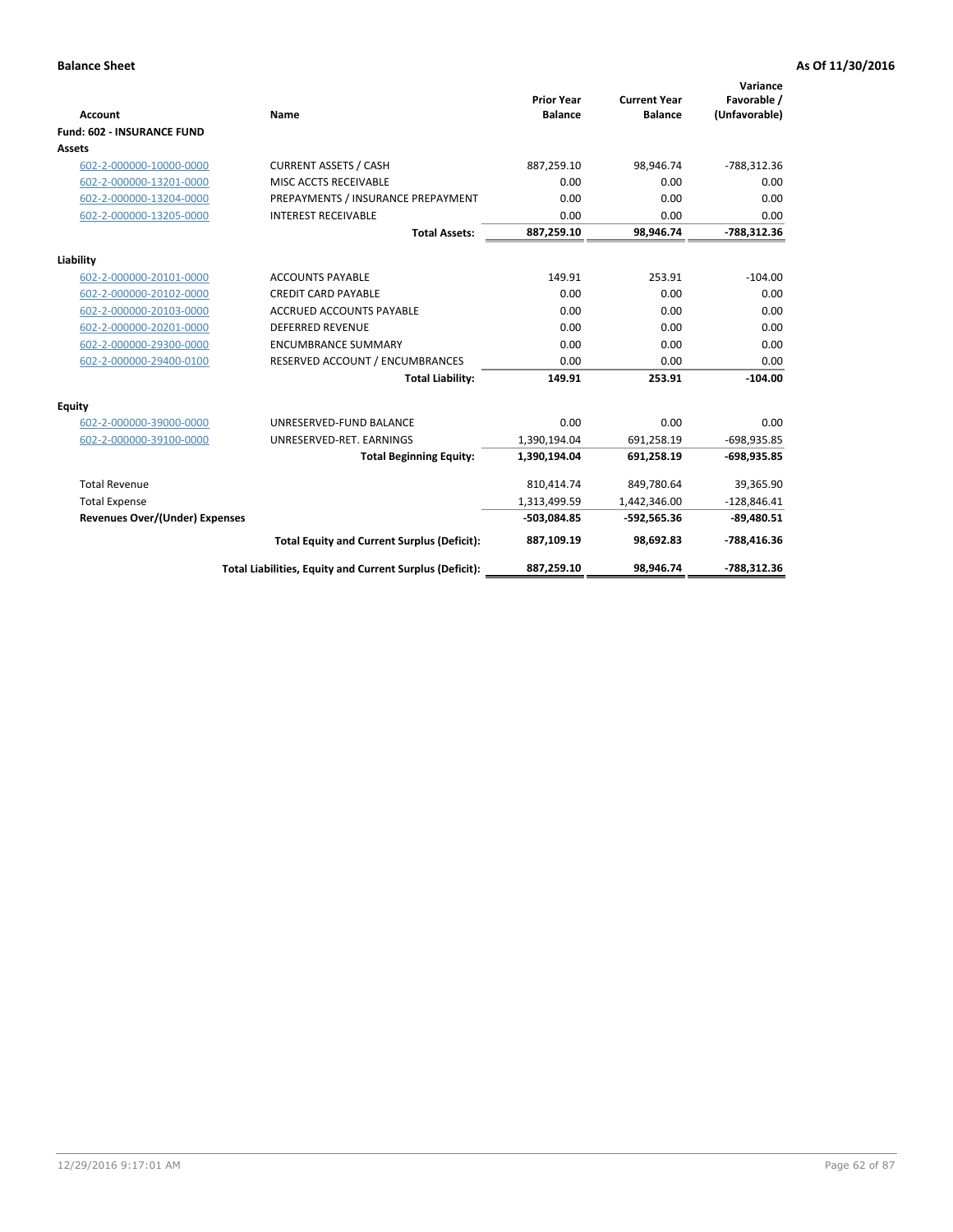|                                       |                                                          |                                     |                                       | Variance                     |
|---------------------------------------|----------------------------------------------------------|-------------------------------------|---------------------------------------|------------------------------|
| <b>Account</b>                        | <b>Name</b>                                              | <b>Prior Year</b><br><b>Balance</b> | <b>Current Year</b><br><b>Balance</b> | Favorable /<br>(Unfavorable) |
| <b>Fund: 602 - INSURANCE FUND</b>     |                                                          |                                     |                                       |                              |
| <b>Assets</b>                         |                                                          |                                     |                                       |                              |
| 602-2-000000-10000-0000               | <b>CURRENT ASSETS / CASH</b>                             | 887,259.10                          | 98,946.74                             | -788,312.36                  |
| 602-2-000000-13201-0000               | MISC ACCTS RECEIVABLE                                    | 0.00                                | 0.00                                  | 0.00                         |
| 602-2-000000-13204-0000               | PREPAYMENTS / INSURANCE PREPAYMENT                       | 0.00                                | 0.00                                  | 0.00                         |
| 602-2-000000-13205-0000               | <b>INTEREST RECEIVABLE</b>                               | 0.00                                | 0.00                                  | 0.00                         |
|                                       | <b>Total Assets:</b>                                     | 887,259.10                          | 98,946.74                             | -788,312.36                  |
| Liability                             |                                                          |                                     |                                       |                              |
| 602-2-000000-20101-0000               | <b>ACCOUNTS PAYABLE</b>                                  | 149.91                              | 253.91                                | $-104.00$                    |
| 602-2-000000-20102-0000               | <b>CREDIT CARD PAYABLE</b>                               | 0.00                                | 0.00                                  | 0.00                         |
| 602-2-000000-20103-0000               | <b>ACCRUED ACCOUNTS PAYABLE</b>                          | 0.00                                | 0.00                                  | 0.00                         |
| 602-2-000000-20201-0000               | <b>DEFERRED REVENUE</b>                                  | 0.00                                | 0.00                                  | 0.00                         |
| 602-2-000000-29300-0000               | <b>ENCUMBRANCE SUMMARY</b>                               | 0.00                                | 0.00                                  | 0.00                         |
| 602-2-000000-29400-0100               | RESERVED ACCOUNT / ENCUMBRANCES                          | 0.00                                | 0.00                                  | 0.00                         |
|                                       | <b>Total Liability:</b>                                  | 149.91                              | 253.91                                | $-104.00$                    |
| <b>Equity</b>                         |                                                          |                                     |                                       |                              |
| 602-2-000000-39000-0000               | UNRESERVED-FUND BALANCE                                  | 0.00                                | 0.00                                  | 0.00                         |
| 602-2-000000-39100-0000               | UNRESERVED-RET. EARNINGS                                 | 1,390,194.04                        | 691,258.19                            | $-698,935.85$                |
|                                       | <b>Total Beginning Equity:</b>                           | 1,390,194.04                        | 691,258.19                            | -698,935.85                  |
| <b>Total Revenue</b>                  |                                                          | 810,414.74                          | 849,780.64                            | 39,365.90                    |
| <b>Total Expense</b>                  |                                                          | 1,313,499.59                        | 1,442,346.00                          | $-128,846.41$                |
| <b>Revenues Over/(Under) Expenses</b> |                                                          | -503,084.85                         | $-592,565.36$                         | $-89,480.51$                 |
|                                       | <b>Total Equity and Current Surplus (Deficit):</b>       | 887,109.19                          | 98,692.83                             | -788,416.36                  |
|                                       | Total Liabilities, Equity and Current Surplus (Deficit): | 887,259.10                          | 98.946.74                             | -788.312.36                  |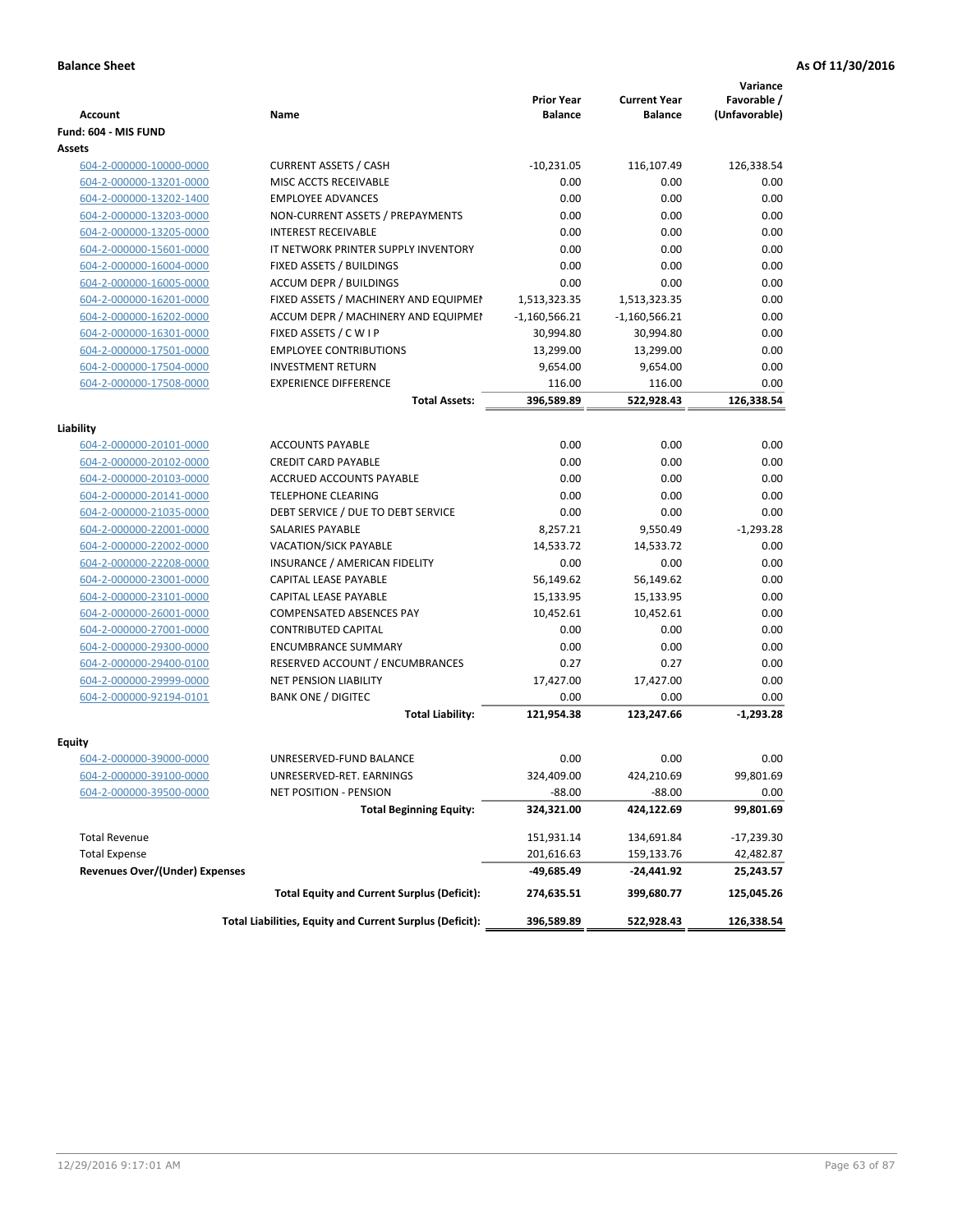|                                       |                                                                 | <b>Prior Year</b> | <b>Current Year</b> | Variance<br>Favorable / |
|---------------------------------------|-----------------------------------------------------------------|-------------------|---------------------|-------------------------|
| <b>Account</b>                        | Name                                                            | <b>Balance</b>    | <b>Balance</b>      | (Unfavorable)           |
| Fund: 604 - MIS FUND                  |                                                                 |                   |                     |                         |
| Assets                                |                                                                 |                   |                     |                         |
| 604-2-000000-10000-0000               | <b>CURRENT ASSETS / CASH</b>                                    | $-10,231.05$      | 116,107.49          | 126,338.54              |
| 604-2-000000-13201-0000               | MISC ACCTS RECEIVABLE                                           | 0.00              | 0.00                | 0.00                    |
| 604-2-000000-13202-1400               | <b>EMPLOYEE ADVANCES</b>                                        | 0.00              | 0.00                | 0.00                    |
| 604-2-000000-13203-0000               | NON-CURRENT ASSETS / PREPAYMENTS                                | 0.00              | 0.00                | 0.00                    |
| 604-2-000000-13205-0000               | <b>INTEREST RECEIVABLE</b>                                      | 0.00              | 0.00                | 0.00                    |
| 604-2-000000-15601-0000               | IT NETWORK PRINTER SUPPLY INVENTORY                             | 0.00              | 0.00                | 0.00                    |
| 604-2-000000-16004-0000               | FIXED ASSETS / BUILDINGS                                        | 0.00              | 0.00                | 0.00                    |
| 604-2-000000-16005-0000               | <b>ACCUM DEPR / BUILDINGS</b>                                   | 0.00              | 0.00                | 0.00                    |
| 604-2-000000-16201-0000               | FIXED ASSETS / MACHINERY AND EQUIPMEN                           | 1,513,323.35      | 1,513,323.35        | 0.00                    |
| 604-2-000000-16202-0000               | ACCUM DEPR / MACHINERY AND EQUIPMEI                             | $-1,160,566.21$   | $-1,160,566.21$     | 0.00                    |
| 604-2-000000-16301-0000               | FIXED ASSETS / C W I P                                          | 30,994.80         | 30,994.80           | 0.00                    |
| 604-2-000000-17501-0000               | <b>EMPLOYEE CONTRIBUTIONS</b>                                   | 13,299.00         | 13,299.00           | 0.00                    |
| 604-2-000000-17504-0000               | <b>INVESTMENT RETURN</b>                                        | 9,654.00          | 9,654.00            | 0.00                    |
| 604-2-000000-17508-0000               | <b>EXPERIENCE DIFFERENCE</b>                                    | 116.00            | 116.00              | 0.00                    |
|                                       | <b>Total Assets:</b>                                            | 396,589.89        | 522,928.43          | 126,338.54              |
|                                       |                                                                 |                   |                     |                         |
| Liability                             |                                                                 |                   |                     |                         |
| 604-2-000000-20101-0000               | <b>ACCOUNTS PAYABLE</b>                                         | 0.00              | 0.00                | 0.00                    |
| 604-2-000000-20102-0000               | <b>CREDIT CARD PAYABLE</b>                                      | 0.00              | 0.00                | 0.00                    |
| 604-2-000000-20103-0000               | ACCRUED ACCOUNTS PAYABLE                                        | 0.00              | 0.00                | 0.00                    |
| 604-2-000000-20141-0000               | <b>TELEPHONE CLEARING</b>                                       | 0.00              | 0.00                | 0.00                    |
| 604-2-000000-21035-0000               | DEBT SERVICE / DUE TO DEBT SERVICE                              | 0.00              | 0.00                | 0.00                    |
| 604-2-000000-22001-0000               | SALARIES PAYABLE                                                | 8,257.21          | 9,550.49            | $-1,293.28$             |
| 604-2-000000-22002-0000               | <b>VACATION/SICK PAYABLE</b>                                    | 14,533.72         | 14,533.72           | 0.00                    |
| 604-2-000000-22208-0000               | INSURANCE / AMERICAN FIDELITY                                   | 0.00              | 0.00                | 0.00                    |
| 604-2-000000-23001-0000               | CAPITAL LEASE PAYABLE                                           | 56,149.62         | 56,149.62           | 0.00                    |
| 604-2-000000-23101-0000               | CAPITAL LEASE PAYABLE                                           | 15,133.95         | 15,133.95           | 0.00                    |
| 604-2-000000-26001-0000               | <b>COMPENSATED ABSENCES PAY</b>                                 | 10,452.61         | 10,452.61           | 0.00                    |
| 604-2-000000-27001-0000               | <b>CONTRIBUTED CAPITAL</b>                                      | 0.00              | 0.00                | 0.00                    |
| 604-2-000000-29300-0000               | <b>ENCUMBRANCE SUMMARY</b>                                      | 0.00              | 0.00                | 0.00                    |
| 604-2-000000-29400-0100               | RESERVED ACCOUNT / ENCUMBRANCES<br><b>NET PENSION LIABILITY</b> | 0.27              | 0.27                | 0.00                    |
| 604-2-000000-29999-0000               |                                                                 | 17,427.00         | 17,427.00           | 0.00                    |
| 604-2-000000-92194-0101               | <b>BANK ONE / DIGITEC</b>                                       | 0.00              | 0.00                | 0.00                    |
|                                       | <b>Total Liability:</b>                                         | 121,954.38        | 123,247.66          | $-1,293.28$             |
| Equity                                |                                                                 |                   |                     |                         |
| 604-2-000000-39000-0000               | UNRESERVED-FUND BALANCE                                         | 0.00              | 0.00                | 0.00                    |
| 604-2-000000-39100-0000               | UNRESERVED-RET. EARNINGS                                        | 324,409.00        | 424,210.69          | 99,801.69               |
| 604-2-000000-39500-0000               | NET POSITION - PENSION                                          | $-88.00$          | $-88.00$            | 0.00                    |
|                                       | <b>Total Beginning Equity:</b>                                  | 324,321.00        | 424,122.69          | 99,801.69               |
| <b>Total Revenue</b>                  |                                                                 | 151,931.14        | 134,691.84          | -17,239.30              |
| <b>Total Expense</b>                  |                                                                 | 201,616.63        | 159,133.76          | 42,482.87               |
| <b>Revenues Over/(Under) Expenses</b> |                                                                 | -49,685.49        | -24,441.92          | 25,243.57               |
|                                       | <b>Total Equity and Current Surplus (Deficit):</b>              | 274,635.51        | 399,680.77          | 125,045.26              |
|                                       | Total Liabilities, Equity and Current Surplus (Deficit):        | 396,589.89        | 522,928.43          | 126,338.54              |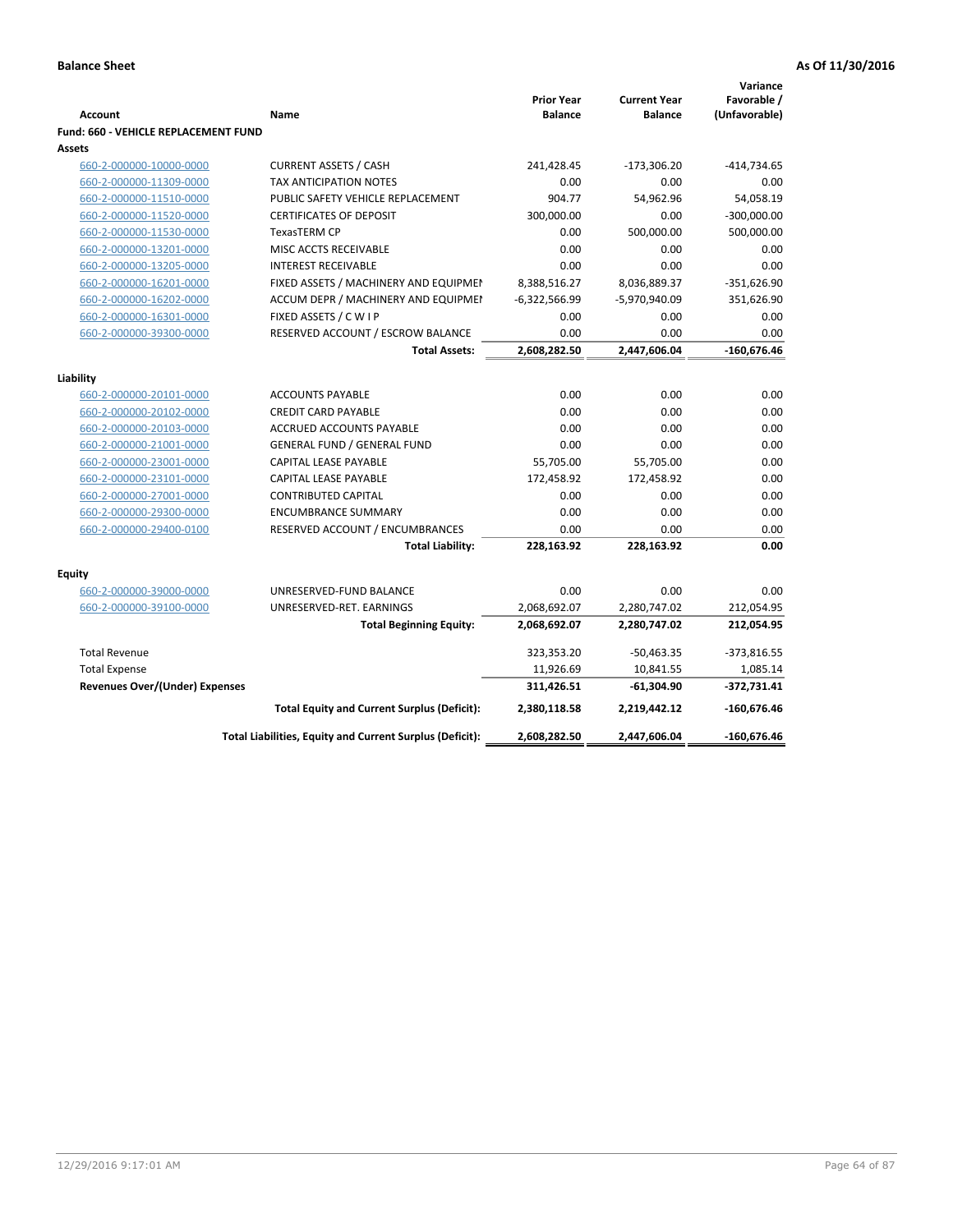| Fund: 660 - VEHICLE REPLACEMENT FUND<br>Assets<br>660-2-000000-10000-0000<br><b>CURRENT ASSETS / CASH</b><br>241,428.45<br>$-173,306.20$<br>$-414,734.65$<br>660-2-000000-11309-0000<br><b>TAX ANTICIPATION NOTES</b><br>0.00<br>0.00<br>0.00<br>PUBLIC SAFETY VEHICLE REPLACEMENT<br>904.77<br>54,962.96<br>54,058.19<br>660-2-000000-11510-0000<br>300,000.00<br>0.00<br>$-300,000.00$<br>660-2-000000-11520-0000<br><b>CERTIFICATES OF DEPOSIT</b><br>TexasTERM CP<br>0.00<br>500,000.00<br>500,000.00<br>660-2-000000-11530-0000<br>0.00<br>660-2-000000-13201-0000<br>MISC ACCTS RECEIVABLE<br>0.00<br>0.00<br>0.00<br>0.00<br>660-2-000000-13205-0000<br><b>INTEREST RECEIVABLE</b><br>0.00<br>8,388,516.27<br>8,036,889.37<br>$-351,626.90$<br>660-2-000000-16201-0000<br>FIXED ASSETS / MACHINERY AND EQUIPMEN<br>660-2-000000-16202-0000<br>ACCUM DEPR / MACHINERY AND EQUIPMEI<br>$-6,322,566.99$<br>-5,970,940.09<br>351,626.90<br>FIXED ASSETS / C W I P<br>0.00<br>0.00<br>0.00<br>660-2-000000-16301-0000<br>RESERVED ACCOUNT / ESCROW BALANCE<br>0.00<br>0.00<br>660-2-000000-39300-0000<br>0.00<br>2,608,282.50<br>2,447,606.04<br>$-160,676.46$<br><b>Total Assets:</b><br>Liability<br>0.00<br>0.00<br>0.00<br>660-2-000000-20101-0000<br><b>ACCOUNTS PAYABLE</b><br>0.00<br>0.00<br>0.00<br>660-2-000000-20102-0000<br><b>CREDIT CARD PAYABLE</b><br>ACCRUED ACCOUNTS PAYABLE<br>0.00<br>0.00<br>0.00<br>660-2-000000-20103-0000<br><b>GENERAL FUND / GENERAL FUND</b><br>0.00<br>0.00<br>0.00<br>660-2-000000-21001-0000<br>660-2-000000-23001-0000<br><b>CAPITAL LEASE PAYABLE</b><br>55,705.00<br>55,705.00<br>0.00<br>CAPITAL LEASE PAYABLE<br>172,458.92<br>172,458.92<br>0.00<br>660-2-000000-23101-0000<br>660-2-000000-27001-0000<br><b>CONTRIBUTED CAPITAL</b><br>0.00<br>0.00<br>0.00<br><b>ENCUMBRANCE SUMMARY</b><br>0.00<br>0.00<br>0.00<br>660-2-000000-29300-0000<br>RESERVED ACCOUNT / ENCUMBRANCES<br>0.00<br>0.00<br>0.00<br>660-2-000000-29400-0100<br><b>Total Liability:</b><br>228,163.92<br>0.00<br>228,163.92<br><b>Equity</b><br>0.00<br>0.00<br>0.00<br>660-2-000000-39000-0000<br>UNRESERVED-FUND BALANCE<br>2,068,692.07<br>2,280,747.02<br>212,054.95<br>660-2-000000-39100-0000<br>UNRESERVED-RET. EARNINGS<br>2,068,692.07<br>212,054.95<br>2,280,747.02<br><b>Total Beginning Equity:</b><br>323,353.20<br>$-373,816.55$<br><b>Total Revenue</b><br>$-50,463.35$<br><b>Total Expense</b><br>11,926.69<br>10,841.55<br>1,085.14<br><b>Revenues Over/(Under) Expenses</b><br>311,426.51<br>$-61,304.90$<br>$-372,731.41$<br>$-160,676.46$<br>2,380,118.58<br>2,219,442.12<br><b>Total Equity and Current Surplus (Deficit):</b><br>$-160,676.46$<br>Total Liabilities, Equity and Current Surplus (Deficit):<br>2,608,282.50<br>2,447,606.04 | <b>Account</b> | Name | <b>Prior Year</b><br><b>Balance</b> | <b>Current Year</b><br><b>Balance</b> | Variance<br>Favorable /<br>(Unfavorable) |
|-----------------------------------------------------------------------------------------------------------------------------------------------------------------------------------------------------------------------------------------------------------------------------------------------------------------------------------------------------------------------------------------------------------------------------------------------------------------------------------------------------------------------------------------------------------------------------------------------------------------------------------------------------------------------------------------------------------------------------------------------------------------------------------------------------------------------------------------------------------------------------------------------------------------------------------------------------------------------------------------------------------------------------------------------------------------------------------------------------------------------------------------------------------------------------------------------------------------------------------------------------------------------------------------------------------------------------------------------------------------------------------------------------------------------------------------------------------------------------------------------------------------------------------------------------------------------------------------------------------------------------------------------------------------------------------------------------------------------------------------------------------------------------------------------------------------------------------------------------------------------------------------------------------------------------------------------------------------------------------------------------------------------------------------------------------------------------------------------------------------------------------------------------------------------------------------------------------------------------------------------------------------------------------------------------------------------------------------------------------------------------------------------------------------------------------------------------------------------------------------------------------------------------------------------------------------------------------------------------------------------------------------------------------------------------------------------------------------------------------------------------------------------------------------------|----------------|------|-------------------------------------|---------------------------------------|------------------------------------------|
|                                                                                                                                                                                                                                                                                                                                                                                                                                                                                                                                                                                                                                                                                                                                                                                                                                                                                                                                                                                                                                                                                                                                                                                                                                                                                                                                                                                                                                                                                                                                                                                                                                                                                                                                                                                                                                                                                                                                                                                                                                                                                                                                                                                                                                                                                                                                                                                                                                                                                                                                                                                                                                                                                                                                                                                               |                |      |                                     |                                       |                                          |
|                                                                                                                                                                                                                                                                                                                                                                                                                                                                                                                                                                                                                                                                                                                                                                                                                                                                                                                                                                                                                                                                                                                                                                                                                                                                                                                                                                                                                                                                                                                                                                                                                                                                                                                                                                                                                                                                                                                                                                                                                                                                                                                                                                                                                                                                                                                                                                                                                                                                                                                                                                                                                                                                                                                                                                                               |                |      |                                     |                                       |                                          |
|                                                                                                                                                                                                                                                                                                                                                                                                                                                                                                                                                                                                                                                                                                                                                                                                                                                                                                                                                                                                                                                                                                                                                                                                                                                                                                                                                                                                                                                                                                                                                                                                                                                                                                                                                                                                                                                                                                                                                                                                                                                                                                                                                                                                                                                                                                                                                                                                                                                                                                                                                                                                                                                                                                                                                                                               |                |      |                                     |                                       |                                          |
|                                                                                                                                                                                                                                                                                                                                                                                                                                                                                                                                                                                                                                                                                                                                                                                                                                                                                                                                                                                                                                                                                                                                                                                                                                                                                                                                                                                                                                                                                                                                                                                                                                                                                                                                                                                                                                                                                                                                                                                                                                                                                                                                                                                                                                                                                                                                                                                                                                                                                                                                                                                                                                                                                                                                                                                               |                |      |                                     |                                       |                                          |
|                                                                                                                                                                                                                                                                                                                                                                                                                                                                                                                                                                                                                                                                                                                                                                                                                                                                                                                                                                                                                                                                                                                                                                                                                                                                                                                                                                                                                                                                                                                                                                                                                                                                                                                                                                                                                                                                                                                                                                                                                                                                                                                                                                                                                                                                                                                                                                                                                                                                                                                                                                                                                                                                                                                                                                                               |                |      |                                     |                                       |                                          |
|                                                                                                                                                                                                                                                                                                                                                                                                                                                                                                                                                                                                                                                                                                                                                                                                                                                                                                                                                                                                                                                                                                                                                                                                                                                                                                                                                                                                                                                                                                                                                                                                                                                                                                                                                                                                                                                                                                                                                                                                                                                                                                                                                                                                                                                                                                                                                                                                                                                                                                                                                                                                                                                                                                                                                                                               |                |      |                                     |                                       |                                          |
|                                                                                                                                                                                                                                                                                                                                                                                                                                                                                                                                                                                                                                                                                                                                                                                                                                                                                                                                                                                                                                                                                                                                                                                                                                                                                                                                                                                                                                                                                                                                                                                                                                                                                                                                                                                                                                                                                                                                                                                                                                                                                                                                                                                                                                                                                                                                                                                                                                                                                                                                                                                                                                                                                                                                                                                               |                |      |                                     |                                       |                                          |
|                                                                                                                                                                                                                                                                                                                                                                                                                                                                                                                                                                                                                                                                                                                                                                                                                                                                                                                                                                                                                                                                                                                                                                                                                                                                                                                                                                                                                                                                                                                                                                                                                                                                                                                                                                                                                                                                                                                                                                                                                                                                                                                                                                                                                                                                                                                                                                                                                                                                                                                                                                                                                                                                                                                                                                                               |                |      |                                     |                                       |                                          |
|                                                                                                                                                                                                                                                                                                                                                                                                                                                                                                                                                                                                                                                                                                                                                                                                                                                                                                                                                                                                                                                                                                                                                                                                                                                                                                                                                                                                                                                                                                                                                                                                                                                                                                                                                                                                                                                                                                                                                                                                                                                                                                                                                                                                                                                                                                                                                                                                                                                                                                                                                                                                                                                                                                                                                                                               |                |      |                                     |                                       |                                          |
|                                                                                                                                                                                                                                                                                                                                                                                                                                                                                                                                                                                                                                                                                                                                                                                                                                                                                                                                                                                                                                                                                                                                                                                                                                                                                                                                                                                                                                                                                                                                                                                                                                                                                                                                                                                                                                                                                                                                                                                                                                                                                                                                                                                                                                                                                                                                                                                                                                                                                                                                                                                                                                                                                                                                                                                               |                |      |                                     |                                       |                                          |
|                                                                                                                                                                                                                                                                                                                                                                                                                                                                                                                                                                                                                                                                                                                                                                                                                                                                                                                                                                                                                                                                                                                                                                                                                                                                                                                                                                                                                                                                                                                                                                                                                                                                                                                                                                                                                                                                                                                                                                                                                                                                                                                                                                                                                                                                                                                                                                                                                                                                                                                                                                                                                                                                                                                                                                                               |                |      |                                     |                                       |                                          |
|                                                                                                                                                                                                                                                                                                                                                                                                                                                                                                                                                                                                                                                                                                                                                                                                                                                                                                                                                                                                                                                                                                                                                                                                                                                                                                                                                                                                                                                                                                                                                                                                                                                                                                                                                                                                                                                                                                                                                                                                                                                                                                                                                                                                                                                                                                                                                                                                                                                                                                                                                                                                                                                                                                                                                                                               |                |      |                                     |                                       |                                          |
|                                                                                                                                                                                                                                                                                                                                                                                                                                                                                                                                                                                                                                                                                                                                                                                                                                                                                                                                                                                                                                                                                                                                                                                                                                                                                                                                                                                                                                                                                                                                                                                                                                                                                                                                                                                                                                                                                                                                                                                                                                                                                                                                                                                                                                                                                                                                                                                                                                                                                                                                                                                                                                                                                                                                                                                               |                |      |                                     |                                       |                                          |
|                                                                                                                                                                                                                                                                                                                                                                                                                                                                                                                                                                                                                                                                                                                                                                                                                                                                                                                                                                                                                                                                                                                                                                                                                                                                                                                                                                                                                                                                                                                                                                                                                                                                                                                                                                                                                                                                                                                                                                                                                                                                                                                                                                                                                                                                                                                                                                                                                                                                                                                                                                                                                                                                                                                                                                                               |                |      |                                     |                                       |                                          |
|                                                                                                                                                                                                                                                                                                                                                                                                                                                                                                                                                                                                                                                                                                                                                                                                                                                                                                                                                                                                                                                                                                                                                                                                                                                                                                                                                                                                                                                                                                                                                                                                                                                                                                                                                                                                                                                                                                                                                                                                                                                                                                                                                                                                                                                                                                                                                                                                                                                                                                                                                                                                                                                                                                                                                                                               |                |      |                                     |                                       |                                          |
|                                                                                                                                                                                                                                                                                                                                                                                                                                                                                                                                                                                                                                                                                                                                                                                                                                                                                                                                                                                                                                                                                                                                                                                                                                                                                                                                                                                                                                                                                                                                                                                                                                                                                                                                                                                                                                                                                                                                                                                                                                                                                                                                                                                                                                                                                                                                                                                                                                                                                                                                                                                                                                                                                                                                                                                               |                |      |                                     |                                       |                                          |
|                                                                                                                                                                                                                                                                                                                                                                                                                                                                                                                                                                                                                                                                                                                                                                                                                                                                                                                                                                                                                                                                                                                                                                                                                                                                                                                                                                                                                                                                                                                                                                                                                                                                                                                                                                                                                                                                                                                                                                                                                                                                                                                                                                                                                                                                                                                                                                                                                                                                                                                                                                                                                                                                                                                                                                                               |                |      |                                     |                                       |                                          |
|                                                                                                                                                                                                                                                                                                                                                                                                                                                                                                                                                                                                                                                                                                                                                                                                                                                                                                                                                                                                                                                                                                                                                                                                                                                                                                                                                                                                                                                                                                                                                                                                                                                                                                                                                                                                                                                                                                                                                                                                                                                                                                                                                                                                                                                                                                                                                                                                                                                                                                                                                                                                                                                                                                                                                                                               |                |      |                                     |                                       |                                          |
|                                                                                                                                                                                                                                                                                                                                                                                                                                                                                                                                                                                                                                                                                                                                                                                                                                                                                                                                                                                                                                                                                                                                                                                                                                                                                                                                                                                                                                                                                                                                                                                                                                                                                                                                                                                                                                                                                                                                                                                                                                                                                                                                                                                                                                                                                                                                                                                                                                                                                                                                                                                                                                                                                                                                                                                               |                |      |                                     |                                       |                                          |
|                                                                                                                                                                                                                                                                                                                                                                                                                                                                                                                                                                                                                                                                                                                                                                                                                                                                                                                                                                                                                                                                                                                                                                                                                                                                                                                                                                                                                                                                                                                                                                                                                                                                                                                                                                                                                                                                                                                                                                                                                                                                                                                                                                                                                                                                                                                                                                                                                                                                                                                                                                                                                                                                                                                                                                                               |                |      |                                     |                                       |                                          |
|                                                                                                                                                                                                                                                                                                                                                                                                                                                                                                                                                                                                                                                                                                                                                                                                                                                                                                                                                                                                                                                                                                                                                                                                                                                                                                                                                                                                                                                                                                                                                                                                                                                                                                                                                                                                                                                                                                                                                                                                                                                                                                                                                                                                                                                                                                                                                                                                                                                                                                                                                                                                                                                                                                                                                                                               |                |      |                                     |                                       |                                          |
|                                                                                                                                                                                                                                                                                                                                                                                                                                                                                                                                                                                                                                                                                                                                                                                                                                                                                                                                                                                                                                                                                                                                                                                                                                                                                                                                                                                                                                                                                                                                                                                                                                                                                                                                                                                                                                                                                                                                                                                                                                                                                                                                                                                                                                                                                                                                                                                                                                                                                                                                                                                                                                                                                                                                                                                               |                |      |                                     |                                       |                                          |
|                                                                                                                                                                                                                                                                                                                                                                                                                                                                                                                                                                                                                                                                                                                                                                                                                                                                                                                                                                                                                                                                                                                                                                                                                                                                                                                                                                                                                                                                                                                                                                                                                                                                                                                                                                                                                                                                                                                                                                                                                                                                                                                                                                                                                                                                                                                                                                                                                                                                                                                                                                                                                                                                                                                                                                                               |                |      |                                     |                                       |                                          |
|                                                                                                                                                                                                                                                                                                                                                                                                                                                                                                                                                                                                                                                                                                                                                                                                                                                                                                                                                                                                                                                                                                                                                                                                                                                                                                                                                                                                                                                                                                                                                                                                                                                                                                                                                                                                                                                                                                                                                                                                                                                                                                                                                                                                                                                                                                                                                                                                                                                                                                                                                                                                                                                                                                                                                                                               |                |      |                                     |                                       |                                          |
|                                                                                                                                                                                                                                                                                                                                                                                                                                                                                                                                                                                                                                                                                                                                                                                                                                                                                                                                                                                                                                                                                                                                                                                                                                                                                                                                                                                                                                                                                                                                                                                                                                                                                                                                                                                                                                                                                                                                                                                                                                                                                                                                                                                                                                                                                                                                                                                                                                                                                                                                                                                                                                                                                                                                                                                               |                |      |                                     |                                       |                                          |
|                                                                                                                                                                                                                                                                                                                                                                                                                                                                                                                                                                                                                                                                                                                                                                                                                                                                                                                                                                                                                                                                                                                                                                                                                                                                                                                                                                                                                                                                                                                                                                                                                                                                                                                                                                                                                                                                                                                                                                                                                                                                                                                                                                                                                                                                                                                                                                                                                                                                                                                                                                                                                                                                                                                                                                                               |                |      |                                     |                                       |                                          |
|                                                                                                                                                                                                                                                                                                                                                                                                                                                                                                                                                                                                                                                                                                                                                                                                                                                                                                                                                                                                                                                                                                                                                                                                                                                                                                                                                                                                                                                                                                                                                                                                                                                                                                                                                                                                                                                                                                                                                                                                                                                                                                                                                                                                                                                                                                                                                                                                                                                                                                                                                                                                                                                                                                                                                                                               |                |      |                                     |                                       |                                          |
|                                                                                                                                                                                                                                                                                                                                                                                                                                                                                                                                                                                                                                                                                                                                                                                                                                                                                                                                                                                                                                                                                                                                                                                                                                                                                                                                                                                                                                                                                                                                                                                                                                                                                                                                                                                                                                                                                                                                                                                                                                                                                                                                                                                                                                                                                                                                                                                                                                                                                                                                                                                                                                                                                                                                                                                               |                |      |                                     |                                       |                                          |
|                                                                                                                                                                                                                                                                                                                                                                                                                                                                                                                                                                                                                                                                                                                                                                                                                                                                                                                                                                                                                                                                                                                                                                                                                                                                                                                                                                                                                                                                                                                                                                                                                                                                                                                                                                                                                                                                                                                                                                                                                                                                                                                                                                                                                                                                                                                                                                                                                                                                                                                                                                                                                                                                                                                                                                                               |                |      |                                     |                                       |                                          |
|                                                                                                                                                                                                                                                                                                                                                                                                                                                                                                                                                                                                                                                                                                                                                                                                                                                                                                                                                                                                                                                                                                                                                                                                                                                                                                                                                                                                                                                                                                                                                                                                                                                                                                                                                                                                                                                                                                                                                                                                                                                                                                                                                                                                                                                                                                                                                                                                                                                                                                                                                                                                                                                                                                                                                                                               |                |      |                                     |                                       |                                          |
|                                                                                                                                                                                                                                                                                                                                                                                                                                                                                                                                                                                                                                                                                                                                                                                                                                                                                                                                                                                                                                                                                                                                                                                                                                                                                                                                                                                                                                                                                                                                                                                                                                                                                                                                                                                                                                                                                                                                                                                                                                                                                                                                                                                                                                                                                                                                                                                                                                                                                                                                                                                                                                                                                                                                                                                               |                |      |                                     |                                       |                                          |
|                                                                                                                                                                                                                                                                                                                                                                                                                                                                                                                                                                                                                                                                                                                                                                                                                                                                                                                                                                                                                                                                                                                                                                                                                                                                                                                                                                                                                                                                                                                                                                                                                                                                                                                                                                                                                                                                                                                                                                                                                                                                                                                                                                                                                                                                                                                                                                                                                                                                                                                                                                                                                                                                                                                                                                                               |                |      |                                     |                                       |                                          |
|                                                                                                                                                                                                                                                                                                                                                                                                                                                                                                                                                                                                                                                                                                                                                                                                                                                                                                                                                                                                                                                                                                                                                                                                                                                                                                                                                                                                                                                                                                                                                                                                                                                                                                                                                                                                                                                                                                                                                                                                                                                                                                                                                                                                                                                                                                                                                                                                                                                                                                                                                                                                                                                                                                                                                                                               |                |      |                                     |                                       |                                          |
|                                                                                                                                                                                                                                                                                                                                                                                                                                                                                                                                                                                                                                                                                                                                                                                                                                                                                                                                                                                                                                                                                                                                                                                                                                                                                                                                                                                                                                                                                                                                                                                                                                                                                                                                                                                                                                                                                                                                                                                                                                                                                                                                                                                                                                                                                                                                                                                                                                                                                                                                                                                                                                                                                                                                                                                               |                |      |                                     |                                       |                                          |
|                                                                                                                                                                                                                                                                                                                                                                                                                                                                                                                                                                                                                                                                                                                                                                                                                                                                                                                                                                                                                                                                                                                                                                                                                                                                                                                                                                                                                                                                                                                                                                                                                                                                                                                                                                                                                                                                                                                                                                                                                                                                                                                                                                                                                                                                                                                                                                                                                                                                                                                                                                                                                                                                                                                                                                                               |                |      |                                     |                                       |                                          |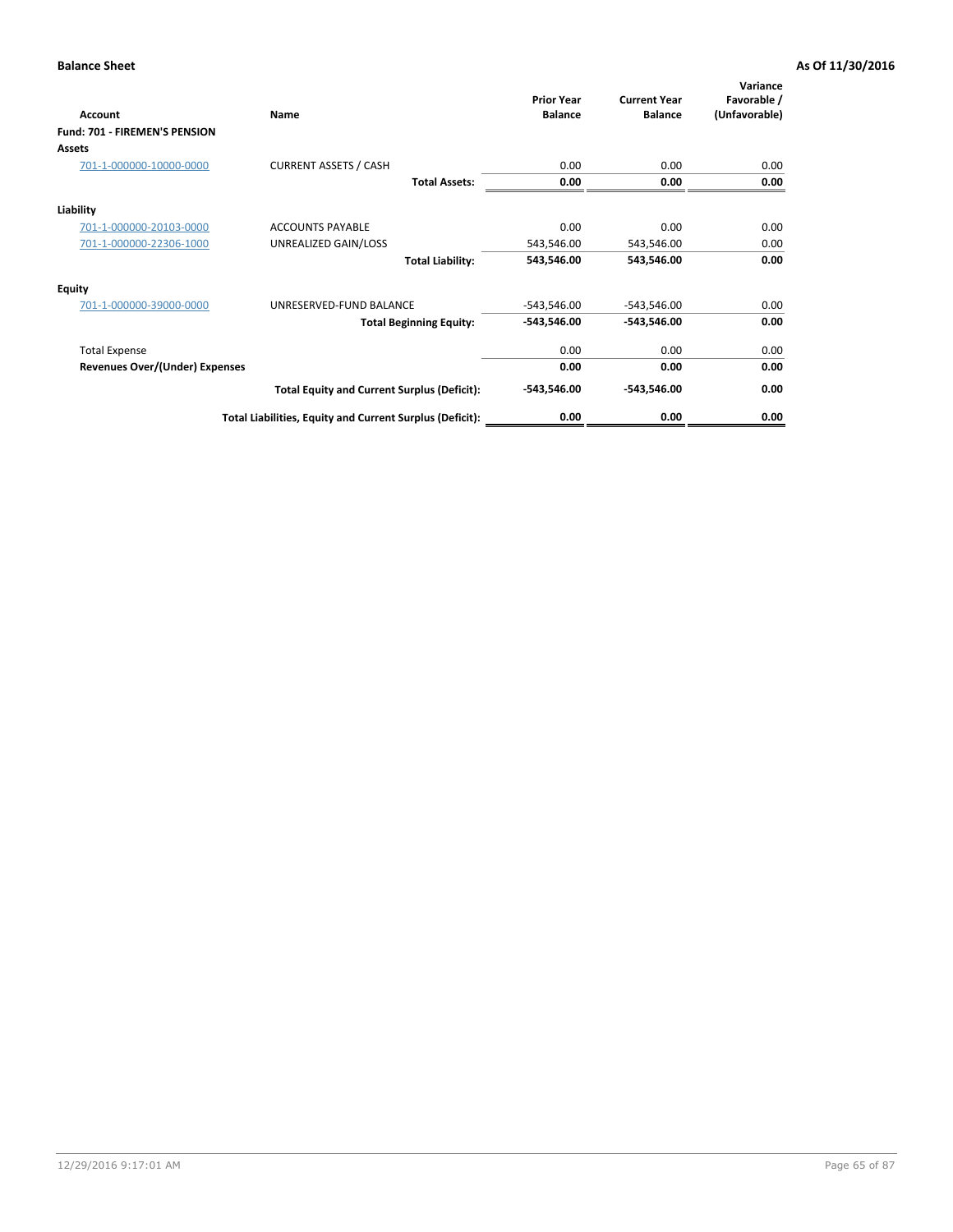| Account                               | Name                                                     | <b>Prior Year</b><br><b>Balance</b> | <b>Current Year</b><br><b>Balance</b> | Variance<br>Favorable /<br>(Unfavorable) |
|---------------------------------------|----------------------------------------------------------|-------------------------------------|---------------------------------------|------------------------------------------|
| <b>Fund: 701 - FIREMEN'S PENSION</b>  |                                                          |                                     |                                       |                                          |
| <b>Assets</b>                         |                                                          |                                     |                                       |                                          |
| 701-1-000000-10000-0000               | <b>CURRENT ASSETS / CASH</b>                             | 0.00                                | 0.00                                  | 0.00                                     |
|                                       | <b>Total Assets:</b>                                     | 0.00                                | 0.00                                  | 0.00                                     |
| Liability                             |                                                          |                                     |                                       |                                          |
| 701-1-000000-20103-0000               | <b>ACCOUNTS PAYABLE</b>                                  | 0.00                                | 0.00                                  | 0.00                                     |
| 701-1-000000-22306-1000               | UNREALIZED GAIN/LOSS                                     | 543,546.00                          | 543,546.00                            | 0.00                                     |
|                                       | <b>Total Liability:</b>                                  | 543,546.00                          | 543,546.00                            | 0.00                                     |
| <b>Equity</b>                         |                                                          |                                     |                                       |                                          |
| 701-1-000000-39000-0000               | UNRESERVED-FUND BALANCE                                  | $-543,546.00$                       | -543,546.00                           | 0.00                                     |
|                                       | <b>Total Beginning Equity:</b>                           | $-543,546.00$                       | $-543,546.00$                         | 0.00                                     |
| <b>Total Expense</b>                  |                                                          | 0.00                                | 0.00                                  | 0.00                                     |
| <b>Revenues Over/(Under) Expenses</b> |                                                          | 0.00                                | 0.00                                  | 0.00                                     |
|                                       | <b>Total Equity and Current Surplus (Deficit):</b>       | $-543,546.00$                       | $-543,546.00$                         | 0.00                                     |
|                                       | Total Liabilities, Equity and Current Surplus (Deficit): | 0.00                                | 0.00                                  | 0.00                                     |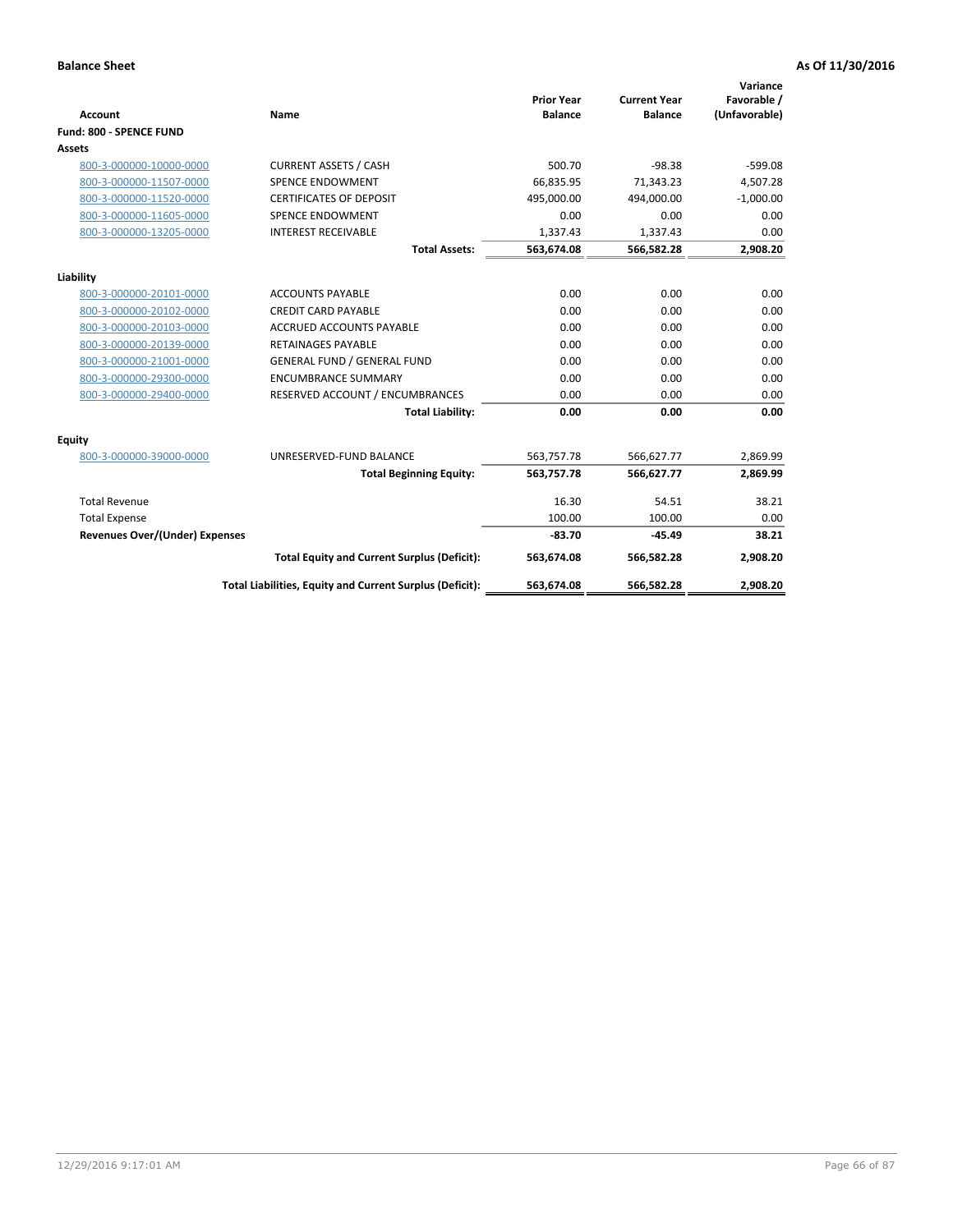|                                       |                                                          |                                     |                                       | Variance                     |
|---------------------------------------|----------------------------------------------------------|-------------------------------------|---------------------------------------|------------------------------|
| Account                               | Name                                                     | <b>Prior Year</b><br><b>Balance</b> | <b>Current Year</b><br><b>Balance</b> | Favorable /<br>(Unfavorable) |
| Fund: 800 - SPENCE FUND               |                                                          |                                     |                                       |                              |
| Assets                                |                                                          |                                     |                                       |                              |
| 800-3-000000-10000-0000               | <b>CURRENT ASSETS / CASH</b>                             | 500.70                              | $-98.38$                              | $-599.08$                    |
| 800-3-000000-11507-0000               | <b>SPENCE ENDOWMENT</b>                                  | 66.835.95                           | 71,343.23                             | 4,507.28                     |
| 800-3-000000-11520-0000               | <b>CERTIFICATES OF DEPOSIT</b>                           | 495,000.00                          | 494,000.00                            | $-1,000.00$                  |
| 800-3-000000-11605-0000               | <b>SPENCE ENDOWMENT</b>                                  | 0.00                                | 0.00                                  | 0.00                         |
| 800-3-000000-13205-0000               | <b>INTEREST RECEIVABLE</b>                               | 1,337.43                            | 1,337.43                              | 0.00                         |
|                                       | <b>Total Assets:</b>                                     | 563,674.08                          | 566,582.28                            | 2,908.20                     |
| Liability                             |                                                          |                                     |                                       |                              |
| 800-3-000000-20101-0000               | <b>ACCOUNTS PAYABLE</b>                                  | 0.00                                | 0.00                                  | 0.00                         |
| 800-3-000000-20102-0000               | <b>CREDIT CARD PAYABLE</b>                               | 0.00                                | 0.00                                  | 0.00                         |
| 800-3-000000-20103-0000               | <b>ACCRUED ACCOUNTS PAYABLE</b>                          | 0.00                                | 0.00                                  | 0.00                         |
| 800-3-000000-20139-0000               | <b>RETAINAGES PAYABLE</b>                                | 0.00                                | 0.00                                  | 0.00                         |
| 800-3-000000-21001-0000               | <b>GENERAL FUND / GENERAL FUND</b>                       | 0.00                                | 0.00                                  | 0.00                         |
| 800-3-000000-29300-0000               | <b>ENCUMBRANCE SUMMARY</b>                               | 0.00                                | 0.00                                  | 0.00                         |
| 800-3-000000-29400-0000               | RESERVED ACCOUNT / ENCUMBRANCES                          | 0.00                                | 0.00                                  | 0.00                         |
|                                       | <b>Total Liability:</b>                                  | 0.00                                | 0.00                                  | 0.00                         |
| Equity                                |                                                          |                                     |                                       |                              |
| 800-3-000000-39000-0000               | UNRESERVED-FUND BALANCE                                  | 563,757.78                          | 566,627.77                            | 2,869.99                     |
|                                       | <b>Total Beginning Equity:</b>                           | 563,757.78                          | 566,627.77                            | 2,869.99                     |
| <b>Total Revenue</b>                  |                                                          | 16.30                               | 54.51                                 | 38.21                        |
| <b>Total Expense</b>                  |                                                          | 100.00                              | 100.00                                | 0.00                         |
| <b>Revenues Over/(Under) Expenses</b> |                                                          | $-83.70$                            | $-45.49$                              | 38.21                        |
|                                       | <b>Total Equity and Current Surplus (Deficit):</b>       | 563,674.08                          | 566,582.28                            | 2,908.20                     |
|                                       | Total Liabilities, Equity and Current Surplus (Deficit): | 563,674.08                          | 566,582.28                            | 2,908.20                     |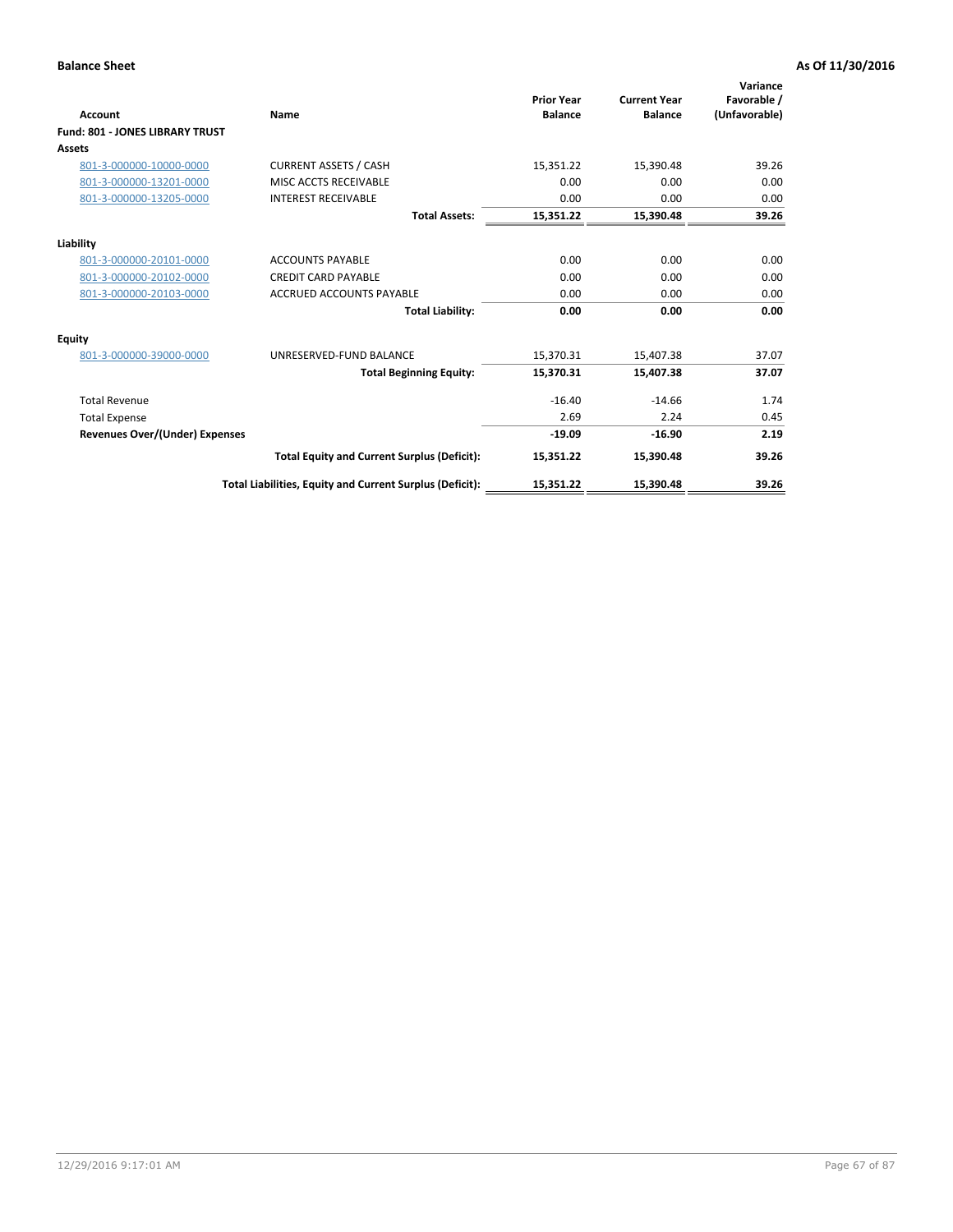| Account                                | Name                                                     | <b>Prior Year</b><br><b>Balance</b> | <b>Current Year</b><br><b>Balance</b> | Variance<br>Favorable /<br>(Unfavorable) |
|----------------------------------------|----------------------------------------------------------|-------------------------------------|---------------------------------------|------------------------------------------|
| <b>Fund: 801 - JONES LIBRARY TRUST</b> |                                                          |                                     |                                       |                                          |
| Assets                                 |                                                          |                                     |                                       |                                          |
| 801-3-000000-10000-0000                | <b>CURRENT ASSETS / CASH</b>                             | 15,351.22                           | 15,390.48                             | 39.26                                    |
| 801-3-000000-13201-0000                | MISC ACCTS RECEIVABLE                                    | 0.00                                | 0.00                                  | 0.00                                     |
| 801-3-000000-13205-0000                | <b>INTEREST RECEIVABLE</b>                               | 0.00                                | 0.00                                  | 0.00                                     |
|                                        | <b>Total Assets:</b>                                     | 15,351.22                           | 15,390.48                             | 39.26                                    |
| Liability                              |                                                          |                                     |                                       |                                          |
| 801-3-000000-20101-0000                | <b>ACCOUNTS PAYABLE</b>                                  | 0.00                                | 0.00                                  | 0.00                                     |
| 801-3-000000-20102-0000                | <b>CREDIT CARD PAYABLE</b>                               | 0.00                                | 0.00                                  | 0.00                                     |
| 801-3-000000-20103-0000                | <b>ACCRUED ACCOUNTS PAYABLE</b>                          | 0.00                                | 0.00                                  | 0.00                                     |
|                                        | <b>Total Liability:</b>                                  | 0.00                                | 0.00                                  | 0.00                                     |
| Equity                                 |                                                          |                                     |                                       |                                          |
| 801-3-000000-39000-0000                | UNRESERVED-FUND BALANCE                                  | 15,370.31                           | 15,407.38                             | 37.07                                    |
|                                        | <b>Total Beginning Equity:</b>                           | 15,370.31                           | 15,407.38                             | 37.07                                    |
| <b>Total Revenue</b>                   |                                                          | $-16.40$                            | $-14.66$                              | 1.74                                     |
| <b>Total Expense</b>                   |                                                          | 2.69                                | 2.24                                  | 0.45                                     |
| <b>Revenues Over/(Under) Expenses</b>  |                                                          | $-19.09$                            | $-16.90$                              | 2.19                                     |
|                                        | <b>Total Equity and Current Surplus (Deficit):</b>       | 15,351.22                           | 15,390.48                             | 39.26                                    |
|                                        | Total Liabilities, Equity and Current Surplus (Deficit): | 15,351.22                           | 15,390.48                             | 39.26                                    |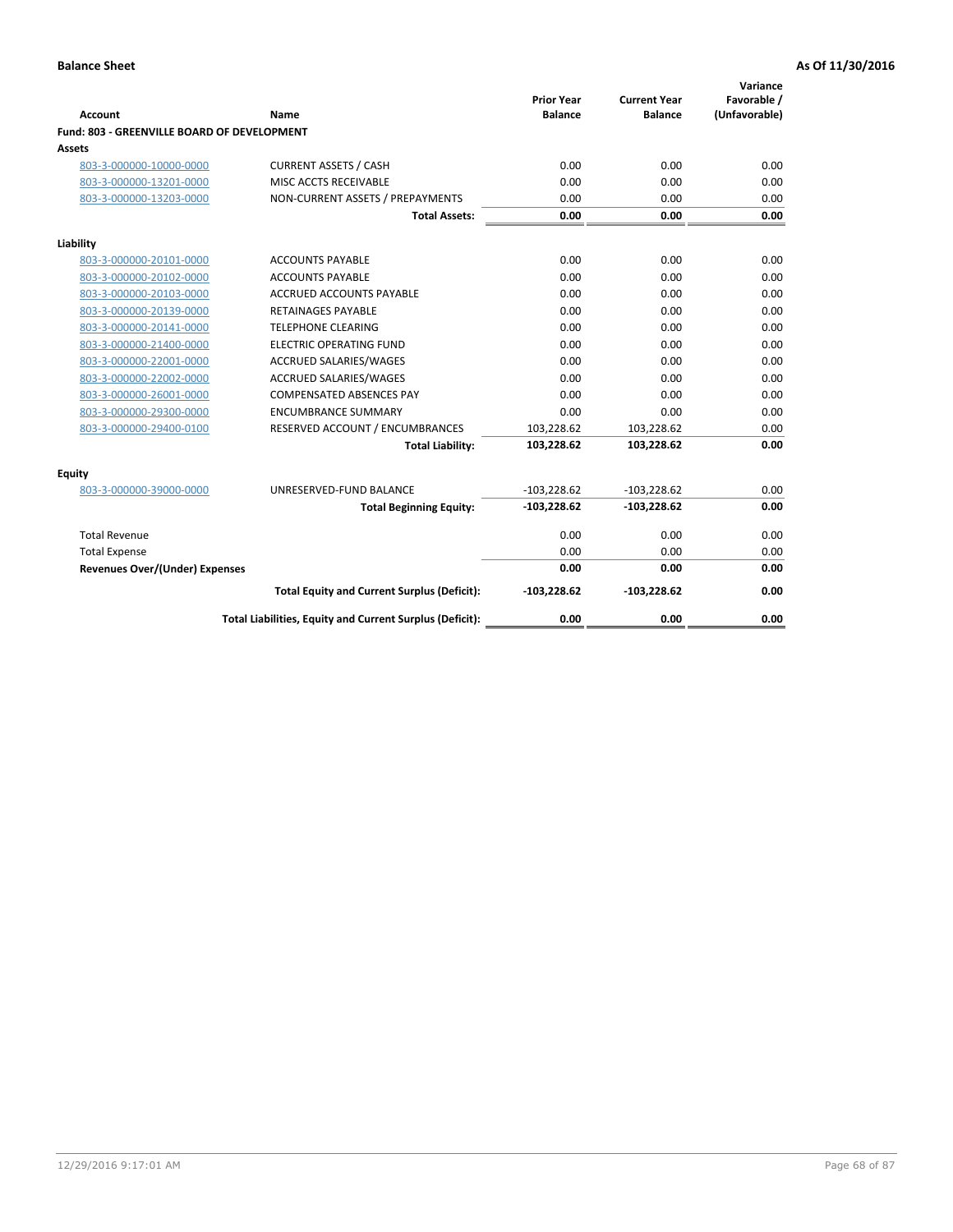| <b>Account</b>                              | Name                                                     | <b>Prior Year</b><br><b>Balance</b> | <b>Current Year</b><br><b>Balance</b> | Variance<br>Favorable /<br>(Unfavorable) |
|---------------------------------------------|----------------------------------------------------------|-------------------------------------|---------------------------------------|------------------------------------------|
| Fund: 803 - GREENVILLE BOARD OF DEVELOPMENT |                                                          |                                     |                                       |                                          |
| <b>Assets</b>                               |                                                          |                                     |                                       |                                          |
| 803-3-000000-10000-0000                     | <b>CURRENT ASSETS / CASH</b>                             | 0.00                                | 0.00                                  | 0.00                                     |
| 803-3-000000-13201-0000                     | MISC ACCTS RECEIVABLE                                    | 0.00                                | 0.00                                  | 0.00                                     |
| 803-3-000000-13203-0000                     | NON-CURRENT ASSETS / PREPAYMENTS                         | 0.00                                | 0.00                                  | 0.00                                     |
|                                             | <b>Total Assets:</b>                                     | 0.00                                | 0.00                                  | 0.00                                     |
| Liability                                   |                                                          |                                     |                                       |                                          |
| 803-3-000000-20101-0000                     | <b>ACCOUNTS PAYABLE</b>                                  | 0.00                                | 0.00                                  | 0.00                                     |
| 803-3-000000-20102-0000                     | <b>ACCOUNTS PAYABLE</b>                                  | 0.00                                | 0.00                                  | 0.00                                     |
| 803-3-000000-20103-0000                     | <b>ACCRUED ACCOUNTS PAYABLE</b>                          | 0.00                                | 0.00                                  | 0.00                                     |
| 803-3-000000-20139-0000                     | <b>RETAINAGES PAYABLE</b>                                | 0.00                                | 0.00                                  | 0.00                                     |
| 803-3-000000-20141-0000                     | <b>TELEPHONE CLEARING</b>                                | 0.00                                | 0.00                                  | 0.00                                     |
| 803-3-000000-21400-0000                     | <b>ELECTRIC OPERATING FUND</b>                           | 0.00                                | 0.00                                  | 0.00                                     |
| 803-3-000000-22001-0000                     | ACCRUED SALARIES/WAGES                                   | 0.00                                | 0.00                                  | 0.00                                     |
| 803-3-000000-22002-0000                     | <b>ACCRUED SALARIES/WAGES</b>                            | 0.00                                | 0.00                                  | 0.00                                     |
| 803-3-000000-26001-0000                     | <b>COMPENSATED ABSENCES PAY</b>                          | 0.00                                | 0.00                                  | 0.00                                     |
| 803-3-000000-29300-0000                     | <b>ENCUMBRANCE SUMMARY</b>                               | 0.00                                | 0.00                                  | 0.00                                     |
| 803-3-000000-29400-0100                     | RESERVED ACCOUNT / ENCUMBRANCES                          | 103,228.62                          | 103,228.62                            | 0.00                                     |
|                                             | <b>Total Liability:</b>                                  | 103,228.62                          | 103,228.62                            | 0.00                                     |
| Equity                                      |                                                          |                                     |                                       |                                          |
| 803-3-000000-39000-0000                     | UNRESERVED-FUND BALANCE                                  | $-103,228.62$                       | $-103,228.62$                         | 0.00                                     |
|                                             | <b>Total Beginning Equity:</b>                           | $-103,228.62$                       | $-103,228.62$                         | 0.00                                     |
| <b>Total Revenue</b>                        |                                                          | 0.00                                | 0.00                                  | 0.00                                     |
| <b>Total Expense</b>                        |                                                          | 0.00                                | 0.00                                  | 0.00                                     |
| <b>Revenues Over/(Under) Expenses</b>       |                                                          | 0.00                                | 0.00                                  | 0.00                                     |
|                                             | <b>Total Equity and Current Surplus (Deficit):</b>       | $-103,228.62$                       | $-103,228.62$                         | 0.00                                     |
|                                             | Total Liabilities, Equity and Current Surplus (Deficit): | 0.00                                | 0.00                                  | 0.00                                     |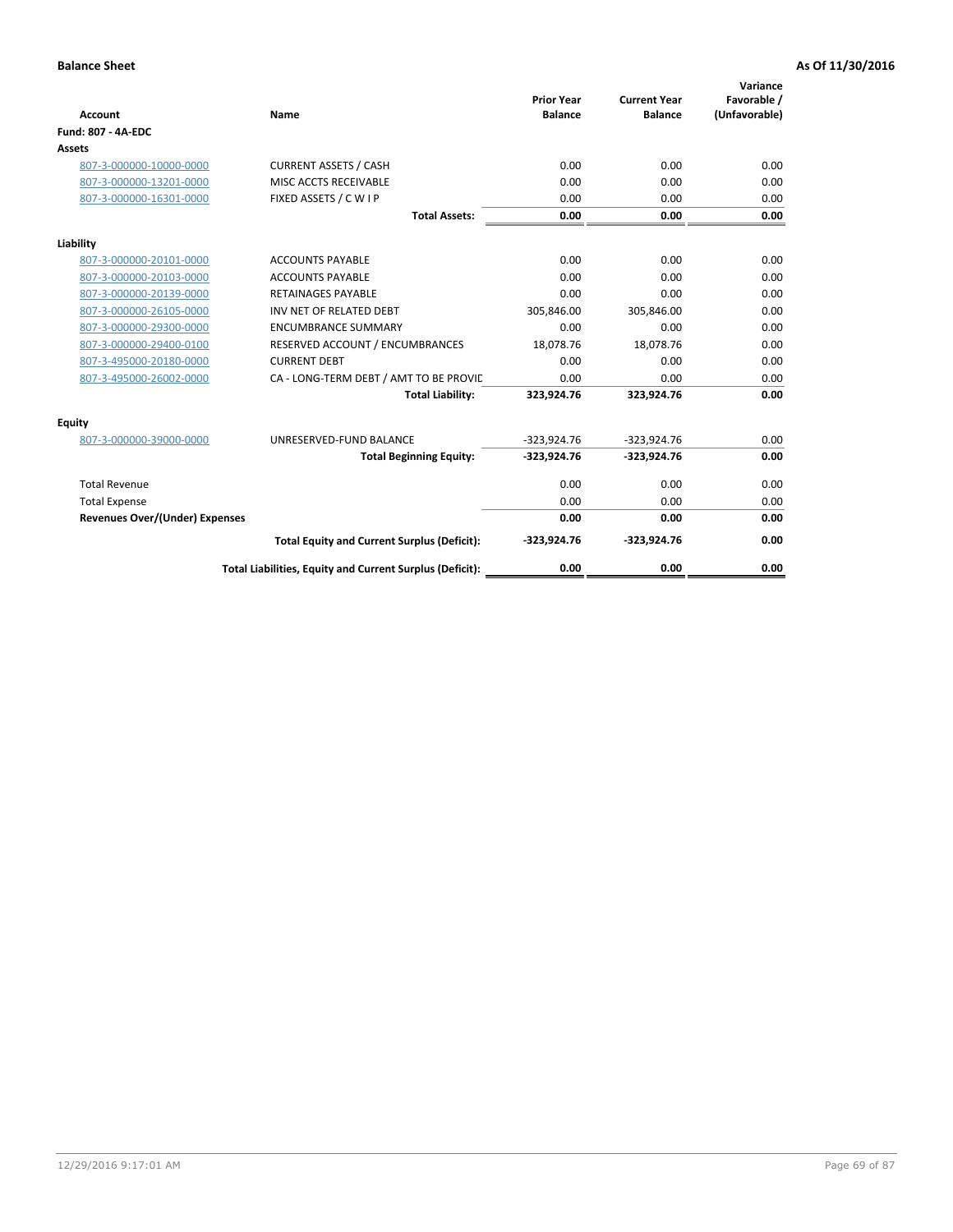| <b>Account</b>                        | Name                                                     | <b>Prior Year</b><br><b>Balance</b> | <b>Current Year</b><br><b>Balance</b> | Variance<br>Favorable /<br>(Unfavorable) |
|---------------------------------------|----------------------------------------------------------|-------------------------------------|---------------------------------------|------------------------------------------|
| Fund: 807 - 4A-EDC                    |                                                          |                                     |                                       |                                          |
| <b>Assets</b>                         |                                                          |                                     |                                       |                                          |
| 807-3-000000-10000-0000               | <b>CURRENT ASSETS / CASH</b>                             | 0.00                                | 0.00                                  | 0.00                                     |
| 807-3-000000-13201-0000               | <b>MISC ACCTS RECEIVABLE</b>                             | 0.00                                | 0.00                                  | 0.00                                     |
| 807-3-000000-16301-0000               | FIXED ASSETS / C W I P                                   | 0.00                                | 0.00                                  | 0.00                                     |
|                                       | <b>Total Assets:</b>                                     | 0.00                                | 0.00                                  | 0.00                                     |
| Liability                             |                                                          |                                     |                                       |                                          |
| 807-3-000000-20101-0000               | <b>ACCOUNTS PAYABLE</b>                                  | 0.00                                | 0.00                                  | 0.00                                     |
| 807-3-000000-20103-0000               | <b>ACCOUNTS PAYABLE</b>                                  | 0.00                                | 0.00                                  | 0.00                                     |
| 807-3-000000-20139-0000               | <b>RETAINAGES PAYABLE</b>                                | 0.00                                | 0.00                                  | 0.00                                     |
| 807-3-000000-26105-0000               | INV NET OF RELATED DEBT                                  | 305,846.00                          | 305,846.00                            | 0.00                                     |
| 807-3-000000-29300-0000               | <b>ENCUMBRANCE SUMMARY</b>                               | 0.00                                | 0.00                                  | 0.00                                     |
| 807-3-000000-29400-0100               | RESERVED ACCOUNT / ENCUMBRANCES                          | 18,078.76                           | 18,078.76                             | 0.00                                     |
| 807-3-495000-20180-0000               | <b>CURRENT DEBT</b>                                      | 0.00                                | 0.00                                  | 0.00                                     |
| 807-3-495000-26002-0000               | CA - LONG-TERM DEBT / AMT TO BE PROVIL                   | 0.00                                | 0.00                                  | 0.00                                     |
|                                       | <b>Total Liability:</b>                                  | 323,924.76                          | 323,924.76                            | 0.00                                     |
| Equity                                |                                                          |                                     |                                       |                                          |
| 807-3-000000-39000-0000               | UNRESERVED-FUND BALANCE                                  | $-323,924.76$                       | $-323,924.76$                         | 0.00                                     |
|                                       | <b>Total Beginning Equity:</b>                           | $-323,924.76$                       | $-323,924.76$                         | 0.00                                     |
| <b>Total Revenue</b>                  |                                                          | 0.00                                | 0.00                                  | 0.00                                     |
| <b>Total Expense</b>                  |                                                          | 0.00                                | 0.00                                  | 0.00                                     |
| <b>Revenues Over/(Under) Expenses</b> |                                                          | 0.00                                | 0.00                                  | 0.00                                     |
|                                       | <b>Total Equity and Current Surplus (Deficit):</b>       | $-323,924.76$                       | $-323,924.76$                         | 0.00                                     |
|                                       | Total Liabilities, Equity and Current Surplus (Deficit): | 0.00                                | 0.00                                  | 0.00                                     |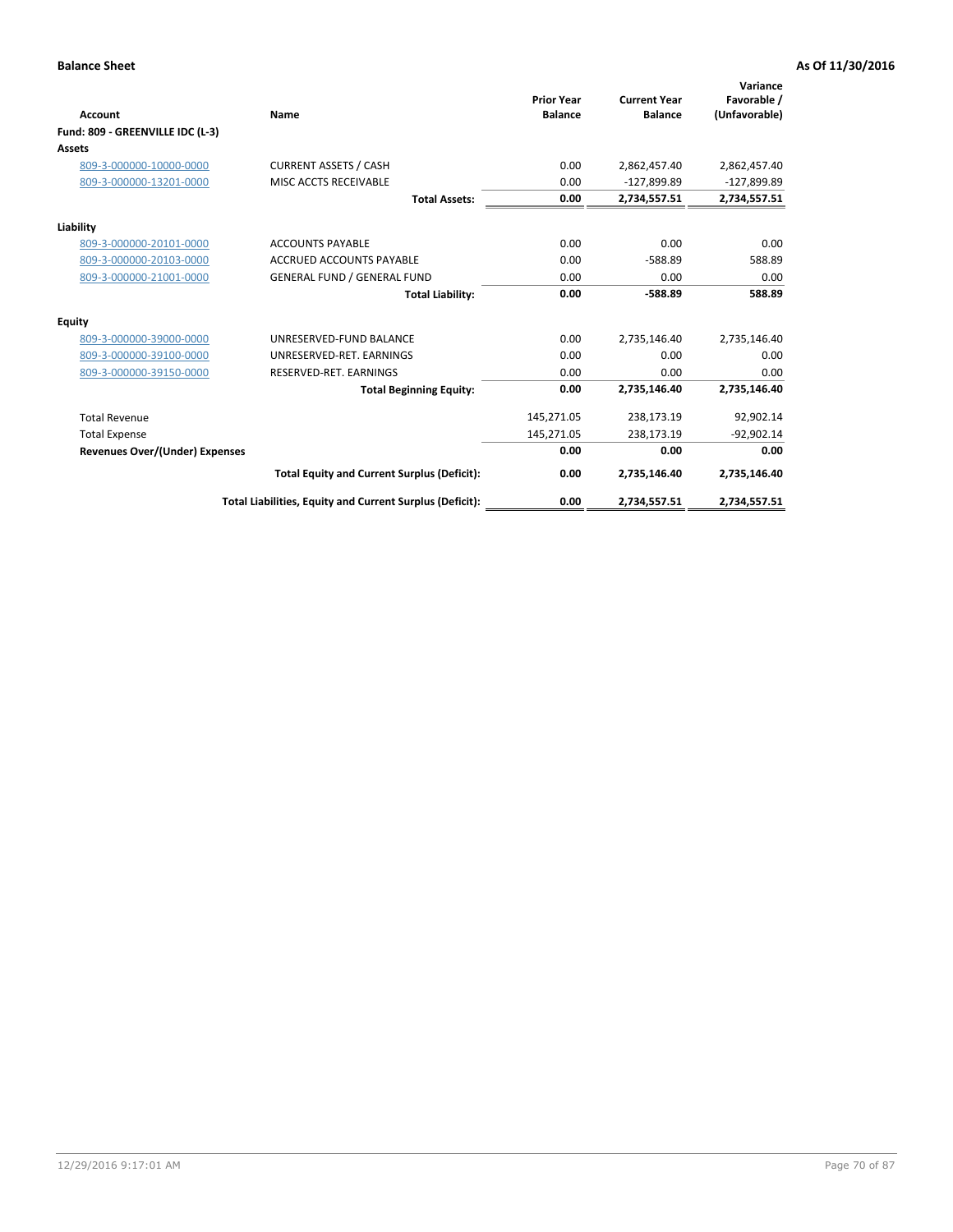| <b>Account</b>                   | Name                                                     | <b>Prior Year</b><br><b>Balance</b> | <b>Current Year</b><br><b>Balance</b> | Variance<br>Favorable /<br>(Unfavorable) |
|----------------------------------|----------------------------------------------------------|-------------------------------------|---------------------------------------|------------------------------------------|
| Fund: 809 - GREENVILLE IDC (L-3) |                                                          |                                     |                                       |                                          |
| Assets                           |                                                          |                                     |                                       |                                          |
| 809-3-000000-10000-0000          | <b>CURRENT ASSETS / CASH</b>                             | 0.00                                | 2,862,457.40                          | 2,862,457.40                             |
| 809-3-000000-13201-0000          | MISC ACCTS RECEIVABLE                                    | 0.00                                | $-127,899.89$                         | -127,899.89                              |
|                                  | <b>Total Assets:</b>                                     | 0.00                                | 2,734,557.51                          | 2,734,557.51                             |
| Liability                        |                                                          |                                     |                                       |                                          |
| 809-3-000000-20101-0000          | <b>ACCOUNTS PAYABLE</b>                                  | 0.00                                | 0.00                                  | 0.00                                     |
| 809-3-000000-20103-0000          | <b>ACCRUED ACCOUNTS PAYABLE</b>                          | 0.00                                | $-588.89$                             | 588.89                                   |
| 809-3-000000-21001-0000          | <b>GENERAL FUND / GENERAL FUND</b>                       | 0.00                                | 0.00                                  | 0.00                                     |
|                                  | <b>Total Liability:</b>                                  | 0.00                                | $-588.89$                             | 588.89                                   |
| Equity                           |                                                          |                                     |                                       |                                          |
| 809-3-000000-39000-0000          | UNRESERVED-FUND BALANCE                                  | 0.00                                | 2,735,146.40                          | 2,735,146.40                             |
| 809-3-000000-39100-0000          | UNRESERVED-RET, EARNINGS                                 | 0.00                                | 0.00                                  | 0.00                                     |
| 809-3-000000-39150-0000          | RESERVED-RET. EARNINGS                                   | 0.00                                | 0.00                                  | 0.00                                     |
|                                  | <b>Total Beginning Equity:</b>                           | 0.00                                | 2,735,146.40                          | 2,735,146.40                             |
| <b>Total Revenue</b>             |                                                          | 145,271.05                          | 238,173.19                            | 92,902.14                                |
| <b>Total Expense</b>             |                                                          | 145,271.05                          | 238,173.19                            | $-92,902.14$                             |
| Revenues Over/(Under) Expenses   |                                                          | 0.00                                | 0.00                                  | 0.00                                     |
|                                  | <b>Total Equity and Current Surplus (Deficit):</b>       | 0.00                                | 2,735,146.40                          | 2,735,146.40                             |
|                                  | Total Liabilities, Equity and Current Surplus (Deficit): | 0.00                                | 2,734,557.51                          | 2,734,557.51                             |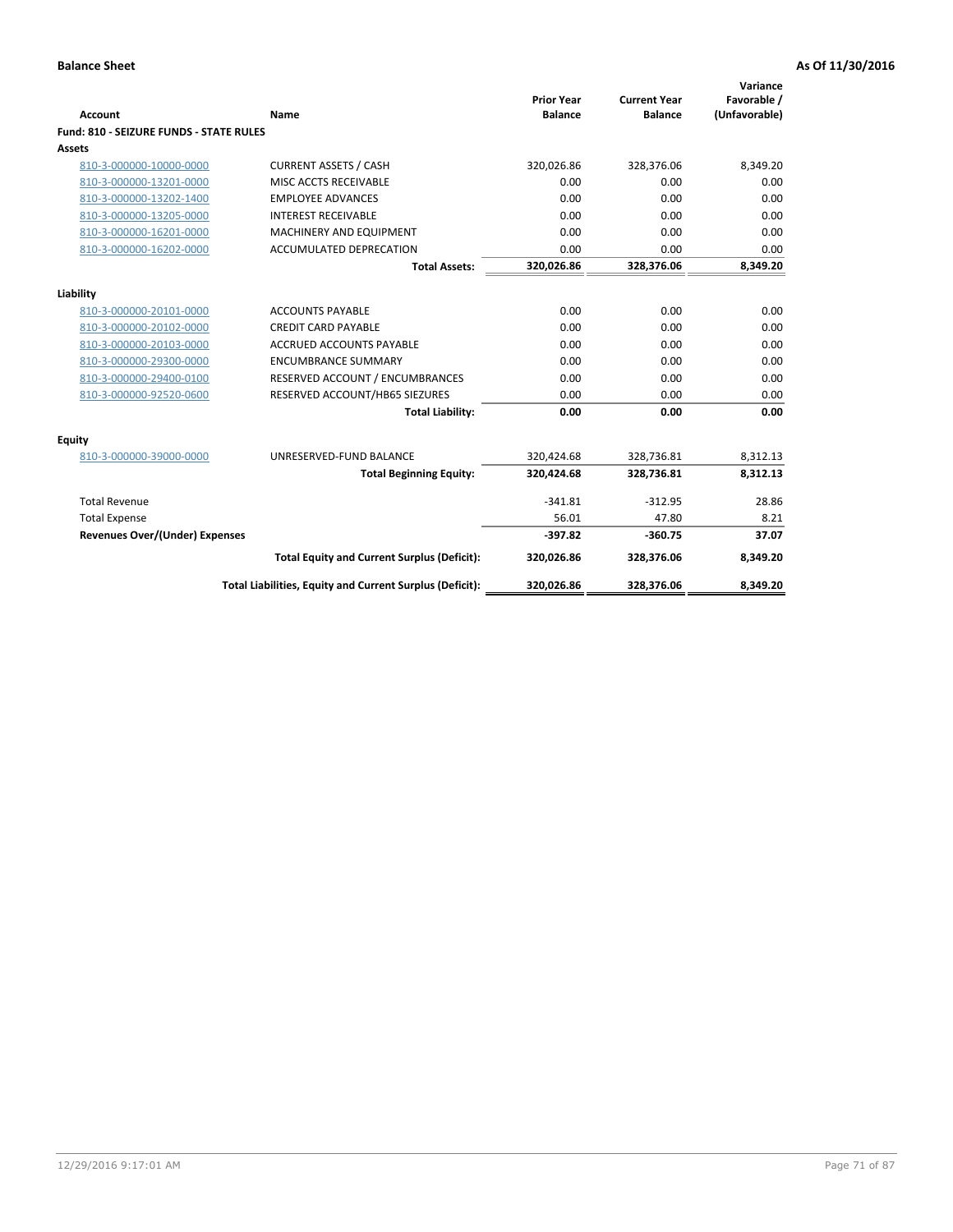| <b>Account</b>                                 | Name                                                     | <b>Prior Year</b><br><b>Balance</b> | <b>Current Year</b><br><b>Balance</b> | Variance<br>Favorable /<br>(Unfavorable) |
|------------------------------------------------|----------------------------------------------------------|-------------------------------------|---------------------------------------|------------------------------------------|
| <b>Fund: 810 - SEIZURE FUNDS - STATE RULES</b> |                                                          |                                     |                                       |                                          |
| <b>Assets</b>                                  |                                                          |                                     |                                       |                                          |
| 810-3-000000-10000-0000                        | <b>CURRENT ASSETS / CASH</b>                             | 320,026.86                          | 328,376.06                            | 8,349.20                                 |
| 810-3-000000-13201-0000                        | MISC ACCTS RECEIVABLE                                    | 0.00                                | 0.00                                  | 0.00                                     |
| 810-3-000000-13202-1400                        | <b>EMPLOYEE ADVANCES</b>                                 | 0.00                                | 0.00                                  | 0.00                                     |
| 810-3-000000-13205-0000                        | <b>INTEREST RECEIVABLE</b>                               | 0.00                                | 0.00                                  | 0.00                                     |
| 810-3-000000-16201-0000                        | MACHINERY AND EQUIPMENT                                  | 0.00                                | 0.00                                  | 0.00                                     |
| 810-3-000000-16202-0000                        | ACCUMULATED DEPRECATION                                  | 0.00                                | 0.00                                  | 0.00                                     |
|                                                | <b>Total Assets:</b>                                     | 320,026.86                          | 328,376.06                            | 8,349.20                                 |
|                                                |                                                          |                                     |                                       |                                          |
| Liability                                      |                                                          |                                     |                                       |                                          |
| 810-3-000000-20101-0000                        | <b>ACCOUNTS PAYABLE</b>                                  | 0.00                                | 0.00                                  | 0.00                                     |
| 810-3-000000-20102-0000                        | <b>CREDIT CARD PAYABLE</b>                               | 0.00                                | 0.00                                  | 0.00                                     |
| 810-3-000000-20103-0000                        | <b>ACCRUED ACCOUNTS PAYABLE</b>                          | 0.00                                | 0.00                                  | 0.00                                     |
| 810-3-000000-29300-0000                        | <b>ENCUMBRANCE SUMMARY</b>                               | 0.00                                | 0.00                                  | 0.00                                     |
| 810-3-000000-29400-0100                        | RESERVED ACCOUNT / ENCUMBRANCES                          | 0.00                                | 0.00                                  | 0.00                                     |
| 810-3-000000-92520-0600                        | RESERVED ACCOUNT/HB65 SIEZURES                           | 0.00                                | 0.00                                  | 0.00                                     |
|                                                | <b>Total Liability:</b>                                  | 0.00                                | 0.00                                  | 0.00                                     |
| <b>Equity</b>                                  |                                                          |                                     |                                       |                                          |
| 810-3-000000-39000-0000                        | UNRESERVED-FUND BALANCE                                  | 320,424.68                          | 328,736.81                            | 8,312.13                                 |
|                                                | <b>Total Beginning Equity:</b>                           | 320,424.68                          | 328,736.81                            | 8,312.13                                 |
| <b>Total Revenue</b>                           |                                                          | $-341.81$                           | $-312.95$                             | 28.86                                    |
| <b>Total Expense</b>                           |                                                          | 56.01                               | 47.80                                 | 8.21                                     |
| Revenues Over/(Under) Expenses                 |                                                          | $-397.82$                           | $-360.75$                             | 37.07                                    |
|                                                | <b>Total Equity and Current Surplus (Deficit):</b>       | 320,026.86                          | 328,376.06                            | 8,349.20                                 |
|                                                | Total Liabilities, Equity and Current Surplus (Deficit): | 320,026.86                          | 328,376.06                            | 8,349.20                                 |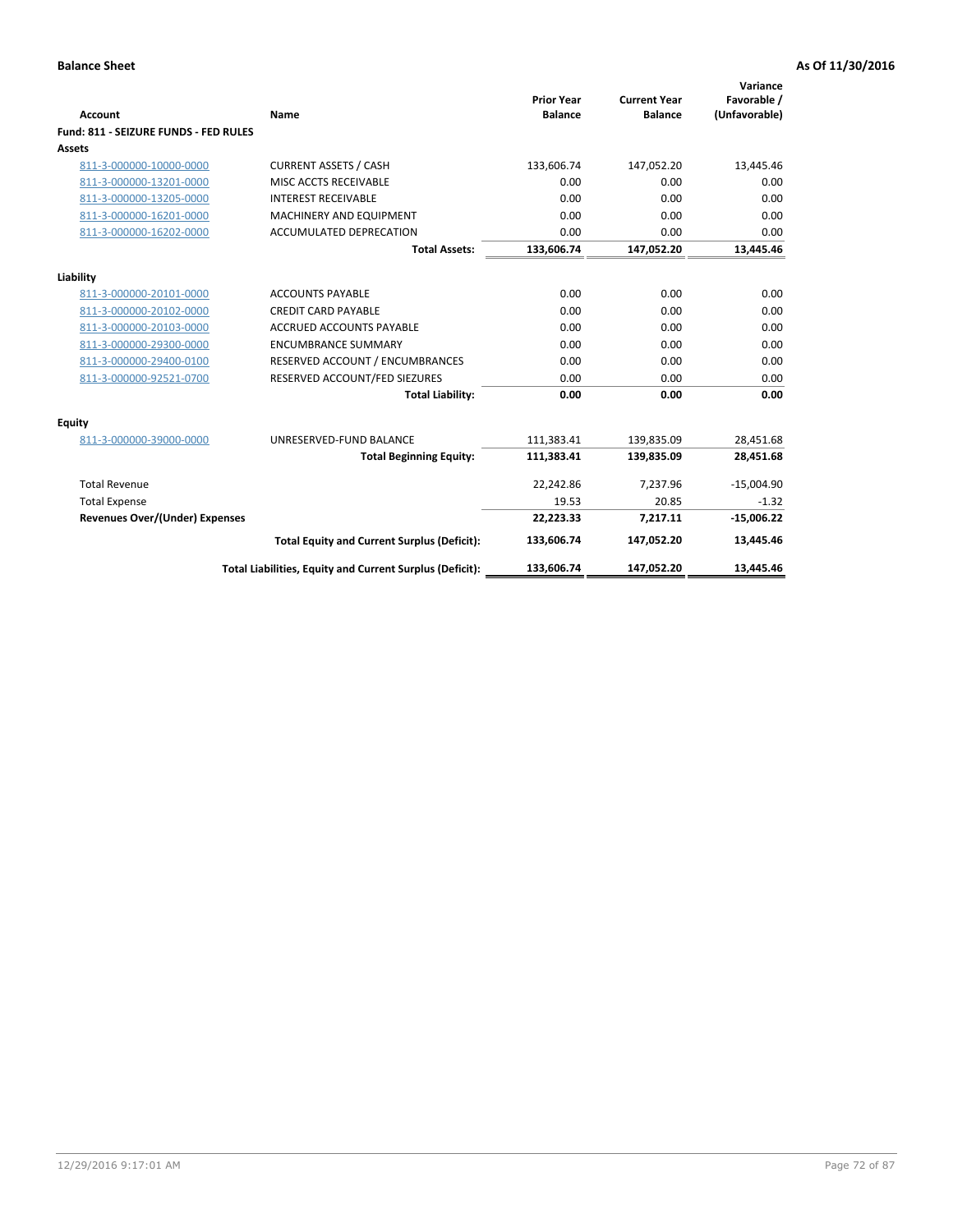| Account                               | Name                                                     | <b>Prior Year</b><br><b>Balance</b> | <b>Current Year</b><br><b>Balance</b> | Variance<br>Favorable /<br>(Unfavorable) |
|---------------------------------------|----------------------------------------------------------|-------------------------------------|---------------------------------------|------------------------------------------|
| Fund: 811 - SEIZURE FUNDS - FED RULES |                                                          |                                     |                                       |                                          |
| <b>Assets</b>                         |                                                          |                                     |                                       |                                          |
| 811-3-000000-10000-0000               | <b>CURRENT ASSETS / CASH</b>                             | 133,606.74                          | 147,052.20                            | 13,445.46                                |
| 811-3-000000-13201-0000               | MISC ACCTS RECEIVABLE                                    | 0.00                                | 0.00                                  | 0.00                                     |
| 811-3-000000-13205-0000               | <b>INTEREST RECEIVABLE</b>                               | 0.00                                | 0.00                                  | 0.00                                     |
| 811-3-000000-16201-0000               | <b>MACHINERY AND EQUIPMENT</b>                           | 0.00                                | 0.00                                  | 0.00                                     |
| 811-3-000000-16202-0000               | <b>ACCUMULATED DEPRECATION</b>                           | 0.00                                | 0.00                                  | 0.00                                     |
|                                       | <b>Total Assets:</b>                                     | 133,606.74                          | 147,052.20                            | 13,445.46                                |
| Liability                             |                                                          |                                     |                                       |                                          |
| 811-3-000000-20101-0000               | <b>ACCOUNTS PAYABLE</b>                                  | 0.00                                | 0.00                                  | 0.00                                     |
| 811-3-000000-20102-0000               | <b>CREDIT CARD PAYABLE</b>                               | 0.00                                | 0.00                                  | 0.00                                     |
| 811-3-000000-20103-0000               | <b>ACCRUED ACCOUNTS PAYABLE</b>                          | 0.00                                | 0.00                                  | 0.00                                     |
| 811-3-000000-29300-0000               | <b>ENCUMBRANCE SUMMARY</b>                               | 0.00                                | 0.00                                  | 0.00                                     |
| 811-3-000000-29400-0100               | RESERVED ACCOUNT / ENCUMBRANCES                          | 0.00                                | 0.00                                  | 0.00                                     |
| 811-3-000000-92521-0700               | RESERVED ACCOUNT/FED SIEZURES                            | 0.00                                | 0.00                                  | 0.00                                     |
|                                       | <b>Total Liability:</b>                                  | 0.00                                | 0.00                                  | 0.00                                     |
| Equity                                |                                                          |                                     |                                       |                                          |
| 811-3-000000-39000-0000               | UNRESERVED-FUND BALANCE                                  | 111,383.41                          | 139,835.09                            | 28,451.68                                |
|                                       | <b>Total Beginning Equity:</b>                           | 111,383.41                          | 139,835.09                            | 28,451.68                                |
| <b>Total Revenue</b>                  |                                                          | 22,242.86                           | 7.237.96                              | $-15,004.90$                             |
| <b>Total Expense</b>                  |                                                          | 19.53                               | 20.85                                 | $-1.32$                                  |
| <b>Revenues Over/(Under) Expenses</b> |                                                          | 22,223.33                           | 7,217.11                              | $-15,006.22$                             |
|                                       | <b>Total Equity and Current Surplus (Deficit):</b>       | 133,606.74                          | 147,052.20                            | 13,445.46                                |
|                                       | Total Liabilities, Equity and Current Surplus (Deficit): | 133,606.74                          | 147,052.20                            | 13,445.46                                |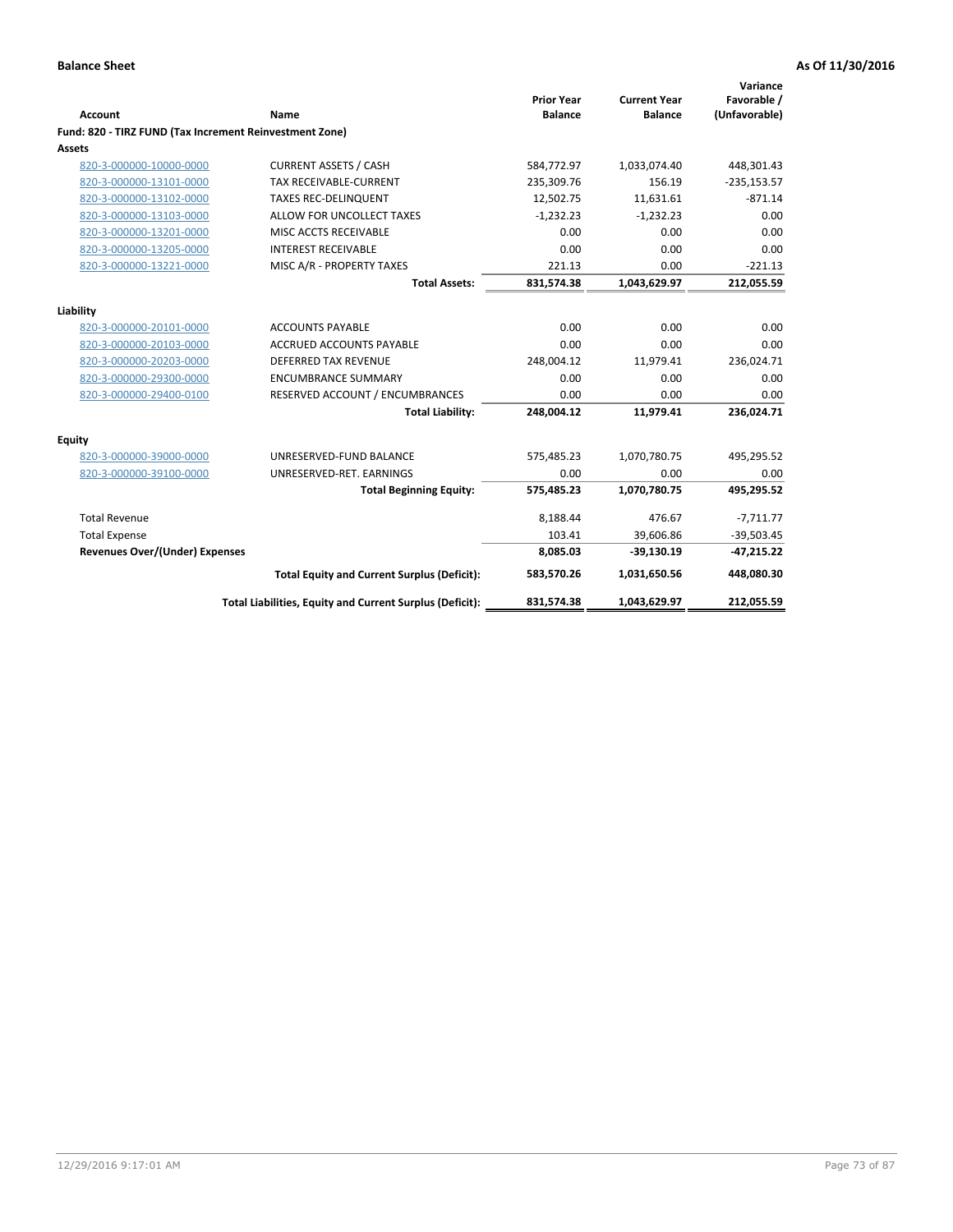| <b>Account</b>                                          | Name                                                     | <b>Prior Year</b><br><b>Balance</b> | <b>Current Year</b><br><b>Balance</b> | Variance<br>Favorable /<br>(Unfavorable) |
|---------------------------------------------------------|----------------------------------------------------------|-------------------------------------|---------------------------------------|------------------------------------------|
| Fund: 820 - TIRZ FUND (Tax Increment Reinvestment Zone) |                                                          |                                     |                                       |                                          |
| <b>Assets</b>                                           |                                                          |                                     |                                       |                                          |
| 820-3-000000-10000-0000                                 | <b>CURRENT ASSETS / CASH</b>                             | 584,772.97                          | 1,033,074.40                          | 448,301.43                               |
| 820-3-000000-13101-0000                                 | <b>TAX RECEIVABLE-CURRENT</b>                            | 235,309.76                          | 156.19                                | $-235,153.57$                            |
| 820-3-000000-13102-0000                                 | <b>TAXES REC-DELINQUENT</b>                              | 12,502.75                           | 11.631.61                             | $-871.14$                                |
| 820-3-000000-13103-0000                                 | ALLOW FOR UNCOLLECT TAXES                                | $-1,232.23$                         | $-1,232.23$                           | 0.00                                     |
| 820-3-000000-13201-0000                                 | MISC ACCTS RECEIVABLE                                    | 0.00                                | 0.00                                  | 0.00                                     |
| 820-3-000000-13205-0000                                 | <b>INTEREST RECEIVABLE</b>                               | 0.00                                | 0.00                                  | 0.00                                     |
| 820-3-000000-13221-0000                                 | MISC A/R - PROPERTY TAXES                                | 221.13                              | 0.00                                  | $-221.13$                                |
|                                                         | <b>Total Assets:</b>                                     | 831,574.38                          | 1,043,629.97                          | 212,055.59                               |
| Liability                                               |                                                          |                                     |                                       |                                          |
| 820-3-000000-20101-0000                                 | <b>ACCOUNTS PAYABLE</b>                                  | 0.00                                | 0.00                                  | 0.00                                     |
| 820-3-000000-20103-0000                                 | ACCRUED ACCOUNTS PAYABLE                                 | 0.00                                | 0.00                                  | 0.00                                     |
| 820-3-000000-20203-0000                                 | <b>DEFERRED TAX REVENUE</b>                              | 248,004.12                          | 11,979.41                             | 236,024.71                               |
| 820-3-000000-29300-0000                                 | <b>ENCUMBRANCE SUMMARY</b>                               | 0.00                                | 0.00                                  | 0.00                                     |
| 820-3-000000-29400-0100                                 | RESERVED ACCOUNT / ENCUMBRANCES                          | 0.00                                | 0.00                                  | 0.00                                     |
|                                                         | <b>Total Liability:</b>                                  | 248,004.12                          | 11,979.41                             | 236,024.71                               |
| Equity                                                  |                                                          |                                     |                                       |                                          |
| 820-3-000000-39000-0000                                 | UNRESERVED-FUND BALANCE                                  | 575,485.23                          | 1,070,780.75                          | 495,295.52                               |
| 820-3-000000-39100-0000                                 | UNRESERVED-RET. EARNINGS                                 | 0.00                                | 0.00                                  | 0.00                                     |
|                                                         | <b>Total Beginning Equity:</b>                           | 575,485.23                          | 1,070,780.75                          | 495,295.52                               |
| <b>Total Revenue</b>                                    |                                                          | 8,188.44                            | 476.67                                | $-7,711.77$                              |
| <b>Total Expense</b>                                    |                                                          | 103.41                              | 39,606.86                             | $-39,503.45$                             |
| <b>Revenues Over/(Under) Expenses</b>                   |                                                          | 8,085.03                            | $-39,130.19$                          | $-47,215.22$                             |
|                                                         | <b>Total Equity and Current Surplus (Deficit):</b>       | 583,570.26                          | 1,031,650.56                          | 448,080.30                               |
|                                                         | Total Liabilities, Equity and Current Surplus (Deficit): | 831,574.38                          | 1,043,629.97                          | 212,055.59                               |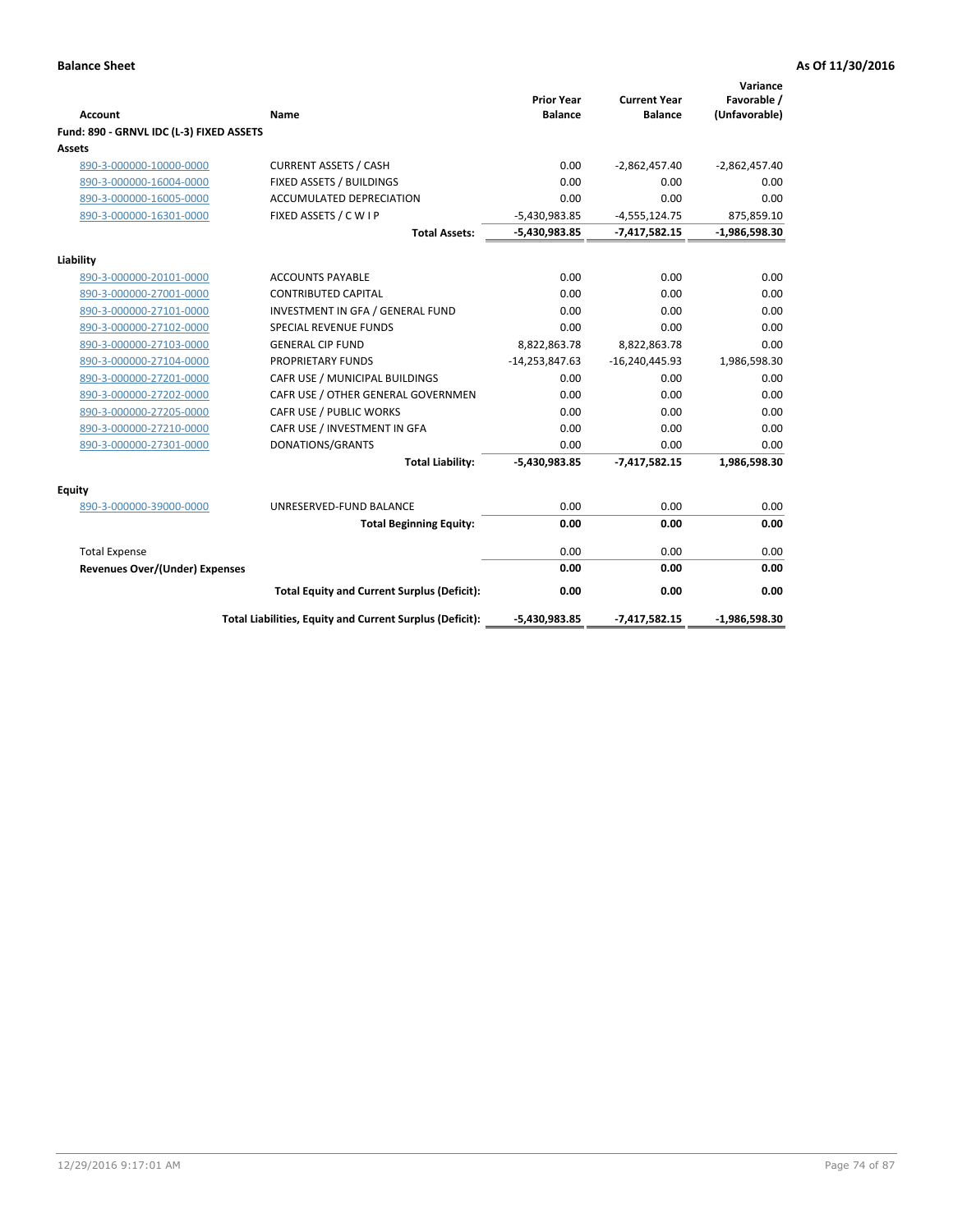|                                          |                                                          | <b>Prior Year</b> | <b>Current Year</b> | Variance<br>Favorable / |
|------------------------------------------|----------------------------------------------------------|-------------------|---------------------|-------------------------|
| <b>Account</b>                           | Name                                                     | <b>Balance</b>    | <b>Balance</b>      | (Unfavorable)           |
| Fund: 890 - GRNVL IDC (L-3) FIXED ASSETS |                                                          |                   |                     |                         |
| <b>Assets</b>                            |                                                          |                   |                     |                         |
| 890-3-000000-10000-0000                  | <b>CURRENT ASSETS / CASH</b>                             | 0.00              | $-2,862,457.40$     | $-2,862,457.40$         |
| 890-3-000000-16004-0000                  | FIXED ASSETS / BUILDINGS                                 | 0.00              | 0.00                | 0.00                    |
| 890-3-000000-16005-0000                  | <b>ACCUMULATED DEPRECIATION</b>                          | 0.00              | 0.00                | 0.00                    |
| 890-3-000000-16301-0000                  | FIXED ASSETS / C W I P                                   | $-5,430,983.85$   | $-4,555,124.75$     | 875,859.10              |
|                                          | <b>Total Assets:</b>                                     | $-5,430,983.85$   | $-7,417,582.15$     | $-1,986,598.30$         |
| Liability                                |                                                          |                   |                     |                         |
| 890-3-000000-20101-0000                  | <b>ACCOUNTS PAYABLE</b>                                  | 0.00              | 0.00                | 0.00                    |
| 890-3-000000-27001-0000                  | <b>CONTRIBUTED CAPITAL</b>                               | 0.00              | 0.00                | 0.00                    |
| 890-3-000000-27101-0000                  | INVESTMENT IN GFA / GENERAL FUND                         | 0.00              | 0.00                | 0.00                    |
| 890-3-000000-27102-0000                  | <b>SPECIAL REVENUE FUNDS</b>                             | 0.00              | 0.00                | 0.00                    |
| 890-3-000000-27103-0000                  | <b>GENERAL CIP FUND</b>                                  | 8,822,863.78      | 8,822,863.78        | 0.00                    |
| 890-3-000000-27104-0000                  | <b>PROPRIETARY FUNDS</b>                                 | $-14,253,847.63$  | $-16,240,445.93$    | 1,986,598.30            |
| 890-3-000000-27201-0000                  | CAFR USE / MUNICIPAL BUILDINGS                           | 0.00              | 0.00                | 0.00                    |
| 890-3-000000-27202-0000                  | CAFR USE / OTHER GENERAL GOVERNMEN                       | 0.00              | 0.00                | 0.00                    |
| 890-3-000000-27205-0000                  | CAFR USE / PUBLIC WORKS                                  | 0.00              | 0.00                | 0.00                    |
| 890-3-000000-27210-0000                  | CAFR USE / INVESTMENT IN GFA                             | 0.00              | 0.00                | 0.00                    |
| 890-3-000000-27301-0000                  | DONATIONS/GRANTS                                         | 0.00              | 0.00                | 0.00                    |
|                                          | <b>Total Liability:</b>                                  | -5,430,983.85     | $-7,417,582.15$     | 1,986,598.30            |
| Equity                                   |                                                          |                   |                     |                         |
| 890-3-000000-39000-0000                  | UNRESERVED-FUND BALANCE                                  | 0.00              | 0.00                | 0.00                    |
|                                          | <b>Total Beginning Equity:</b>                           | 0.00              | 0.00                | 0.00                    |
| <b>Total Expense</b>                     |                                                          | 0.00              | 0.00                | 0.00                    |
| <b>Revenues Over/(Under) Expenses</b>    |                                                          | 0.00              | 0.00                | 0.00                    |
|                                          | <b>Total Equity and Current Surplus (Deficit):</b>       | 0.00              | 0.00                | 0.00                    |
|                                          | Total Liabilities, Equity and Current Surplus (Deficit): | $-5,430,983.85$   | $-7,417,582.15$     | $-1,986,598.30$         |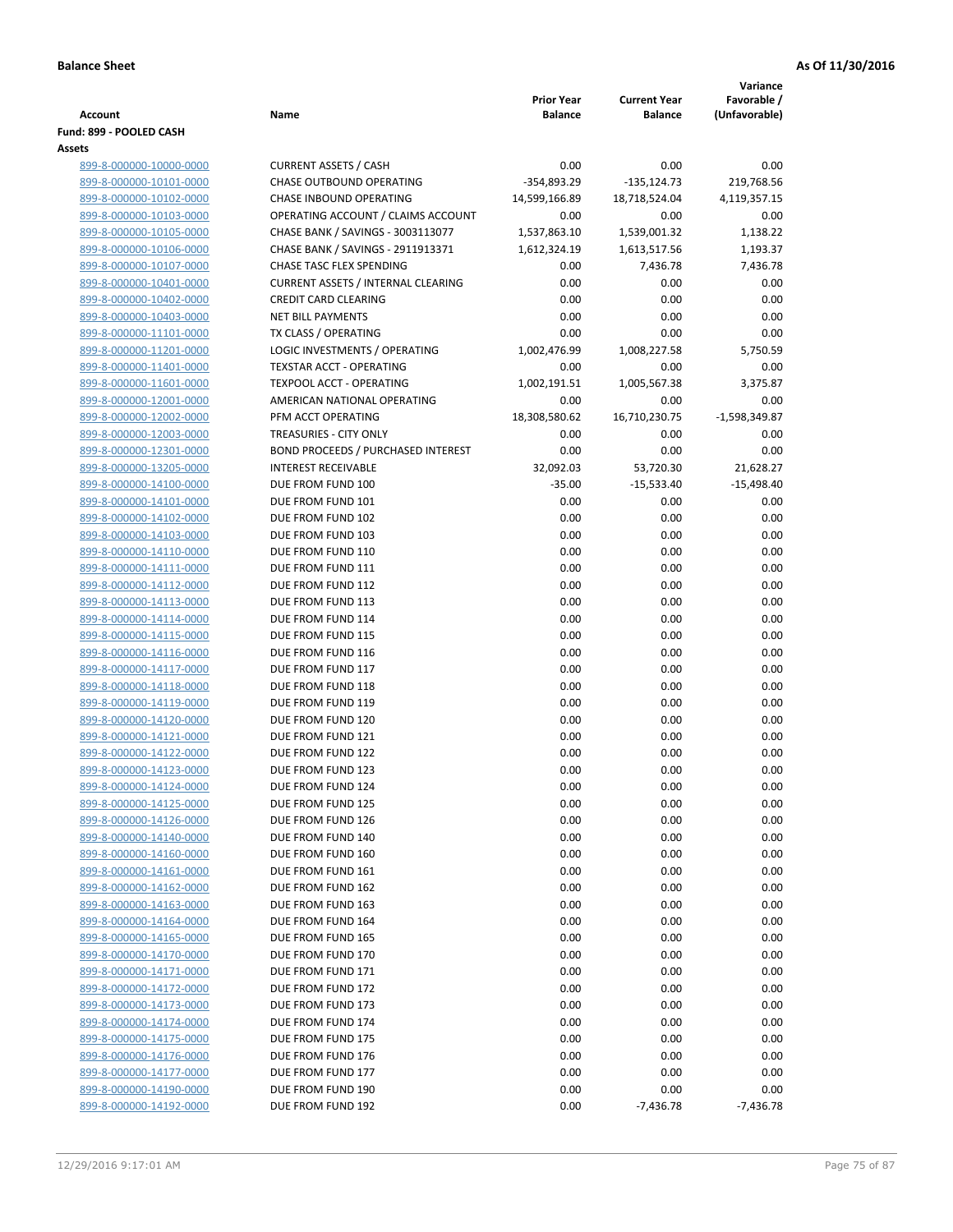|                                                    |                                           | <b>Prior Year</b> | <b>Current Year</b> | Variance<br>Favorable / |
|----------------------------------------------------|-------------------------------------------|-------------------|---------------------|-------------------------|
| Account                                            | Name                                      | <b>Balance</b>    | <b>Balance</b>      | (Unfavorable)           |
| Fund: 899 - POOLED CASH                            |                                           |                   |                     |                         |
| Assets                                             |                                           |                   |                     |                         |
| 899-8-000000-10000-0000                            | <b>CURRENT ASSETS / CASH</b>              | 0.00              | 0.00                | 0.00                    |
| 899-8-000000-10101-0000                            | <b>CHASE OUTBOUND OPERATING</b>           | $-354,893.29$     | $-135,124.73$       | 219,768.56              |
| 899-8-000000-10102-0000                            | CHASE INBOUND OPERATING                   | 14,599,166.89     | 18,718,524.04       | 4,119,357.15            |
| 899-8-000000-10103-0000                            | OPERATING ACCOUNT / CLAIMS ACCOUNT        | 0.00              | 0.00                | 0.00                    |
| 899-8-000000-10105-0000                            | CHASE BANK / SAVINGS - 3003113077         | 1,537,863.10      | 1,539,001.32        | 1,138.22                |
| 899-8-000000-10106-0000                            | CHASE BANK / SAVINGS - 2911913371         | 1,612,324.19      | 1,613,517.56        | 1,193.37                |
| 899-8-000000-10107-0000                            | CHASE TASC FLEX SPENDING                  | 0.00              | 7,436.78            | 7,436.78                |
| 899-8-000000-10401-0000                            | <b>CURRENT ASSETS / INTERNAL CLEARING</b> | 0.00              | 0.00                | 0.00                    |
| 899-8-000000-10402-0000                            | <b>CREDIT CARD CLEARING</b>               | 0.00              | 0.00                | 0.00                    |
| 899-8-000000-10403-0000                            | <b>NET BILL PAYMENTS</b>                  | 0.00              | 0.00                | 0.00                    |
| 899-8-000000-11101-0000                            | TX CLASS / OPERATING                      | 0.00              | 0.00                | 0.00                    |
| 899-8-000000-11201-0000                            | LOGIC INVESTMENTS / OPERATING             | 1,002,476.99      | 1,008,227.58        | 5,750.59                |
| 899-8-000000-11401-0000                            | TEXSTAR ACCT - OPERATING                  | 0.00              | 0.00                | 0.00                    |
| 899-8-000000-11601-0000                            | <b>TEXPOOL ACCT - OPERATING</b>           | 1,002,191.51      | 1,005,567.38        | 3,375.87                |
| 899-8-000000-12001-0000                            | AMERICAN NATIONAL OPERATING               | 0.00              | 0.00                | 0.00                    |
| 899-8-000000-12002-0000                            | PFM ACCT OPERATING                        | 18,308,580.62     | 16,710,230.75       | -1,598,349.87           |
| 899-8-000000-12003-0000                            | TREASURIES - CITY ONLY                    | 0.00              | 0.00                | 0.00                    |
| 899-8-000000-12301-0000                            | <b>BOND PROCEEDS / PURCHASED INTEREST</b> | 0.00              | 0.00                | 0.00                    |
| 899-8-000000-13205-0000                            | <b>INTEREST RECEIVABLE</b>                | 32,092.03         | 53,720.30           | 21,628.27               |
| 899-8-000000-14100-0000                            | DUE FROM FUND 100                         | $-35.00$          | $-15,533.40$        | $-15,498.40$            |
| 899-8-000000-14101-0000<br>899-8-000000-14102-0000 | DUE FROM FUND 101<br>DUE FROM FUND 102    | 0.00<br>0.00      | 0.00<br>0.00        | 0.00<br>0.00            |
| 899-8-000000-14103-0000                            | DUE FROM FUND 103                         | 0.00              | 0.00                | 0.00                    |
| 899-8-000000-14110-0000                            | DUE FROM FUND 110                         | 0.00              | 0.00                | 0.00                    |
| 899-8-000000-14111-0000                            | DUE FROM FUND 111                         | 0.00              | 0.00                | 0.00                    |
| 899-8-000000-14112-0000                            | DUE FROM FUND 112                         | 0.00              | 0.00                | 0.00                    |
| 899-8-000000-14113-0000                            | DUE FROM FUND 113                         | 0.00              | 0.00                | 0.00                    |
| 899-8-000000-14114-0000                            | DUE FROM FUND 114                         | 0.00              | 0.00                | 0.00                    |
| 899-8-000000-14115-0000                            | DUE FROM FUND 115                         | 0.00              | 0.00                | 0.00                    |
| 899-8-000000-14116-0000                            | DUE FROM FUND 116                         | 0.00              | 0.00                | 0.00                    |
| 899-8-000000-14117-0000                            | DUE FROM FUND 117                         | 0.00              | 0.00                | 0.00                    |
| 899-8-000000-14118-0000                            | DUE FROM FUND 118                         | 0.00              | 0.00                | 0.00                    |
| 899-8-000000-14119-0000                            | DUE FROM FUND 119                         | 0.00              | 0.00                | 0.00                    |
| 899-8-000000-14120-0000                            | DUE FROM FUND 120                         | 0.00              | 0.00                | 0.00                    |
| 899-8-000000-14121-0000                            | DUE FROM FUND 121                         | 0.00              | 0.00                | 0.00                    |
| 899-8-000000-14122-0000                            | DUE FROM FUND 122                         | 0.00              | 0.00                | 0.00                    |
| 899-8-000000-14123-0000                            | DUE FROM FUND 123                         | 0.00              | 0.00                | 0.00                    |
| 899-8-000000-14124-0000                            | DUE FROM FUND 124                         | 0.00              | 0.00                | 0.00                    |
| 899-8-000000-14125-0000                            | DUE FROM FUND 125                         | 0.00              | 0.00                | 0.00                    |
| 899-8-000000-14126-0000                            | DUE FROM FUND 126                         | 0.00              | 0.00                | 0.00                    |
| 899-8-000000-14140-0000                            | DUE FROM FUND 140                         | 0.00              | 0.00                | 0.00                    |
| 899-8-000000-14160-0000                            | DUE FROM FUND 160                         | 0.00              | 0.00                | 0.00                    |
| 899-8-000000-14161-0000                            | DUE FROM FUND 161                         | 0.00              | 0.00                | 0.00                    |
| 899-8-000000-14162-0000                            | DUE FROM FUND 162                         | 0.00              | 0.00                | 0.00                    |
| 899-8-000000-14163-0000                            | DUE FROM FUND 163                         | 0.00<br>0.00      | 0.00<br>0.00        | 0.00<br>0.00            |
| 899-8-000000-14164-0000<br>899-8-000000-14165-0000 | DUE FROM FUND 164<br>DUE FROM FUND 165    | 0.00              | 0.00                | 0.00                    |
| 899-8-000000-14170-0000                            | DUE FROM FUND 170                         | 0.00              | 0.00                | 0.00                    |
| 899-8-000000-14171-0000                            | DUE FROM FUND 171                         | 0.00              | 0.00                | 0.00                    |
| 899-8-000000-14172-0000                            | DUE FROM FUND 172                         | 0.00              | 0.00                | 0.00                    |
| 899-8-000000-14173-0000                            | DUE FROM FUND 173                         | 0.00              | 0.00                | 0.00                    |
| 899-8-000000-14174-0000                            | DUE FROM FUND 174                         | 0.00              | 0.00                | 0.00                    |
| 899-8-000000-14175-0000                            | DUE FROM FUND 175                         | 0.00              | 0.00                | 0.00                    |
| 899-8-000000-14176-0000                            | DUE FROM FUND 176                         | 0.00              | 0.00                | 0.00                    |
| 899-8-000000-14177-0000                            | DUE FROM FUND 177                         | 0.00              | 0.00                | 0.00                    |
| 899-8-000000-14190-0000                            | DUE FROM FUND 190                         | 0.00              | 0.00                | 0.00                    |
| 899-8-000000-14192-0000                            | DUE FROM FUND 192                         | 0.00              | $-7,436.78$         | $-7,436.78$             |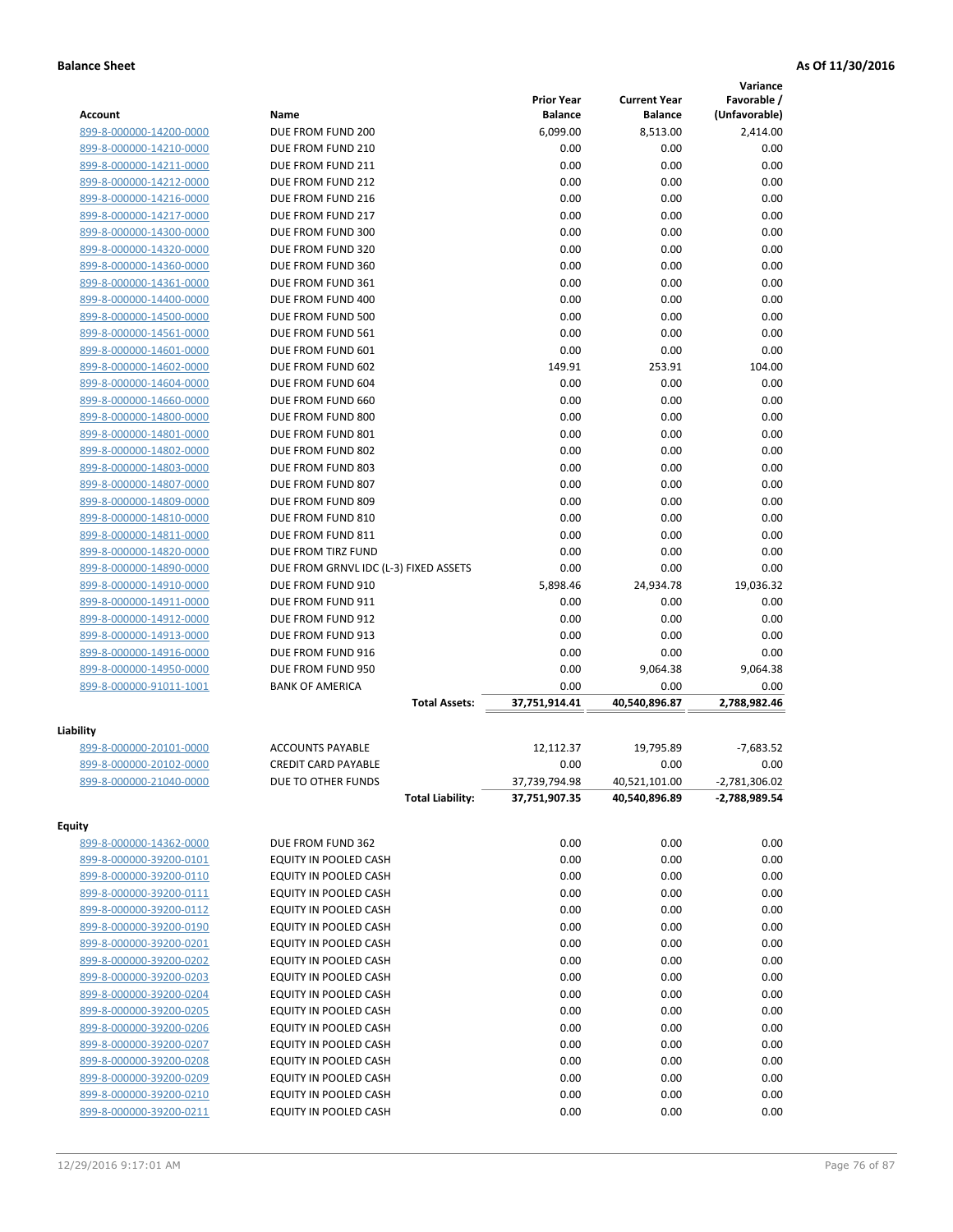|                         |                                       |                   |                     | Variance        |
|-------------------------|---------------------------------------|-------------------|---------------------|-----------------|
|                         |                                       | <b>Prior Year</b> | <b>Current Year</b> | Favorable /     |
| Account                 | Name                                  | <b>Balance</b>    | <b>Balance</b>      | (Unfavorable)   |
| 899-8-000000-14200-0000 | DUE FROM FUND 200                     | 6,099.00          | 8,513.00            | 2,414.00        |
| 899-8-000000-14210-0000 | DUE FROM FUND 210                     | 0.00              | 0.00                | 0.00            |
| 899-8-000000-14211-0000 | DUE FROM FUND 211                     | 0.00              | 0.00                | 0.00            |
| 899-8-000000-14212-0000 | DUE FROM FUND 212                     | 0.00              | 0.00                | 0.00            |
| 899-8-000000-14216-0000 | DUE FROM FUND 216                     | 0.00              | 0.00                | 0.00            |
| 899-8-000000-14217-0000 | DUE FROM FUND 217                     | 0.00              | 0.00                | 0.00            |
| 899-8-000000-14300-0000 | DUE FROM FUND 300                     | 0.00              | 0.00                | 0.00            |
| 899-8-000000-14320-0000 | DUE FROM FUND 320                     | 0.00              | 0.00                | 0.00            |
| 899-8-000000-14360-0000 | DUE FROM FUND 360                     | 0.00              | 0.00                | 0.00            |
| 899-8-000000-14361-0000 | DUE FROM FUND 361                     | 0.00              | 0.00                | 0.00            |
| 899-8-000000-14400-0000 | DUE FROM FUND 400                     | 0.00              | 0.00                | 0.00            |
| 899-8-000000-14500-0000 | DUE FROM FUND 500                     | 0.00              | 0.00                | 0.00            |
| 899-8-000000-14561-0000 | DUE FROM FUND 561                     | 0.00              | 0.00                | 0.00            |
| 899-8-000000-14601-0000 | DUE FROM FUND 601                     | 0.00              | 0.00                | 0.00            |
| 899-8-000000-14602-0000 | DUE FROM FUND 602                     | 149.91            | 253.91              | 104.00          |
| 899-8-000000-14604-0000 | DUE FROM FUND 604                     | 0.00              | 0.00                | 0.00            |
| 899-8-000000-14660-0000 | DUE FROM FUND 660                     | 0.00              | 0.00                | 0.00            |
| 899-8-000000-14800-0000 | DUE FROM FUND 800                     | 0.00              | 0.00                | 0.00            |
| 899-8-000000-14801-0000 | DUE FROM FUND 801                     | 0.00              | 0.00                | 0.00            |
| 899-8-000000-14802-0000 | DUE FROM FUND 802                     | 0.00              | 0.00                | 0.00            |
| 899-8-000000-14803-0000 | DUE FROM FUND 803                     | 0.00              | 0.00                | 0.00            |
| 899-8-000000-14807-0000 | DUE FROM FUND 807                     | 0.00              | 0.00                | 0.00            |
| 899-8-000000-14809-0000 | DUE FROM FUND 809                     | 0.00              | 0.00                | 0.00            |
| 899-8-000000-14810-0000 | DUE FROM FUND 810                     | 0.00              | 0.00                | 0.00            |
| 899-8-000000-14811-0000 | DUE FROM FUND 811                     | 0.00              | 0.00                | 0.00            |
| 899-8-000000-14820-0000 | DUE FROM TIRZ FUND                    | 0.00              | 0.00                | 0.00            |
| 899-8-000000-14890-0000 | DUE FROM GRNVL IDC (L-3) FIXED ASSETS | 0.00              | 0.00                | 0.00            |
| 899-8-000000-14910-0000 | DUE FROM FUND 910                     | 5,898.46          | 24,934.78           | 19,036.32       |
| 899-8-000000-14911-0000 | DUE FROM FUND 911                     | 0.00              | 0.00                | 0.00            |
| 899-8-000000-14912-0000 | DUE FROM FUND 912                     | 0.00              | 0.00                | 0.00            |
| 899-8-000000-14913-0000 | DUE FROM FUND 913                     | 0.00              | 0.00                | 0.00            |
| 899-8-000000-14916-0000 | DUE FROM FUND 916                     | 0.00              | 0.00                | 0.00            |
| 899-8-000000-14950-0000 | DUE FROM FUND 950                     | 0.00              | 9,064.38            | 9,064.38        |
| 899-8-000000-91011-1001 | <b>BANK OF AMERICA</b>                | 0.00              | 0.00                | 0.00            |
|                         | <b>Total Assets:</b>                  | 37,751,914.41     | 40,540,896.87       | 2,788,982.46    |
| Liability               |                                       |                   |                     |                 |
| 899-8-000000-20101-0000 | <b>ACCOUNTS PAYABLE</b>               | 12,112.37         | 19,795.89           | $-7,683.52$     |
| 899-8-000000-20102-0000 | <b>CREDIT CARD PAYABLE</b>            | 0.00              | 0.00                | 0.00            |
| 899-8-000000-21040-0000 | DUE TO OTHER FUNDS                    | 37,739,794.98     | 40,521,101.00       | $-2,781,306.02$ |
|                         | <b>Total Liability:</b>               | 37,751,907.35     | 40,540,896.89       | -2,788,989.54   |
|                         |                                       |                   |                     |                 |
| <b>Equity</b>           |                                       |                   |                     |                 |
| 899-8-000000-14362-0000 | DUE FROM FUND 362                     | 0.00              | 0.00                | 0.00            |
| 899-8-000000-39200-0101 | EQUITY IN POOLED CASH                 | 0.00              | 0.00                | 0.00            |
| 899-8-000000-39200-0110 | EQUITY IN POOLED CASH                 | 0.00              | 0.00                | 0.00            |
| 899-8-000000-39200-0111 | EQUITY IN POOLED CASH                 | 0.00              | 0.00                | 0.00            |
| 899-8-000000-39200-0112 | EQUITY IN POOLED CASH                 | 0.00              | 0.00                | 0.00            |
| 899-8-000000-39200-0190 | EQUITY IN POOLED CASH                 | 0.00              | 0.00                | 0.00            |
| 899-8-000000-39200-0201 | EQUITY IN POOLED CASH                 | 0.00              | 0.00                | 0.00            |
| 899-8-000000-39200-0202 | EQUITY IN POOLED CASH                 | 0.00              | 0.00                | 0.00            |
| 899-8-000000-39200-0203 | EQUITY IN POOLED CASH                 | 0.00              | 0.00                | 0.00            |
| 899-8-000000-39200-0204 | EQUITY IN POOLED CASH                 | 0.00              | 0.00                | 0.00            |
| 899-8-000000-39200-0205 | EQUITY IN POOLED CASH                 | 0.00              | 0.00                | 0.00            |
| 899-8-000000-39200-0206 | EQUITY IN POOLED CASH                 | 0.00              | 0.00                | 0.00            |
| 899-8-000000-39200-0207 | EQUITY IN POOLED CASH                 | 0.00              | 0.00                | 0.00            |
| 899-8-000000-39200-0208 | EQUITY IN POOLED CASH                 | 0.00              | 0.00                | 0.00            |
| 899-8-000000-39200-0209 | EQUITY IN POOLED CASH                 | 0.00              | 0.00                | 0.00            |
| 899-8-000000-39200-0210 | EQUITY IN POOLED CASH                 | 0.00              | 0.00                | 0.00            |
| 899-8-000000-39200-0211 | EQUITY IN POOLED CASH                 | 0.00              | 0.00                | 0.00            |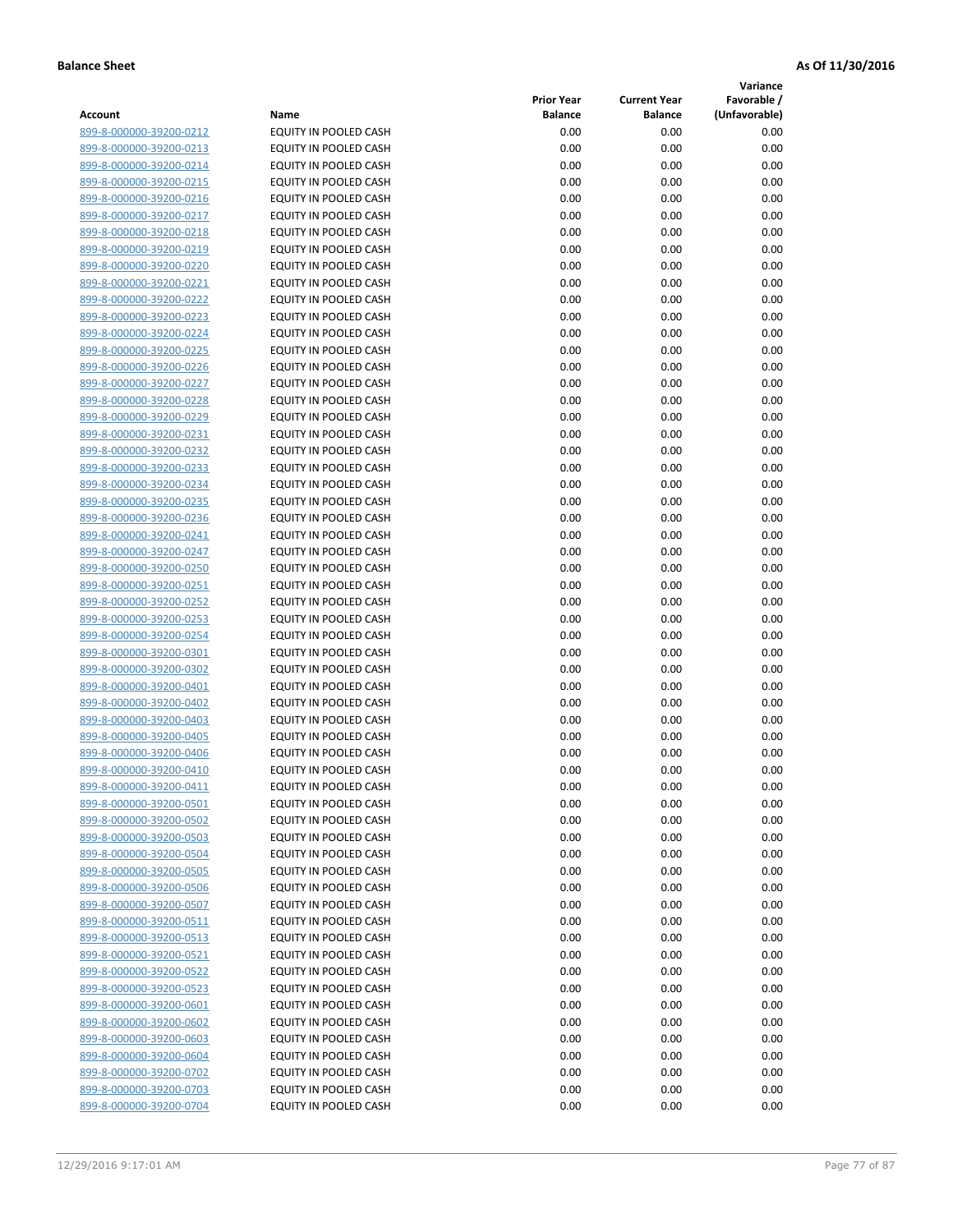**Variance**

| Account                                            | Name                                           | <b>Prior Year</b><br><b>Balance</b> | <b>Current Year</b><br><b>Balance</b> | Favorable /<br>(Unfavorable) |
|----------------------------------------------------|------------------------------------------------|-------------------------------------|---------------------------------------|------------------------------|
| 899-8-000000-39200-0212                            | EQUITY IN POOLED CASH                          | 0.00                                | 0.00                                  | 0.00                         |
| 899-8-000000-39200-0213                            | EQUITY IN POOLED CASH                          | 0.00                                | 0.00                                  | 0.00                         |
| 899-8-000000-39200-0214                            | EQUITY IN POOLED CASH                          | 0.00                                | 0.00                                  | 0.00                         |
| 899-8-000000-39200-0215                            | EQUITY IN POOLED CASH                          | 0.00                                | 0.00                                  | 0.00                         |
| 899-8-000000-39200-0216                            | EQUITY IN POOLED CASH                          | 0.00                                | 0.00                                  | 0.00                         |
| 899-8-000000-39200-0217                            | EQUITY IN POOLED CASH                          | 0.00                                | 0.00                                  | 0.00                         |
| 899-8-000000-39200-0218                            | EQUITY IN POOLED CASH                          | 0.00                                | 0.00                                  | 0.00                         |
| 899-8-000000-39200-0219                            | EQUITY IN POOLED CASH                          | 0.00                                | 0.00                                  | 0.00                         |
| 899-8-000000-39200-0220                            | EQUITY IN POOLED CASH                          | 0.00                                | 0.00                                  | 0.00                         |
| 899-8-000000-39200-0221                            | EQUITY IN POOLED CASH                          | 0.00                                | 0.00                                  | 0.00                         |
| 899-8-000000-39200-0222                            | EQUITY IN POOLED CASH                          | 0.00                                | 0.00                                  | 0.00                         |
| 899-8-000000-39200-0223                            | EQUITY IN POOLED CASH                          | 0.00                                | 0.00                                  | 0.00                         |
| 899-8-000000-39200-0224                            | EQUITY IN POOLED CASH                          | 0.00                                | 0.00                                  | 0.00                         |
| 899-8-000000-39200-0225                            | EQUITY IN POOLED CASH                          | 0.00                                | 0.00                                  | 0.00                         |
| 899-8-000000-39200-0226                            | EQUITY IN POOLED CASH                          | 0.00                                | 0.00                                  | 0.00                         |
| 899-8-000000-39200-0227                            | EQUITY IN POOLED CASH                          | 0.00                                | 0.00                                  | 0.00                         |
| 899-8-000000-39200-0228                            | EQUITY IN POOLED CASH                          | 0.00                                | 0.00                                  | 0.00                         |
| 899-8-000000-39200-0229                            | EQUITY IN POOLED CASH                          | 0.00                                | 0.00                                  | 0.00                         |
| 899-8-000000-39200-0231                            | EQUITY IN POOLED CASH                          | 0.00                                | 0.00                                  | 0.00                         |
| 899-8-000000-39200-0232                            | <b>EQUITY IN POOLED CASH</b>                   | 0.00                                | 0.00                                  | 0.00                         |
| 899-8-000000-39200-0233                            | <b>EQUITY IN POOLED CASH</b>                   | 0.00                                | 0.00                                  | 0.00                         |
| 899-8-000000-39200-0234                            | EQUITY IN POOLED CASH                          | 0.00                                | 0.00                                  | 0.00                         |
| 899-8-000000-39200-0235                            | <b>EQUITY IN POOLED CASH</b>                   | 0.00                                | 0.00                                  | 0.00                         |
| 899-8-000000-39200-0236                            | EQUITY IN POOLED CASH                          | 0.00                                | 0.00                                  | 0.00                         |
| 899-8-000000-39200-0241                            | EQUITY IN POOLED CASH                          | 0.00                                | 0.00                                  | 0.00                         |
| 899-8-000000-39200-0247                            | EQUITY IN POOLED CASH                          | 0.00                                | 0.00                                  | 0.00                         |
| 899-8-000000-39200-0250                            | EQUITY IN POOLED CASH                          | 0.00                                | 0.00                                  | 0.00                         |
| 899-8-000000-39200-0251                            | EQUITY IN POOLED CASH                          | 0.00                                | 0.00                                  | 0.00                         |
| 899-8-000000-39200-0252                            | EQUITY IN POOLED CASH                          | 0.00                                | 0.00                                  | 0.00                         |
| 899-8-000000-39200-0253                            | EQUITY IN POOLED CASH                          | 0.00                                | 0.00                                  | 0.00                         |
| 899-8-000000-39200-0254                            | EQUITY IN POOLED CASH                          | 0.00                                | 0.00                                  | 0.00                         |
| 899-8-000000-39200-0301                            | EQUITY IN POOLED CASH                          | 0.00                                | 0.00                                  | 0.00                         |
| 899-8-000000-39200-0302                            | EQUITY IN POOLED CASH                          | 0.00                                | 0.00                                  | 0.00                         |
| 899-8-000000-39200-0401<br>899-8-000000-39200-0402 | EQUITY IN POOLED CASH<br>EQUITY IN POOLED CASH | 0.00<br>0.00                        | 0.00<br>0.00                          | 0.00<br>0.00                 |
| 899-8-000000-39200-0403                            | EQUITY IN POOLED CASH                          | 0.00                                | 0.00                                  | 0.00                         |
| 899-8-000000-39200-0405                            | EQUITY IN POOLED CASH                          | 0.00                                | 0.00                                  | 0.00                         |
| 899-8-000000-39200-0406                            | EQUITY IN POOLED CASH                          | 0.00                                | 0.00                                  | 0.00                         |
| 899-8-000000-39200-0410                            | <b>EQUITY IN POOLED CASH</b>                   | 0.00                                | 0.00                                  | 0.00                         |
| 899-8-000000-39200-0411                            | EQUITY IN POOLED CASH                          | 0.00                                | 0.00                                  | 0.00                         |
| 899-8-000000-39200-0501                            | EQUITY IN POOLED CASH                          | 0.00                                | 0.00                                  | 0.00                         |
| 899-8-000000-39200-0502                            | EQUITY IN POOLED CASH                          | 0.00                                | 0.00                                  | 0.00                         |
| 899-8-000000-39200-0503                            | EQUITY IN POOLED CASH                          | 0.00                                | 0.00                                  | 0.00                         |
| 899-8-000000-39200-0504                            | EQUITY IN POOLED CASH                          | 0.00                                | 0.00                                  | 0.00                         |
| 899-8-000000-39200-0505                            | EQUITY IN POOLED CASH                          | 0.00                                | 0.00                                  | 0.00                         |
| 899-8-000000-39200-0506                            | <b>EQUITY IN POOLED CASH</b>                   | 0.00                                | 0.00                                  | 0.00                         |
| 899-8-000000-39200-0507                            | EQUITY IN POOLED CASH                          | 0.00                                | 0.00                                  | 0.00                         |
| 899-8-000000-39200-0511                            | EQUITY IN POOLED CASH                          | 0.00                                | 0.00                                  | 0.00                         |
| 899-8-000000-39200-0513                            | EQUITY IN POOLED CASH                          | 0.00                                | 0.00                                  | 0.00                         |
| 899-8-000000-39200-0521                            | <b>EQUITY IN POOLED CASH</b>                   | 0.00                                | 0.00                                  | 0.00                         |
| 899-8-000000-39200-0522                            | EQUITY IN POOLED CASH                          | 0.00                                | 0.00                                  | 0.00                         |
| 899-8-000000-39200-0523                            | EQUITY IN POOLED CASH                          | 0.00                                | 0.00                                  | 0.00                         |
| 899-8-000000-39200-0601                            | EQUITY IN POOLED CASH                          | 0.00                                | 0.00                                  | 0.00                         |
| 899-8-000000-39200-0602                            | EQUITY IN POOLED CASH                          | 0.00                                | 0.00                                  | 0.00                         |
| 899-8-000000-39200-0603                            | EQUITY IN POOLED CASH                          | 0.00                                | 0.00                                  | 0.00                         |
| 899-8-000000-39200-0604                            | EQUITY IN POOLED CASH                          | 0.00                                | 0.00                                  | 0.00                         |
| 899-8-000000-39200-0702                            | EQUITY IN POOLED CASH                          | 0.00                                | 0.00                                  | 0.00                         |
| 899-8-000000-39200-0703                            | EQUITY IN POOLED CASH                          | 0.00                                | 0.00                                  | 0.00                         |
| 899-8-000000-39200-0704                            | EQUITY IN POOLED CASH                          | 0.00                                | 0.00                                  | 0.00                         |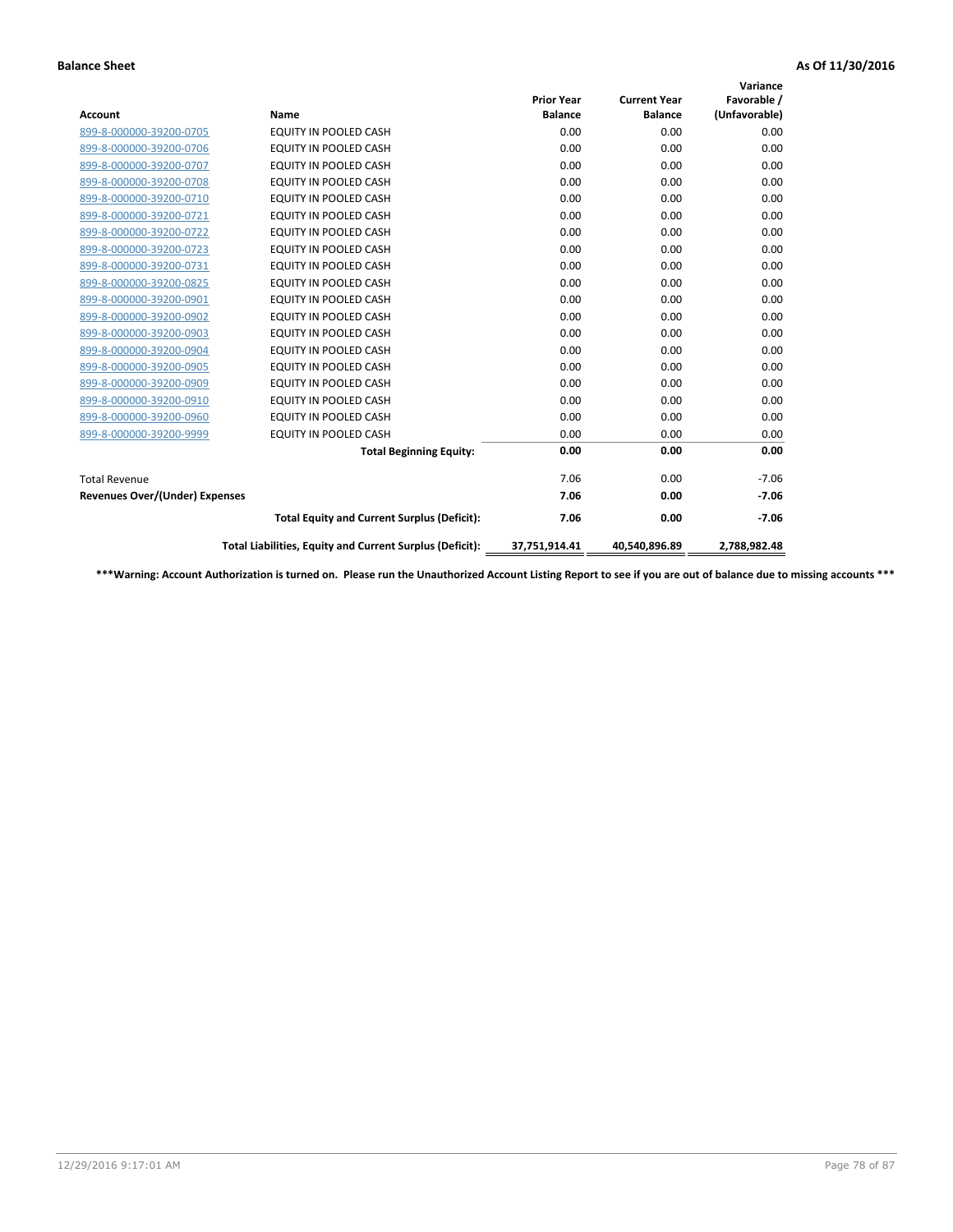|                                       |                                                          |                   |                     | Variance      |
|---------------------------------------|----------------------------------------------------------|-------------------|---------------------|---------------|
|                                       |                                                          | <b>Prior Year</b> | <b>Current Year</b> | Favorable /   |
| <b>Account</b>                        | Name                                                     | <b>Balance</b>    | <b>Balance</b>      | (Unfavorable) |
| 899-8-000000-39200-0705               | <b>EQUITY IN POOLED CASH</b>                             | 0.00              | 0.00                | 0.00          |
| 899-8-000000-39200-0706               | <b>EQUITY IN POOLED CASH</b>                             | 0.00              | 0.00                | 0.00          |
| 899-8-000000-39200-0707               | EQUITY IN POOLED CASH                                    | 0.00              | 0.00                | 0.00          |
| 899-8-000000-39200-0708               | <b>EQUITY IN POOLED CASH</b>                             | 0.00              | 0.00                | 0.00          |
| 899-8-000000-39200-0710               | <b>EQUITY IN POOLED CASH</b>                             | 0.00              | 0.00                | 0.00          |
| 899-8-000000-39200-0721               | <b>EQUITY IN POOLED CASH</b>                             | 0.00              | 0.00                | 0.00          |
| 899-8-000000-39200-0722               | EQUITY IN POOLED CASH                                    | 0.00              | 0.00                | 0.00          |
| 899-8-000000-39200-0723               | <b>EQUITY IN POOLED CASH</b>                             | 0.00              | 0.00                | 0.00          |
| 899-8-000000-39200-0731               | EQUITY IN POOLED CASH                                    | 0.00              | 0.00                | 0.00          |
| 899-8-000000-39200-0825               | <b>EQUITY IN POOLED CASH</b>                             | 0.00              | 0.00                | 0.00          |
| 899-8-000000-39200-0901               | <b>EQUITY IN POOLED CASH</b>                             | 0.00              | 0.00                | 0.00          |
| 899-8-000000-39200-0902               | EQUITY IN POOLED CASH                                    | 0.00              | 0.00                | 0.00          |
| 899-8-000000-39200-0903               | <b>EQUITY IN POOLED CASH</b>                             | 0.00              | 0.00                | 0.00          |
| 899-8-000000-39200-0904               | <b>EQUITY IN POOLED CASH</b>                             | 0.00              | 0.00                | 0.00          |
| 899-8-000000-39200-0905               | <b>EQUITY IN POOLED CASH</b>                             | 0.00              | 0.00                | 0.00          |
| 899-8-000000-39200-0909               | <b>EQUITY IN POOLED CASH</b>                             | 0.00              | 0.00                | 0.00          |
| 899-8-000000-39200-0910               | <b>EQUITY IN POOLED CASH</b>                             | 0.00              | 0.00                | 0.00          |
| 899-8-000000-39200-0960               | EQUITY IN POOLED CASH                                    | 0.00              | 0.00                | 0.00          |
| 899-8-000000-39200-9999               | EQUITY IN POOLED CASH                                    | 0.00              | 0.00                | 0.00          |
|                                       | <b>Total Beginning Equity:</b>                           | 0.00              | 0.00                | 0.00          |
| <b>Total Revenue</b>                  |                                                          | 7.06              | 0.00                | $-7.06$       |
| <b>Revenues Over/(Under) Expenses</b> |                                                          | 7.06              | 0.00                | $-7.06$       |
|                                       | <b>Total Equity and Current Surplus (Deficit):</b>       | 7.06              | 0.00                | $-7.06$       |
|                                       | Total Liabilities, Equity and Current Surplus (Deficit): | 37,751,914.41     | 40,540,896.89       | 2,788,982.48  |

**\*\*\*Warning: Account Authorization is turned on. Please run the Unauthorized Account Listing Report to see if you are out of balance due to missing accounts \*\*\***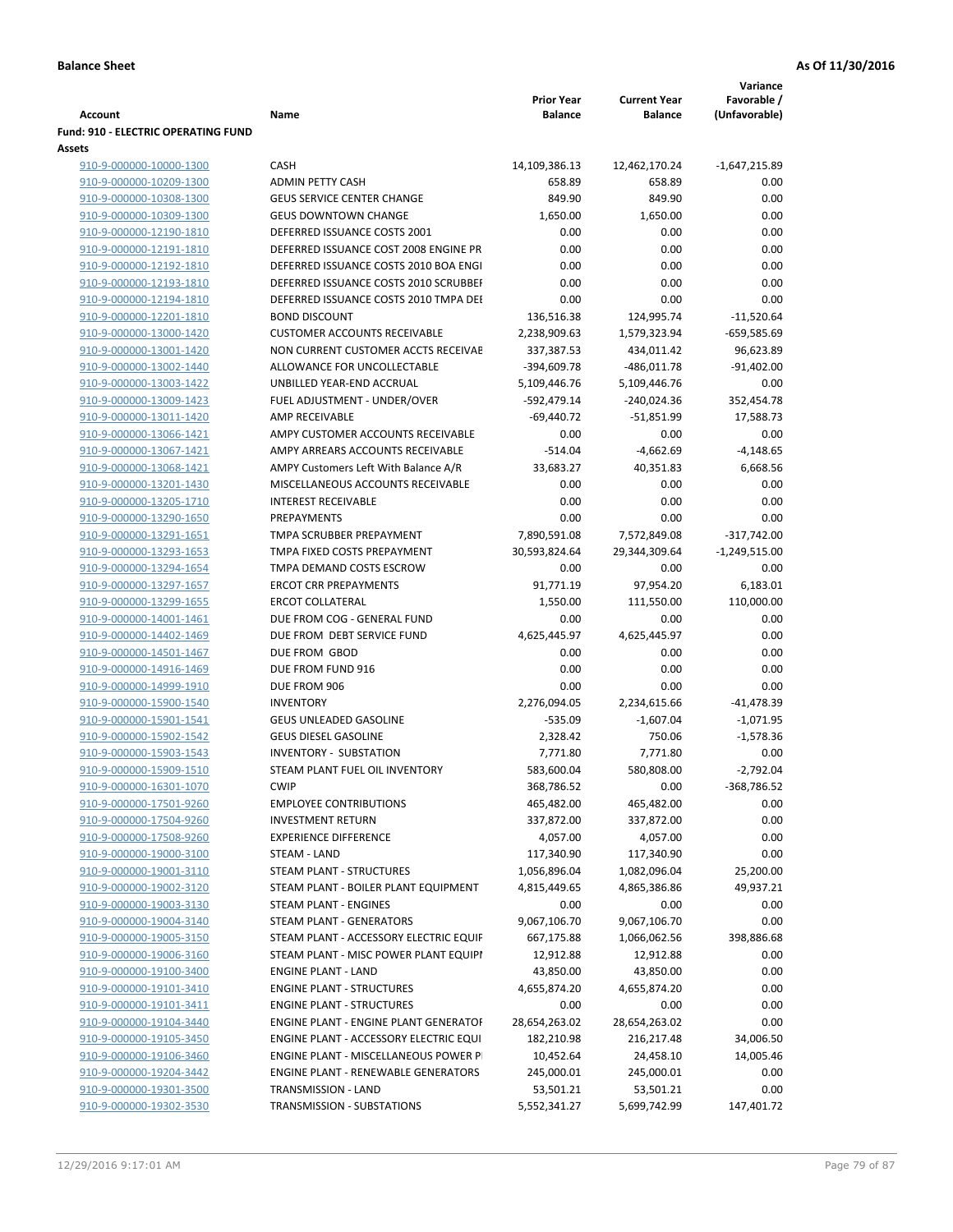|                                                       |                                              |                          |                     | Variance            |
|-------------------------------------------------------|----------------------------------------------|--------------------------|---------------------|---------------------|
|                                                       |                                              | <b>Prior Year</b>        | <b>Current Year</b> | Favorable /         |
| Account<br><b>Fund: 910 - ELECTRIC OPERATING FUND</b> | Name                                         | <b>Balance</b>           | <b>Balance</b>      | (Unfavorable)       |
| Assets                                                |                                              |                          |                     |                     |
| 910-9-000000-10000-1300                               | <b>CASH</b>                                  | 14,109,386.13            | 12,462,170.24       | $-1,647,215.89$     |
| 910-9-000000-10209-1300                               | <b>ADMIN PETTY CASH</b>                      | 658.89                   | 658.89              | 0.00                |
| 910-9-000000-10308-1300                               | <b>GEUS SERVICE CENTER CHANGE</b>            | 849.90                   | 849.90              | 0.00                |
| 910-9-000000-10309-1300                               | <b>GEUS DOWNTOWN CHANGE</b>                  | 1,650.00                 | 1,650.00            | 0.00                |
| 910-9-000000-12190-1810                               | DEFERRED ISSUANCE COSTS 2001                 | 0.00                     | 0.00                | 0.00                |
| 910-9-000000-12191-1810                               | DEFERRED ISSUANCE COST 2008 ENGINE PR        | 0.00                     | 0.00                | 0.00                |
| 910-9-000000-12192-1810                               | DEFERRED ISSUANCE COSTS 2010 BOA ENGI        | 0.00                     | 0.00                | 0.00                |
| 910-9-000000-12193-1810                               | DEFERRED ISSUANCE COSTS 2010 SCRUBBEI        | 0.00                     | 0.00                | 0.00                |
| 910-9-000000-12194-1810                               | DEFERRED ISSUANCE COSTS 2010 TMPA DEI        | 0.00                     | 0.00                | 0.00                |
| 910-9-000000-12201-1810                               | <b>BOND DISCOUNT</b>                         | 136,516.38               | 124,995.74          | $-11,520.64$        |
| 910-9-000000-13000-1420                               | <b>CUSTOMER ACCOUNTS RECEIVABLE</b>          | 2,238,909.63             | 1,579,323.94        | $-659,585.69$       |
| 910-9-000000-13001-1420                               | NON CURRENT CUSTOMER ACCTS RECEIVAE          | 337,387.53               | 434,011.42          | 96,623.89           |
| 910-9-000000-13002-1440                               | ALLOWANCE FOR UNCOLLECTABLE                  | -394,609.78              | -486,011.78         | $-91,402.00$        |
| 910-9-000000-13003-1422                               | UNBILLED YEAR-END ACCRUAL                    | 5,109,446.76             | 5,109,446.76        | 0.00                |
| 910-9-000000-13009-1423                               | FUEL ADJUSTMENT - UNDER/OVER                 | -592,479.14              | -240,024.36         | 352,454.78          |
| 910-9-000000-13011-1420                               | <b>AMP RECEIVABLE</b>                        | $-69,440.72$             | $-51,851.99$        | 17,588.73           |
| 910-9-000000-13066-1421                               | AMPY CUSTOMER ACCOUNTS RECEIVABLE            | 0.00                     | 0.00                | 0.00                |
| 910-9-000000-13067-1421                               | AMPY ARREARS ACCOUNTS RECEIVABLE             | $-514.04$                | $-4,662.69$         | $-4,148.65$         |
| 910-9-000000-13068-1421                               | AMPY Customers Left With Balance A/R         | 33,683.27                | 40,351.83           | 6,668.56            |
| 910-9-000000-13201-1430                               | MISCELLANEOUS ACCOUNTS RECEIVABLE            | 0.00                     | 0.00                | 0.00                |
| 910-9-000000-13205-1710                               | <b>INTEREST RECEIVABLE</b>                   | 0.00                     | 0.00                | 0.00                |
| 910-9-000000-13290-1650                               | PREPAYMENTS                                  | 0.00                     | 0.00                | 0.00                |
| 910-9-000000-13291-1651                               | TMPA SCRUBBER PREPAYMENT                     | 7,890,591.08             | 7,572,849.08        | $-317,742.00$       |
| 910-9-000000-13293-1653                               | TMPA FIXED COSTS PREPAYMENT                  | 30,593,824.64            | 29,344,309.64       | $-1,249,515.00$     |
| 910-9-000000-13294-1654                               | TMPA DEMAND COSTS ESCROW                     | 0.00                     | 0.00                | 0.00                |
| 910-9-000000-13297-1657                               | <b>ERCOT CRR PREPAYMENTS</b>                 | 91,771.19                | 97,954.20           | 6,183.01            |
| 910-9-000000-13299-1655                               | <b>ERCOT COLLATERAL</b>                      | 1,550.00                 | 111,550.00          | 110,000.00          |
| 910-9-000000-14001-1461                               | DUE FROM COG - GENERAL FUND                  | 0.00                     | 0.00                | 0.00                |
| 910-9-000000-14402-1469                               | DUE FROM DEBT SERVICE FUND                   | 4,625,445.97             | 4,625,445.97        | 0.00                |
| 910-9-000000-14501-1467                               | DUE FROM GBOD                                | 0.00                     | 0.00                | 0.00                |
| 910-9-000000-14916-1469                               | DUE FROM FUND 916                            | 0.00                     | 0.00                | 0.00                |
| 910-9-000000-14999-1910                               | DUE FROM 906                                 | 0.00                     | 0.00                | 0.00                |
| 910-9-000000-15900-1540                               | <b>INVENTORY</b>                             | 2,276,094.05             | 2,234,615.66        | -41,478.39          |
| 910-9-000000-15901-1541                               | <b>GEUS UNLEADED GASOLINE</b>                | $-535.09$                | $-1,607.04$         | $-1,071.95$         |
| 910-9-000000-15902-1542                               | <b>GEUS DIESEL GASOLINE</b>                  | 2,328.42                 | 750.06              | $-1,578.36$         |
| 910-9-000000-15903-1543                               | <b>INVENTORY - SUBSTATION</b>                | 7,771.80                 | 7,771.80            | 0.00                |
| 910-9-000000-15909-1510                               | STEAM PLANT FUEL OIL INVENTORY               | 583,600.04               | 580,808.00          | $-2,792.04$         |
| 910-9-000000-16301-1070<br>910-9-000000-17501-9260    | <b>CWIP</b><br><b>EMPLOYEE CONTRIBUTIONS</b> | 368,786.52<br>465,482.00 | 0.00<br>465,482.00  | -368,786.52<br>0.00 |
| 910-9-000000-17504-9260                               | <b>INVESTMENT RETURN</b>                     | 337,872.00               | 337,872.00          | 0.00                |
| 910-9-000000-17508-9260                               | <b>EXPERIENCE DIFFERENCE</b>                 | 4,057.00                 | 4,057.00            | 0.00                |
| 910-9-000000-19000-3100                               | <b>STEAM - LAND</b>                          | 117,340.90               | 117,340.90          | 0.00                |
| 910-9-000000-19001-3110                               | STEAM PLANT - STRUCTURES                     | 1,056,896.04             | 1,082,096.04        | 25,200.00           |
| 910-9-000000-19002-3120                               | STEAM PLANT - BOILER PLANT EQUIPMENT         | 4,815,449.65             | 4,865,386.86        | 49,937.21           |
| 910-9-000000-19003-3130                               | STEAM PLANT - ENGINES                        | 0.00                     | 0.00                | 0.00                |
| 910-9-000000-19004-3140                               | STEAM PLANT - GENERATORS                     | 9,067,106.70             | 9,067,106.70        | 0.00                |
| 910-9-000000-19005-3150                               | STEAM PLANT - ACCESSORY ELECTRIC EQUIF       | 667,175.88               | 1,066,062.56        | 398,886.68          |
| 910-9-000000-19006-3160                               | STEAM PLANT - MISC POWER PLANT EQUIPI        | 12,912.88                | 12,912.88           | 0.00                |
| 910-9-000000-19100-3400                               | <b>ENGINE PLANT - LAND</b>                   | 43,850.00                | 43,850.00           | 0.00                |
| 910-9-000000-19101-3410                               | <b>ENGINE PLANT - STRUCTURES</b>             | 4,655,874.20             | 4,655,874.20        | 0.00                |
| 910-9-000000-19101-3411                               | <b>ENGINE PLANT - STRUCTURES</b>             | 0.00                     | 0.00                | 0.00                |
| 910-9-000000-19104-3440                               | ENGINE PLANT - ENGINE PLANT GENERATOF        | 28,654,263.02            | 28,654,263.02       | 0.00                |
| 910-9-000000-19105-3450                               | ENGINE PLANT - ACCESSORY ELECTRIC EQUI       | 182,210.98               | 216,217.48          | 34,006.50           |
| 910-9-000000-19106-3460                               | ENGINE PLANT - MISCELLANEOUS POWER P         | 10,452.64                | 24,458.10           | 14,005.46           |
| 910-9-000000-19204-3442                               | <b>ENGINE PLANT - RENEWABLE GENERATORS</b>   | 245,000.01               | 245,000.01          | 0.00                |
| 910-9-000000-19301-3500                               | TRANSMISSION - LAND                          | 53,501.21                | 53,501.21           | 0.00                |
| 910-9-000000-19302-3530                               | TRANSMISSION - SUBSTATIONS                   | 5,552,341.27             | 5,699,742.99        | 147,401.72          |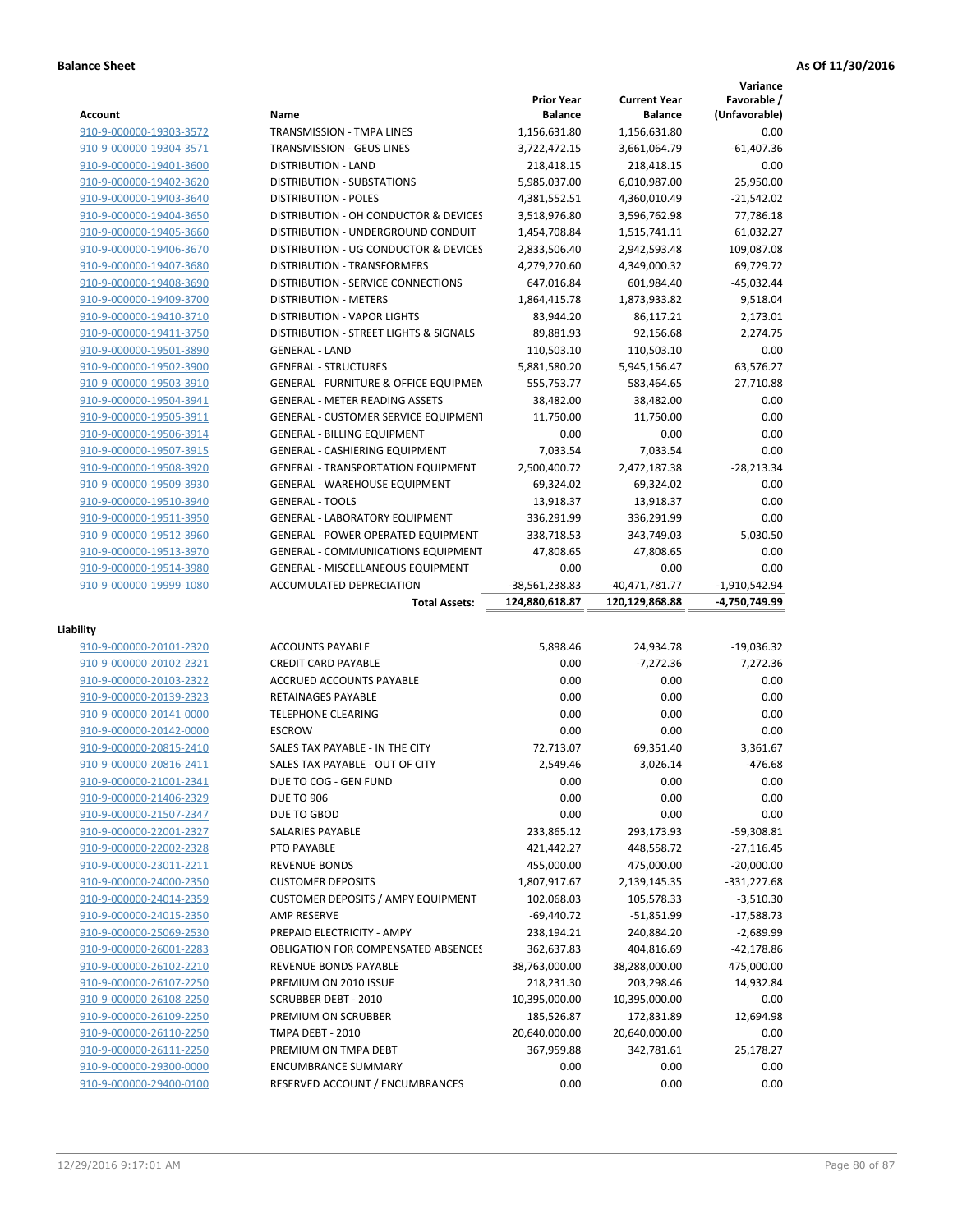|                                                    |                                                               |                                     |                                       | Variance                     |
|----------------------------------------------------|---------------------------------------------------------------|-------------------------------------|---------------------------------------|------------------------------|
| Account                                            | Name                                                          | <b>Prior Year</b><br><b>Balance</b> | <b>Current Year</b><br><b>Balance</b> | Favorable /<br>(Unfavorable) |
| 910-9-000000-19303-3572                            | TRANSMISSION - TMPA LINES                                     | 1,156,631.80                        | 1,156,631.80                          | 0.00                         |
| 910-9-000000-19304-3571                            | TRANSMISSION - GEUS LINES                                     | 3,722,472.15                        | 3,661,064.79                          | $-61,407.36$                 |
| 910-9-000000-19401-3600                            | <b>DISTRIBUTION - LAND</b>                                    | 218,418.15                          | 218,418.15                            | 0.00                         |
| 910-9-000000-19402-3620                            | <b>DISTRIBUTION - SUBSTATIONS</b>                             | 5,985,037.00                        | 6,010,987.00                          | 25,950.00                    |
| 910-9-000000-19403-3640                            | <b>DISTRIBUTION - POLES</b>                                   | 4,381,552.51                        | 4,360,010.49                          | $-21,542.02$                 |
| 910-9-000000-19404-3650                            | DISTRIBUTION - OH CONDUCTOR & DEVICES                         | 3,518,976.80                        | 3,596,762.98                          | 77,786.18                    |
| 910-9-000000-19405-3660                            | DISTRIBUTION - UNDERGROUND CONDUIT                            | 1,454,708.84                        | 1,515,741.11                          | 61,032.27                    |
| 910-9-000000-19406-3670                            | DISTRIBUTION - UG CONDUCTOR & DEVICES                         | 2,833,506.40                        | 2,942,593.48                          | 109,087.08                   |
| 910-9-000000-19407-3680                            | DISTRIBUTION - TRANSFORMERS                                   | 4,279,270.60                        | 4,349,000.32                          | 69,729.72                    |
| 910-9-000000-19408-3690                            | <b>DISTRIBUTION - SERVICE CONNECTIONS</b>                     | 647,016.84                          | 601,984.40                            | $-45,032.44$                 |
| 910-9-000000-19409-3700                            | <b>DISTRIBUTION - METERS</b>                                  | 1,864,415.78                        | 1,873,933.82                          | 9,518.04                     |
| 910-9-000000-19410-3710                            | <b>DISTRIBUTION - VAPOR LIGHTS</b>                            | 83,944.20                           | 86,117.21                             | 2,173.01                     |
| 910-9-000000-19411-3750                            | DISTRIBUTION - STREET LIGHTS & SIGNALS                        | 89,881.93                           | 92,156.68                             | 2,274.75                     |
| 910-9-000000-19501-3890                            | <b>GENERAL - LAND</b>                                         | 110,503.10                          | 110,503.10                            | 0.00                         |
| 910-9-000000-19502-3900                            | <b>GENERAL - STRUCTURES</b>                                   | 5,881,580.20                        | 5,945,156.47                          | 63,576.27                    |
| 910-9-000000-19503-3910                            | <b>GENERAL - FURNITURE &amp; OFFICE EQUIPMEN</b>              | 555,753.77                          | 583,464.65                            | 27,710.88                    |
| 910-9-000000-19504-3941                            | <b>GENERAL - METER READING ASSETS</b>                         | 38,482.00                           | 38,482.00                             | 0.00                         |
| 910-9-000000-19505-3911                            | <b>GENERAL - CUSTOMER SERVICE EQUIPMENT</b>                   | 11,750.00                           | 11,750.00                             | 0.00                         |
| 910-9-000000-19506-3914                            | <b>GENERAL - BILLING EQUIPMENT</b>                            | 0.00                                | 0.00                                  | 0.00                         |
| 910-9-000000-19507-3915                            | <b>GENERAL - CASHIERING EQUIPMENT</b>                         | 7,033.54                            | 7,033.54                              | 0.00                         |
| 910-9-000000-19508-3920                            | <b>GENERAL - TRANSPORTATION EQUIPMENT</b>                     | 2,500,400.72                        | 2,472,187.38                          | $-28,213.34$                 |
| 910-9-000000-19509-3930                            | <b>GENERAL - WAREHOUSE EQUIPMENT</b>                          | 69,324.02                           | 69,324.02                             | 0.00                         |
| 910-9-000000-19510-3940                            | <b>GENERAL - TOOLS</b>                                        | 13,918.37                           | 13,918.37                             | 0.00                         |
| 910-9-000000-19511-3950                            | <b>GENERAL - LABORATORY EQUIPMENT</b>                         | 336,291.99                          | 336,291.99                            | 0.00                         |
| 910-9-000000-19512-3960                            | <b>GENERAL - POWER OPERATED EQUIPMENT</b>                     | 338,718.53                          | 343,749.03                            | 5,030.50                     |
| 910-9-000000-19513-3970                            | <b>GENERAL - COMMUNICATIONS EQUIPMENT</b>                     | 47,808.65                           | 47,808.65                             | 0.00                         |
| 910-9-000000-19514-3980                            | <b>GENERAL - MISCELLANEOUS EQUIPMENT</b>                      | 0.00                                | 0.00                                  | 0.00                         |
| 910-9-000000-19999-1080                            | <b>ACCUMULATED DEPRECIATION</b>                               | -38,561,238.83                      | -40,471,781.77                        | $-1,910,542.94$              |
|                                                    |                                                               |                                     |                                       |                              |
|                                                    | <b>Total Assets:</b>                                          | 124,880,618.87                      | 120,129,868.88                        | -4,750,749.99                |
|                                                    |                                                               |                                     |                                       |                              |
| Liability                                          |                                                               |                                     |                                       |                              |
| 910-9-000000-20101-2320                            | <b>ACCOUNTS PAYABLE</b>                                       | 5,898.46                            | 24,934.78                             | $-19,036.32$                 |
| 910-9-000000-20102-2321                            | <b>CREDIT CARD PAYABLE</b><br><b>ACCRUED ACCOUNTS PAYABLE</b> | 0.00                                | $-7,272.36$                           | 7,272.36                     |
| 910-9-000000-20103-2322                            | RETAINAGES PAYABLE                                            | 0.00<br>0.00                        | 0.00<br>0.00                          | 0.00<br>0.00                 |
| 910-9-000000-20139-2323                            | <b>TELEPHONE CLEARING</b>                                     | 0.00                                | 0.00                                  | 0.00                         |
| 910-9-000000-20141-0000<br>910-9-000000-20142-0000 | <b>ESCROW</b>                                                 | 0.00                                | 0.00                                  | 0.00                         |
|                                                    | SALES TAX PAYABLE - IN THE CITY                               | 72,713.07                           | 69,351.40                             | 3,361.67                     |
| 910-9-000000-20815-2410<br>910-9-000000-20816-2411 | SALES TAX PAYABLE - OUT OF CITY                               | 2,549.46                            | 3,026.14                              | $-476.68$                    |
|                                                    | DUE TO COG - GEN FUND                                         | 0.00                                | 0.00                                  | 0.00                         |
| 910-9-000000-21001-2341                            |                                                               |                                     |                                       |                              |
| 910-9-000000-21406-2329<br>910-9-000000-21507-2347 | <b>DUE TO 906</b>                                             | 0.00                                | 0.00                                  | 0.00                         |
| 910-9-000000-22001-2327                            | DUE TO GBOD<br>SALARIES PAYABLE                               | 0.00                                | 0.00<br>293,173.93                    | 0.00<br>$-59,308.81$         |
| 910-9-000000-22002-2328                            | PTO PAYABLE                                                   | 233,865.12<br>421,442.27            | 448,558.72                            | $-27,116.45$                 |
| 910-9-000000-23011-2211                            | <b>REVENUE BONDS</b>                                          | 455,000.00                          | 475,000.00                            | $-20,000.00$                 |
| 910-9-000000-24000-2350                            | <b>CUSTOMER DEPOSITS</b>                                      | 1,807,917.67                        | 2,139,145.35                          | $-331,227.68$                |
| 910-9-000000-24014-2359                            | <b>CUSTOMER DEPOSITS / AMPY EQUIPMENT</b>                     | 102,068.03                          | 105,578.33                            | $-3,510.30$                  |
| 910-9-000000-24015-2350                            | AMP RESERVE                                                   | $-69,440.72$                        | $-51,851.99$                          | $-17,588.73$                 |
| 910-9-000000-25069-2530                            | PREPAID ELECTRICITY - AMPY                                    | 238,194.21                          | 240,884.20                            | $-2,689.99$                  |
| 910-9-000000-26001-2283                            | <b>OBLIGATION FOR COMPENSATED ABSENCES</b>                    | 362,637.83                          | 404,816.69                            | -42,178.86                   |
| 910-9-000000-26102-2210                            | REVENUE BONDS PAYABLE                                         | 38,763,000.00                       | 38,288,000.00                         | 475,000.00                   |
| 910-9-000000-26107-2250                            | PREMIUM ON 2010 ISSUE                                         | 218,231.30                          | 203,298.46                            | 14,932.84                    |
| 910-9-000000-26108-2250                            | <b>SCRUBBER DEBT - 2010</b>                                   | 10,395,000.00                       | 10,395,000.00                         | 0.00                         |
| 910-9-000000-26109-2250                            | PREMIUM ON SCRUBBER                                           | 185,526.87                          | 172,831.89                            | 12,694.98                    |
| 910-9-000000-26110-2250                            | TMPA DEBT - 2010                                              | 20,640,000.00                       | 20,640,000.00                         | 0.00                         |
| 910-9-000000-26111-2250                            | PREMIUM ON TMPA DEBT                                          | 367,959.88                          | 342,781.61                            | 25,178.27                    |
| 910-9-000000-29300-0000                            | <b>ENCUMBRANCE SUMMARY</b>                                    | 0.00                                | 0.00                                  | 0.00                         |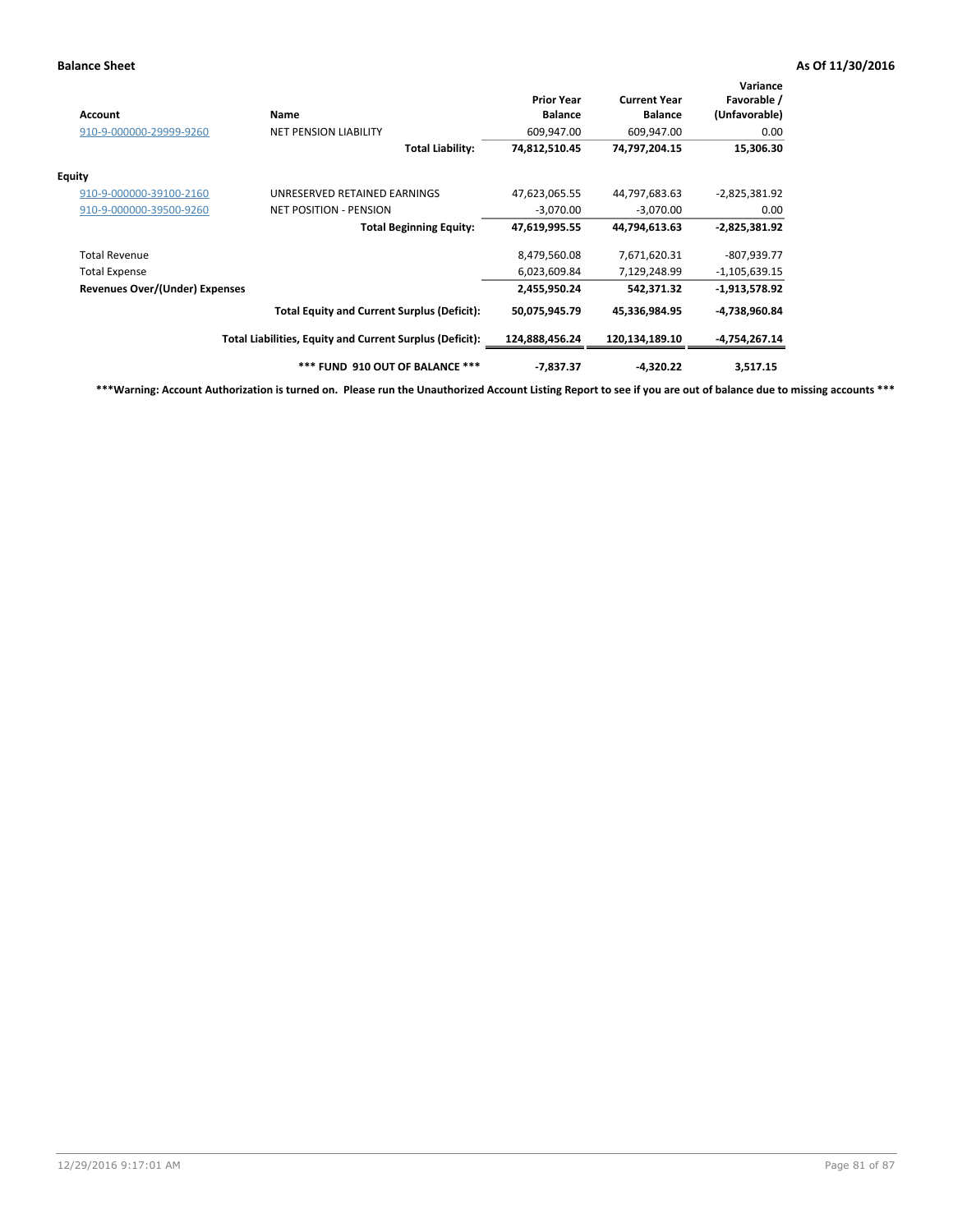| Account                        | Name                                                     | <b>Prior Year</b><br><b>Balance</b> | <b>Current Year</b><br><b>Balance</b> | Variance<br>Favorable /<br>(Unfavorable) |
|--------------------------------|----------------------------------------------------------|-------------------------------------|---------------------------------------|------------------------------------------|
| 910-9-000000-29999-9260        | <b>NET PENSION LIABILITY</b>                             | 609,947.00                          | 609,947.00                            | 0.00                                     |
|                                | <b>Total Liability:</b>                                  | 74,812,510.45                       | 74,797,204.15                         | 15,306.30                                |
| <b>Equity</b>                  |                                                          |                                     |                                       |                                          |
| 910-9-000000-39100-2160        | UNRESERVED RETAINED EARNINGS                             | 47,623,065.55                       | 44,797,683.63                         | $-2,825,381.92$                          |
| 910-9-000000-39500-9260        | <b>NET POSITION - PENSION</b>                            | $-3,070.00$                         | $-3,070.00$                           | 0.00                                     |
|                                | <b>Total Beginning Equity:</b>                           | 47,619,995.55                       | 44,794,613.63                         | $-2,825,381.92$                          |
| <b>Total Revenue</b>           |                                                          | 8,479,560.08                        | 7,671,620.31                          | $-807,939.77$                            |
| <b>Total Expense</b>           |                                                          | 6,023,609.84                        | 7,129,248.99                          | $-1,105,639.15$                          |
| Revenues Over/(Under) Expenses |                                                          | 2,455,950.24                        | 542,371.32                            | $-1,913,578.92$                          |
|                                | <b>Total Equity and Current Surplus (Deficit):</b>       | 50,075,945.79                       | 45,336,984.95                         | -4,738,960.84                            |
|                                | Total Liabilities, Equity and Current Surplus (Deficit): | 124,888,456.24                      | 120,134,189.10                        | -4,754,267.14                            |
|                                | *** FUND 910 OUT OF BALANCE ***                          | $-7,837.37$                         | $-4,320.22$                           | 3,517.15                                 |

**\*\*\*Warning: Account Authorization is turned on. Please run the Unauthorized Account Listing Report to see if you are out of balance due to missing accounts \*\*\***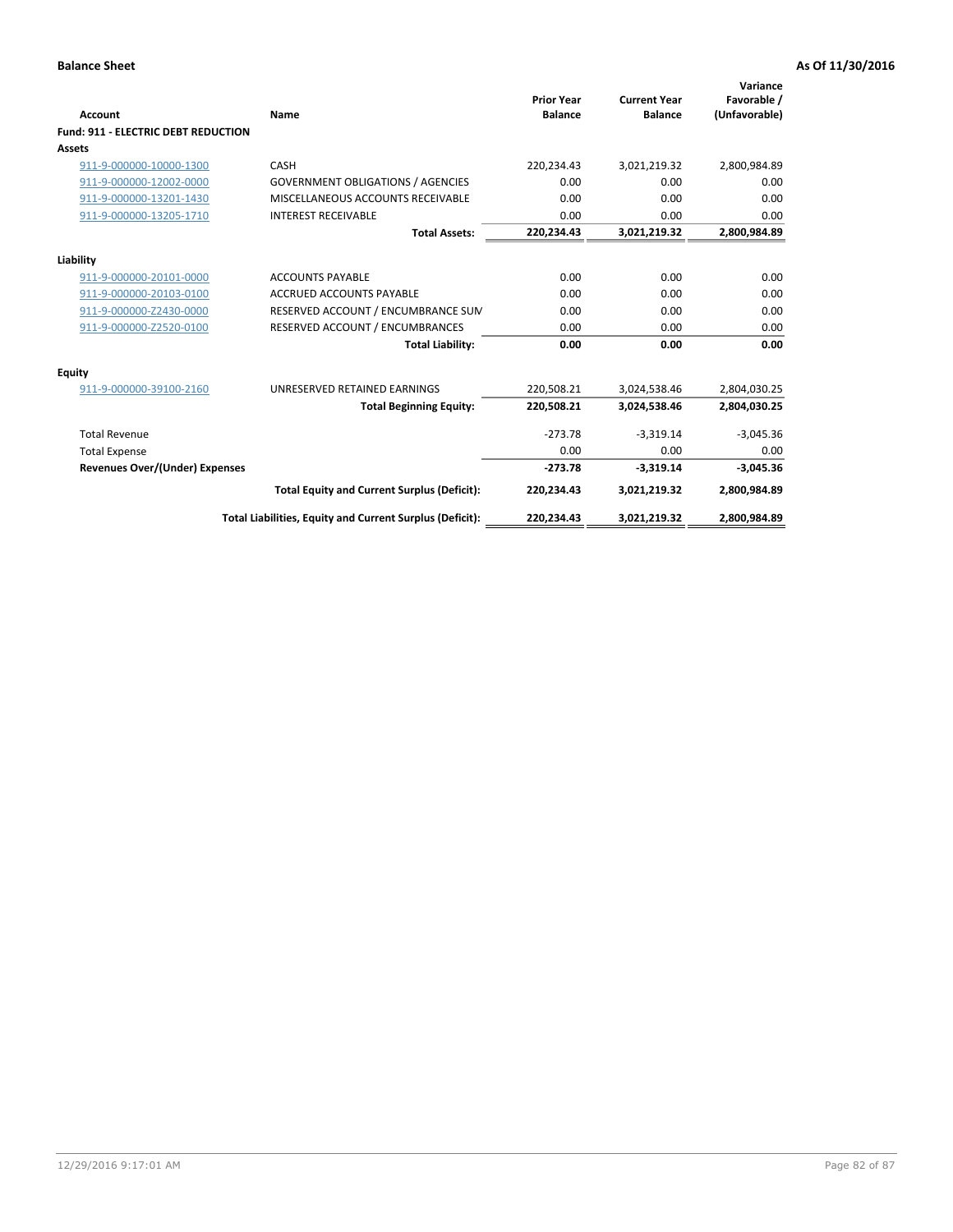| Account                                    | Name                                                     | <b>Prior Year</b><br><b>Balance</b> | <b>Current Year</b><br><b>Balance</b> | Variance<br>Favorable /<br>(Unfavorable) |
|--------------------------------------------|----------------------------------------------------------|-------------------------------------|---------------------------------------|------------------------------------------|
| <b>Fund: 911 - ELECTRIC DEBT REDUCTION</b> |                                                          |                                     |                                       |                                          |
| Assets                                     |                                                          |                                     |                                       |                                          |
| 911-9-000000-10000-1300                    | CASH                                                     | 220,234.43                          | 3,021,219.32                          | 2,800,984.89                             |
| 911-9-000000-12002-0000                    | <b>GOVERNMENT OBLIGATIONS / AGENCIES</b>                 | 0.00                                | 0.00                                  | 0.00                                     |
| 911-9-000000-13201-1430                    | MISCELLANEOUS ACCOUNTS RECEIVABLE                        | 0.00                                | 0.00                                  | 0.00                                     |
| 911-9-000000-13205-1710                    | <b>INTEREST RECEIVABLE</b>                               | 0.00                                | 0.00                                  | 0.00                                     |
|                                            | <b>Total Assets:</b>                                     | 220,234.43                          | 3,021,219.32                          | 2,800,984.89                             |
| Liability                                  |                                                          |                                     |                                       |                                          |
| 911-9-000000-20101-0000                    | <b>ACCOUNTS PAYABLE</b>                                  | 0.00                                | 0.00                                  | 0.00                                     |
| 911-9-000000-20103-0100                    | <b>ACCRUED ACCOUNTS PAYABLE</b>                          | 0.00                                | 0.00                                  | 0.00                                     |
| 911-9-000000-Z2430-0000                    | RESERVED ACCOUNT / ENCUMBRANCE SUM                       | 0.00                                | 0.00                                  | 0.00                                     |
| 911-9-000000-Z2520-0100                    | RESERVED ACCOUNT / ENCUMBRANCES                          | 0.00                                | 0.00                                  | 0.00                                     |
|                                            | <b>Total Liability:</b>                                  | 0.00                                | 0.00                                  | 0.00                                     |
| Equity                                     |                                                          |                                     |                                       |                                          |
| 911-9-000000-39100-2160                    | UNRESERVED RETAINED EARNINGS                             | 220,508.21                          | 3,024,538.46                          | 2,804,030.25                             |
|                                            | <b>Total Beginning Equity:</b>                           | 220,508.21                          | 3,024,538.46                          | 2,804,030.25                             |
| <b>Total Revenue</b>                       |                                                          | $-273.78$                           | $-3.319.14$                           | $-3,045.36$                              |
| <b>Total Expense</b>                       |                                                          | 0.00                                | 0.00                                  | 0.00                                     |
| Revenues Over/(Under) Expenses             |                                                          | $-273.78$                           | $-3,319.14$                           | $-3,045.36$                              |
|                                            | <b>Total Equity and Current Surplus (Deficit):</b>       | 220,234.43                          | 3,021,219.32                          | 2,800,984.89                             |
|                                            | Total Liabilities, Equity and Current Surplus (Deficit): | 220,234.43                          | 3,021,219.32                          | 2,800,984.89                             |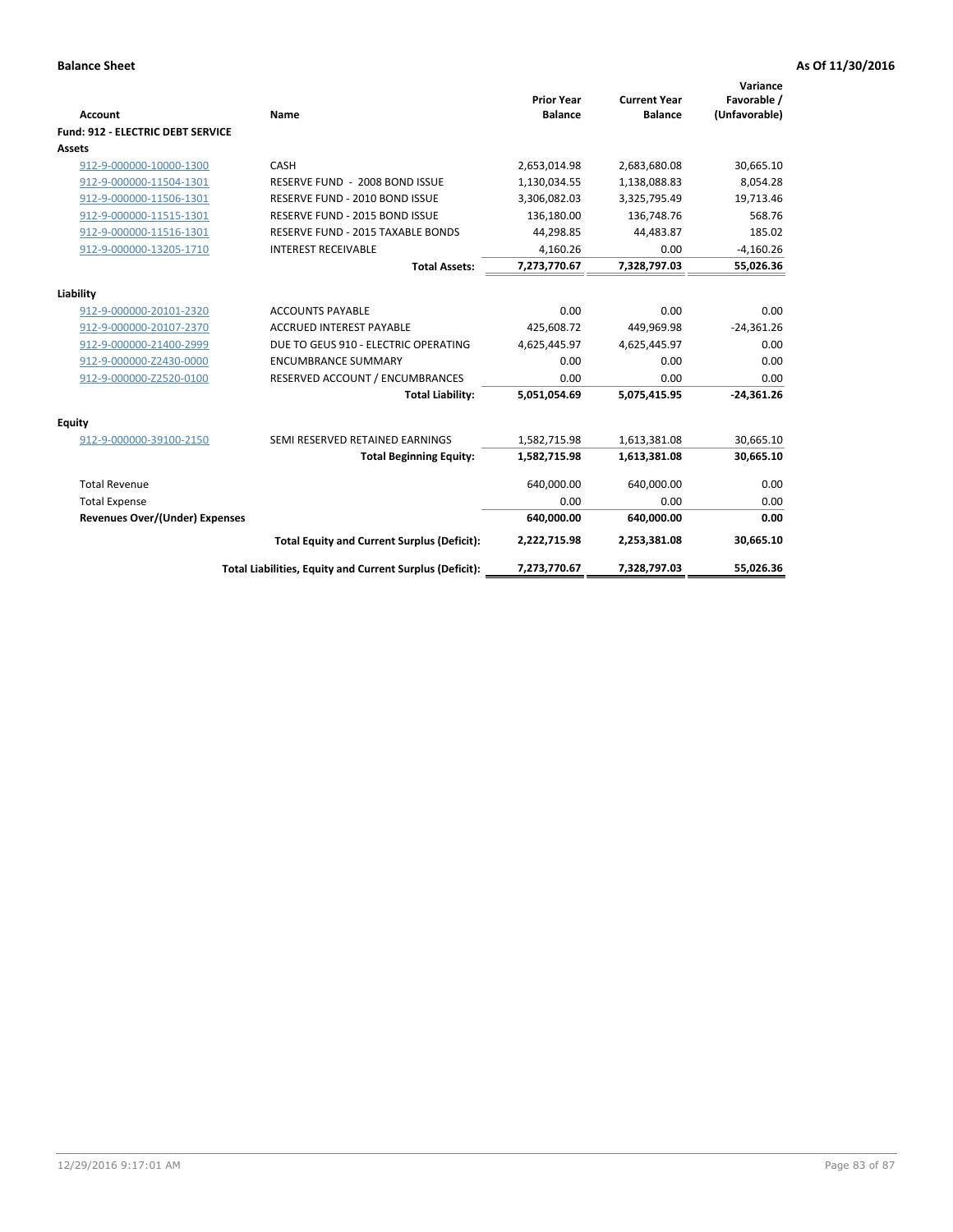| Account                               | Name                                                     | <b>Prior Year</b><br><b>Balance</b> | <b>Current Year</b><br><b>Balance</b> | Variance<br>Favorable /<br>(Unfavorable) |
|---------------------------------------|----------------------------------------------------------|-------------------------------------|---------------------------------------|------------------------------------------|
| Fund: 912 - ELECTRIC DEBT SERVICE     |                                                          |                                     |                                       |                                          |
| <b>Assets</b>                         |                                                          |                                     |                                       |                                          |
| 912-9-000000-10000-1300               | CASH                                                     | 2,653,014.98                        | 2,683,680.08                          | 30,665.10                                |
| 912-9-000000-11504-1301               | RESERVE FUND - 2008 BOND ISSUE                           | 1,130,034.55                        | 1,138,088.83                          | 8,054.28                                 |
| 912-9-000000-11506-1301               | RESERVE FUND - 2010 BOND ISSUE                           | 3,306,082.03                        | 3,325,795.49                          | 19,713.46                                |
| 912-9-000000-11515-1301               | RESERVE FUND - 2015 BOND ISSUE                           | 136,180.00                          | 136,748.76                            | 568.76                                   |
| 912-9-000000-11516-1301               | RESERVE FUND - 2015 TAXABLE BONDS                        | 44,298.85                           | 44,483.87                             | 185.02                                   |
| 912-9-000000-13205-1710               | <b>INTEREST RECEIVABLE</b>                               | 4,160.26                            | 0.00                                  | $-4,160.26$                              |
|                                       | <b>Total Assets:</b>                                     | 7,273,770.67                        | 7,328,797.03                          | 55,026.36                                |
| Liability                             |                                                          |                                     |                                       |                                          |
| 912-9-000000-20101-2320               | <b>ACCOUNTS PAYABLE</b>                                  | 0.00                                | 0.00                                  | 0.00                                     |
| 912-9-000000-20107-2370               | <b>ACCRUED INTEREST PAYABLE</b>                          | 425,608.72                          | 449,969.98                            | $-24,361.26$                             |
| 912-9-000000-21400-2999               | DUE TO GEUS 910 - ELECTRIC OPERATING                     | 4,625,445.97                        | 4,625,445.97                          | 0.00                                     |
| 912-9-000000-Z2430-0000               | <b>ENCUMBRANCE SUMMARY</b>                               | 0.00                                | 0.00                                  | 0.00                                     |
| 912-9-000000-Z2520-0100               | RESERVED ACCOUNT / ENCUMBRANCES                          | 0.00                                | 0.00                                  | 0.00                                     |
|                                       | <b>Total Liability:</b>                                  | 5,051,054.69                        | 5,075,415.95                          | $-24,361.26$                             |
| Equity                                |                                                          |                                     |                                       |                                          |
| 912-9-000000-39100-2150               | SEMI RESERVED RETAINED EARNINGS                          | 1,582,715.98                        | 1,613,381.08                          | 30,665.10                                |
|                                       | <b>Total Beginning Equity:</b>                           | 1,582,715.98                        | 1,613,381.08                          | 30,665.10                                |
| <b>Total Revenue</b>                  |                                                          | 640,000.00                          | 640,000.00                            | 0.00                                     |
| <b>Total Expense</b>                  |                                                          | 0.00                                | 0.00                                  | 0.00                                     |
| <b>Revenues Over/(Under) Expenses</b> |                                                          | 640,000.00                          | 640,000.00                            | 0.00                                     |
|                                       | <b>Total Equity and Current Surplus (Deficit):</b>       | 2,222,715.98                        | 2,253,381.08                          | 30,665.10                                |
|                                       | Total Liabilities, Equity and Current Surplus (Deficit): | 7,273,770.67                        | 7,328,797.03                          | 55,026.36                                |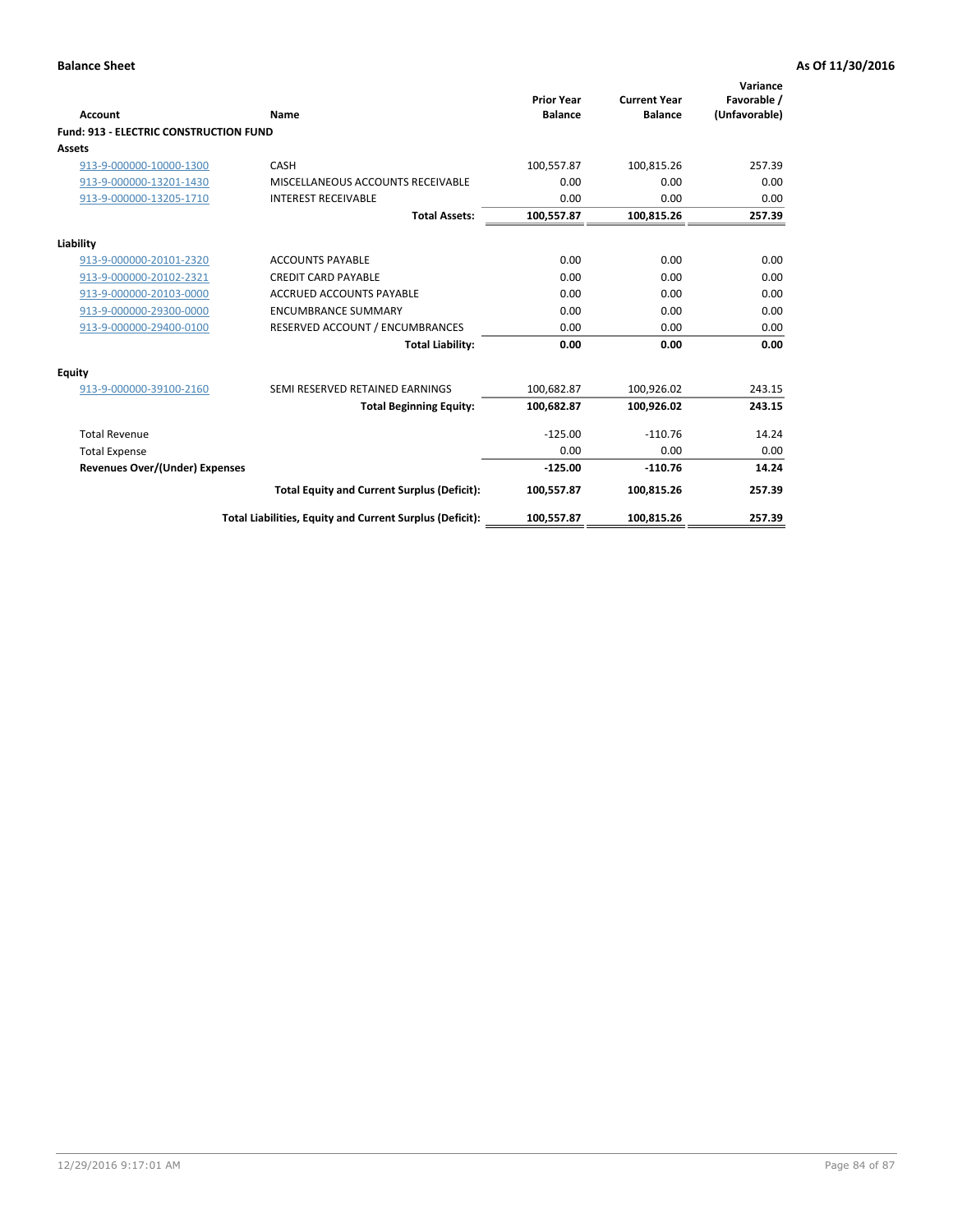| Account                                       | Name                                                     | <b>Prior Year</b><br><b>Balance</b> | <b>Current Year</b><br><b>Balance</b> | Variance<br>Favorable /<br>(Unfavorable) |
|-----------------------------------------------|----------------------------------------------------------|-------------------------------------|---------------------------------------|------------------------------------------|
| <b>Fund: 913 - ELECTRIC CONSTRUCTION FUND</b> |                                                          |                                     |                                       |                                          |
| <b>Assets</b>                                 |                                                          |                                     |                                       |                                          |
| 913-9-000000-10000-1300                       | CASH                                                     | 100,557.87                          | 100,815.26                            | 257.39                                   |
| 913-9-000000-13201-1430                       | MISCELLANEOUS ACCOUNTS RECEIVABLE                        | 0.00                                | 0.00                                  | 0.00                                     |
| 913-9-000000-13205-1710                       | <b>INTEREST RECEIVABLE</b>                               | 0.00                                | 0.00                                  | 0.00                                     |
|                                               | <b>Total Assets:</b>                                     | 100,557.87                          | 100,815.26                            | 257.39                                   |
| Liability                                     |                                                          |                                     |                                       |                                          |
| 913-9-000000-20101-2320                       | <b>ACCOUNTS PAYABLE</b>                                  | 0.00                                | 0.00                                  | 0.00                                     |
| 913-9-000000-20102-2321                       | <b>CREDIT CARD PAYABLE</b>                               | 0.00                                | 0.00                                  | 0.00                                     |
| 913-9-000000-20103-0000                       | <b>ACCRUED ACCOUNTS PAYABLE</b>                          | 0.00                                | 0.00                                  | 0.00                                     |
| 913-9-000000-29300-0000                       | <b>ENCUMBRANCE SUMMARY</b>                               | 0.00                                | 0.00                                  | 0.00                                     |
| 913-9-000000-29400-0100                       | RESERVED ACCOUNT / ENCUMBRANCES                          | 0.00                                | 0.00                                  | 0.00                                     |
|                                               | <b>Total Liability:</b>                                  | 0.00                                | 0.00                                  | 0.00                                     |
| Equity                                        |                                                          |                                     |                                       |                                          |
| 913-9-000000-39100-2160                       | SEMI RESERVED RETAINED EARNINGS                          | 100,682.87                          | 100,926.02                            | 243.15                                   |
|                                               | <b>Total Beginning Equity:</b>                           | 100,682.87                          | 100,926.02                            | 243.15                                   |
| <b>Total Revenue</b>                          |                                                          | $-125.00$                           | $-110.76$                             | 14.24                                    |
| <b>Total Expense</b>                          |                                                          | 0.00                                | 0.00                                  | 0.00                                     |
| Revenues Over/(Under) Expenses                |                                                          | $-125.00$                           | $-110.76$                             | 14.24                                    |
|                                               | <b>Total Equity and Current Surplus (Deficit):</b>       | 100,557.87                          | 100,815.26                            | 257.39                                   |
|                                               | Total Liabilities, Equity and Current Surplus (Deficit): | 100,557.87                          | 100,815.26                            | 257.39                                   |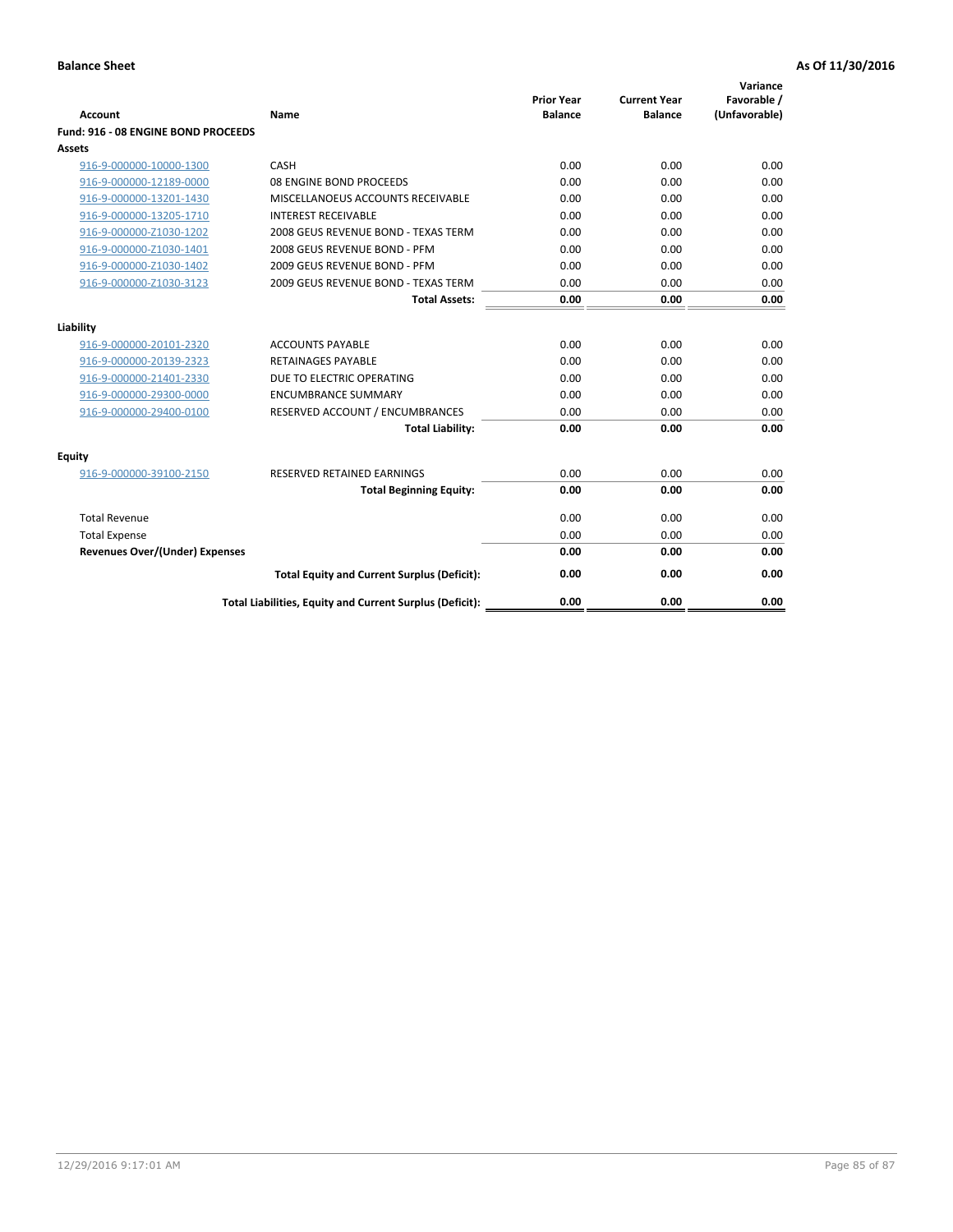| <b>Account</b>                        | Name                                                     | <b>Prior Year</b><br><b>Balance</b> | <b>Current Year</b><br><b>Balance</b> | Variance<br>Favorable /<br>(Unfavorable) |
|---------------------------------------|----------------------------------------------------------|-------------------------------------|---------------------------------------|------------------------------------------|
| Fund: 916 - 08 ENGINE BOND PROCEEDS   |                                                          |                                     |                                       |                                          |
| Assets                                |                                                          |                                     |                                       |                                          |
| 916-9-000000-10000-1300               | CASH                                                     | 0.00                                | 0.00                                  | 0.00                                     |
| 916-9-000000-12189-0000               | 08 ENGINE BOND PROCEEDS                                  | 0.00                                | 0.00                                  | 0.00                                     |
| 916-9-000000-13201-1430               | MISCELLANOEUS ACCOUNTS RECEIVABLE                        | 0.00                                | 0.00                                  | 0.00                                     |
| 916-9-000000-13205-1710               | <b>INTEREST RECEIVABLE</b>                               | 0.00                                | 0.00                                  | 0.00                                     |
| 916-9-000000-Z1030-1202               | 2008 GEUS REVENUE BOND - TEXAS TERM                      | 0.00                                | 0.00                                  | 0.00                                     |
| 916-9-000000-Z1030-1401               | 2008 GEUS REVENUE BOND - PFM                             | 0.00                                | 0.00                                  | 0.00                                     |
| 916-9-000000-Z1030-1402               | 2009 GEUS REVENUE BOND - PFM                             | 0.00                                | 0.00                                  | 0.00                                     |
| 916-9-000000-Z1030-3123               | 2009 GEUS REVENUE BOND - TEXAS TERM                      | 0.00                                | 0.00                                  | 0.00                                     |
|                                       | <b>Total Assets:</b>                                     | 0.00                                | 0.00                                  | 0.00                                     |
| Liability                             |                                                          |                                     |                                       |                                          |
| 916-9-000000-20101-2320               | <b>ACCOUNTS PAYABLE</b>                                  | 0.00                                | 0.00                                  | 0.00                                     |
| 916-9-000000-20139-2323               | <b>RETAINAGES PAYABLE</b>                                | 0.00                                | 0.00                                  | 0.00                                     |
| 916-9-000000-21401-2330               | DUE TO ELECTRIC OPERATING                                | 0.00                                | 0.00                                  | 0.00                                     |
| 916-9-000000-29300-0000               | <b>ENCUMBRANCE SUMMARY</b>                               | 0.00                                | 0.00                                  | 0.00                                     |
| 916-9-000000-29400-0100               | RESERVED ACCOUNT / ENCUMBRANCES                          | 0.00                                | 0.00                                  | 0.00                                     |
|                                       | <b>Total Liability:</b>                                  | 0.00                                | 0.00                                  | 0.00                                     |
|                                       |                                                          |                                     |                                       |                                          |
| Equity                                |                                                          |                                     |                                       |                                          |
| 916-9-000000-39100-2150               | <b>RESERVED RETAINED EARNINGS</b>                        | 0.00                                | 0.00                                  | 0.00                                     |
|                                       | <b>Total Beginning Equity:</b>                           | 0.00                                | 0.00                                  | 0.00                                     |
| <b>Total Revenue</b>                  |                                                          | 0.00                                | 0.00                                  | 0.00                                     |
| <b>Total Expense</b>                  |                                                          | 0.00                                | 0.00                                  | 0.00                                     |
| <b>Revenues Over/(Under) Expenses</b> |                                                          | 0.00                                | 0.00                                  | 0.00                                     |
|                                       | <b>Total Equity and Current Surplus (Deficit):</b>       | 0.00                                | 0.00                                  | 0.00                                     |
|                                       | Total Liabilities, Equity and Current Surplus (Deficit): | 0.00                                | 0.00                                  | 0.00                                     |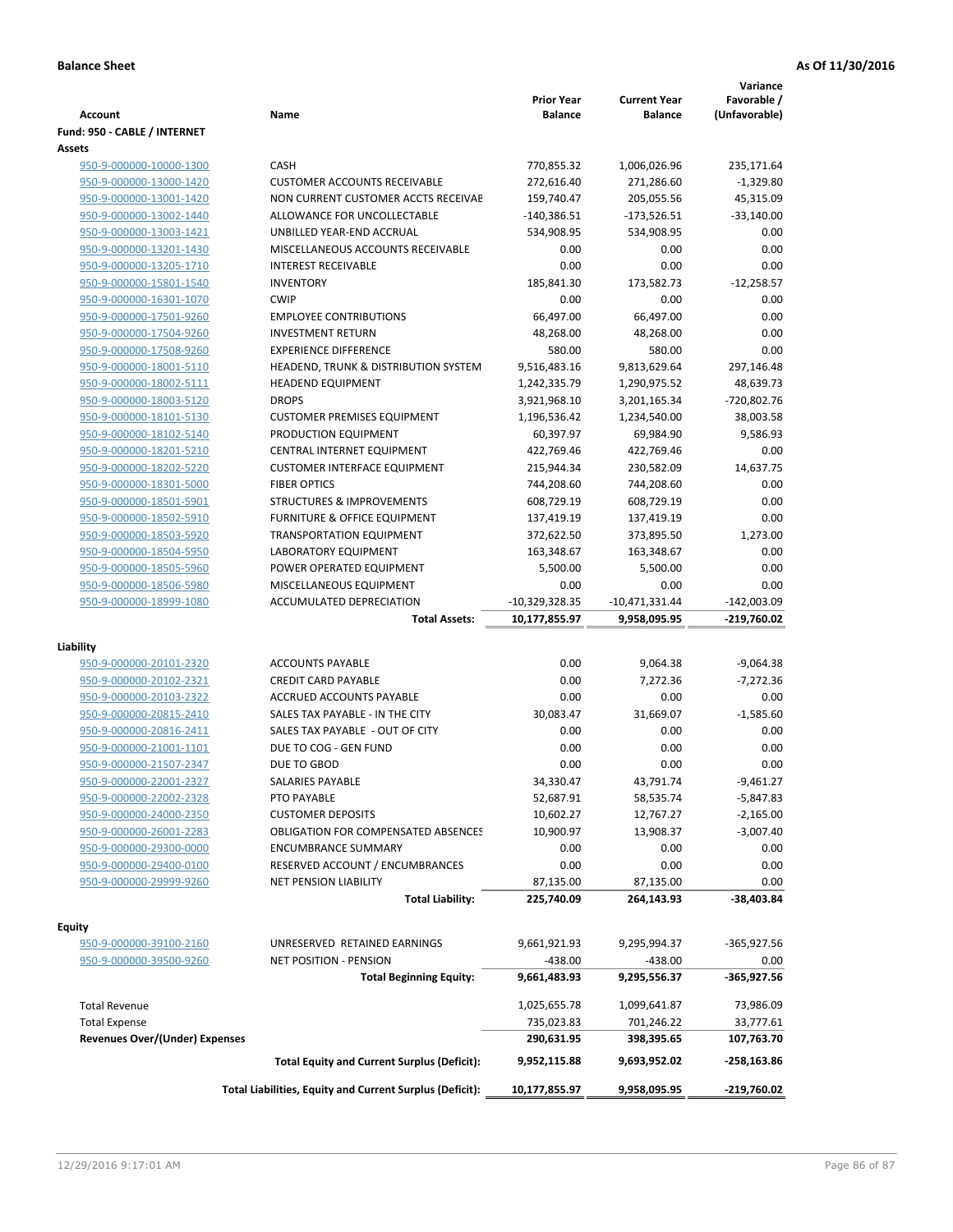| <b>Account</b>                                     | Name                                                     | <b>Prior Year</b><br><b>Balance</b> | <b>Current Year</b><br><b>Balance</b> | Variance<br>Favorable /<br>(Unfavorable) |
|----------------------------------------------------|----------------------------------------------------------|-------------------------------------|---------------------------------------|------------------------------------------|
| Fund: 950 - CABLE / INTERNET                       |                                                          |                                     |                                       |                                          |
| Assets                                             |                                                          |                                     |                                       |                                          |
| 950-9-000000-10000-1300                            | CASH                                                     | 770,855.32                          | 1,006,026.96                          | 235,171.64                               |
| 950-9-000000-13000-1420                            | <b>CUSTOMER ACCOUNTS RECEIVABLE</b>                      | 272,616.40                          | 271,286.60                            | $-1,329.80$                              |
| 950-9-000000-13001-1420                            | NON CURRENT CUSTOMER ACCTS RECEIVAE                      | 159,740.47                          | 205,055.56                            | 45,315.09                                |
| 950-9-000000-13002-1440                            | ALLOWANCE FOR UNCOLLECTABLE                              | $-140,386.51$                       | $-173,526.51$                         | $-33,140.00$                             |
| 950-9-000000-13003-1421                            | UNBILLED YEAR-END ACCRUAL                                | 534,908.95                          | 534,908.95                            | 0.00                                     |
| 950-9-000000-13201-1430                            | MISCELLANEOUS ACCOUNTS RECEIVABLE                        | 0.00                                | 0.00                                  | 0.00                                     |
| 950-9-000000-13205-1710                            | <b>INTEREST RECEIVABLE</b>                               | 0.00                                | 0.00                                  | 0.00                                     |
| 950-9-000000-15801-1540                            | <b>INVENTORY</b>                                         | 185,841.30                          | 173,582.73                            | $-12,258.57$                             |
| 950-9-000000-16301-1070                            | <b>CWIP</b>                                              | 0.00                                | 0.00                                  | 0.00                                     |
| 950-9-000000-17501-9260                            | <b>EMPLOYEE CONTRIBUTIONS</b>                            | 66,497.00                           | 66,497.00                             | 0.00                                     |
| 950-9-000000-17504-9260                            | <b>INVESTMENT RETURN</b>                                 | 48,268.00                           | 48,268.00                             | 0.00                                     |
| 950-9-000000-17508-9260                            | <b>EXPERIENCE DIFFERENCE</b>                             | 580.00                              | 580.00                                | 0.00                                     |
| 950-9-000000-18001-5110                            | HEADEND, TRUNK & DISTRIBUTION SYSTEM                     | 9,516,483.16                        | 9,813,629.64                          | 297,146.48                               |
| 950-9-000000-18002-5111                            | <b>HEADEND EQUIPMENT</b>                                 | 1,242,335.79                        | 1,290,975.52                          | 48,639.73                                |
| 950-9-000000-18003-5120                            | <b>DROPS</b>                                             | 3,921,968.10                        | 3,201,165.34                          | -720,802.76                              |
| 950-9-000000-18101-5130                            | <b>CUSTOMER PREMISES EQUIPMENT</b>                       | 1,196,536.42                        | 1,234,540.00                          | 38,003.58                                |
| 950-9-000000-18102-5140                            | PRODUCTION EQUIPMENT                                     | 60,397.97                           | 69,984.90                             | 9,586.93                                 |
| 950-9-000000-18201-5210                            | CENTRAL INTERNET EQUIPMENT                               | 422,769.46                          | 422,769.46                            | 0.00                                     |
| 950-9-000000-18202-5220                            | <b>CUSTOMER INTERFACE EQUIPMENT</b>                      | 215,944.34                          | 230,582.09                            | 14,637.75                                |
| 950-9-000000-18301-5000                            | <b>FIBER OPTICS</b>                                      | 744,208.60                          | 744,208.60                            | 0.00                                     |
| 950-9-000000-18501-5901                            | <b>STRUCTURES &amp; IMPROVEMENTS</b>                     | 608,729.19                          | 608,729.19                            | 0.00                                     |
| 950-9-000000-18502-5910                            | <b>FURNITURE &amp; OFFICE EQUIPMENT</b>                  | 137,419.19                          | 137,419.19                            | 0.00                                     |
| 950-9-000000-18503-5920                            | <b>TRANSPORTATION EQUIPMENT</b>                          | 372,622.50                          | 373,895.50                            | 1,273.00                                 |
|                                                    | LABORATORY EQUIPMENT                                     |                                     |                                       | 0.00                                     |
| 950-9-000000-18504-5950                            | POWER OPERATED EQUIPMENT                                 | 163,348.67<br>5,500.00              | 163,348.67<br>5,500.00                | 0.00                                     |
| 950-9-000000-18505-5960<br>950-9-000000-18506-5980 | MISCELLANEOUS EQUIPMENT                                  | 0.00                                |                                       | 0.00                                     |
| 950-9-000000-18999-1080                            | ACCUMULATED DEPRECIATION                                 | -10,329,328.35                      | 0.00                                  | $-142,003.09$                            |
|                                                    | <b>Total Assets:</b>                                     | 10,177,855.97                       | $-10,471,331.44$<br>9,958,095.95      | -219,760.02                              |
|                                                    |                                                          |                                     |                                       |                                          |
| Liability                                          |                                                          |                                     |                                       |                                          |
| 950-9-000000-20101-2320                            | <b>ACCOUNTS PAYABLE</b>                                  | 0.00                                | 9,064.38                              | $-9,064.38$                              |
| 950-9-000000-20102-2321                            | <b>CREDIT CARD PAYABLE</b>                               | 0.00                                | 7,272.36                              | $-7,272.36$                              |
| 950-9-000000-20103-2322                            | ACCRUED ACCOUNTS PAYABLE                                 | 0.00                                | 0.00                                  | 0.00                                     |
| 950-9-000000-20815-2410                            | SALES TAX PAYABLE - IN THE CITY                          | 30,083.47                           | 31,669.07                             | $-1,585.60$                              |
| 950-9-000000-20816-2411                            | SALES TAX PAYABLE - OUT OF CITY                          | 0.00                                | 0.00                                  | 0.00                                     |
| 950-9-000000-21001-1101                            | DUE TO COG - GEN FUND                                    | 0.00                                | 0.00                                  | 0.00                                     |
| 950-9-000000-21507-2347                            | DUE TO GBOD                                              | 0.00                                | 0.00                                  | 0.00                                     |
| 950-9-000000-22001-2327                            | <b>SALARIES PAYABLE</b>                                  | 34,330.47                           | 43,791.74                             | $-9,461.27$                              |
| 950-9-000000-22002-2328                            | PTO PAYABLE                                              | 52,687.91                           | 58,535.74                             | $-5,847.83$                              |
| 950-9-000000-24000-2350                            | <b>CUSTOMER DEPOSITS</b>                                 | 10,602.27                           | 12,767.27                             | $-2,165.00$                              |
| 950-9-000000-26001-2283                            | <b>OBLIGATION FOR COMPENSATED ABSENCES</b>               | 10,900.97                           | 13,908.37                             | $-3,007.40$                              |
| 950-9-000000-29300-0000                            | <b>ENCUMBRANCE SUMMARY</b>                               | 0.00                                | 0.00                                  | 0.00                                     |
| 950-9-000000-29400-0100                            | RESERVED ACCOUNT / ENCUMBRANCES                          | 0.00                                | 0.00                                  | 0.00                                     |
| 950-9-000000-29999-9260                            | <b>NET PENSION LIABILITY</b>                             | 87,135.00                           | 87,135.00                             | 0.00                                     |
|                                                    | <b>Total Liability:</b>                                  | 225,740.09                          | 264,143.93                            | -38,403.84                               |
| Equity                                             |                                                          |                                     |                                       |                                          |
| 950-9-000000-39100-2160                            | UNRESERVED RETAINED EARNINGS                             | 9,661,921.93                        | 9,295,994.37                          | $-365,927.56$                            |
| 950-9-000000-39500-9260                            |                                                          | $-438.00$                           | $-438.00$                             |                                          |
|                                                    | NET POSITION - PENSION                                   |                                     |                                       | 0.00                                     |
|                                                    | <b>Total Beginning Equity:</b>                           | 9,661,483.93                        | 9,295,556.37                          | -365,927.56                              |
| <b>Total Revenue</b>                               |                                                          | 1,025,655.78                        | 1,099,641.87                          | 73,986.09                                |
| <b>Total Expense</b>                               |                                                          | 735,023.83                          | 701,246.22                            | 33,777.61                                |
| <b>Revenues Over/(Under) Expenses</b>              |                                                          | 290,631.95                          | 398,395.65                            | 107,763.70                               |
|                                                    | <b>Total Equity and Current Surplus (Deficit):</b>       | 9,952,115.88                        | 9,693,952.02                          | $-258,163.86$                            |
|                                                    | Total Liabilities, Equity and Current Surplus (Deficit): | 10,177,855.97                       | 9,958,095.95                          | -219,760.02                              |